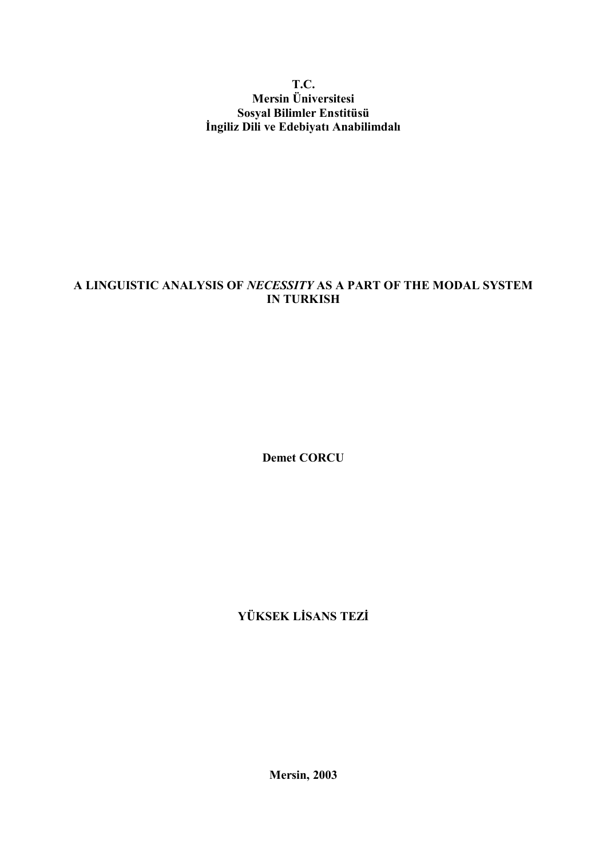### T.C. Mersin Üniversitesi Sosyal Bilimler Enstitüsü İngiliz Dili ve Edebiyatı Anabilimdalı

### A LINGUISTIC ANALYSIS OF NECESSITY AS A PART OF THE MODAL SYSTEM IN TURKISH

Demet CORCU

YÜKSEK LİSANS TEZİ

Mersin, 2003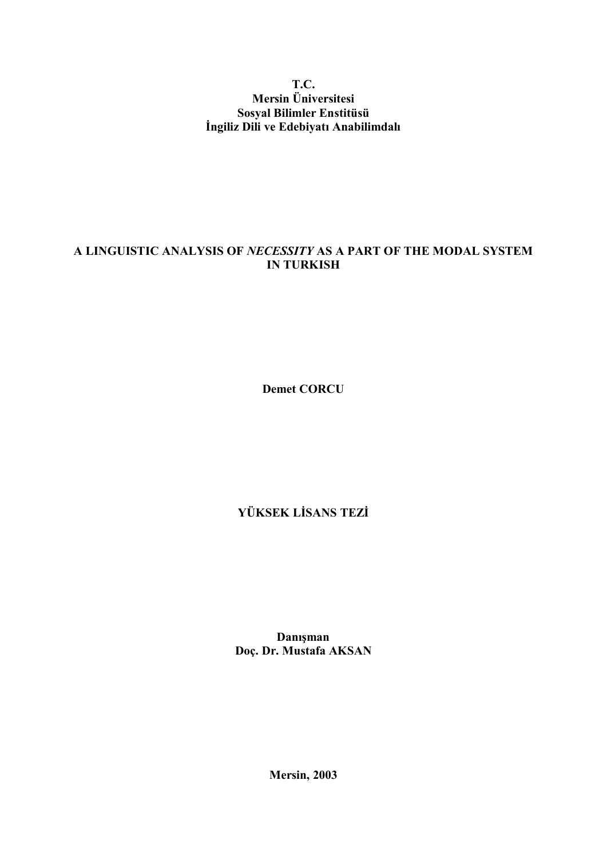### T.C. Mersin Üniversitesi Sosyal Bilimler Enstitüsü İngiliz Dili ve Edebiyatı Anabilimdalı

### A LINGUISTIC ANALYSIS OF NECESSITY AS A PART OF THE MODAL SYSTEM IN TURKISH

Demet CORCU

# YÜKSEK LİSANS TEZİ

Danışman Doç. Dr. Mustafa AKSAN

Mersin, 2003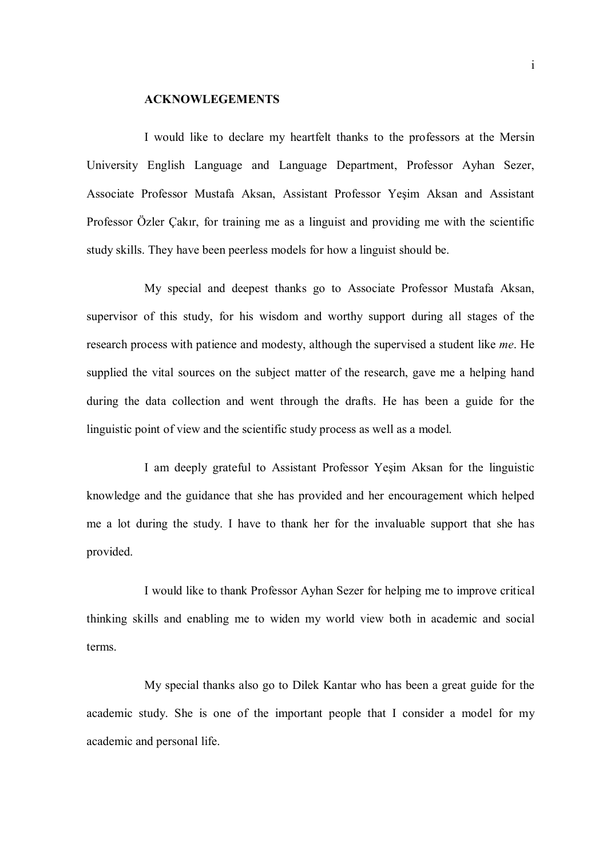#### ACKNOWLEGEMENTS

I would like to declare my heartfelt thanks to the professors at the Mersin University English Language and Language Department, Professor Ayhan Sezer, Associate Professor Mustafa Aksan, Assistant Professor Yeşim Aksan and Assistant Professor Özler Çakır, for training me as a linguist and providing me with the scientific study skills. They have been peerless models for how a linguist should be.

My special and deepest thanks go to Associate Professor Mustafa Aksan, supervisor of this study, for his wisdom and worthy support during all stages of the research process with patience and modesty, although the supervised a student like me. He supplied the vital sources on the subject matter of the research, gave me a helping hand during the data collection and went through the drafts. He has been a guide for the linguistic point of view and the scientific study process as well as a model.

I am deeply grateful to Assistant Professor Yeşim Aksan for the linguistic knowledge and the guidance that she has provided and her encouragement which helped me a lot during the study. I have to thank her for the invaluable support that she has provided.

I would like to thank Professor Ayhan Sezer for helping me to improve critical thinking skills and enabling me to widen my world view both in academic and social terms.

My special thanks also go to Dilek Kantar who has been a great guide for the academic study. She is one of the important people that I consider a model for my academic and personal life.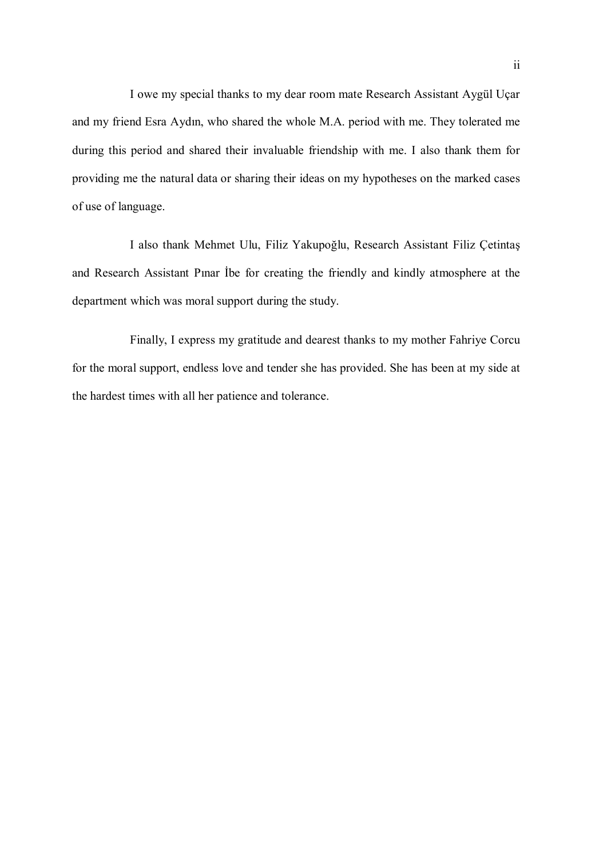I owe my special thanks to my dear room mate Research Assistant Aygül Uçar and my friend Esra Aydın, who shared the whole M.A. period with me. They tolerated me during this period and shared their invaluable friendship with me. I also thank them for providing me the natural data or sharing their ideas on my hypotheses on the marked cases of use of language.

I also thank Mehmet Ulu, Filiz Yakupoğlu, Research Assistant Filiz Çetintaş and Research Assistant Pınar İbe for creating the friendly and kindly atmosphere at the department which was moral support during the study.

Finally, I express my gratitude and dearest thanks to my mother Fahriye Corcu for the moral support, endless love and tender she has provided. She has been at my side at the hardest times with all her patience and tolerance.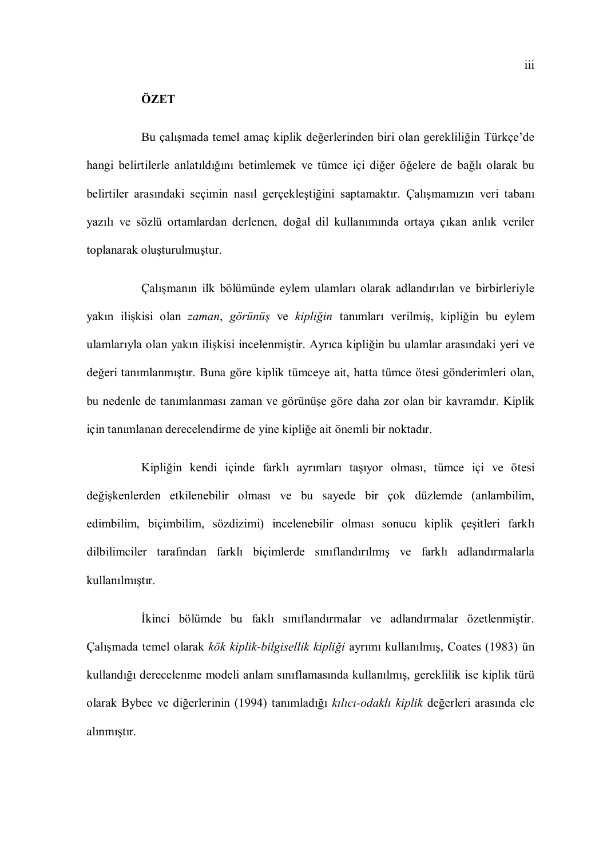#### **ÖZET**

Bu çalışmada temel amaç kiplik değerlerinden biri olan gerekliliğin Türkçe'de hangi belirtilerle anlatıldığını betimlemek ve tümce içi diğer öğelere de bağlı olarak bu belirtiler arasındaki seçimin nasıl gerçekleştiğini saptamaktır. Çalışmamızın veri tabanı yazılı ve sözlü ortamlardan derlenen, doğal dil kullanımında ortaya çıkan anlık veriler toplanarak oluşturulmuştur.

Çalışmanın ilk bölümünde eylem ulamları olarak adlandırılan ve birbirleriyle yakın ilişkisi olan zaman, görünüş ve kipliğin tanımları verilmiş, kipliğin bu eylem ulamlarıyla olan yakın ilişkisi incelenmiştir. Ayrıca kipliğin bu ulamlar arasındaki yeri ve değeri tanımlanmıştır. Buna göre kiplik tümceye ait, hatta tümce ötesi gönderimleri olan, bu nedenle de tanımlanması zaman ve görünüşe göre daha zor olan bir kavramdır. Kiplik için tanımlanan derecelendirme de yine kipliğe ait önemli bir noktadır.

Kipliğin kendi içinde farklı ayrımları taşıyor olması, tümce içi ve ötesi değişkenlerden etkilenebilir olması ve bu sayede bir çok düzlemde (anlambilim, edimbilim, biçimbilim, sözdizimi) incelenebilir olması sonucu kiplik çeşitleri farklı dilbilimciler tarafından farklı biçimlerde sınıflandırılmış ve farklı adlandırmalarla kullanılmıştır.

İkinci bölümde bu faklı sınıflandırmalar ve adlandırmalar özetlenmiştir. Çalışmada temel olarak kök kiplik-bilgisellik kipliği ayrımı kullanılmış, Coates (1983) ün kullandığı derecelenme modeli anlam sınıflamasında kullanılmış, gereklilik ise kiplik türü olarak Bybee ve diğerlerinin (1994) tanımladığı kılıcı-odaklı kiplik değerleri arasında ele alınmıştır.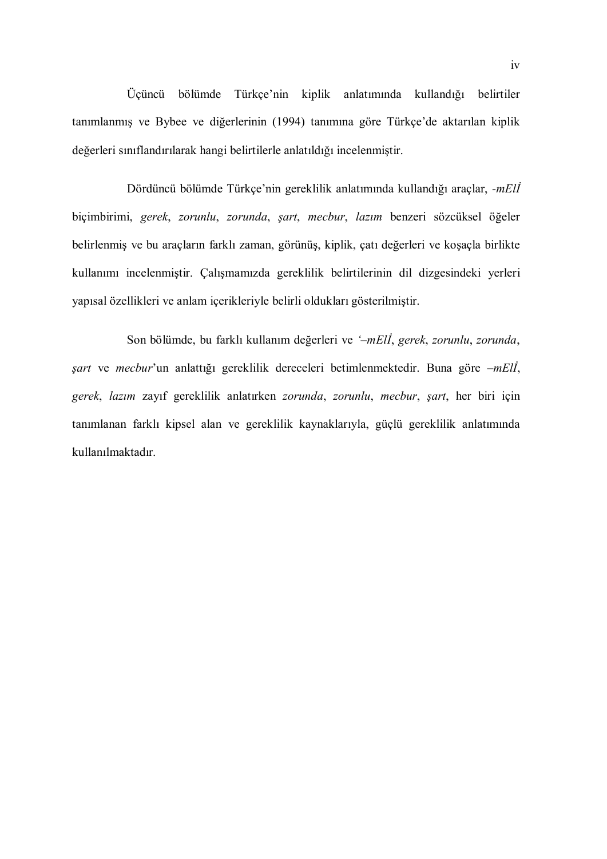Üçüncü bölümde Türkçe'nin kiplik anlatımında kullandığı belirtiler tanımlanmış ve Bybee ve diğerlerinin (1994) tanımına göre Türkçe'de aktarılan kiplik değerleri sınıflandırılarak hangi belirtilerle anlatıldığı incelenmiştir.

Dördüncü bölümde Türkçe'nin gereklilik anlatımında kullandığı araçlar, -mElİ biçimbirimi, gerek, zorunlu, zorunda, şart, mecbur, lazım benzeri sözcüksel öğeler belirlenmiş ve bu araçların farklı zaman, görünüş, kiplik, çatı değerleri ve koşaçla birlikte kullanımı incelenmiştir. Çalışmamızda gereklilik belirtilerinin dil dizgesindeki yerleri yapısal özellikleri ve anlam içerikleriyle belirli oldukları gösterilmiştir.

Son bölümde, bu farklı kullanım değerleri ve '–mElİ, gerek, zorunlu, zorunda, şart ve mecbur'un anlattığı gereklilik dereceleri betimlenmektedir. Buna göre –mElİ, gerek, lazım zayıf gereklilik anlatırken zorunda, zorunlu, mecbur, şart, her biri için tanımlanan farklı kipsel alan ve gereklilik kaynaklarıyla, güçlü gereklilik anlatımında kullanılmaktadır.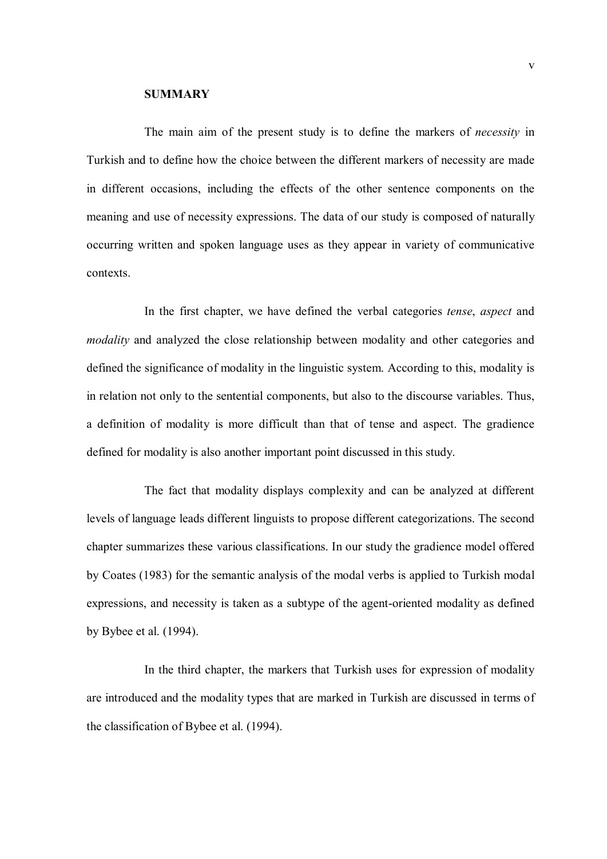#### **SUMMARY**

The main aim of the present study is to define the markers of *necessity* in Turkish and to define how the choice between the different markers of necessity are made in different occasions, including the effects of the other sentence components on the meaning and use of necessity expressions. The data of our study is composed of naturally occurring written and spoken language uses as they appear in variety of communicative contexts.

In the first chapter, we have defined the verbal categories tense, aspect and modality and analyzed the close relationship between modality and other categories and defined the significance of modality in the linguistic system. According to this, modality is in relation not only to the sentential components, but also to the discourse variables. Thus, a definition of modality is more difficult than that of tense and aspect. The gradience defined for modality is also another important point discussed in this study.

The fact that modality displays complexity and can be analyzed at different levels of language leads different linguists to propose different categorizations. The second chapter summarizes these various classifications. In our study the gradience model offered by Coates (1983) for the semantic analysis of the modal verbs is applied to Turkish modal expressions, and necessity is taken as a subtype of the agent-oriented modality as defined by Bybee et al. (1994).

In the third chapter, the markers that Turkish uses for expression of modality are introduced and the modality types that are marked in Turkish are discussed in terms of the classification of Bybee et al. (1994).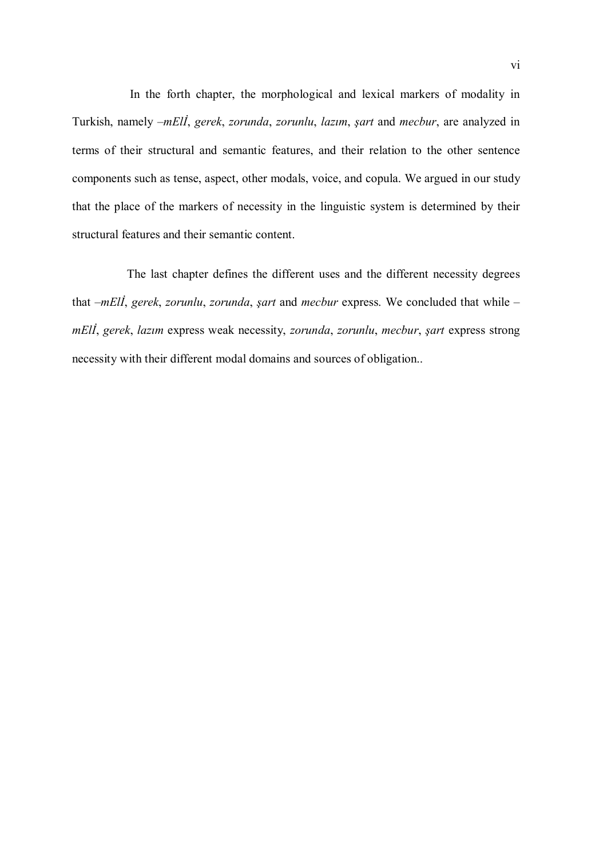In the forth chapter, the morphological and lexical markers of modality in Turkish, namely –mElİ, gerek, zorunda, zorunlu, lazım, şart and mecbur, are analyzed in terms of their structural and semantic features, and their relation to the other sentence components such as tense, aspect, other modals, voice, and copula. We argued in our study that the place of the markers of necessity in the linguistic system is determined by their structural features and their semantic content.

The last chapter defines the different uses and the different necessity degrees that  $-mEli$ , gerek, zorunlu, zorunda, şart and mecbur express. We concluded that while – mElİ, gerek, lazım express weak necessity, zorunda, zorunlu, mecbur, şart express strong necessity with their different modal domains and sources of obligation..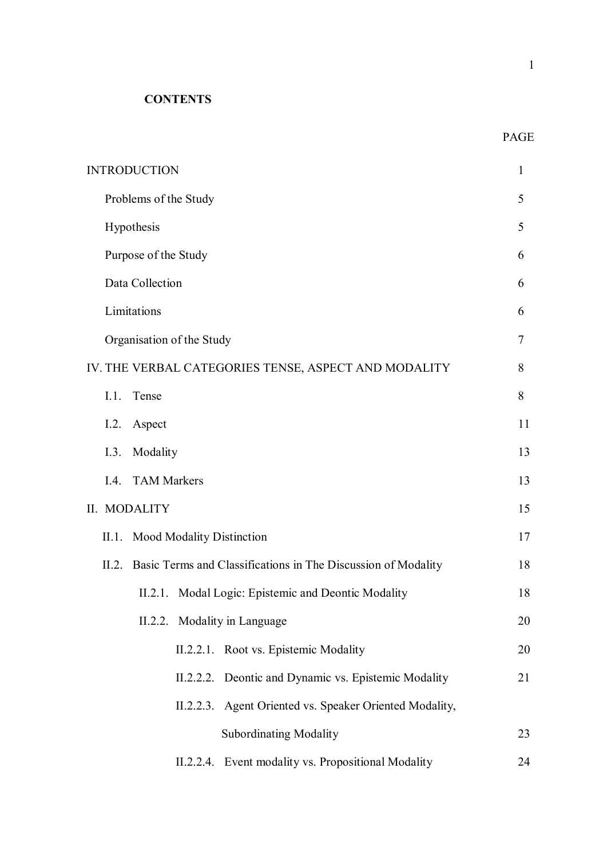**CONTENTS** 

|                                                      | PAGE |  |  |
|------------------------------------------------------|------|--|--|
| <b>INTRODUCTION</b>                                  | 1    |  |  |
| Problems of the Study                                | 5    |  |  |
| Hypothesis                                           | 5    |  |  |
| Purpose of the Study                                 | 6    |  |  |
| Data Collection                                      |      |  |  |
| Limitations                                          | 6    |  |  |
| Organisation of the Study                            | 7    |  |  |
| IV. THE VERBAL CATEGORIES TENSE, ASPECT AND MODALITY | 8    |  |  |
| Tense<br>I.1.                                        | 8    |  |  |
| I.2.<br>Aspect                                       | 11   |  |  |
| Modality<br>I.3.                                     | 13   |  |  |
| I.4. TAM Markers                                     | 13   |  |  |

# II. MODALITY 15

| II.1. Mood Modality Distinction |  |                                                                     | 17 |
|---------------------------------|--|---------------------------------------------------------------------|----|
|                                 |  | II.2. Basic Terms and Classifications in The Discussion of Modality | 18 |
|                                 |  | II.2.1. Modal Logic: Epistemic and Deontic Modality                 | 18 |
|                                 |  | II.2.2. Modality in Language                                        | 20 |
|                                 |  | II.2.2.1. Root vs. Epistemic Modality                               | 20 |
|                                 |  | II.2.2.2. Deontic and Dynamic vs. Epistemic Modality                | 21 |
|                                 |  | II.2.2.3. Agent Oriented vs. Speaker Oriented Modality,             |    |
|                                 |  | <b>Subordinating Modality</b>                                       | 23 |
|                                 |  | II.2.2.4. Event modality vs. Propositional Modality                 | 24 |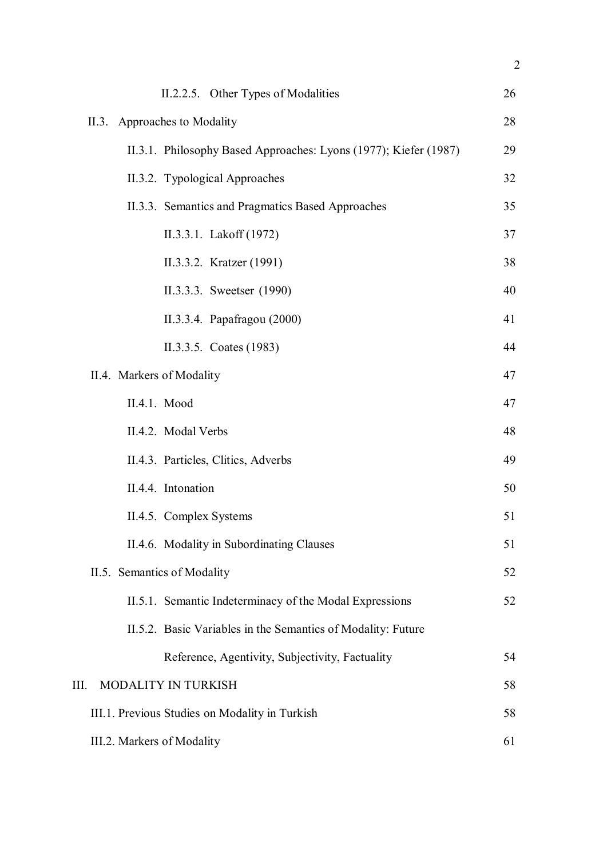| II.2.2.5. Other Types of Modalities                              | 26 |
|------------------------------------------------------------------|----|
| II.3. Approaches to Modality                                     | 28 |
| II.3.1. Philosophy Based Approaches: Lyons (1977); Kiefer (1987) | 29 |
| II.3.2. Typological Approaches                                   | 32 |
| II.3.3. Semantics and Pragmatics Based Approaches                | 35 |
| II.3.3.1. Lakoff (1972)                                          | 37 |
| II.3.3.2. Kratzer (1991)                                         | 38 |
| II.3.3.3. Sweetser (1990)                                        | 40 |
| II.3.3.4. Papafragou (2000)                                      | 41 |
| II.3.3.5. Coates (1983)                                          | 44 |
| II.4. Markers of Modality                                        | 47 |
| II.4.1. Mood                                                     | 47 |
| II.4.2. Modal Verbs                                              | 48 |
| II.4.3. Particles, Clitics, Adverbs                              | 49 |
| II.4.4. Intonation                                               | 50 |
| II.4.5. Complex Systems                                          | 51 |
| II.4.6. Modality in Subordinating Clauses                        | 51 |
| II.5. Semantics of Modality                                      | 52 |
| II.5.1. Semantic Indeterminacy of the Modal Expressions          | 52 |
| II.5.2. Basic Variables in the Semantics of Modality: Future     |    |
| Reference, Agentivity, Subjectivity, Factuality                  | 54 |
| III.<br>MODALITY IN TURKISH                                      | 58 |
| III.1. Previous Studies on Modality in Turkish                   | 58 |
| III.2. Markers of Modality                                       | 61 |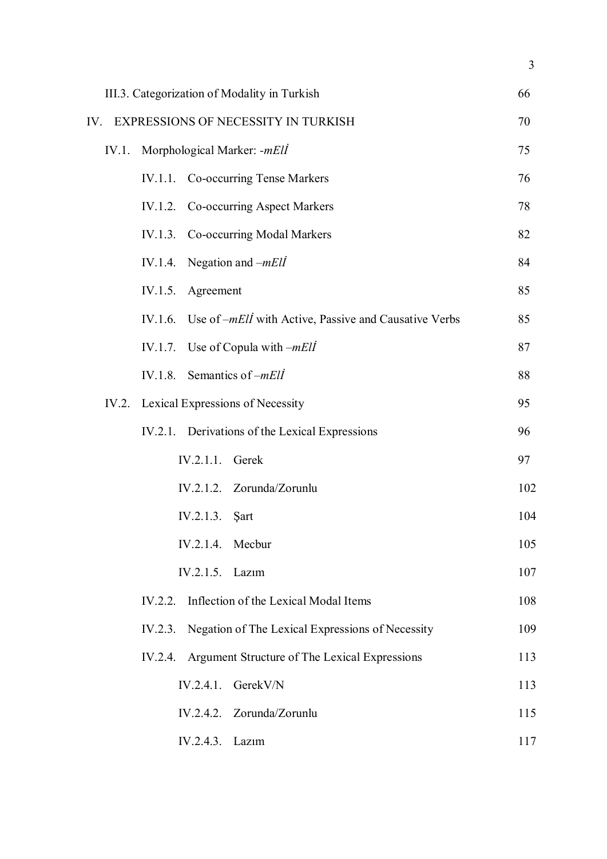| III.3. Categorization of Modality in Turkish |         |                  |                                                               | 66  |
|----------------------------------------------|---------|------------------|---------------------------------------------------------------|-----|
| EXPRESSIONS OF NECESSITY IN TURKISH<br>IV.   |         |                  |                                                               | 70  |
| Morphological Marker: -mEll<br>IV.1.         |         |                  |                                                               | 75  |
|                                              |         |                  | IV.1.1. Co-occurring Tense Markers                            | 76  |
|                                              |         |                  | IV.1.2. Co-occurring Aspect Markers                           | 78  |
|                                              |         |                  | IV.1.3. Co-occurring Modal Markers                            | 82  |
|                                              | IV.1.4. |                  | Negation and $-mEll$                                          | 84  |
|                                              | IV.1.5. | Agreement        |                                                               | 85  |
|                                              | IV.1.6. |                  | Use of – <i>mEll</i> with Active, Passive and Causative Verbs | 85  |
|                                              | IV.1.7. |                  | Use of Copula with $-mEll$                                    | 87  |
|                                              |         |                  | IV.1.8. Semantics of $-mE\ddot{l}$                            | 88  |
|                                              |         |                  | IV.2. Lexical Expressions of Necessity                        | 95  |
|                                              |         |                  | IV.2.1. Derivations of the Lexical Expressions                | 96  |
|                                              |         | IV.2.1.1. Gerek  |                                                               | 97  |
|                                              |         |                  | IV.2.1.2. Zorunda/Zorunlu                                     | 102 |
|                                              |         | IV.2.1.3.        | <b>Sart</b>                                                   | 104 |
|                                              |         | IV.2.1.4. Mecbur |                                                               | 105 |
|                                              |         | IV.2.1.5. Lazim  |                                                               | 107 |
|                                              |         |                  | IV.2.2. Inflection of the Lexical Modal Items                 | 108 |
|                                              |         |                  | IV.2.3. Negation of The Lexical Expressions of Necessity      | 109 |
|                                              |         |                  | IV.2.4. Argument Structure of The Lexical Expressions         | 113 |
|                                              |         | IV.2.4.1.        | GerekV/N                                                      | 113 |
|                                              |         |                  | IV.2.4.2. Zorunda/Zorunlu                                     | 115 |
|                                              |         | IV.2.4.3. Lazım  |                                                               | 117 |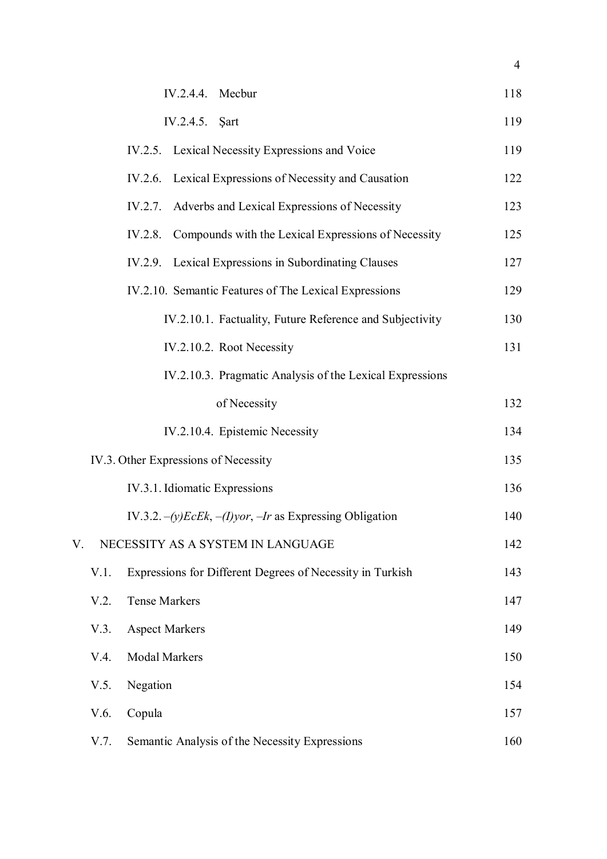|      | IV.2.4.4. Mecbur                                                | 118 |
|------|-----------------------------------------------------------------|-----|
|      | IV.2.4.5. Şart                                                  | 119 |
|      | IV.2.5. Lexical Necessity Expressions and Voice                 | 119 |
|      | IV.2.6. Lexical Expressions of Necessity and Causation          | 122 |
|      | Adverbs and Lexical Expressions of Necessity<br>IV.2.7.         | 123 |
|      | Compounds with the Lexical Expressions of Necessity<br>IV.2.8.  | 125 |
|      | IV.2.9. Lexical Expressions in Subordinating Clauses            | 127 |
|      | IV.2.10. Semantic Features of The Lexical Expressions           | 129 |
|      | IV.2.10.1. Factuality, Future Reference and Subjectivity        | 130 |
|      | IV.2.10.2. Root Necessity                                       | 131 |
|      | IV.2.10.3. Pragmatic Analysis of the Lexical Expressions        |     |
|      | of Necessity                                                    | 132 |
|      | IV.2.10.4. Epistemic Necessity                                  | 134 |
|      | IV.3. Other Expressions of Necessity                            | 135 |
|      | IV.3.1. Idiomatic Expressions                                   | 136 |
|      | IV.3.2. $-(y)EcEk$ , $-(I)vor$ , $-Ir$ as Expressing Obligation | 140 |
| V.   | NECESSITY AS A SYSTEM IN LANGUAGE                               | 142 |
| V.1. | Expressions for Different Degrees of Necessity in Turkish       | 143 |
| V.2. | <b>Tense Markers</b>                                            | 147 |
| V.3. | <b>Aspect Markers</b>                                           | 149 |
| V.4. | Modal Markers                                                   | 150 |
| V.5. | Negation                                                        | 154 |
| V.6. | Copula                                                          | 157 |
| V.7. | Semantic Analysis of the Necessity Expressions                  | 160 |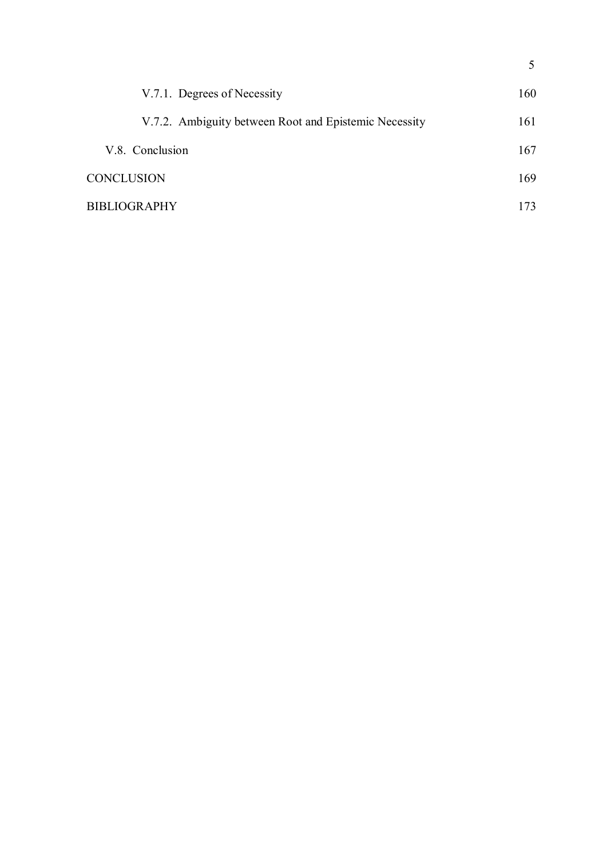| V.7.1. Degrees of Necessity                           | 160 |
|-------------------------------------------------------|-----|
| V.7.2. Ambiguity between Root and Epistemic Necessity | 161 |
| V.8. Conclusion                                       | 167 |
| <b>CONCLUSION</b>                                     | 169 |
| <b>BIBLIOGRAPHY</b>                                   | 173 |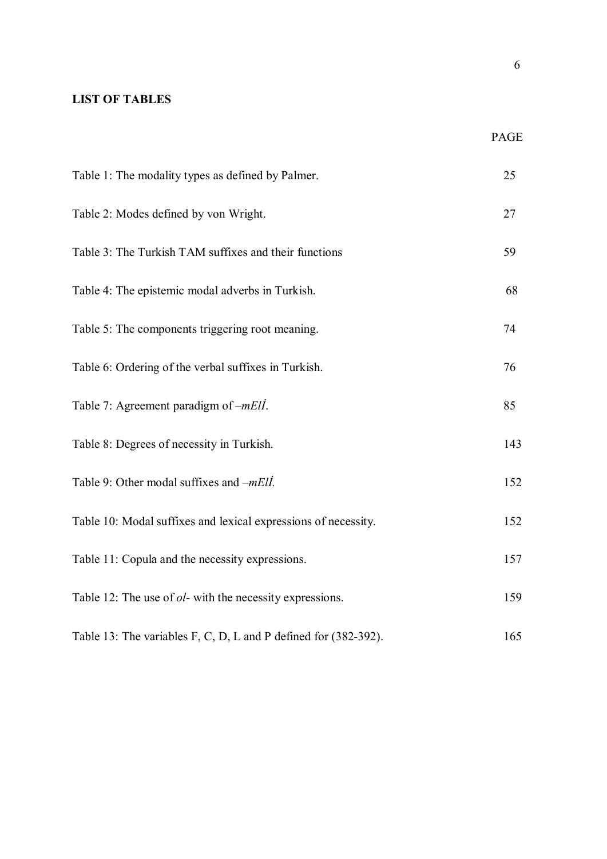# LIST OF TABLES

| Table 1: The modality types as defined by Palmer.                | 25  |
|------------------------------------------------------------------|-----|
| Table 2: Modes defined by von Wright.                            | 27  |
| Table 3: The Turkish TAM suffixes and their functions            | 59  |
| Table 4: The epistemic modal adverbs in Turkish.                 | 68  |
| Table 5: The components triggering root meaning.                 | 74  |
| Table 6: Ordering of the verbal suffixes in Turkish.             | 76  |
| Table 7: Agreement paradigm of -mEll.                            | 85  |
| Table 8: Degrees of necessity in Turkish.                        | 143 |
| Table 9: Other modal suffixes and <i>-mEll</i> .                 | 152 |
| Table 10: Modal suffixes and lexical expressions of necessity.   | 152 |
| Table 11: Copula and the necessity expressions.                  | 157 |
| Table 12: The use of <i>ol</i> - with the necessity expressions. | 159 |
| Table 13: The variables F, C, D, L and P defined for (382-392).  | 165 |

PAGE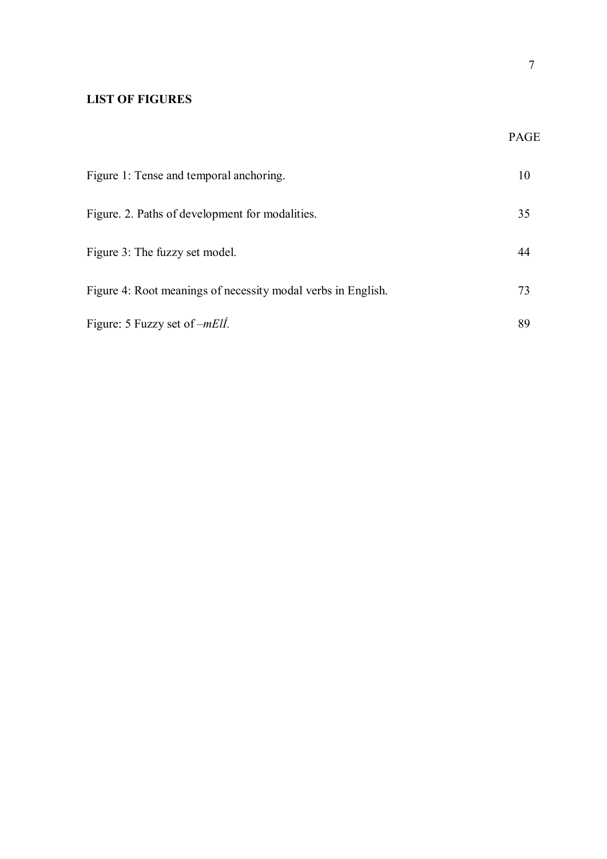# LIST OF FIGURES

| Figure 1: Tense and temporal anchoring.                      |    |
|--------------------------------------------------------------|----|
| Figure. 2. Paths of development for modalities.              | 35 |
| Figure 3: The fuzzy set model.                               | 44 |
| Figure 4: Root meanings of necessity modal verbs in English. | 73 |
| Figure: 5 Fuzzy set of – <i>mEll</i> .                       | 89 |

PAGE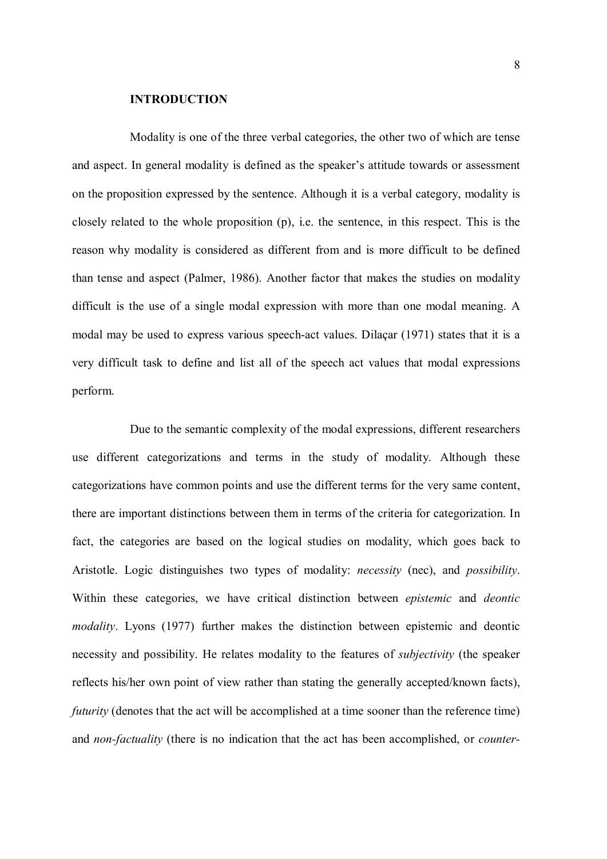#### INTRODUCTION

Modality is one of the three verbal categories, the other two of which are tense and aspect. In general modality is defined as the speaker's attitude towards or assessment on the proposition expressed by the sentence. Although it is a verbal category, modality is closely related to the whole proposition (p), i.e. the sentence, in this respect. This is the reason why modality is considered as different from and is more difficult to be defined than tense and aspect (Palmer, 1986). Another factor that makes the studies on modality difficult is the use of a single modal expression with more than one modal meaning. A modal may be used to express various speech-act values. Dilaçar (1971) states that it is a very difficult task to define and list all of the speech act values that modal expressions perform.

Due to the semantic complexity of the modal expressions, different researchers use different categorizations and terms in the study of modality. Although these categorizations have common points and use the different terms for the very same content, there are important distinctions between them in terms of the criteria for categorization. In fact, the categories are based on the logical studies on modality, which goes back to Aristotle. Logic distinguishes two types of modality: necessity (nec), and possibility. Within these categories, we have critical distinction between *epistemic* and *deontic* modality. Lyons (1977) further makes the distinction between epistemic and deontic necessity and possibility. He relates modality to the features of subjectivity (the speaker reflects his/her own point of view rather than stating the generally accepted/known facts), futurity (denotes that the act will be accomplished at a time sooner than the reference time) and *non-factuality* (there is no indication that the act has been accomplished, or *counter*-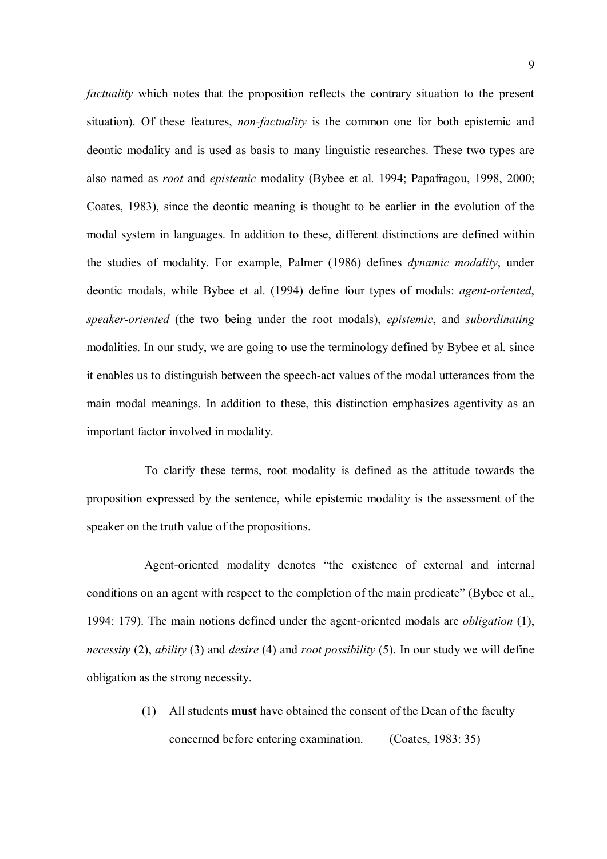factuality which notes that the proposition reflects the contrary situation to the present situation). Of these features, *non-factuality* is the common one for both epistemic and deontic modality and is used as basis to many linguistic researches. These two types are also named as root and epistemic modality (Bybee et al. 1994; Papafragou, 1998, 2000; Coates, 1983), since the deontic meaning is thought to be earlier in the evolution of the modal system in languages. In addition to these, different distinctions are defined within the studies of modality. For example, Palmer (1986) defines dynamic modality, under deontic modals, while Bybee et al. (1994) define four types of modals: agent-oriented, speaker-oriented (the two being under the root modals), epistemic, and subordinating modalities. In our study, we are going to use the terminology defined by Bybee et al. since it enables us to distinguish between the speech-act values of the modal utterances from the main modal meanings. In addition to these, this distinction emphasizes agentivity as an important factor involved in modality.

To clarify these terms, root modality is defined as the attitude towards the proposition expressed by the sentence, while epistemic modality is the assessment of the speaker on the truth value of the propositions.

Agent-oriented modality denotes "the existence of external and internal conditions on an agent with respect to the completion of the main predicate" (Bybee et al., 1994: 179). The main notions defined under the agent-oriented modals are obligation (1), necessity (2), ability (3) and desire (4) and root possibility (5). In our study we will define obligation as the strong necessity.

> (1) All students must have obtained the consent of the Dean of the faculty concerned before entering examination. (Coates, 1983: 35)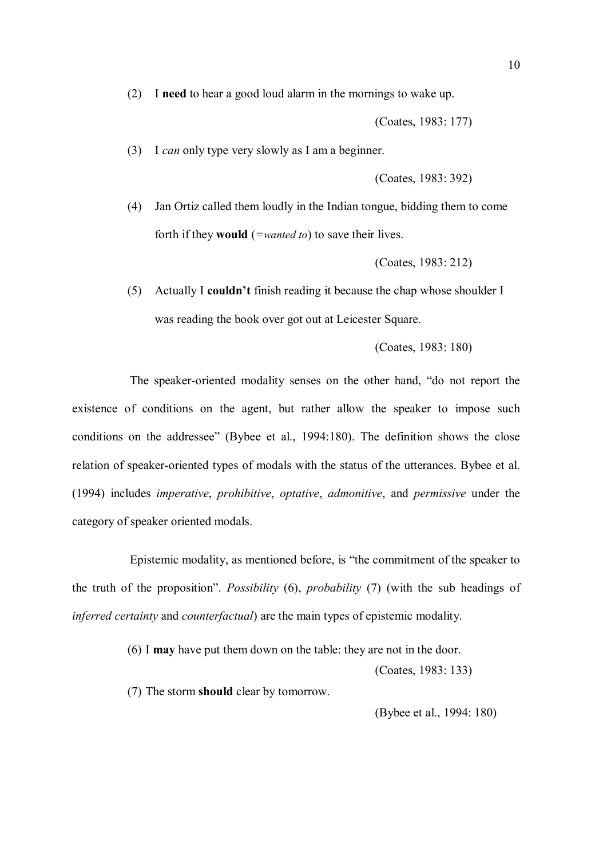(2) I need to hear a good loud alarm in the mornings to wake up.

(Coates, 1983: 177)

(3) I can only type very slowly as I am a beginner.

(Coates, 1983: 392)

(4) Jan Ortiz called them loudly in the Indian tongue, bidding them to come forth if they **would** (=*wanted to*) to save their lives.

(Coates, 1983: 212)

(5) Actually I couldn't finish reading it because the chap whose shoulder I was reading the book over got out at Leicester Square.

(Coates, 1983: 180)

The speaker-oriented modality senses on the other hand, "do not report the existence of conditions on the agent, but rather allow the speaker to impose such conditions on the addressee" (Bybee et al., 1994:180). The definition shows the close relation of speaker-oriented types of modals with the status of the utterances. Bybee et al. (1994) includes imperative, prohibitive, optative, admonitive, and permissive under the category of speaker oriented modals.

Epistemic modality, as mentioned before, is "the commitment of the speaker to the truth of the proposition". Possibility (6), probability (7) (with the sub headings of inferred certainty and counterfactual) are the main types of epistemic modality.

(6) I may have put them down on the table: they are not in the door.

(Coates, 1983: 133)

(7) The storm should clear by tomorrow.

(Bybee et al., 1994: 180)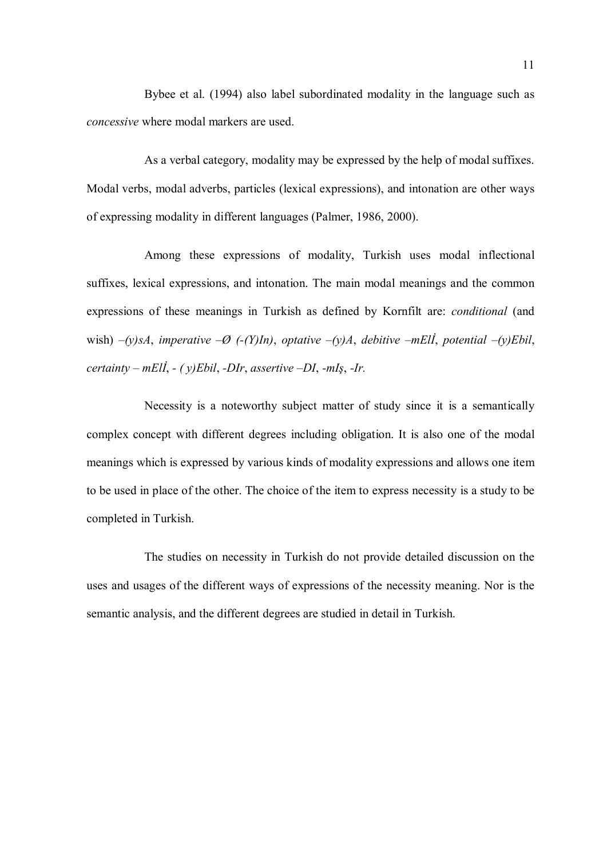Bybee et al. (1994) also label subordinated modality in the language such as concessive where modal markers are used.

As a verbal category, modality may be expressed by the help of modal suffixes. Modal verbs, modal adverbs, particles (lexical expressions), and intonation are other ways of expressing modality in different languages (Palmer, 1986, 2000).

Among these expressions of modality, Turkish uses modal inflectional suffixes, lexical expressions, and intonation. The main modal meanings and the common expressions of these meanings in Turkish as defined by Kornfilt are: conditional (and wish)  $-(y)$ sA, imperative  $-\emptyset$  ( $-(Y)$ In), optative  $-(y)A$ , debitive  $-mE\ddot{I}$ , potential  $-(y)E\dot{b}il$ , certainty – mEll, - (y)Ebil, -DIr, assertive –DI, -mIş, -Ir.

Necessity is a noteworthy subject matter of study since it is a semantically complex concept with different degrees including obligation. It is also one of the modal meanings which is expressed by various kinds of modality expressions and allows one item to be used in place of the other. The choice of the item to express necessity is a study to be completed in Turkish.

The studies on necessity in Turkish do not provide detailed discussion on the uses and usages of the different ways of expressions of the necessity meaning. Nor is the semantic analysis, and the different degrees are studied in detail in Turkish.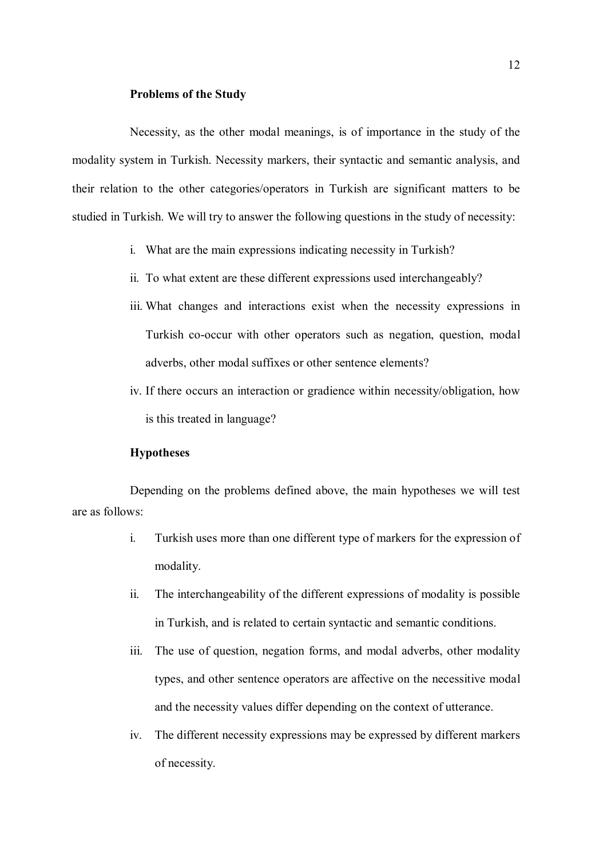#### Problems of the Study

Necessity, as the other modal meanings, is of importance in the study of the modality system in Turkish. Necessity markers, their syntactic and semantic analysis, and their relation to the other categories/operators in Turkish are significant matters to be studied in Turkish. We will try to answer the following questions in the study of necessity:

- i. What are the main expressions indicating necessity in Turkish?
- ii. To what extent are these different expressions used interchangeably?
- iii. What changes and interactions exist when the necessity expressions in Turkish co-occur with other operators such as negation, question, modal adverbs, other modal suffixes or other sentence elements?
- iv. If there occurs an interaction or gradience within necessity/obligation, how is this treated in language?

#### Hypotheses

Depending on the problems defined above, the main hypotheses we will test are as follows:

- i. Turkish uses more than one different type of markers for the expression of modality.
- ii. The interchangeability of the different expressions of modality is possible in Turkish, and is related to certain syntactic and semantic conditions.
- iii. The use of question, negation forms, and modal adverbs, other modality types, and other sentence operators are affective on the necessitive modal and the necessity values differ depending on the context of utterance.
- iv. The different necessity expressions may be expressed by different markers of necessity.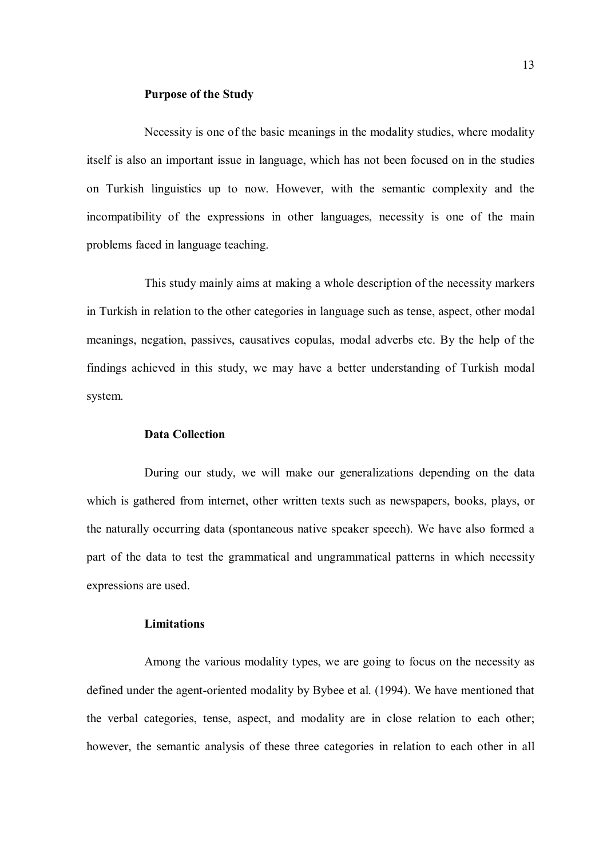#### Purpose of the Study

Necessity is one of the basic meanings in the modality studies, where modality itself is also an important issue in language, which has not been focused on in the studies on Turkish linguistics up to now. However, with the semantic complexity and the incompatibility of the expressions in other languages, necessity is one of the main problems faced in language teaching.

This study mainly aims at making a whole description of the necessity markers in Turkish in relation to the other categories in language such as tense, aspect, other modal meanings, negation, passives, causatives copulas, modal adverbs etc. By the help of the findings achieved in this study, we may have a better understanding of Turkish modal system.

#### Data Collection

During our study, we will make our generalizations depending on the data which is gathered from internet, other written texts such as newspapers, books, plays, or the naturally occurring data (spontaneous native speaker speech). We have also formed a part of the data to test the grammatical and ungrammatical patterns in which necessity expressions are used.

#### Limitations

Among the various modality types, we are going to focus on the necessity as defined under the agent-oriented modality by Bybee et al. (1994). We have mentioned that the verbal categories, tense, aspect, and modality are in close relation to each other; however, the semantic analysis of these three categories in relation to each other in all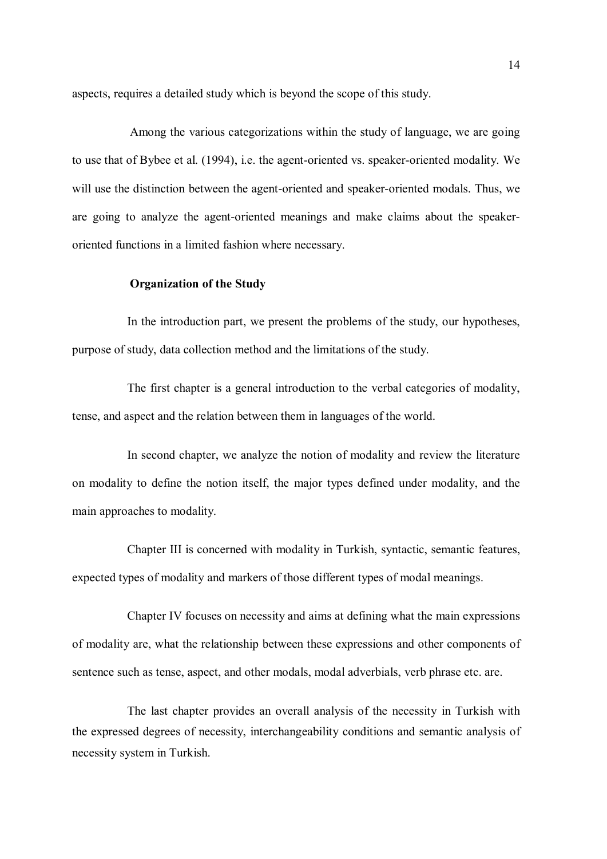aspects, requires a detailed study which is beyond the scope of this study.

Among the various categorizations within the study of language, we are going to use that of Bybee et al. (1994), i.e. the agent-oriented vs. speaker-oriented modality. We will use the distinction between the agent-oriented and speaker-oriented modals. Thus, we are going to analyze the agent-oriented meanings and make claims about the speakeroriented functions in a limited fashion where necessary.

#### Organization of the Study

In the introduction part, we present the problems of the study, our hypotheses, purpose of study, data collection method and the limitations of the study.

The first chapter is a general introduction to the verbal categories of modality, tense, and aspect and the relation between them in languages of the world.

In second chapter, we analyze the notion of modality and review the literature on modality to define the notion itself, the major types defined under modality, and the main approaches to modality.

Chapter III is concerned with modality in Turkish, syntactic, semantic features, expected types of modality and markers of those different types of modal meanings.

Chapter IV focuses on necessity and aims at defining what the main expressions of modality are, what the relationship between these expressions and other components of sentence such as tense, aspect, and other modals, modal adverbials, verb phrase etc. are.

The last chapter provides an overall analysis of the necessity in Turkish with the expressed degrees of necessity, interchangeability conditions and semantic analysis of necessity system in Turkish.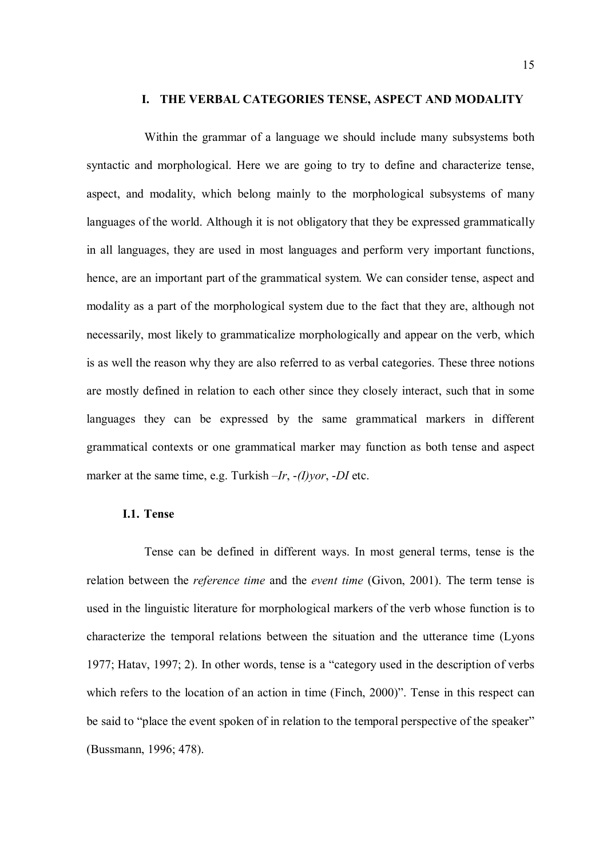#### I. THE VERBAL CATEGORIES TENSE, ASPECT AND MODALITY

Within the grammar of a language we should include many subsystems both syntactic and morphological. Here we are going to try to define and characterize tense, aspect, and modality, which belong mainly to the morphological subsystems of many languages of the world. Although it is not obligatory that they be expressed grammatically in all languages, they are used in most languages and perform very important functions, hence, are an important part of the grammatical system. We can consider tense, aspect and modality as a part of the morphological system due to the fact that they are, although not necessarily, most likely to grammaticalize morphologically and appear on the verb, which is as well the reason why they are also referred to as verbal categories. These three notions are mostly defined in relation to each other since they closely interact, such that in some languages they can be expressed by the same grammatical markers in different grammatical contexts or one grammatical marker may function as both tense and aspect marker at the same time, e.g. Turkish  $-Ir$ ,  $-(I)$ *vor*,  $-DI$  etc.

#### I.1. Tense

Tense can be defined in different ways. In most general terms, tense is the relation between the *reference time* and the *event time* (Givon, 2001). The term tense is used in the linguistic literature for morphological markers of the verb whose function is to characterize the temporal relations between the situation and the utterance time (Lyons 1977; Hatav, 1997; 2). In other words, tense is a "category used in the description of verbs which refers to the location of an action in time (Finch, 2000)". Tense in this respect can be said to "place the event spoken of in relation to the temporal perspective of the speaker" (Bussmann, 1996; 478).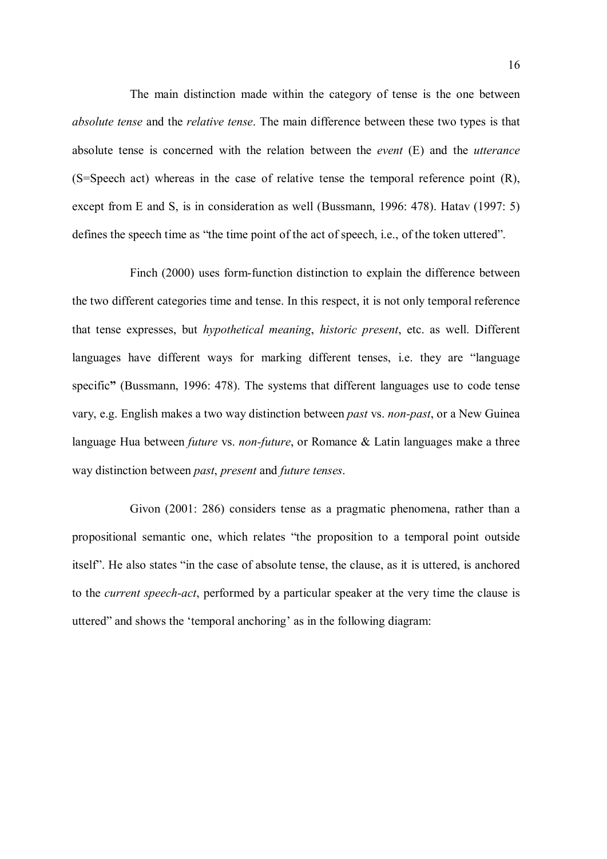The main distinction made within the category of tense is the one between absolute tense and the relative tense. The main difference between these two types is that absolute tense is concerned with the relation between the event (E) and the utterance (S=Speech act) whereas in the case of relative tense the temporal reference point (R), except from E and S, is in consideration as well (Bussmann, 1996: 478). Hatav (1997: 5) defines the speech time as "the time point of the act of speech, i.e., of the token uttered".

Finch (2000) uses form-function distinction to explain the difference between the two different categories time and tense. In this respect, it is not only temporal reference that tense expresses, but hypothetical meaning, historic present, etc. as well. Different languages have different ways for marking different tenses, i.e. they are "language specific" (Bussmann, 1996: 478). The systems that different languages use to code tense vary, e.g. English makes a two way distinction between past vs. non-past, or a New Guinea language Hua between *future* vs. *non-future*, or Romance & Latin languages make a three way distinction between past, present and future tenses.

Givon (2001: 286) considers tense as a pragmatic phenomena, rather than a propositional semantic one, which relates "the proposition to a temporal point outside itself". He also states "in the case of absolute tense, the clause, as it is uttered, is anchored to the current speech-act, performed by a particular speaker at the very time the clause is uttered" and shows the 'temporal anchoring' as in the following diagram: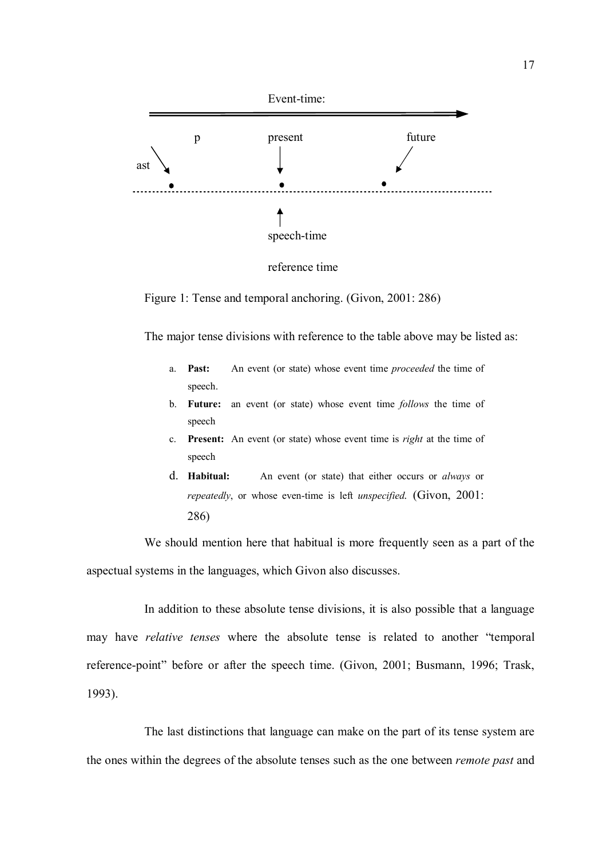

reference time

Figure 1: Tense and temporal anchoring. (Givon, 2001: 286)

The major tense divisions with reference to the table above may be listed as:

- a. Past: An event (or state) whose event time proceeded the time of speech.
- b. Future: an event (or state) whose event time follows the time of speech
- c. Present: An event (or state) whose event time is right at the time of speech
- d. Habitual: An event (or state) that either occurs or always or repeatedly, or whose even-time is left unspecified. (Givon, 2001: 286)

We should mention here that habitual is more frequently seen as a part of the aspectual systems in the languages, which Givon also discusses.

In addition to these absolute tense divisions, it is also possible that a language may have relative tenses where the absolute tense is related to another "temporal reference-point" before or after the speech time. (Givon, 2001; Busmann, 1996; Trask, 1993).

The last distinctions that language can make on the part of its tense system are the ones within the degrees of the absolute tenses such as the one between *remote past* and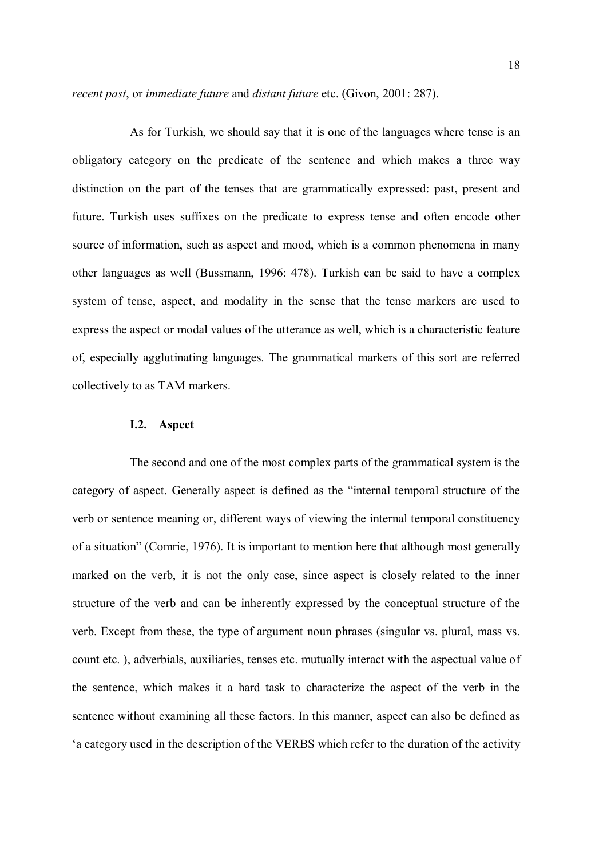recent past, or immediate future and distant future etc. (Givon, 2001: 287).

As for Turkish, we should say that it is one of the languages where tense is an obligatory category on the predicate of the sentence and which makes a three way distinction on the part of the tenses that are grammatically expressed: past, present and future. Turkish uses suffixes on the predicate to express tense and often encode other source of information, such as aspect and mood, which is a common phenomena in many other languages as well (Bussmann, 1996: 478). Turkish can be said to have a complex system of tense, aspect, and modality in the sense that the tense markers are used to express the aspect or modal values of the utterance as well, which is a characteristic feature of, especially agglutinating languages. The grammatical markers of this sort are referred collectively to as TAM markers.

#### I.2. Aspect

The second and one of the most complex parts of the grammatical system is the category of aspect. Generally aspect is defined as the "internal temporal structure of the verb or sentence meaning or, different ways of viewing the internal temporal constituency of a situation" (Comrie, 1976). It is important to mention here that although most generally marked on the verb, it is not the only case, since aspect is closely related to the inner structure of the verb and can be inherently expressed by the conceptual structure of the verb. Except from these, the type of argument noun phrases (singular vs. plural, mass vs. count etc. ), adverbials, auxiliaries, tenses etc. mutually interact with the aspectual value of the sentence, which makes it a hard task to characterize the aspect of the verb in the sentence without examining all these factors. In this manner, aspect can also be defined as 'a category used in the description of the VERBS which refer to the duration of the activity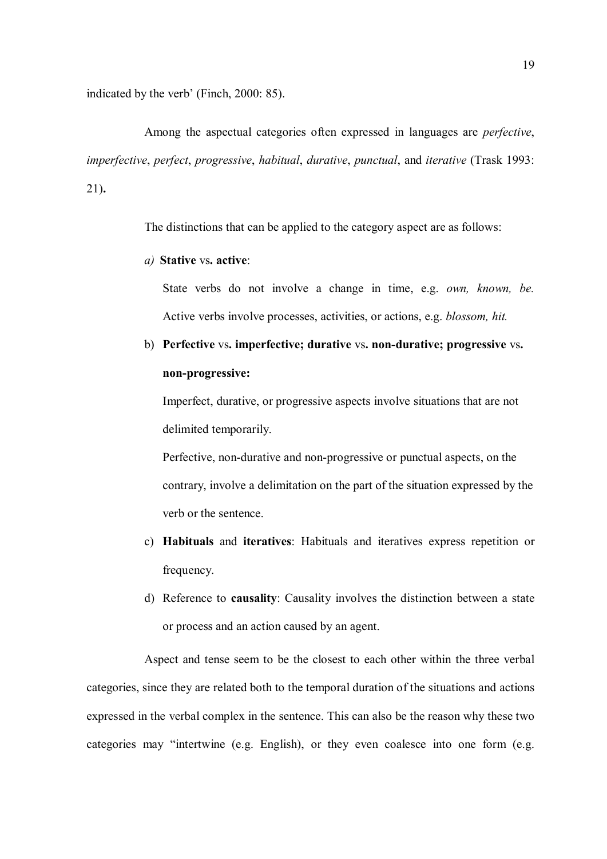indicated by the verb' (Finch, 2000: 85).

Among the aspectual categories often expressed in languages are perfective, imperfective, perfect, progressive, habitual, durative, punctual, and iterative (Trask 1993: 21).

The distinctions that can be applied to the category aspect are as follows:

#### a) Stative vs. active:

State verbs do not involve a change in time, e.g. own, known, be. Active verbs involve processes, activities, or actions, e.g. blossom, hit.

# b) Perfective vs. imperfective; durative vs. non-durative; progressive vs. non-progressive:

Imperfect, durative, or progressive aspects involve situations that are not delimited temporarily.

Perfective, non-durative and non-progressive or punctual aspects, on the contrary, involve a delimitation on the part of the situation expressed by the verb or the sentence.

- c) Habituals and iteratives: Habituals and iteratives express repetition or frequency.
- d) Reference to causality: Causality involves the distinction between a state or process and an action caused by an agent.

Aspect and tense seem to be the closest to each other within the three verbal categories, since they are related both to the temporal duration of the situations and actions expressed in the verbal complex in the sentence. This can also be the reason why these two categories may "intertwine (e.g. English), or they even coalesce into one form (e.g.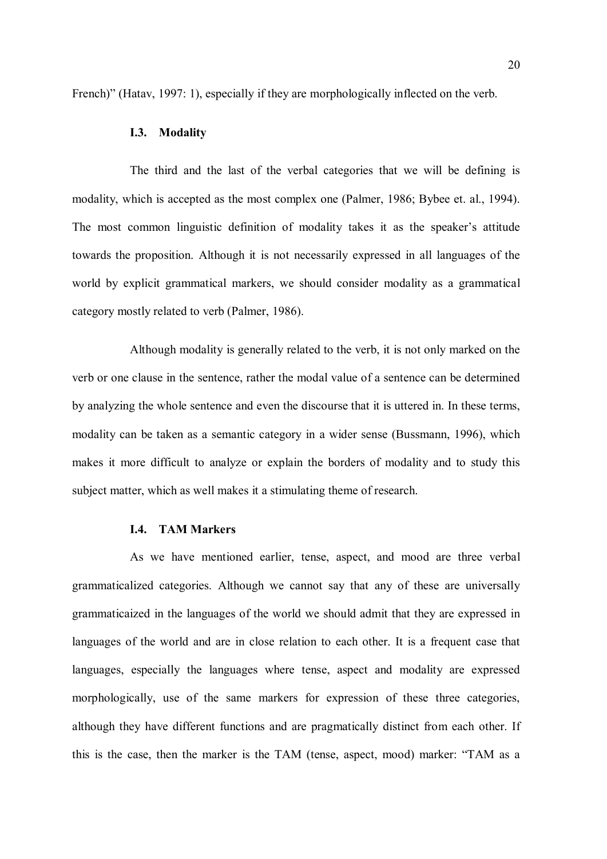French)" (Hatav, 1997: 1), especially if they are morphologically inflected on the verb.

#### I.3. Modality

The third and the last of the verbal categories that we will be defining is modality, which is accepted as the most complex one (Palmer, 1986; Bybee et. al., 1994). The most common linguistic definition of modality takes it as the speaker's attitude towards the proposition. Although it is not necessarily expressed in all languages of the world by explicit grammatical markers, we should consider modality as a grammatical category mostly related to verb (Palmer, 1986).

Although modality is generally related to the verb, it is not only marked on the verb or one clause in the sentence, rather the modal value of a sentence can be determined by analyzing the whole sentence and even the discourse that it is uttered in. In these terms, modality can be taken as a semantic category in a wider sense (Bussmann, 1996), which makes it more difficult to analyze or explain the borders of modality and to study this subject matter, which as well makes it a stimulating theme of research.

#### I.4. TAM Markers

As we have mentioned earlier, tense, aspect, and mood are three verbal grammaticalized categories. Although we cannot say that any of these are universally grammaticaized in the languages of the world we should admit that they are expressed in languages of the world and are in close relation to each other. It is a frequent case that languages, especially the languages where tense, aspect and modality are expressed morphologically, use of the same markers for expression of these three categories, although they have different functions and are pragmatically distinct from each other. If this is the case, then the marker is the TAM (tense, aspect, mood) marker: "TAM as a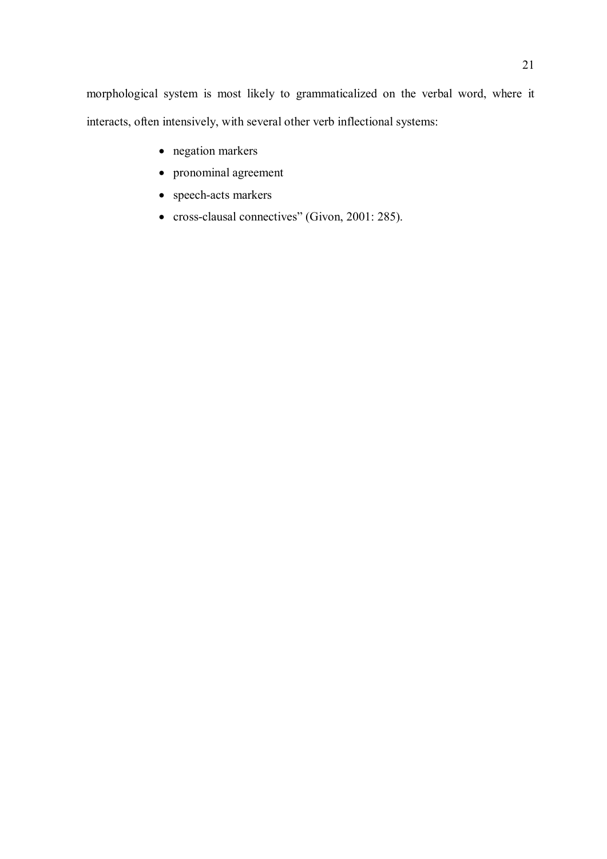morphological system is most likely to grammaticalized on the verbal word, where it interacts, often intensively, with several other verb inflectional systems:

- negation markers
- pronominal agreement
- speech-acts markers
- cross-clausal connectives" (Givon, 2001: 285).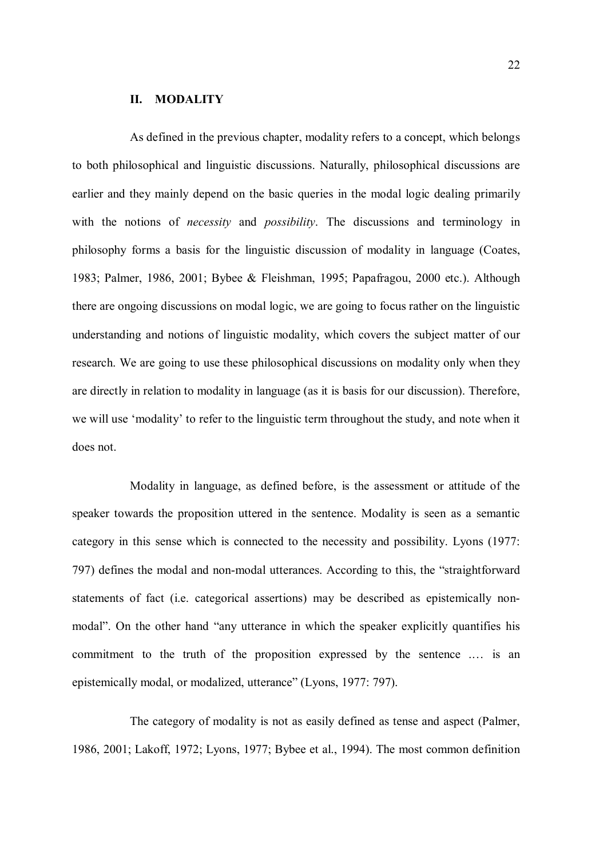#### II. MODALITY

As defined in the previous chapter, modality refers to a concept, which belongs to both philosophical and linguistic discussions. Naturally, philosophical discussions are earlier and they mainly depend on the basic queries in the modal logic dealing primarily with the notions of *necessity* and *possibility*. The discussions and terminology in philosophy forms a basis for the linguistic discussion of modality in language (Coates, 1983; Palmer, 1986, 2001; Bybee & Fleishman, 1995; Papafragou, 2000 etc.). Although there are ongoing discussions on modal logic, we are going to focus rather on the linguistic understanding and notions of linguistic modality, which covers the subject matter of our research. We are going to use these philosophical discussions on modality only when they are directly in relation to modality in language (as it is basis for our discussion). Therefore, we will use 'modality' to refer to the linguistic term throughout the study, and note when it does not.

Modality in language, as defined before, is the assessment or attitude of the speaker towards the proposition uttered in the sentence. Modality is seen as a semantic category in this sense which is connected to the necessity and possibility. Lyons (1977: 797) defines the modal and non-modal utterances. According to this, the "straightforward statements of fact (i.e. categorical assertions) may be described as epistemically nonmodal". On the other hand "any utterance in which the speaker explicitly quantifies his commitment to the truth of the proposition expressed by the sentence .… is an epistemically modal, or modalized, utterance" (Lyons, 1977: 797).

The category of modality is not as easily defined as tense and aspect (Palmer, 1986, 2001; Lakoff, 1972; Lyons, 1977; Bybee et al., 1994). The most common definition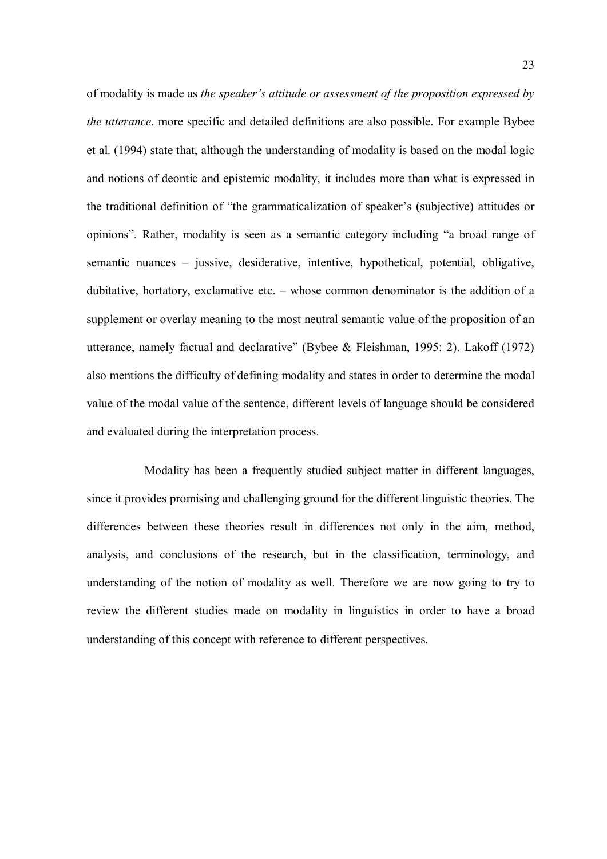of modality is made as the speaker's attitude or assessment of the proposition expressed by the utterance. more specific and detailed definitions are also possible. For example Bybee et al. (1994) state that, although the understanding of modality is based on the modal logic and notions of deontic and epistemic modality, it includes more than what is expressed in the traditional definition of "the grammaticalization of speaker's (subjective) attitudes or opinions". Rather, modality is seen as a semantic category including "a broad range of semantic nuances – jussive, desiderative, intentive, hypothetical, potential, obligative, dubitative, hortatory, exclamative etc. – whose common denominator is the addition of a supplement or overlay meaning to the most neutral semantic value of the proposition of an utterance, namely factual and declarative" (Bybee & Fleishman, 1995: 2). Lakoff (1972) also mentions the difficulty of defining modality and states in order to determine the modal value of the modal value of the sentence, different levels of language should be considered and evaluated during the interpretation process.

Modality has been a frequently studied subject matter in different languages, since it provides promising and challenging ground for the different linguistic theories. The differences between these theories result in differences not only in the aim, method, analysis, and conclusions of the research, but in the classification, terminology, and understanding of the notion of modality as well. Therefore we are now going to try to review the different studies made on modality in linguistics in order to have a broad understanding of this concept with reference to different perspectives.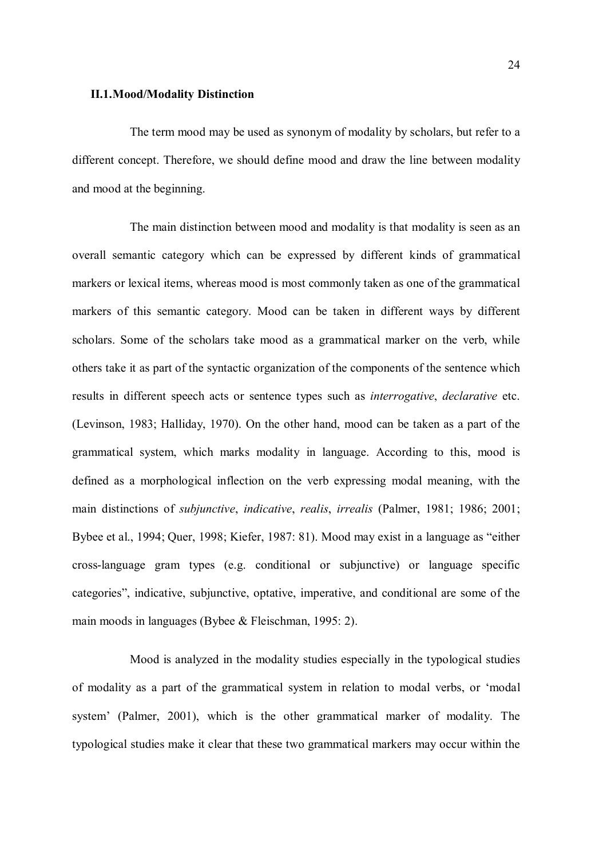#### II.1.Mood/Modality Distinction

The term mood may be used as synonym of modality by scholars, but refer to a different concept. Therefore, we should define mood and draw the line between modality and mood at the beginning.

The main distinction between mood and modality is that modality is seen as an overall semantic category which can be expressed by different kinds of grammatical markers or lexical items, whereas mood is most commonly taken as one of the grammatical markers of this semantic category. Mood can be taken in different ways by different scholars. Some of the scholars take mood as a grammatical marker on the verb, while others take it as part of the syntactic organization of the components of the sentence which results in different speech acts or sentence types such as interrogative, declarative etc. (Levinson, 1983; Halliday, 1970). On the other hand, mood can be taken as a part of the grammatical system, which marks modality in language. According to this, mood is defined as a morphological inflection on the verb expressing modal meaning, with the main distinctions of subjunctive, indicative, realis, irrealis (Palmer, 1981; 1986; 2001; Bybee et al., 1994; Quer, 1998; Kiefer, 1987: 81). Mood may exist in a language as "either cross-language gram types (e.g. conditional or subjunctive) or language specific categories", indicative, subjunctive, optative, imperative, and conditional are some of the main moods in languages (Bybee & Fleischman, 1995: 2).

Mood is analyzed in the modality studies especially in the typological studies of modality as a part of the grammatical system in relation to modal verbs, or 'modal system' (Palmer, 2001), which is the other grammatical marker of modality. The typological studies make it clear that these two grammatical markers may occur within the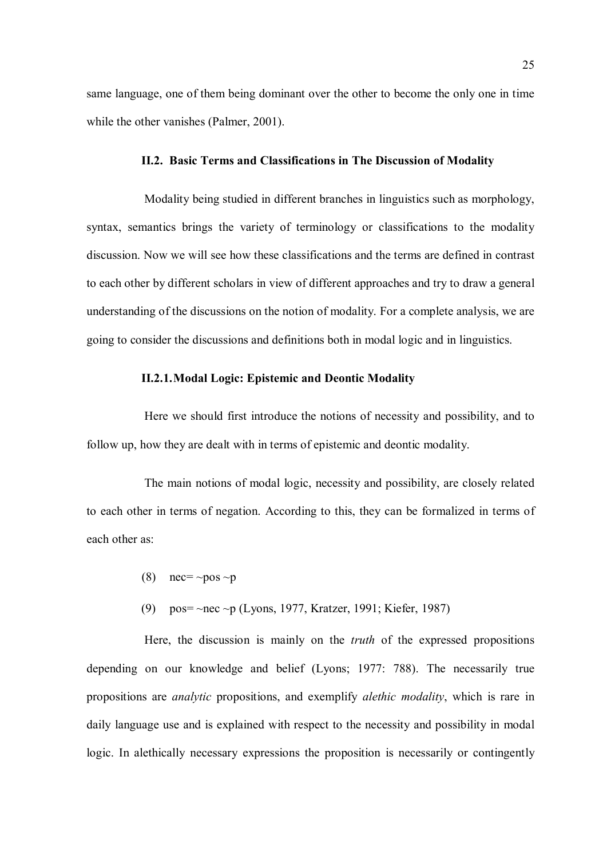same language, one of them being dominant over the other to become the only one in time while the other vanishes (Palmer, 2001).

#### II.2. Basic Terms and Classifications in The Discussion of Modality

Modality being studied in different branches in linguistics such as morphology, syntax, semantics brings the variety of terminology or classifications to the modality discussion. Now we will see how these classifications and the terms are defined in contrast to each other by different scholars in view of different approaches and try to draw a general understanding of the discussions on the notion of modality. For a complete analysis, we are going to consider the discussions and definitions both in modal logic and in linguistics.

#### II.2.1.Modal Logic: Epistemic and Deontic Modality

Here we should first introduce the notions of necessity and possibility, and to follow up, how they are dealt with in terms of epistemic and deontic modality.

The main notions of modal logic, necessity and possibility, are closely related to each other in terms of negation. According to this, they can be formalized in terms of each other as:

- (8) nec=  $\sim$ pos  $\sim$ p
- (9) pos= ~nec ~p (Lyons, 1977, Kratzer, 1991; Kiefer, 1987)

Here, the discussion is mainly on the truth of the expressed propositions depending on our knowledge and belief (Lyons; 1977: 788). The necessarily true propositions are analytic propositions, and exemplify alethic modality, which is rare in daily language use and is explained with respect to the necessity and possibility in modal logic. In alethically necessary expressions the proposition is necessarily or contingently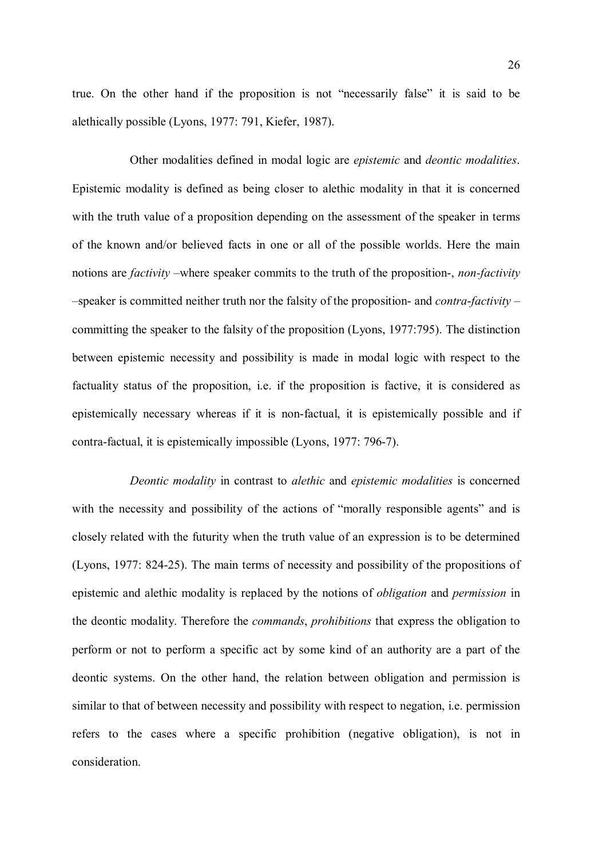true. On the other hand if the proposition is not "necessarily false" it is said to be alethically possible (Lyons, 1977: 791, Kiefer, 1987).

Other modalities defined in modal logic are epistemic and deontic modalities. Epistemic modality is defined as being closer to alethic modality in that it is concerned with the truth value of a proposition depending on the assessment of the speaker in terms of the known and/or believed facts in one or all of the possible worlds. Here the main notions are *factivity* –where speaker commits to the truth of the proposition-, *non-factivity*  $-$ speaker is committed neither truth nor the falsity of the proposition- and *contra-factivity* – committing the speaker to the falsity of the proposition (Lyons, 1977:795). The distinction between epistemic necessity and possibility is made in modal logic with respect to the factuality status of the proposition, i.e. if the proposition is factive, it is considered as epistemically necessary whereas if it is non-factual, it is epistemically possible and if contra-factual, it is epistemically impossible (Lyons, 1977: 796-7).

Deontic modality in contrast to alethic and epistemic modalities is concerned with the necessity and possibility of the actions of "morally responsible agents" and is closely related with the futurity when the truth value of an expression is to be determined (Lyons, 1977: 824-25). The main terms of necessity and possibility of the propositions of epistemic and alethic modality is replaced by the notions of obligation and permission in the deontic modality. Therefore the commands, prohibitions that express the obligation to perform or not to perform a specific act by some kind of an authority are a part of the deontic systems. On the other hand, the relation between obligation and permission is similar to that of between necessity and possibility with respect to negation, i.e. permission refers to the cases where a specific prohibition (negative obligation), is not in consideration.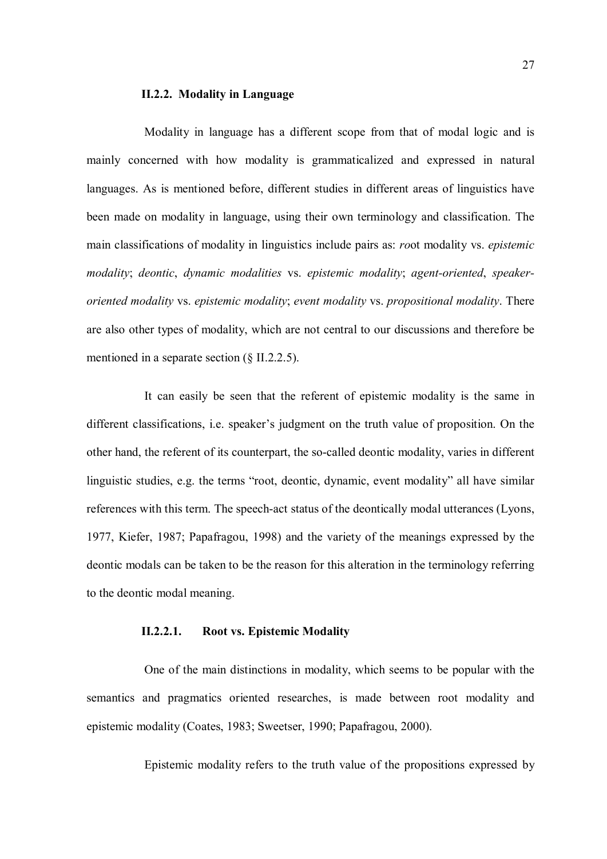#### II.2.2. Modality in Language

Modality in language has a different scope from that of modal logic and is mainly concerned with how modality is grammaticalized and expressed in natural languages. As is mentioned before, different studies in different areas of linguistics have been made on modality in language, using their own terminology and classification. The main classifications of modality in linguistics include pairs as: root modality vs. epistemic modality; deontic, dynamic modalities vs. epistemic modality; agent-oriented, speakeroriented modality vs. epistemic modality; event modality vs. propositional modality. There are also other types of modality, which are not central to our discussions and therefore be mentioned in a separate section (§ II.2.2.5).

It can easily be seen that the referent of epistemic modality is the same in different classifications, i.e. speaker's judgment on the truth value of proposition. On the other hand, the referent of its counterpart, the so-called deontic modality, varies in different linguistic studies, e.g. the terms "root, deontic, dynamic, event modality" all have similar references with this term. The speech-act status of the deontically modal utterances (Lyons, 1977, Kiefer, 1987; Papafragou, 1998) and the variety of the meanings expressed by the deontic modals can be taken to be the reason for this alteration in the terminology referring to the deontic modal meaning.

#### II.2.2.1. Root vs. Epistemic Modality

One of the main distinctions in modality, which seems to be popular with the semantics and pragmatics oriented researches, is made between root modality and epistemic modality (Coates, 1983; Sweetser, 1990; Papafragou, 2000).

Epistemic modality refers to the truth value of the propositions expressed by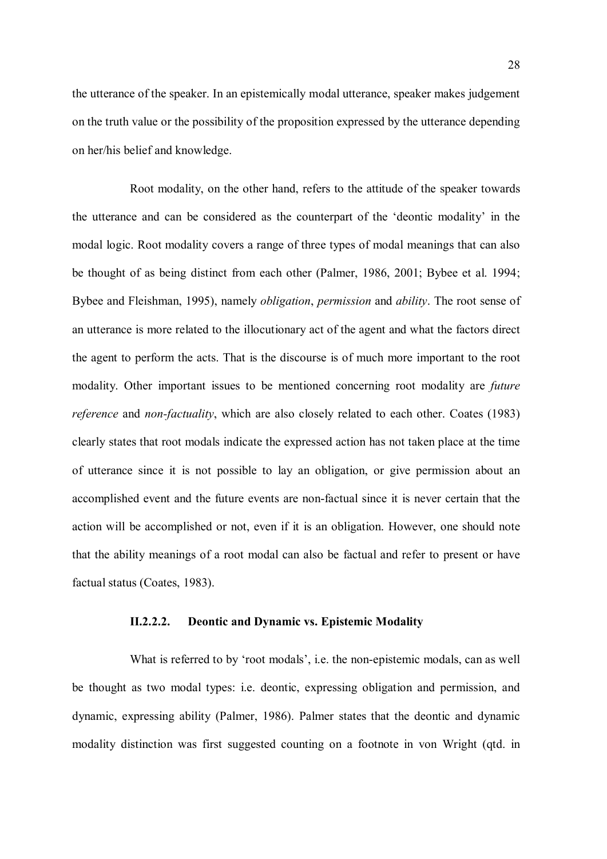the utterance of the speaker. In an epistemically modal utterance, speaker makes judgement on the truth value or the possibility of the proposition expressed by the utterance depending on her/his belief and knowledge.

Root modality, on the other hand, refers to the attitude of the speaker towards the utterance and can be considered as the counterpart of the 'deontic modality' in the modal logic. Root modality covers a range of three types of modal meanings that can also be thought of as being distinct from each other (Palmer, 1986, 2001; Bybee et al. 1994; Bybee and Fleishman, 1995), namely *obligation, permission* and *ability*. The root sense of an utterance is more related to the illocutionary act of the agent and what the factors direct the agent to perform the acts. That is the discourse is of much more important to the root modality. Other important issues to be mentioned concerning root modality are future reference and non-factuality, which are also closely related to each other. Coates (1983) clearly states that root modals indicate the expressed action has not taken place at the time of utterance since it is not possible to lay an obligation, or give permission about an accomplished event and the future events are non-factual since it is never certain that the action will be accomplished or not, even if it is an obligation. However, one should note that the ability meanings of a root modal can also be factual and refer to present or have factual status (Coates, 1983).

#### II.2.2.2. Deontic and Dynamic vs. Epistemic Modality

What is referred to by 'root modals', i.e. the non-epistemic modals, can as well be thought as two modal types: i.e. deontic, expressing obligation and permission, and dynamic, expressing ability (Palmer, 1986). Palmer states that the deontic and dynamic modality distinction was first suggested counting on a footnote in von Wright (qtd. in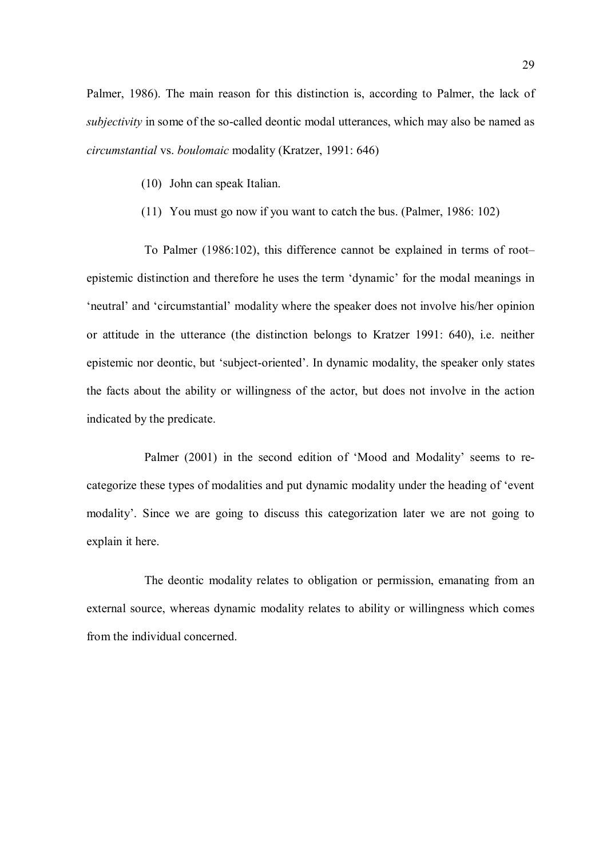Palmer, 1986). The main reason for this distinction is, according to Palmer, the lack of subjectivity in some of the so-called deontic modal utterances, which may also be named as circumstantial vs. boulomaic modality (Kratzer, 1991: 646)

- (10) John can speak Italian.
- (11) You must go now if you want to catch the bus. (Palmer, 1986: 102)

To Palmer (1986:102), this difference cannot be explained in terms of root– epistemic distinction and therefore he uses the term 'dynamic' for the modal meanings in 'neutral' and 'circumstantial' modality where the speaker does not involve his/her opinion or attitude in the utterance (the distinction belongs to Kratzer 1991: 640), i.e. neither epistemic nor deontic, but 'subject-oriented'. In dynamic modality, the speaker only states the facts about the ability or willingness of the actor, but does not involve in the action indicated by the predicate.

Palmer (2001) in the second edition of 'Mood and Modality' seems to recategorize these types of modalities and put dynamic modality under the heading of 'event modality'. Since we are going to discuss this categorization later we are not going to explain it here.

The deontic modality relates to obligation or permission, emanating from an external source, whereas dynamic modality relates to ability or willingness which comes from the individual concerned.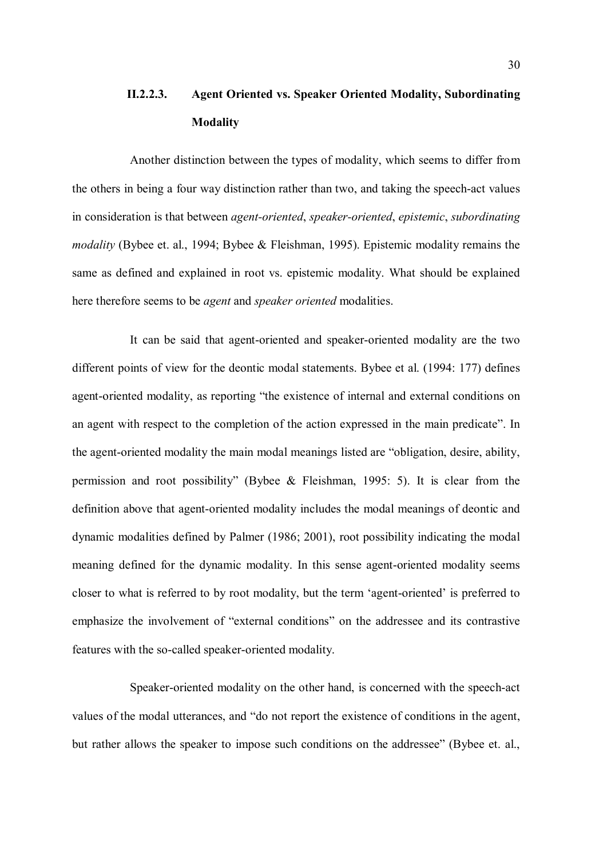# II.2.2.3. Agent Oriented vs. Speaker Oriented Modality, Subordinating **Modality**

Another distinction between the types of modality, which seems to differ from the others in being a four way distinction rather than two, and taking the speech-act values in consideration is that between agent-oriented, speaker-oriented, epistemic, subordinating modality (Bybee et. al., 1994; Bybee & Fleishman, 1995). Epistemic modality remains the same as defined and explained in root vs. epistemic modality. What should be explained here therefore seems to be agent and speaker oriented modalities.

It can be said that agent-oriented and speaker-oriented modality are the two different points of view for the deontic modal statements. Bybee et al. (1994: 177) defines agent-oriented modality, as reporting "the existence of internal and external conditions on an agent with respect to the completion of the action expressed in the main predicate". In the agent-oriented modality the main modal meanings listed are "obligation, desire, ability, permission and root possibility" (Bybee & Fleishman, 1995: 5). It is clear from the definition above that agent-oriented modality includes the modal meanings of deontic and dynamic modalities defined by Palmer (1986; 2001), root possibility indicating the modal meaning defined for the dynamic modality. In this sense agent-oriented modality seems closer to what is referred to by root modality, but the term 'agent-oriented' is preferred to emphasize the involvement of "external conditions" on the addressee and its contrastive features with the so-called speaker-oriented modality.

Speaker-oriented modality on the other hand, is concerned with the speech-act values of the modal utterances, and "do not report the existence of conditions in the agent, but rather allows the speaker to impose such conditions on the addressee" (Bybee et. al.,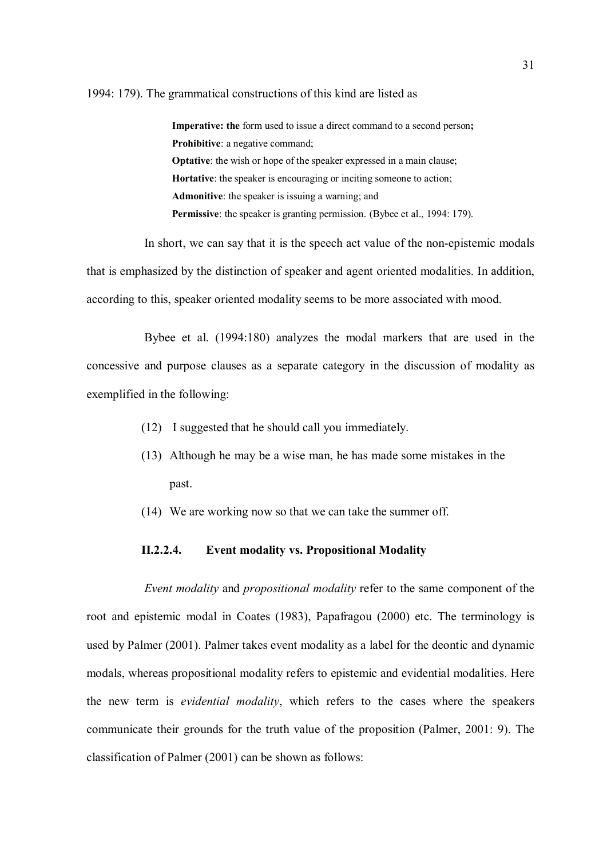#### 1994: 179). The grammatical constructions of this kind are listed as

Imperative: the form used to issue a direct command to a second person; Prohibitive: a negative command; Optative: the wish or hope of the speaker expressed in a main clause; Hortative: the speaker is encouraging or inciting someone to action; Admonitive: the speaker is issuing a warning; and Permissive: the speaker is granting permission. (Bybee et al., 1994: 179).

In short, we can say that it is the speech act value of the non-epistemic modals that is emphasized by the distinction of speaker and agent oriented modalities. In addition, according to this, speaker oriented modality seems to be more associated with mood.

Bybee et al. (1994:180) analyzes the modal markers that are used in the concessive and purpose clauses as a separate category in the discussion of modality as exemplified in the following:

- (12) I suggested that he should call you immediately.
- (13) Although he may be a wise man, he has made some mistakes in the past.
- (14) We are working now so that we can take the summer off.

# II.2.2.4. Event modality vs. Propositional Modality

Event modality and propositional modality refer to the same component of the root and epistemic modal in Coates (1983), Papafragou (2000) etc. The terminology is used by Palmer (2001). Palmer takes event modality as a label for the deontic and dynamic modals, whereas propositional modality refers to epistemic and evidential modalities. Here the new term is *evidential modality*, which refers to the cases where the speakers communicate their grounds for the truth value of the proposition (Palmer, 2001: 9). The classification of Palmer (2001) can be shown as follows: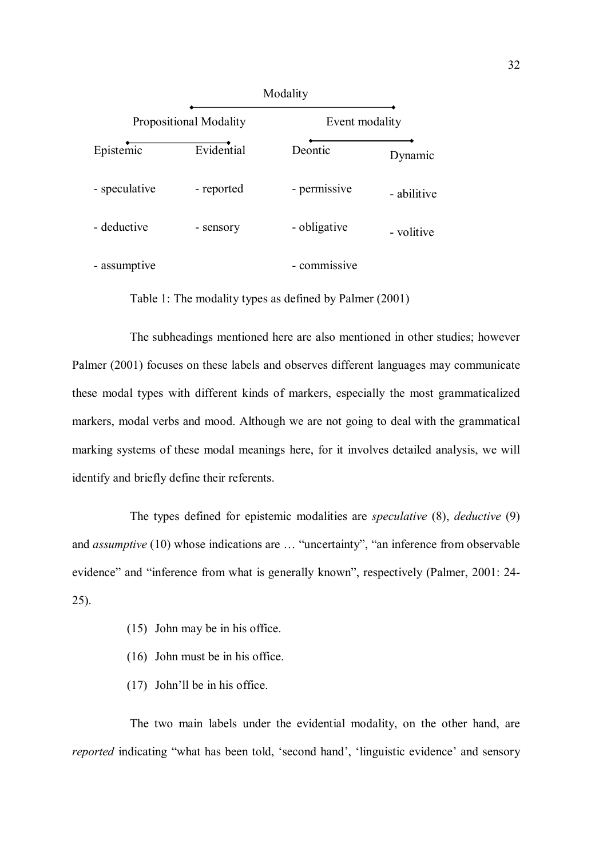|                               | Modality   |                                        |             |  |  |
|-------------------------------|------------|----------------------------------------|-------------|--|--|
| <b>Propositional Modality</b> |            | Event modality                         |             |  |  |
| Epistemic                     | Evidential | Deontic                                | Dynamic     |  |  |
| - speculative                 | - reported | - permissive                           | - abilitive |  |  |
| - deductive                   | - sensory  | - obligative                           | - volitive  |  |  |
| - assumptive                  |            | commissive<br>$\overline{\phantom{0}}$ |             |  |  |

Table 1: The modality types as defined by Palmer (2001)

The subheadings mentioned here are also mentioned in other studies; however Palmer (2001) focuses on these labels and observes different languages may communicate these modal types with different kinds of markers, especially the most grammaticalized markers, modal verbs and mood. Although we are not going to deal with the grammatical marking systems of these modal meanings here, for it involves detailed analysis, we will identify and briefly define their referents.

The types defined for epistemic modalities are speculative (8), deductive (9) and assumptive (10) whose indications are … "uncertainty", "an inference from observable evidence" and "inference from what is generally known", respectively (Palmer, 2001: 24- 25).

- (15) John may be in his office.
- (16) John must be in his office.
- (17) John'll be in his office.

The two main labels under the evidential modality, on the other hand, are reported indicating "what has been told, 'second hand', 'linguistic evidence' and sensory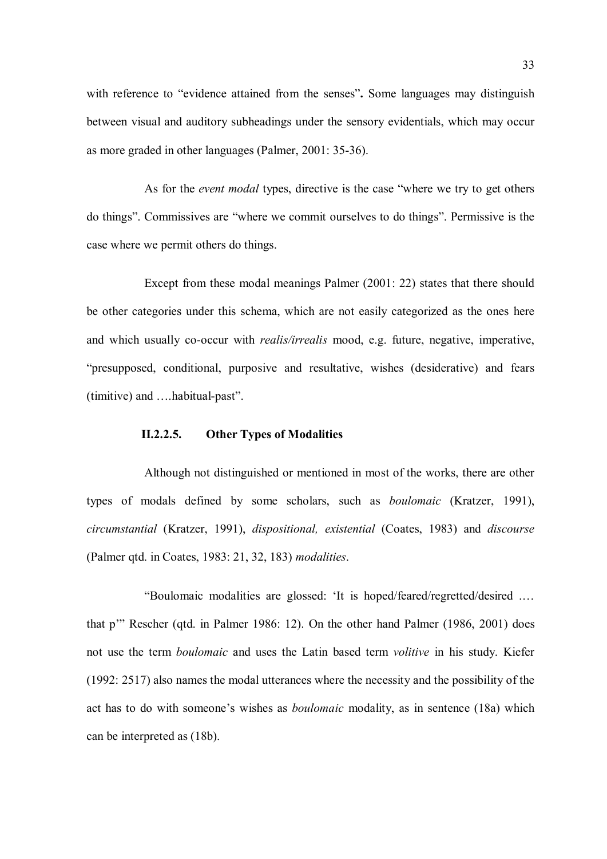with reference to "evidence attained from the senses". Some languages may distinguish between visual and auditory subheadings under the sensory evidentials, which may occur as more graded in other languages (Palmer, 2001: 35-36).

As for the *event modal* types, directive is the case "where we try to get others do things". Commissives are "where we commit ourselves to do things". Permissive is the case where we permit others do things.

Except from these modal meanings Palmer (2001: 22) states that there should be other categories under this schema, which are not easily categorized as the ones here and which usually co-occur with *realis/irrealis* mood, e.g. future, negative, imperative, "presupposed, conditional, purposive and resultative, wishes (desiderative) and fears (timitive) and ….habitual-past".

# II.2.2.5. Other Types of Modalities

Although not distinguished or mentioned in most of the works, there are other types of modals defined by some scholars, such as boulomaic (Kratzer, 1991), circumstantial (Kratzer, 1991), dispositional, existential (Coates, 1983) and discourse (Palmer qtd. in Coates, 1983: 21, 32, 183) modalities.

"Boulomaic modalities are glossed: 'It is hoped/feared/regretted/desired .… that p'" Rescher (qtd. in Palmer 1986: 12). On the other hand Palmer (1986, 2001) does not use the term boulomaic and uses the Latin based term volitive in his study. Kiefer (1992: 2517) also names the modal utterances where the necessity and the possibility of the act has to do with someone's wishes as boulomaic modality, as in sentence (18a) which can be interpreted as (18b).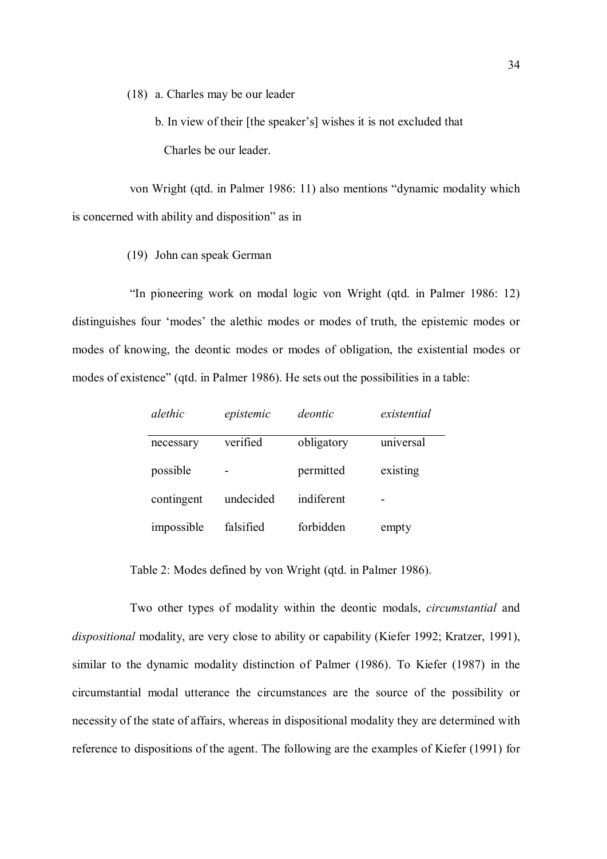(18) a. Charles may be our leader

 b. In view of their [the speaker's] wishes it is not excluded that Charles be our leader.

von Wright (qtd. in Palmer 1986: 11) also mentions "dynamic modality which is concerned with ability and disposition" as in

(19) John can speak German

"In pioneering work on modal logic von Wright (qtd. in Palmer 1986: 12) distinguishes four 'modes' the alethic modes or modes of truth, the epistemic modes or modes of knowing, the deontic modes or modes of obligation, the existential modes or modes of existence" (qtd. in Palmer 1986). He sets out the possibilities in a table:

| alethic    | epistemic | deontic    | existential |
|------------|-----------|------------|-------------|
| necessary  | verified  | obligatory | universal   |
| possible   |           | permitted  | existing    |
| contingent | undecided | indiferent |             |
| impossible | falsified | forbidden  | empty       |

Table 2: Modes defined by von Wright (qtd. in Palmer 1986).

Two other types of modality within the deontic modals, circumstantial and dispositional modality, are very close to ability or capability (Kiefer 1992; Kratzer, 1991), similar to the dynamic modality distinction of Palmer (1986). To Kiefer (1987) in the circumstantial modal utterance the circumstances are the source of the possibility or necessity of the state of affairs, whereas in dispositional modality they are determined with reference to dispositions of the agent. The following are the examples of Kiefer (1991) for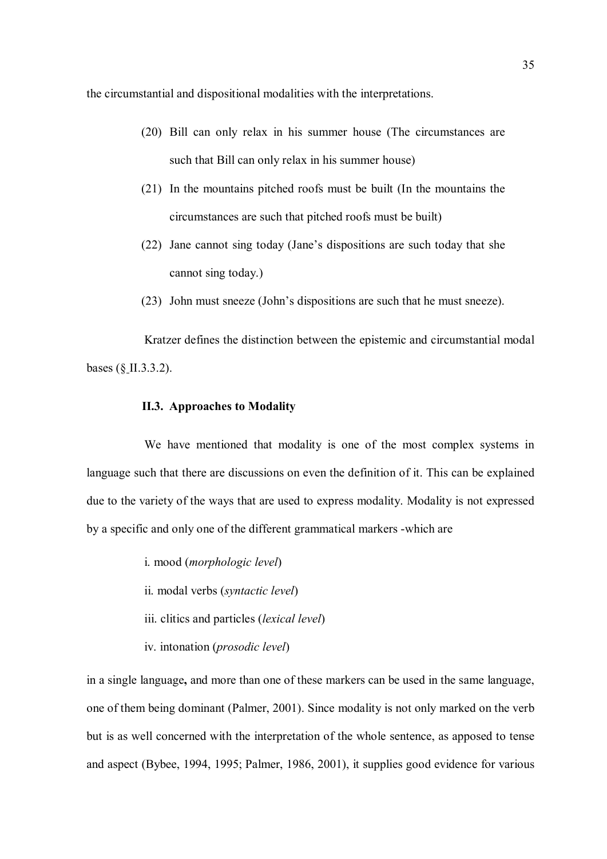the circumstantial and dispositional modalities with the interpretations.

- (20) Bill can only relax in his summer house (The circumstances are such that Bill can only relax in his summer house)
- (21) In the mountains pitched roofs must be built (In the mountains the circumstances are such that pitched roofs must be built)
- (22) Jane cannot sing today (Jane's dispositions are such today that she cannot sing today.)
- (23) John must sneeze (John's dispositions are such that he must sneeze).

Kratzer defines the distinction between the epistemic and circumstantial modal bases (§ II.3.3.2).

#### II.3. Approaches to Modality

We have mentioned that modality is one of the most complex systems in language such that there are discussions on even the definition of it. This can be explained due to the variety of the ways that are used to express modality. Modality is not expressed by a specific and only one of the different grammatical markers -which are

- i. mood (morphologic level)
- ii. modal verbs (syntactic level)
- iii. clitics and particles (lexical level)
- iv. intonation (prosodic level)

in a single language, and more than one of these markers can be used in the same language, one of them being dominant (Palmer, 2001). Since modality is not only marked on the verb but is as well concerned with the interpretation of the whole sentence, as apposed to tense and aspect (Bybee, 1994, 1995; Palmer, 1986, 2001), it supplies good evidence for various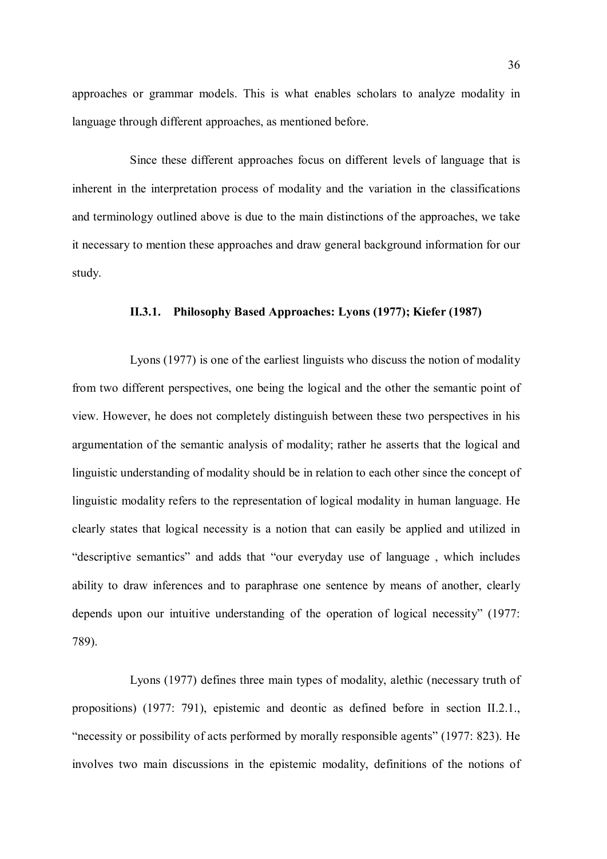approaches or grammar models. This is what enables scholars to analyze modality in language through different approaches, as mentioned before.

Since these different approaches focus on different levels of language that is inherent in the interpretation process of modality and the variation in the classifications and terminology outlined above is due to the main distinctions of the approaches, we take it necessary to mention these approaches and draw general background information for our study.

## II.3.1. Philosophy Based Approaches: Lyons (1977); Kiefer (1987)

Lyons (1977) is one of the earliest linguists who discuss the notion of modality from two different perspectives, one being the logical and the other the semantic point of view. However, he does not completely distinguish between these two perspectives in his argumentation of the semantic analysis of modality; rather he asserts that the logical and linguistic understanding of modality should be in relation to each other since the concept of linguistic modality refers to the representation of logical modality in human language. He clearly states that logical necessity is a notion that can easily be applied and utilized in "descriptive semantics" and adds that "our everyday use of language , which includes ability to draw inferences and to paraphrase one sentence by means of another, clearly depends upon our intuitive understanding of the operation of logical necessity" (1977: 789).

Lyons (1977) defines three main types of modality, alethic (necessary truth of propositions) (1977: 791), epistemic and deontic as defined before in section II.2.1., "necessity or possibility of acts performed by morally responsible agents" (1977: 823). He involves two main discussions in the epistemic modality, definitions of the notions of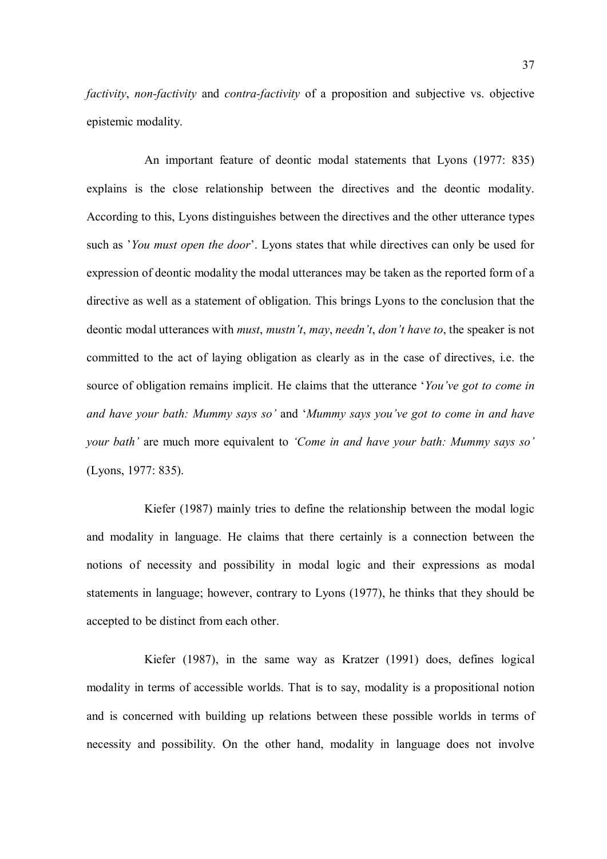factivity, non-factivity and contra-factivity of a proposition and subjective vs. objective epistemic modality.

An important feature of deontic modal statements that Lyons (1977: 835) explains is the close relationship between the directives and the deontic modality. According to this, Lyons distinguishes between the directives and the other utterance types such as 'You must open the door'. Lyons states that while directives can only be used for expression of deontic modality the modal utterances may be taken as the reported form of a directive as well as a statement of obligation. This brings Lyons to the conclusion that the deontic modal utterances with *must*, *mustn't*, *may*, *needn't*, *don't have to*, the speaker is not committed to the act of laying obligation as clearly as in the case of directives, i.e. the source of obligation remains implicit. He claims that the utterance 'You've got to come in and have your bath: Mummy says so' and 'Mummy says you've got to come in and have your bath' are much more equivalent to 'Come in and have your bath: Mummy says so' (Lyons, 1977: 835).

Kiefer (1987) mainly tries to define the relationship between the modal logic and modality in language. He claims that there certainly is a connection between the notions of necessity and possibility in modal logic and their expressions as modal statements in language; however, contrary to Lyons (1977), he thinks that they should be accepted to be distinct from each other.

Kiefer (1987), in the same way as Kratzer (1991) does, defines logical modality in terms of accessible worlds. That is to say, modality is a propositional notion and is concerned with building up relations between these possible worlds in terms of necessity and possibility. On the other hand, modality in language does not involve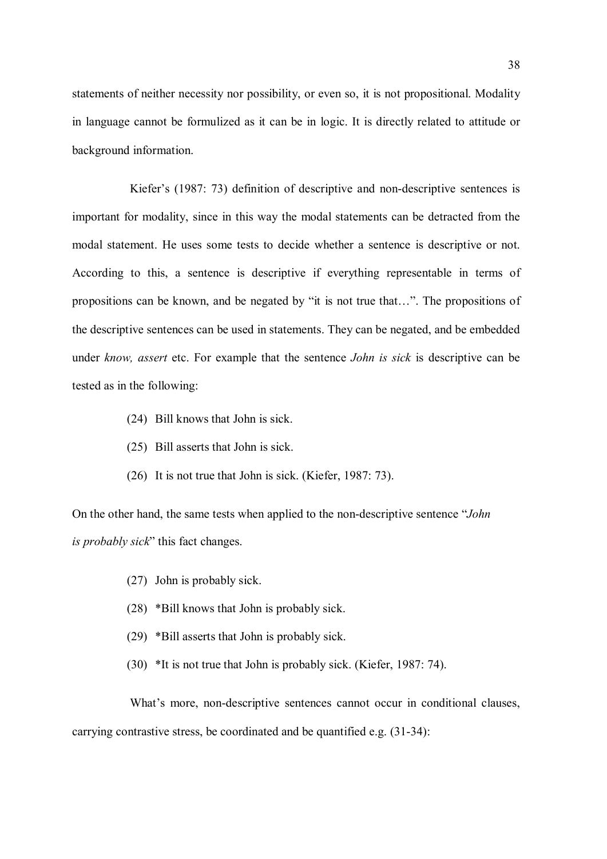statements of neither necessity nor possibility, or even so, it is not propositional. Modality in language cannot be formulized as it can be in logic. It is directly related to attitude or background information.

Kiefer's (1987: 73) definition of descriptive and non-descriptive sentences is important for modality, since in this way the modal statements can be detracted from the modal statement. He uses some tests to decide whether a sentence is descriptive or not. According to this, a sentence is descriptive if everything representable in terms of propositions can be known, and be negated by "it is not true that…". The propositions of the descriptive sentences can be used in statements. They can be negated, and be embedded under know, assert etc. For example that the sentence *John is sick* is descriptive can be tested as in the following:

- (24) Bill knows that John is sick.
- (25) Bill asserts that John is sick.
- (26) It is not true that John is sick. (Kiefer, 1987: 73).

On the other hand, the same tests when applied to the non-descriptive sentence "John is *probably sick*" this fact changes.

- (27) John is probably sick.
- (28) \*Bill knows that John is probably sick.
- (29) \*Bill asserts that John is probably sick.
- (30) \*It is not true that John is probably sick. (Kiefer, 1987: 74).

What's more, non-descriptive sentences cannot occur in conditional clauses, carrying contrastive stress, be coordinated and be quantified e.g. (31-34):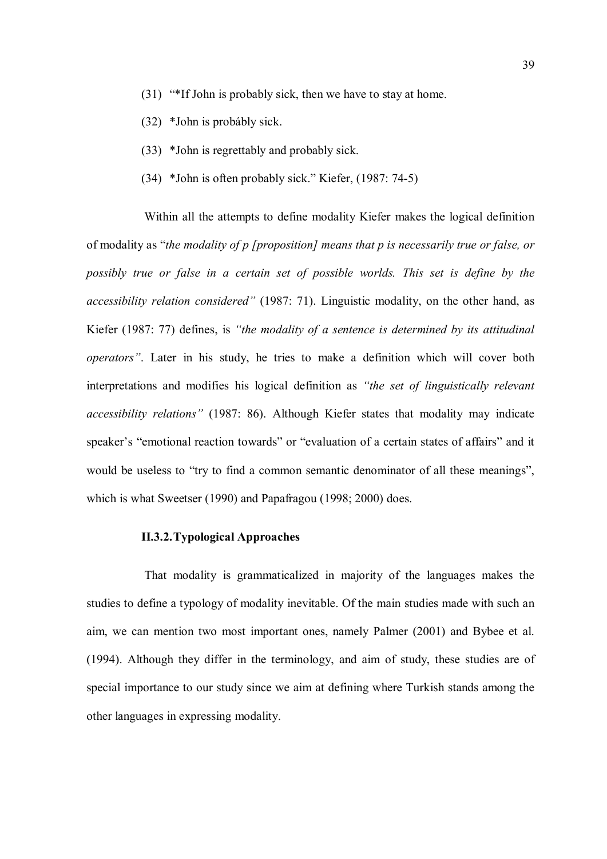- (31) "\*If John is probably sick, then we have to stay at home.
- (32) \*John is probábly sick.
- (33) \*John is regrettably and probably sick.
- (34) \*John is often probably sick." Kiefer, (1987: 74-5)

Within all the attempts to define modality Kiefer makes the logical definition of modality as "the modality of p [proposition] means that p is necessarily true or false, or possibly true or false in a certain set of possible worlds. This set is define by the accessibility relation considered" (1987: 71). Linguistic modality, on the other hand, as Kiefer (1987: 77) defines, is "the modality of a sentence is determined by its attitudinal operators". Later in his study, he tries to make a definition which will cover both interpretations and modifies his logical definition as "the set of linguistically relevant accessibility relations" (1987: 86). Although Kiefer states that modality may indicate speaker's "emotional reaction towards" or "evaluation of a certain states of affairs" and it would be useless to "try to find a common semantic denominator of all these meanings", which is what Sweetser (1990) and Papafragou (1998; 2000) does.

# II.3.2.Typological Approaches

That modality is grammaticalized in majority of the languages makes the studies to define a typology of modality inevitable. Of the main studies made with such an aim, we can mention two most important ones, namely Palmer (2001) and Bybee et al. (1994). Although they differ in the terminology, and aim of study, these studies are of special importance to our study since we aim at defining where Turkish stands among the other languages in expressing modality.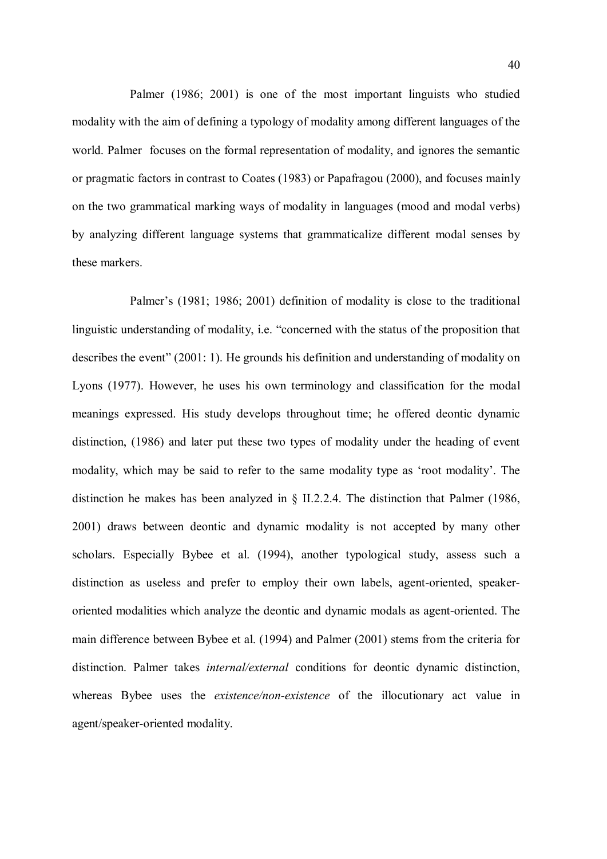Palmer (1986; 2001) is one of the most important linguists who studied modality with the aim of defining a typology of modality among different languages of the world. Palmer focuses on the formal representation of modality, and ignores the semantic or pragmatic factors in contrast to Coates (1983) or Papafragou (2000), and focuses mainly on the two grammatical marking ways of modality in languages (mood and modal verbs) by analyzing different language systems that grammaticalize different modal senses by these markers.

Palmer's (1981; 1986; 2001) definition of modality is close to the traditional linguistic understanding of modality, i.e. "concerned with the status of the proposition that describes the event" (2001: 1). He grounds his definition and understanding of modality on Lyons (1977). However, he uses his own terminology and classification for the modal meanings expressed. His study develops throughout time; he offered deontic dynamic distinction, (1986) and later put these two types of modality under the heading of event modality, which may be said to refer to the same modality type as 'root modality'. The distinction he makes has been analyzed in § II.2.2.4. The distinction that Palmer (1986, 2001) draws between deontic and dynamic modality is not accepted by many other scholars. Especially Bybee et al. (1994), another typological study, assess such a distinction as useless and prefer to employ their own labels, agent-oriented, speakeroriented modalities which analyze the deontic and dynamic modals as agent-oriented. The main difference between Bybee et al. (1994) and Palmer (2001) stems from the criteria for distinction. Palmer takes *internal/external* conditions for deontic dynamic distinction, whereas Bybee uses the *existence/non-existence* of the illocutionary act value in agent/speaker-oriented modality.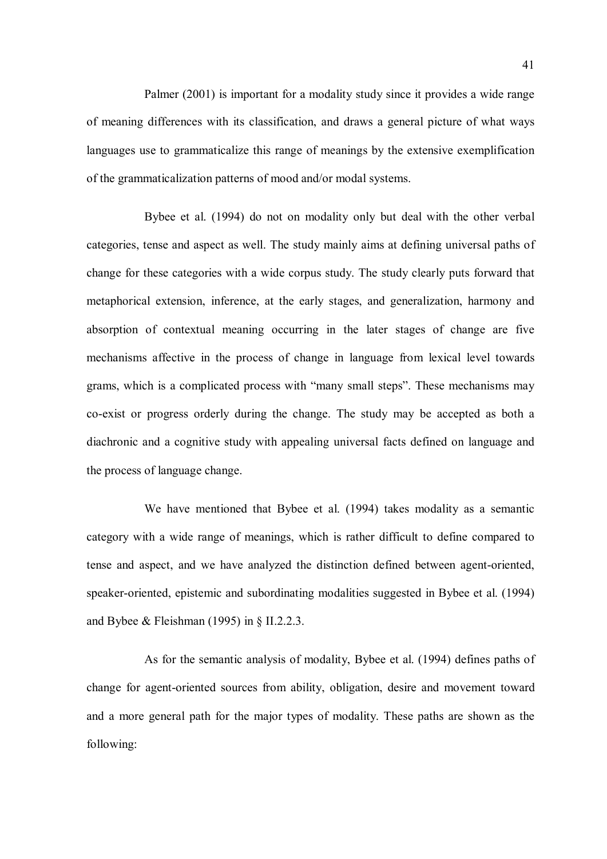Palmer (2001) is important for a modality study since it provides a wide range of meaning differences with its classification, and draws a general picture of what ways languages use to grammaticalize this range of meanings by the extensive exemplification of the grammaticalization patterns of mood and/or modal systems.

Bybee et al. (1994) do not on modality only but deal with the other verbal categories, tense and aspect as well. The study mainly aims at defining universal paths of change for these categories with a wide corpus study. The study clearly puts forward that metaphorical extension, inference, at the early stages, and generalization, harmony and absorption of contextual meaning occurring in the later stages of change are five mechanisms affective in the process of change in language from lexical level towards grams, which is a complicated process with "many small steps". These mechanisms may co-exist or progress orderly during the change. The study may be accepted as both a diachronic and a cognitive study with appealing universal facts defined on language and the process of language change.

We have mentioned that Bybee et al. (1994) takes modality as a semantic category with a wide range of meanings, which is rather difficult to define compared to tense and aspect, and we have analyzed the distinction defined between agent-oriented, speaker-oriented, epistemic and subordinating modalities suggested in Bybee et al. (1994) and Bybee & Fleishman (1995) in § II.2.2.3.

As for the semantic analysis of modality, Bybee et al. (1994) defines paths of change for agent-oriented sources from ability, obligation, desire and movement toward and a more general path for the major types of modality. These paths are shown as the following: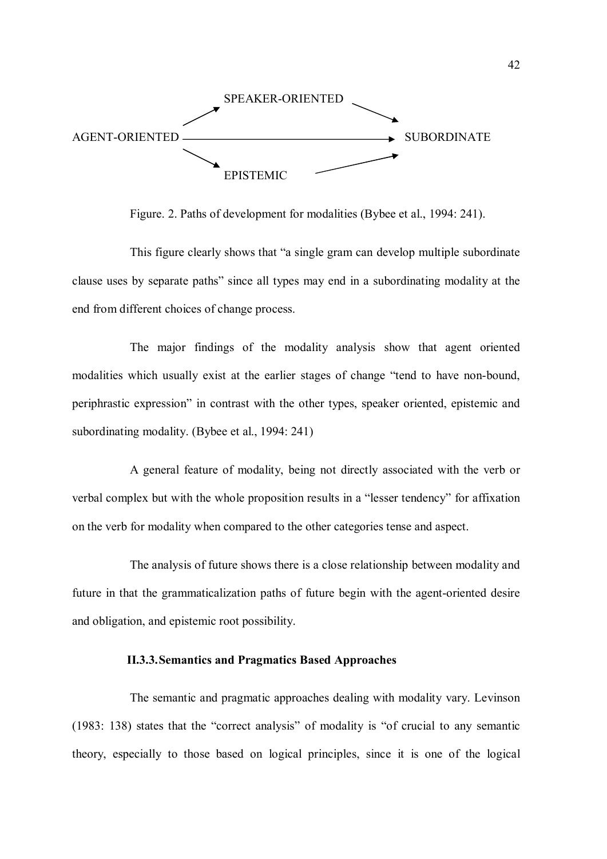

Figure. 2. Paths of development for modalities (Bybee et al., 1994: 241).

This figure clearly shows that "a single gram can develop multiple subordinate clause uses by separate paths" since all types may end in a subordinating modality at the end from different choices of change process.

The major findings of the modality analysis show that agent oriented modalities which usually exist at the earlier stages of change "tend to have non-bound, periphrastic expression" in contrast with the other types, speaker oriented, epistemic and subordinating modality. (Bybee et al., 1994: 241)

A general feature of modality, being not directly associated with the verb or verbal complex but with the whole proposition results in a "lesser tendency" for affixation on the verb for modality when compared to the other categories tense and aspect.

The analysis of future shows there is a close relationship between modality and future in that the grammaticalization paths of future begin with the agent-oriented desire and obligation, and epistemic root possibility.

## II.3.3.Semantics and Pragmatics Based Approaches

The semantic and pragmatic approaches dealing with modality vary. Levinson (1983: 138) states that the "correct analysis" of modality is "of crucial to any semantic theory, especially to those based on logical principles, since it is one of the logical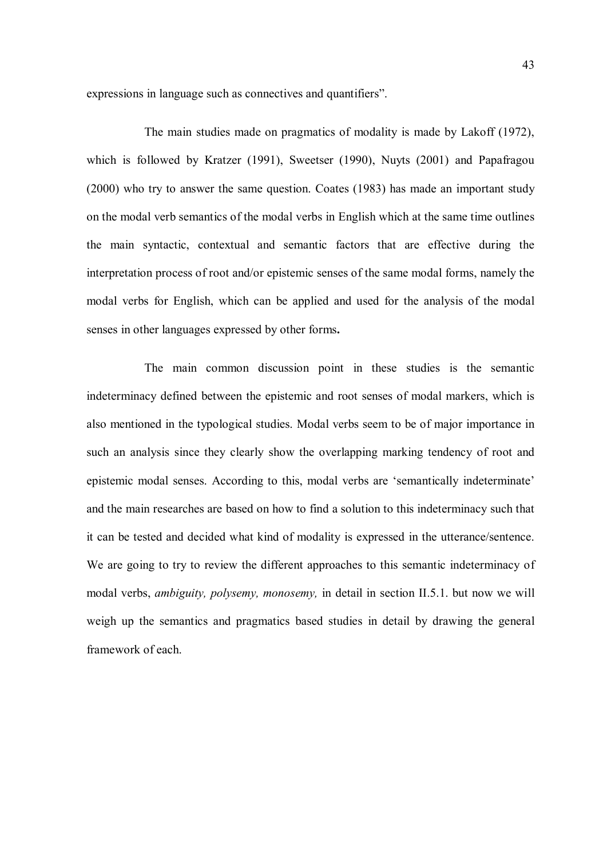expressions in language such as connectives and quantifiers".

The main studies made on pragmatics of modality is made by Lakoff (1972), which is followed by Kratzer (1991), Sweetser (1990), Nuyts (2001) and Papafragou (2000) who try to answer the same question. Coates (1983) has made an important study on the modal verb semantics of the modal verbs in English which at the same time outlines the main syntactic, contextual and semantic factors that are effective during the interpretation process of root and/or epistemic senses of the same modal forms, namely the modal verbs for English, which can be applied and used for the analysis of the modal senses in other languages expressed by other forms.

The main common discussion point in these studies is the semantic indeterminacy defined between the epistemic and root senses of modal markers, which is also mentioned in the typological studies. Modal verbs seem to be of major importance in such an analysis since they clearly show the overlapping marking tendency of root and epistemic modal senses. According to this, modal verbs are 'semantically indeterminate' and the main researches are based on how to find a solution to this indeterminacy such that it can be tested and decided what kind of modality is expressed in the utterance/sentence. We are going to try to review the different approaches to this semantic indeterminacy of modal verbs, *ambiguity, polysemy, monosemy*, in detail in section II.5.1. but now we will weigh up the semantics and pragmatics based studies in detail by drawing the general framework of each.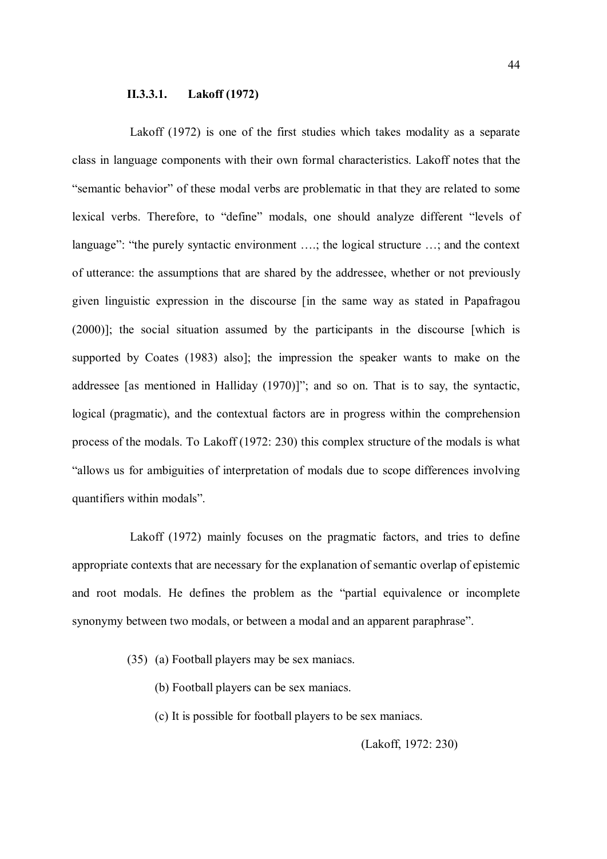## II.3.3.1. Lakoff (1972)

Lakoff (1972) is one of the first studies which takes modality as a separate class in language components with their own formal characteristics. Lakoff notes that the "semantic behavior" of these modal verbs are problematic in that they are related to some lexical verbs. Therefore, to "define" modals, one should analyze different "levels of language": "the purely syntactic environment ….; the logical structure …; and the context of utterance: the assumptions that are shared by the addressee, whether or not previously given linguistic expression in the discourse [in the same way as stated in Papafragou (2000)]; the social situation assumed by the participants in the discourse [which is supported by Coates (1983) also]; the impression the speaker wants to make on the addressee [as mentioned in Halliday (1970)]"; and so on. That is to say, the syntactic, logical (pragmatic), and the contextual factors are in progress within the comprehension process of the modals. To Lakoff (1972: 230) this complex structure of the modals is what "allows us for ambiguities of interpretation of modals due to scope differences involving quantifiers within modals".

Lakoff (1972) mainly focuses on the pragmatic factors, and tries to define appropriate contexts that are necessary for the explanation of semantic overlap of epistemic and root modals. He defines the problem as the "partial equivalence or incomplete synonymy between two modals, or between a modal and an apparent paraphrase".

- (35) (a) Football players may be sex maniacs.
	- (b) Football players can be sex maniacs.
	- (c) It is possible for football players to be sex maniacs.

(Lakoff, 1972: 230)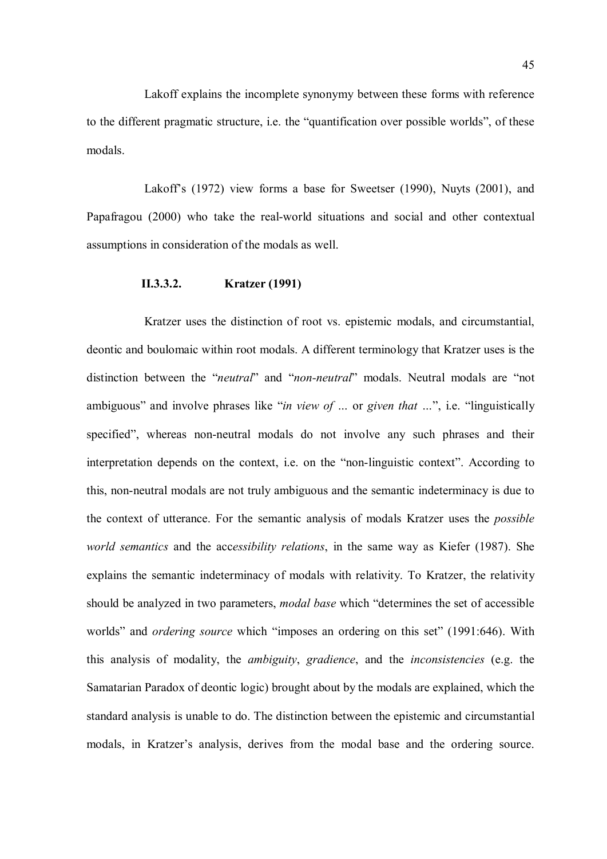Lakoff explains the incomplete synonymy between these forms with reference to the different pragmatic structure, i.e. the "quantification over possible worlds", of these modals.

Lakoff's (1972) view forms a base for Sweetser (1990), Nuyts (2001), and Papafragou (2000) who take the real-world situations and social and other contextual assumptions in consideration of the modals as well.

## II.3.3.2. Kratzer (1991)

Kratzer uses the distinction of root vs. epistemic modals, and circumstantial, deontic and boulomaic within root modals. A different terminology that Kratzer uses is the distinction between the "neutral" and "non-neutral" modals. Neutral modals are "not ambiguous" and involve phrases like "in view of ... or given that ...", i.e. "linguistically specified", whereas non-neutral modals do not involve any such phrases and their interpretation depends on the context, i.e. on the "non-linguistic context". According to this, non-neutral modals are not truly ambiguous and the semantic indeterminacy is due to the context of utterance. For the semantic analysis of modals Kratzer uses the possible world semantics and the accessibility relations, in the same way as Kiefer (1987). She explains the semantic indeterminacy of modals with relativity. To Kratzer, the relativity should be analyzed in two parameters, *modal base* which "determines the set of accessible worlds" and *ordering source* which "imposes an ordering on this set" (1991:646). With this analysis of modality, the *ambiguity*, gradience, and the *inconsistencies* (e.g. the Samatarian Paradox of deontic logic) brought about by the modals are explained, which the standard analysis is unable to do. The distinction between the epistemic and circumstantial modals, in Kratzer's analysis, derives from the modal base and the ordering source.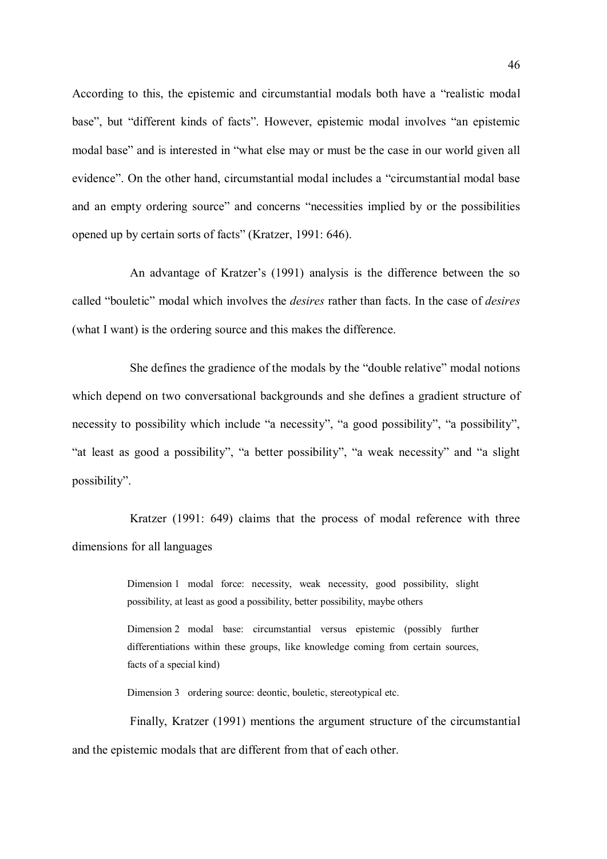According to this, the epistemic and circumstantial modals both have a "realistic modal base", but "different kinds of facts". However, epistemic modal involves "an epistemic modal base" and is interested in "what else may or must be the case in our world given all evidence". On the other hand, circumstantial modal includes a "circumstantial modal base and an empty ordering source" and concerns "necessities implied by or the possibilities opened up by certain sorts of facts" (Kratzer, 1991: 646).

An advantage of Kratzer's (1991) analysis is the difference between the so called "bouletic" modal which involves the *desires* rather than facts. In the case of *desires* (what I want) is the ordering source and this makes the difference.

She defines the gradience of the modals by the "double relative" modal notions which depend on two conversational backgrounds and she defines a gradient structure of necessity to possibility which include "a necessity", "a good possibility", "a possibility", "at least as good a possibility", "a better possibility", "a weak necessity" and "a slight possibility".

Kratzer (1991: 649) claims that the process of modal reference with three dimensions for all languages

> Dimension 1 modal force: necessity, weak necessity, good possibility, slight possibility, at least as good a possibility, better possibility, maybe others

> Dimension 2 modal base: circumstantial versus epistemic (possibly further differentiations within these groups, like knowledge coming from certain sources, facts of a special kind)

Dimension 3 ordering source: deontic, bouletic, stereotypical etc.

Finally, Kratzer (1991) mentions the argument structure of the circumstantial and the epistemic modals that are different from that of each other.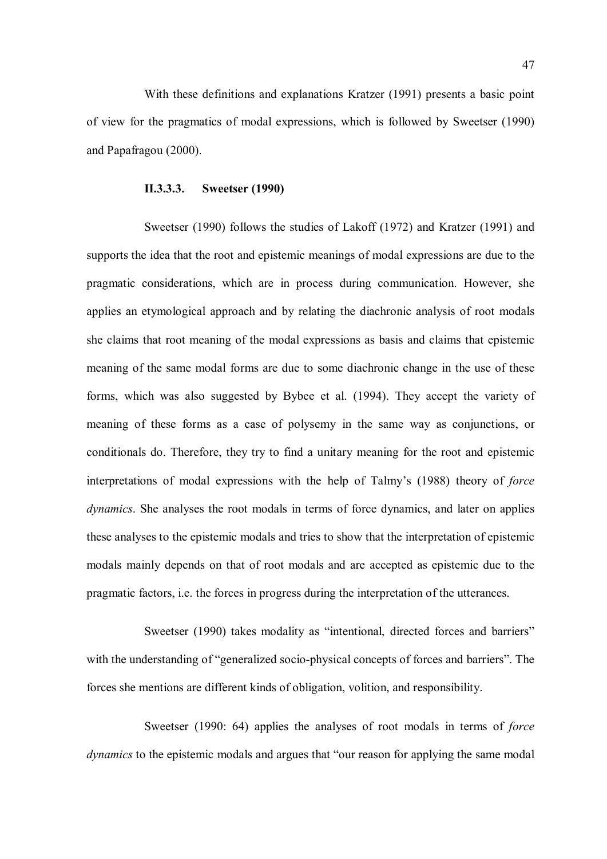With these definitions and explanations Kratzer (1991) presents a basic point of view for the pragmatics of modal expressions, which is followed by Sweetser (1990) and Papafragou (2000).

#### II.3.3.3. Sweetser (1990)

Sweetser (1990) follows the studies of Lakoff (1972) and Kratzer (1991) and supports the idea that the root and epistemic meanings of modal expressions are due to the pragmatic considerations, which are in process during communication. However, she applies an etymological approach and by relating the diachronic analysis of root modals she claims that root meaning of the modal expressions as basis and claims that epistemic meaning of the same modal forms are due to some diachronic change in the use of these forms, which was also suggested by Bybee et al. (1994). They accept the variety of meaning of these forms as a case of polysemy in the same way as conjunctions, or conditionals do. Therefore, they try to find a unitary meaning for the root and epistemic interpretations of modal expressions with the help of Talmy's (1988) theory of force dynamics. She analyses the root modals in terms of force dynamics, and later on applies these analyses to the epistemic modals and tries to show that the interpretation of epistemic modals mainly depends on that of root modals and are accepted as epistemic due to the pragmatic factors, i.e. the forces in progress during the interpretation of the utterances.

Sweetser (1990) takes modality as "intentional, directed forces and barriers" with the understanding of "generalized socio-physical concepts of forces and barriers". The forces she mentions are different kinds of obligation, volition, and responsibility.

Sweetser (1990: 64) applies the analyses of root modals in terms of *force* dynamics to the epistemic modals and argues that "our reason for applying the same modal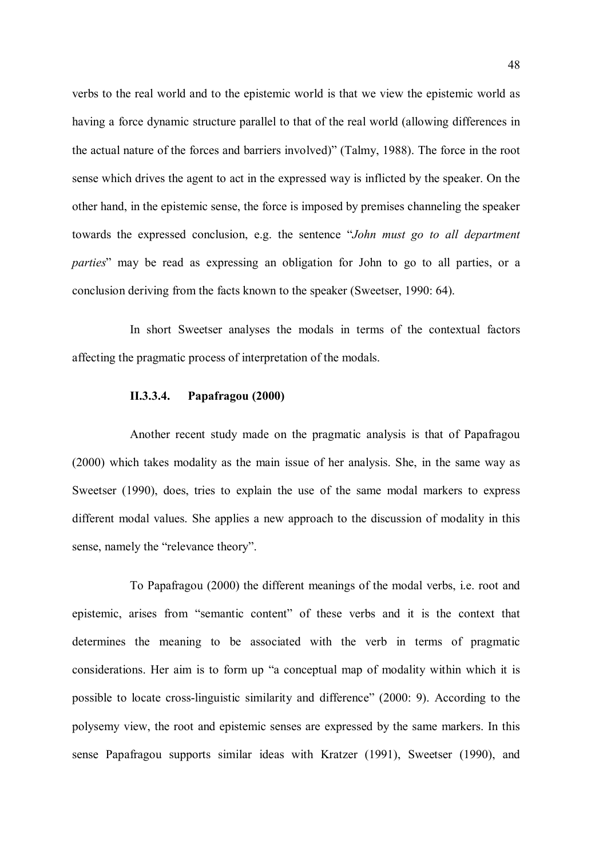verbs to the real world and to the epistemic world is that we view the epistemic world as having a force dynamic structure parallel to that of the real world (allowing differences in the actual nature of the forces and barriers involved)" (Talmy, 1988). The force in the root sense which drives the agent to act in the expressed way is inflicted by the speaker. On the other hand, in the epistemic sense, the force is imposed by premises channeling the speaker towards the expressed conclusion, e.g. the sentence "John must go to all department parties" may be read as expressing an obligation for John to go to all parties, or a conclusion deriving from the facts known to the speaker (Sweetser, 1990: 64).

In short Sweetser analyses the modals in terms of the contextual factors affecting the pragmatic process of interpretation of the modals.

# II.3.3.4. Papafragou (2000)

Another recent study made on the pragmatic analysis is that of Papafragou (2000) which takes modality as the main issue of her analysis. She, in the same way as Sweetser (1990), does, tries to explain the use of the same modal markers to express different modal values. She applies a new approach to the discussion of modality in this sense, namely the "relevance theory".

To Papafragou (2000) the different meanings of the modal verbs, i.e. root and epistemic, arises from "semantic content" of these verbs and it is the context that determines the meaning to be associated with the verb in terms of pragmatic considerations. Her aim is to form up "a conceptual map of modality within which it is possible to locate cross-linguistic similarity and difference" (2000: 9). According to the polysemy view, the root and epistemic senses are expressed by the same markers. In this sense Papafragou supports similar ideas with Kratzer (1991), Sweetser (1990), and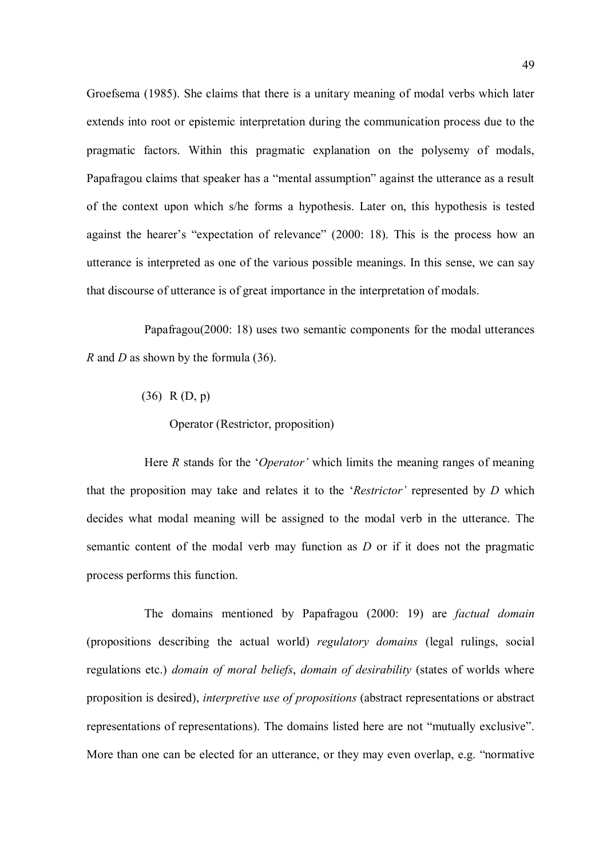Groefsema (1985). She claims that there is a unitary meaning of modal verbs which later extends into root or epistemic interpretation during the communication process due to the pragmatic factors. Within this pragmatic explanation on the polysemy of modals, Papafragou claims that speaker has a "mental assumption" against the utterance as a result of the context upon which s/he forms a hypothesis. Later on, this hypothesis is tested against the hearer's "expectation of relevance" (2000: 18). This is the process how an utterance is interpreted as one of the various possible meanings. In this sense, we can say that discourse of utterance is of great importance in the interpretation of modals.

Papafragou(2000: 18) uses two semantic components for the modal utterances R and D as shown by the formula  $(36)$ .

(36) R (D, p)

Operator (Restrictor, proposition)

Here  $R$  stands for the '*Operator*' which limits the meaning ranges of meaning that the proposition may take and relates it to the ' $Restrictor$ ' represented by  $D$  which decides what modal meaning will be assigned to the modal verb in the utterance. The semantic content of the modal verb may function as  $D$  or if it does not the pragmatic process performs this function.

The domains mentioned by Papafragou (2000: 19) are factual domain (propositions describing the actual world) regulatory domains (legal rulings, social regulations etc.) domain of moral beliefs, domain of desirability (states of worlds where proposition is desired), interpretive use of propositions (abstract representations or abstract representations of representations). The domains listed here are not "mutually exclusive". More than one can be elected for an utterance, or they may even overlap, e.g. "normative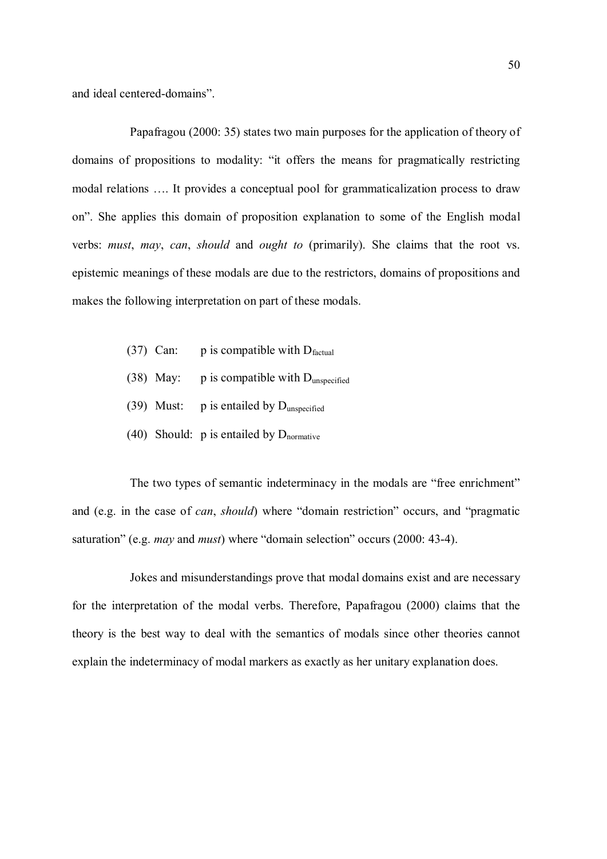and ideal centered-domains".

Papafragou (2000: 35) states two main purposes for the application of theory of domains of propositions to modality: "it offers the means for pragmatically restricting modal relations …. It provides a conceptual pool for grammaticalization process to draw on". She applies this domain of proposition explanation to some of the English modal verbs: must, may, can, should and ought to (primarily). She claims that the root vs. epistemic meanings of these modals are due to the restrictors, domains of propositions and makes the following interpretation on part of these modals.

- (37) Can: p is compatible with  $D_{\text{factual}}$
- (38) May:  $p$  is compatible with D<sub>unspecified</sub>
- (39) Must:  $p$  is entailed by  $D_{\text{unspecified}}$
- (40) Should: p is entailed by  $D_{\text{nonmative}}$

The two types of semantic indeterminacy in the modals are "free enrichment" and (e.g. in the case of can, should) where "domain restriction" occurs, and "pragmatic saturation" (e.g. may and must) where "domain selection" occurs (2000: 43-4).

Jokes and misunderstandings prove that modal domains exist and are necessary for the interpretation of the modal verbs. Therefore, Papafragou (2000) claims that the theory is the best way to deal with the semantics of modals since other theories cannot explain the indeterminacy of modal markers as exactly as her unitary explanation does.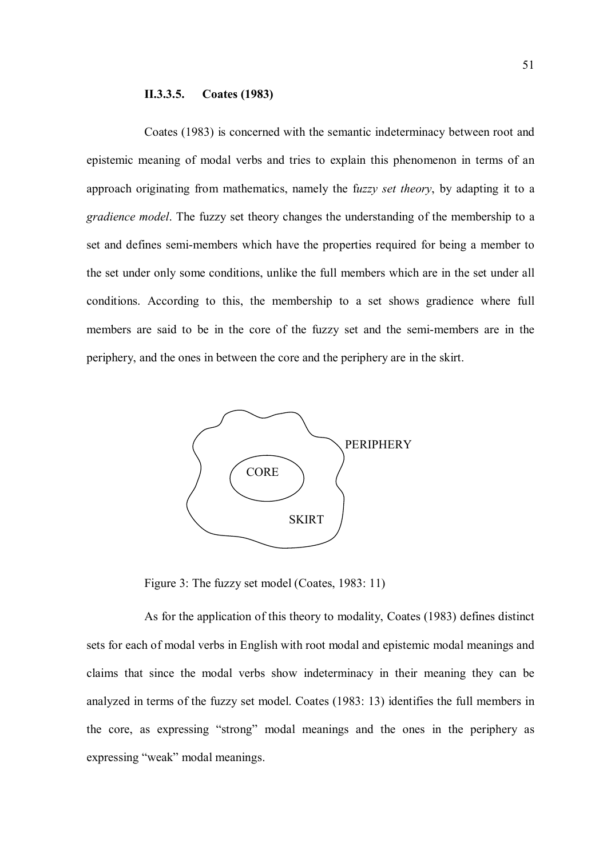## II.3.3.5. Coates (1983)

Coates (1983) is concerned with the semantic indeterminacy between root and epistemic meaning of modal verbs and tries to explain this phenomenon in terms of an approach originating from mathematics, namely the fuzzy set theory, by adapting it to a gradience model. The fuzzy set theory changes the understanding of the membership to a set and defines semi-members which have the properties required for being a member to the set under only some conditions, unlike the full members which are in the set under all conditions. According to this, the membership to a set shows gradience where full members are said to be in the core of the fuzzy set and the semi-members are in the periphery, and the ones in between the core and the periphery are in the skirt.



Figure 3: The fuzzy set model (Coates, 1983: 11)

As for the application of this theory to modality, Coates (1983) defines distinct sets for each of modal verbs in English with root modal and epistemic modal meanings and claims that since the modal verbs show indeterminacy in their meaning they can be analyzed in terms of the fuzzy set model. Coates (1983: 13) identifies the full members in the core, as expressing "strong" modal meanings and the ones in the periphery as expressing "weak" modal meanings.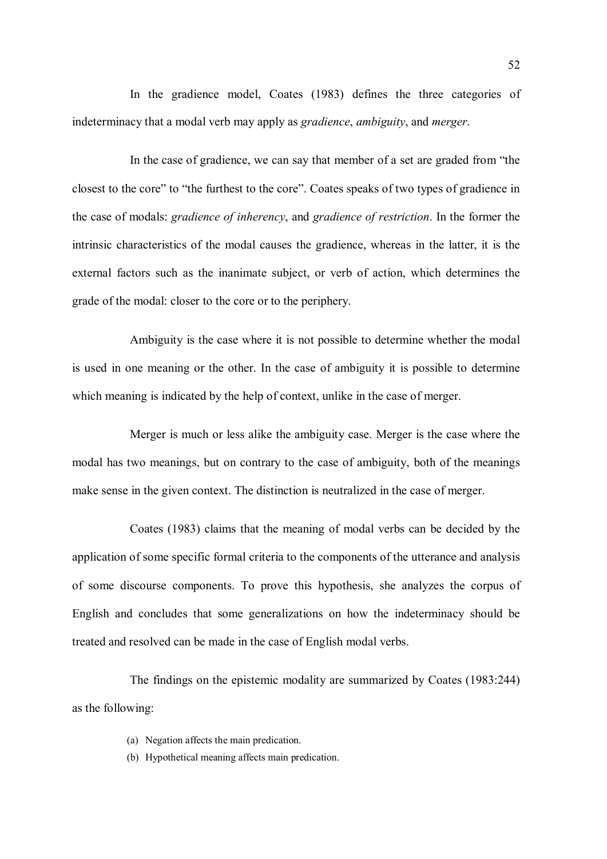In the gradience model, Coates (1983) defines the three categories of indeterminacy that a modal verb may apply as *gradience*, *ambiguity*, and *merger*.

In the case of gradience, we can say that member of a set are graded from "the closest to the core" to "the furthest to the core". Coates speaks of two types of gradience in the case of modals: gradience of inherency, and gradience of restriction. In the former the intrinsic characteristics of the modal causes the gradience, whereas in the latter, it is the external factors such as the inanimate subject, or verb of action, which determines the grade of the modal: closer to the core or to the periphery.

Ambiguity is the case where it is not possible to determine whether the modal is used in one meaning or the other. In the case of ambiguity it is possible to determine which meaning is indicated by the help of context, unlike in the case of merger.

Merger is much or less alike the ambiguity case. Merger is the case where the modal has two meanings, but on contrary to the case of ambiguity, both of the meanings make sense in the given context. The distinction is neutralized in the case of merger.

Coates (1983) claims that the meaning of modal verbs can be decided by the application of some specific formal criteria to the components of the utterance and analysis of some discourse components. To prove this hypothesis, she analyzes the corpus of English and concludes that some generalizations on how the indeterminacy should be treated and resolved can be made in the case of English modal verbs.

The findings on the epistemic modality are summarized by Coates (1983:244) as the following:

- (a) Negation affects the main predication.
- (b) Hypothetical meaning affects main predication.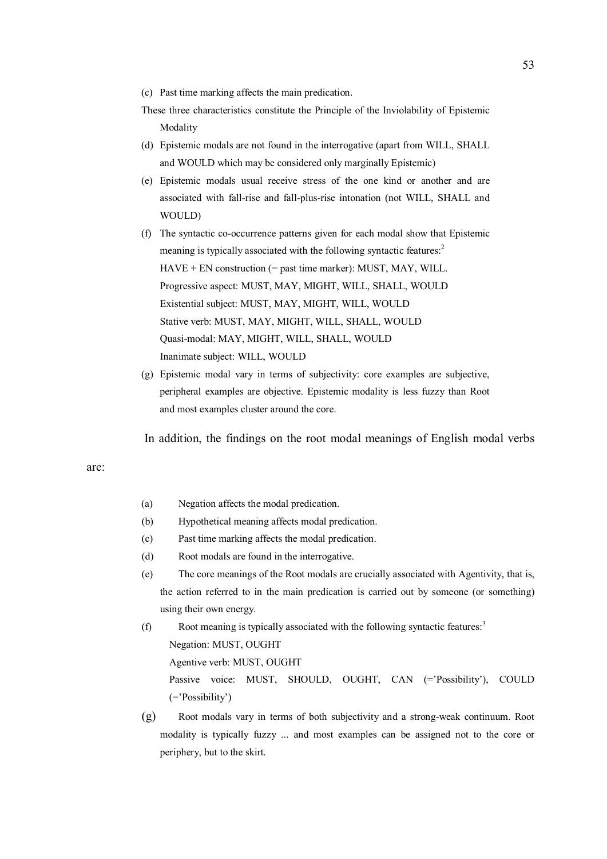- (c) Past time marking affects the main predication.
- These three characteristics constitute the Principle of the Inviolability of Epistemic Modality
- (d) Epistemic modals are not found in the interrogative (apart from WILL, SHALL and WOULD which may be considered only marginally Epistemic)
- (e) Epistemic modals usual receive stress of the one kind or another and are associated with fall-rise and fall-plus-rise intonation (not WILL, SHALL and WOULD)
- (f) The syntactic co-occurrence patterns given for each modal show that Epistemic meaning is typically associated with the following syntactic features:<sup>2</sup> HAVE + EN construction (= past time marker): MUST, MAY, WILL. Progressive aspect: MUST, MAY, MIGHT, WILL, SHALL, WOULD Existential subject: MUST, MAY, MIGHT, WILL, WOULD Stative verb: MUST, MAY, MIGHT, WILL, SHALL, WOULD Quasi-modal: MAY, MIGHT, WILL, SHALL, WOULD Inanimate subject: WILL, WOULD
- (g) Epistemic modal vary in terms of subjectivity: core examples are subjective, peripheral examples are objective. Epistemic modality is less fuzzy than Root and most examples cluster around the core.

In addition, the findings on the root modal meanings of English modal verbs

#### are:

- (a) Negation affects the modal predication.
- (b) Hypothetical meaning affects modal predication.
- (c) Past time marking affects the modal predication.
- (d) Root modals are found in the interrogative.
- (e) The core meanings of the Root modals are crucially associated with Agentivity, that is, the action referred to in the main predication is carried out by someone (or something) using their own energy.
- (f) Root meaning is typically associated with the following syntactic features: $3$ Negation: MUST, OUGHT Agentive verb: MUST, OUGHT Passive voice: MUST, SHOULD, OUGHT, CAN (='Possibility'), COULD (='Possibility')
- (g) Root modals vary in terms of both subjectivity and a strong-weak continuum. Root modality is typically fuzzy ... and most examples can be assigned not to the core or periphery, but to the skirt.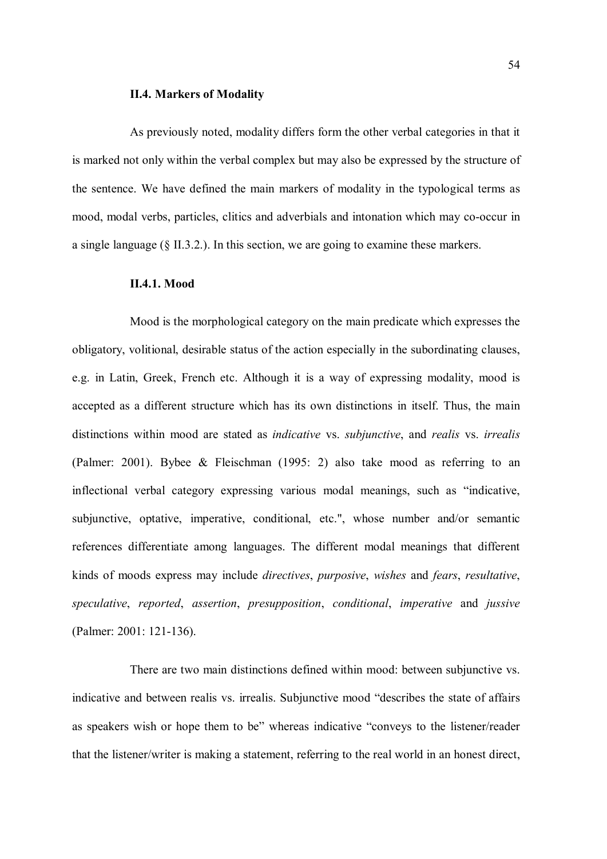## II.4. Markers of Modality

As previously noted, modality differs form the other verbal categories in that it is marked not only within the verbal complex but may also be expressed by the structure of the sentence. We have defined the main markers of modality in the typological terms as mood, modal verbs, particles, clitics and adverbials and intonation which may co-occur in a single language (§ II.3.2.). In this section, we are going to examine these markers.

#### II.4.1. Mood

Mood is the morphological category on the main predicate which expresses the obligatory, volitional, desirable status of the action especially in the subordinating clauses, e.g. in Latin, Greek, French etc. Although it is a way of expressing modality, mood is accepted as a different structure which has its own distinctions in itself. Thus, the main distinctions within mood are stated as *indicative* vs. *subjunctive*, and *realis* vs. *irrealis* (Palmer: 2001). Bybee & Fleischman (1995: 2) also take mood as referring to an inflectional verbal category expressing various modal meanings, such as "indicative, subjunctive, optative, imperative, conditional, etc.", whose number and/or semantic references differentiate among languages. The different modal meanings that different kinds of moods express may include directives, purposive, wishes and fears, resultative, speculative, reported, assertion, presupposition, conditional, imperative and jussive (Palmer: 2001: 121-136).

There are two main distinctions defined within mood: between subjunctive vs. indicative and between realis vs. irrealis. Subjunctive mood "describes the state of affairs as speakers wish or hope them to be" whereas indicative "conveys to the listener/reader that the listener/writer is making a statement, referring to the real world in an honest direct,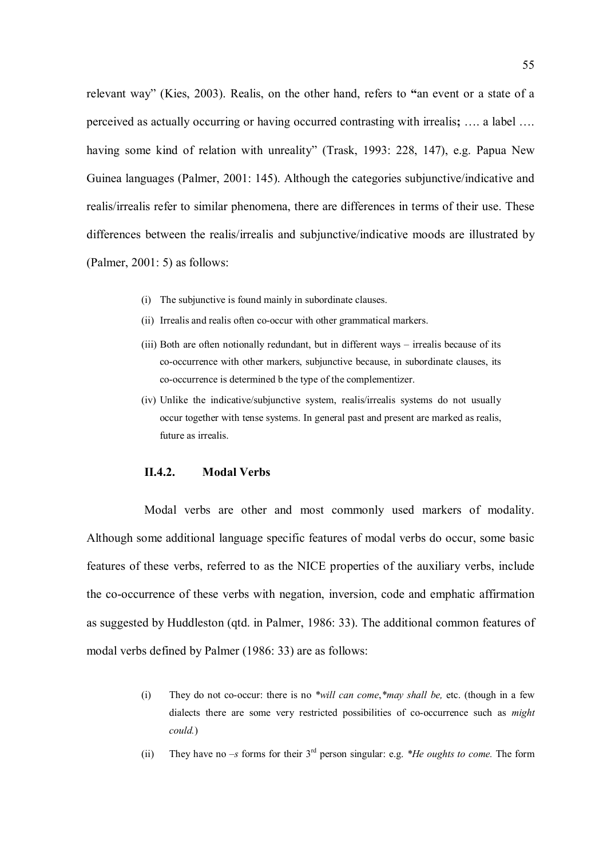relevant way" (Kies, 2003). Realis, on the other hand, refers to "an event or a state of a perceived as actually occurring or having occurred contrasting with irrealis; …. a label …. having some kind of relation with unreality" (Trask, 1993: 228, 147), e.g. Papua New Guinea languages (Palmer, 2001: 145). Although the categories subjunctive/indicative and realis/irrealis refer to similar phenomena, there are differences in terms of their use. These differences between the realis/irrealis and subjunctive/indicative moods are illustrated by (Palmer, 2001: 5) as follows:

- (i) The subjunctive is found mainly in subordinate clauses.
- (ii) Irrealis and realis often co-occur with other grammatical markers.
- (iii) Both are often notionally redundant, but in different ways irrealis because of its co-occurrence with other markers, subjunctive because, in subordinate clauses, its co-occurrence is determined b the type of the complementizer.
- (iv) Unlike the indicative/subjunctive system, realis/irrealis systems do not usually occur together with tense systems. In general past and present are marked as realis, future as irrealis.

## II.4.2. Modal Verbs

Modal verbs are other and most commonly used markers of modality. Although some additional language specific features of modal verbs do occur, some basic features of these verbs, referred to as the NICE properties of the auxiliary verbs, include the co-occurrence of these verbs with negation, inversion, code and emphatic affirmation as suggested by Huddleston (qtd. in Palmer, 1986: 33). The additional common features of modal verbs defined by Palmer (1986: 33) are as follows:

- (i) They do not co-occur: there is no  $*will can come,*may shall be, etc.$  (though in a few dialects there are some very restricted possibilities of co-occurrence such as might could.)
- (ii) They have no –s forms for their  $3<sup>rd</sup>$  person singular: e.g. \**He oughts to come*. The form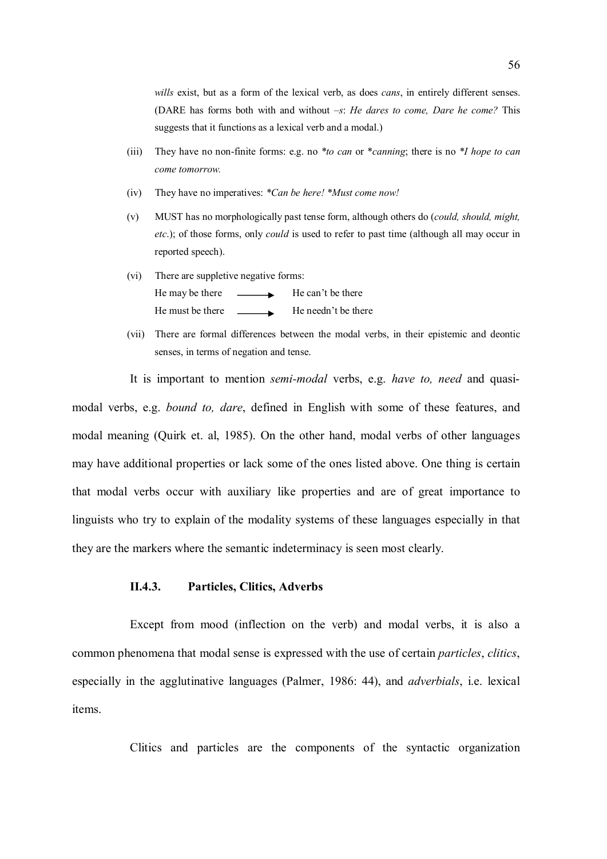wills exist, but as a form of the lexical verb, as does *cans*, in entirely different senses. (DARE has forms both with and without  $-s$ : He dares to come, Dare he come? This suggests that it functions as a lexical verb and a modal.)

- (iii) They have no non-finite forms: e.g. no  $*_{to can}$  or  $*_{canning}$ ; there is no  $*_{I}$  hope to can come tomorrow.
- (iv) They have no imperatives: \*Can be here! \*Must come now!
- (v) MUST has no morphologically past tense form, although others do (could, should, might, etc.); of those forms, only *could* is used to refer to past time (although all may occur in reported speech).
- (vi) There are suppletive negative forms: He may be there  $\qquad \qquad$  He can't be there He must be there  $\qquad \qquad$  He needn't be there
- (vii) There are formal differences between the modal verbs, in their epistemic and deontic senses, in terms of negation and tense.

It is important to mention semi-modal verbs, e.g. have to, need and quasimodal verbs, e.g. bound to, dare, defined in English with some of these features, and modal meaning (Quirk et. al, 1985). On the other hand, modal verbs of other languages may have additional properties or lack some of the ones listed above. One thing is certain that modal verbs occur with auxiliary like properties and are of great importance to linguists who try to explain of the modality systems of these languages especially in that they are the markers where the semantic indeterminacy is seen most clearly.

# II.4.3. Particles, Clitics, Adverbs

Except from mood (inflection on the verb) and modal verbs, it is also a common phenomena that modal sense is expressed with the use of certain *particles*, *clitics*, especially in the agglutinative languages (Palmer, 1986: 44), and adverbials, i.e. lexical items.

Clitics and particles are the components of the syntactic organization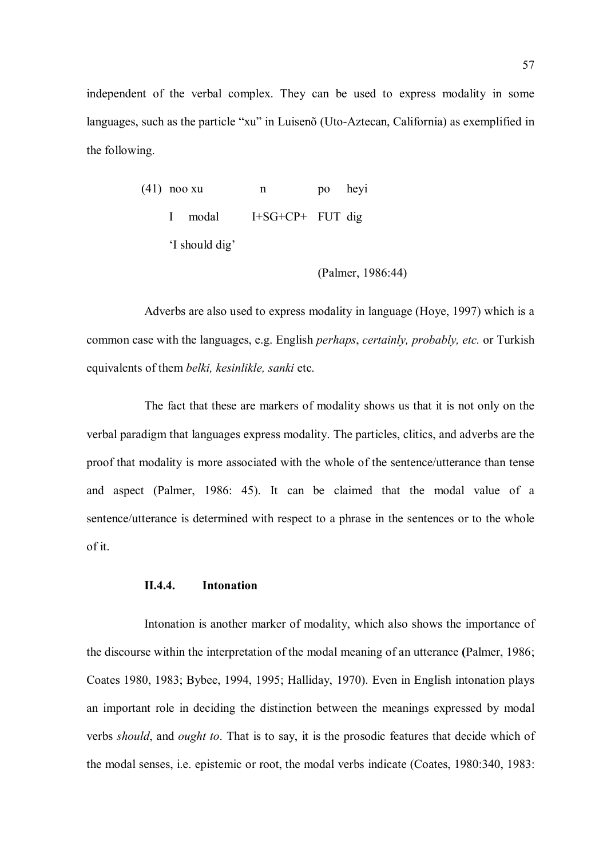independent of the verbal complex. They can be used to express modality in some languages, such as the particle "xu" in Luisenõ (Uto-Aztecan, California) as exemplified in the following.

| $(41)$ noo xu  |         | n                  | po heyi |  |
|----------------|---------|--------------------|---------|--|
|                | I modal | $I+SG+CP+$ FUT dig |         |  |
| 'I should dig' |         |                    |         |  |

$$
(Palmer, 1986:44)
$$

Adverbs are also used to express modality in language (Hoye, 1997) which is a common case with the languages, e.g. English perhaps, certainly, probably, etc. or Turkish equivalents of them belki, kesinlikle, sanki etc.

The fact that these are markers of modality shows us that it is not only on the verbal paradigm that languages express modality. The particles, clitics, and adverbs are the proof that modality is more associated with the whole of the sentence/utterance than tense and aspect (Palmer, 1986: 45). It can be claimed that the modal value of a sentence/utterance is determined with respect to a phrase in the sentences or to the whole of it.

# II.4.4. Intonation

Intonation is another marker of modality, which also shows the importance of the discourse within the interpretation of the modal meaning of an utterance (Palmer, 1986; Coates 1980, 1983; Bybee, 1994, 1995; Halliday, 1970). Even in English intonation plays an important role in deciding the distinction between the meanings expressed by modal verbs should, and ought to. That is to say, it is the prosodic features that decide which of the modal senses, i.e. epistemic or root, the modal verbs indicate (Coates, 1980:340, 1983: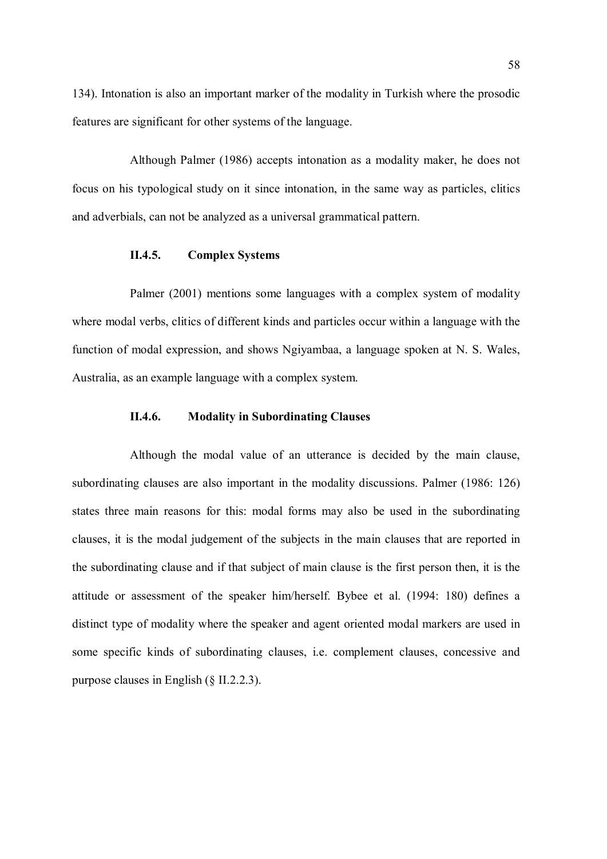134). Intonation is also an important marker of the modality in Turkish where the prosodic features are significant for other systems of the language.

Although Palmer (1986) accepts intonation as a modality maker, he does not focus on his typological study on it since intonation, in the same way as particles, clitics and adverbials, can not be analyzed as a universal grammatical pattern.

## II.4.5. Complex Systems

Palmer (2001) mentions some languages with a complex system of modality where modal verbs, clitics of different kinds and particles occur within a language with the function of modal expression, and shows Ngiyambaa, a language spoken at N. S. Wales, Australia, as an example language with a complex system.

## II.4.6. Modality in Subordinating Clauses

Although the modal value of an utterance is decided by the main clause, subordinating clauses are also important in the modality discussions. Palmer (1986: 126) states three main reasons for this: modal forms may also be used in the subordinating clauses, it is the modal judgement of the subjects in the main clauses that are reported in the subordinating clause and if that subject of main clause is the first person then, it is the attitude or assessment of the speaker him/herself. Bybee et al. (1994: 180) defines a distinct type of modality where the speaker and agent oriented modal markers are used in some specific kinds of subordinating clauses, i.e. complement clauses, concessive and purpose clauses in English (§ II.2.2.3).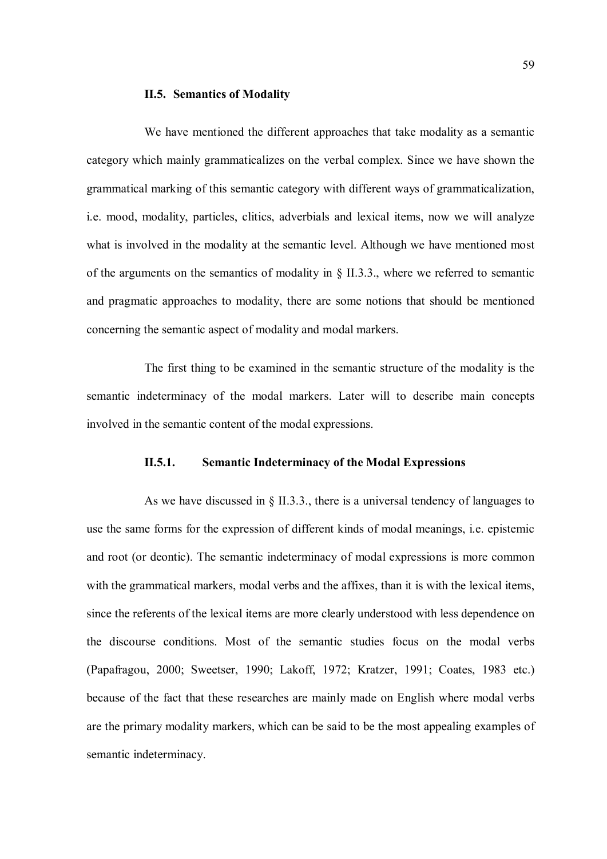## II.5. Semantics of Modality

We have mentioned the different approaches that take modality as a semantic category which mainly grammaticalizes on the verbal complex. Since we have shown the grammatical marking of this semantic category with different ways of grammaticalization, i.e. mood, modality, particles, clitics, adverbials and lexical items, now we will analyze what is involved in the modality at the semantic level. Although we have mentioned most of the arguments on the semantics of modality in § II.3.3., where we referred to semantic and pragmatic approaches to modality, there are some notions that should be mentioned concerning the semantic aspect of modality and modal markers.

The first thing to be examined in the semantic structure of the modality is the semantic indeterminacy of the modal markers. Later will to describe main concepts involved in the semantic content of the modal expressions.

# II.5.1. Semantic Indeterminacy of the Modal Expressions

As we have discussed in  $\S$  II.3.3., there is a universal tendency of languages to use the same forms for the expression of different kinds of modal meanings, i.e. epistemic and root (or deontic). The semantic indeterminacy of modal expressions is more common with the grammatical markers, modal verbs and the affixes, than it is with the lexical items, since the referents of the lexical items are more clearly understood with less dependence on the discourse conditions. Most of the semantic studies focus on the modal verbs (Papafragou, 2000; Sweetser, 1990; Lakoff, 1972; Kratzer, 1991; Coates, 1983 etc.) because of the fact that these researches are mainly made on English where modal verbs are the primary modality markers, which can be said to be the most appealing examples of semantic indeterminacy.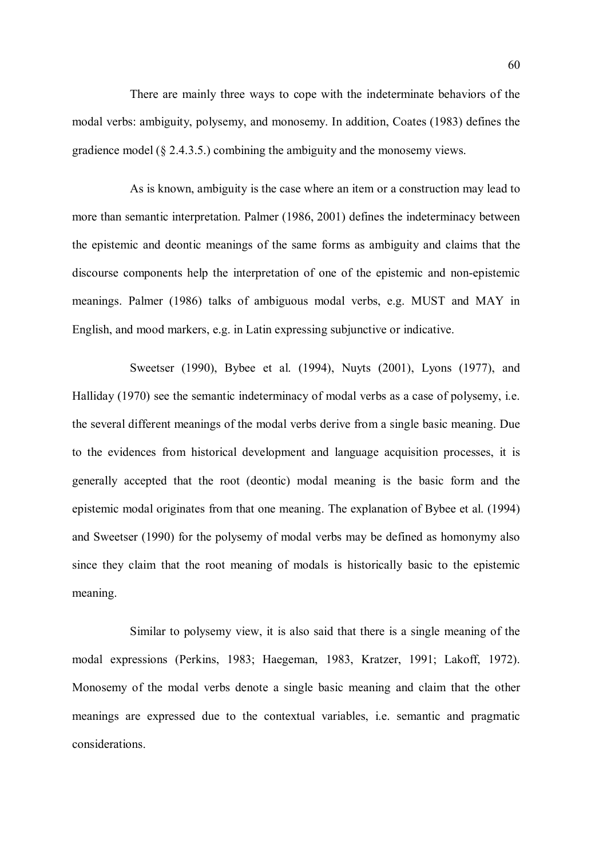There are mainly three ways to cope with the indeterminate behaviors of the modal verbs: ambiguity, polysemy, and monosemy. In addition, Coates (1983) defines the gradience model (§ 2.4.3.5.) combining the ambiguity and the monosemy views.

As is known, ambiguity is the case where an item or a construction may lead to more than semantic interpretation. Palmer (1986, 2001) defines the indeterminacy between the epistemic and deontic meanings of the same forms as ambiguity and claims that the discourse components help the interpretation of one of the epistemic and non-epistemic meanings. Palmer (1986) talks of ambiguous modal verbs, e.g. MUST and MAY in English, and mood markers, e.g. in Latin expressing subjunctive or indicative.

Sweetser (1990), Bybee et al. (1994), Nuyts (2001), Lyons (1977), and Halliday (1970) see the semantic indeterminacy of modal verbs as a case of polysemy, i.e. the several different meanings of the modal verbs derive from a single basic meaning. Due to the evidences from historical development and language acquisition processes, it is generally accepted that the root (deontic) modal meaning is the basic form and the epistemic modal originates from that one meaning. The explanation of Bybee et al. (1994) and Sweetser (1990) for the polysemy of modal verbs may be defined as homonymy also since they claim that the root meaning of modals is historically basic to the epistemic meaning.

Similar to polysemy view, it is also said that there is a single meaning of the modal expressions (Perkins, 1983; Haegeman, 1983, Kratzer, 1991; Lakoff, 1972). Monosemy of the modal verbs denote a single basic meaning and claim that the other meanings are expressed due to the contextual variables, i.e. semantic and pragmatic considerations.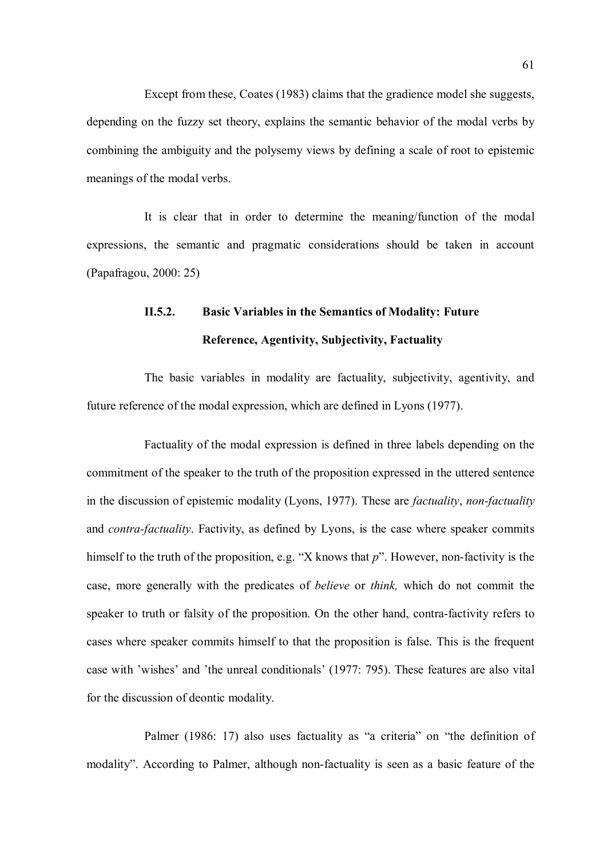Except from these, Coates (1983) claims that the gradience model she suggests, depending on the fuzzy set theory, explains the semantic behavior of the modal verbs by combining the ambiguity and the polysemy views by defining a scale of root to epistemic meanings of the modal verbs.

It is clear that in order to determine the meaning/function of the modal expressions, the semantic and pragmatic considerations should be taken in account (Papafragou, 2000: 25)

# II.5.2. Basic Variables in the Semantics of Modality: Future Reference, Agentivity, Subjectivity, Factuality

The basic variables in modality are factuality, subjectivity, agentivity, and future reference of the modal expression, which are defined in Lyons (1977).

Factuality of the modal expression is defined in three labels depending on the commitment of the speaker to the truth of the proposition expressed in the uttered sentence in the discussion of epistemic modality (Lyons, 1977). These are *factuality, non-factuality* and *contra-factuality*. Factivity, as defined by Lyons, is the case where speaker commits himself to the truth of the proposition, e.g. "X knows that  $p$ ". However, non-factivity is the case, more generally with the predicates of believe or think, which do not commit the speaker to truth or falsity of the proposition. On the other hand, contra-factivity refers to cases where speaker commits himself to that the proposition is false. This is the frequent case with 'wishes' and 'the unreal conditionals' (1977: 795). These features are also vital for the discussion of deontic modality.

Palmer (1986: 17) also uses factuality as "a criteria" on "the definition of modality". According to Palmer, although non-factuality is seen as a basic feature of the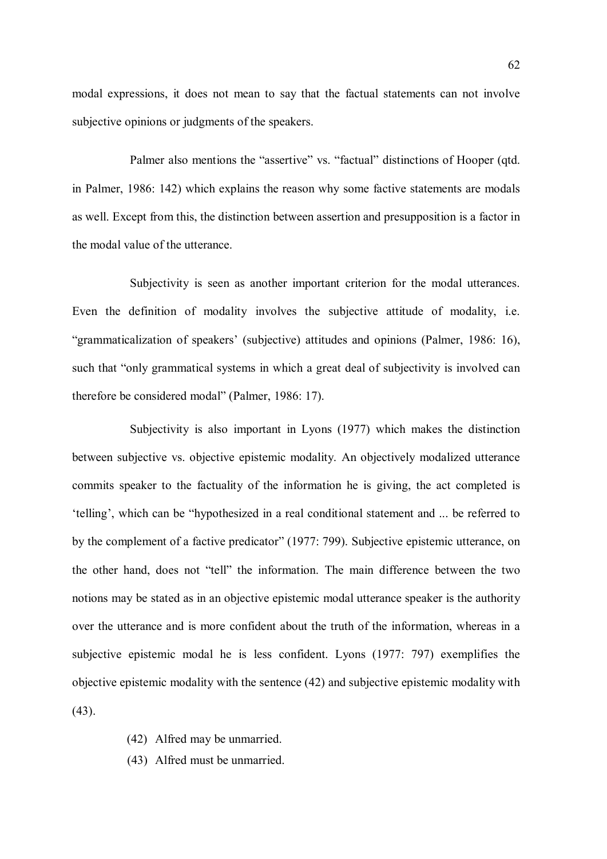modal expressions, it does not mean to say that the factual statements can not involve subjective opinions or judgments of the speakers.

Palmer also mentions the "assertive" vs. "factual" distinctions of Hooper (qtd. in Palmer, 1986: 142) which explains the reason why some factive statements are modals as well. Except from this, the distinction between assertion and presupposition is a factor in the modal value of the utterance.

Subjectivity is seen as another important criterion for the modal utterances. Even the definition of modality involves the subjective attitude of modality, i.e. "grammaticalization of speakers' (subjective) attitudes and opinions (Palmer, 1986: 16), such that "only grammatical systems in which a great deal of subjectivity is involved can therefore be considered modal" (Palmer, 1986: 17).

Subjectivity is also important in Lyons (1977) which makes the distinction between subjective vs. objective epistemic modality. An objectively modalized utterance commits speaker to the factuality of the information he is giving, the act completed is 'telling', which can be "hypothesized in a real conditional statement and ... be referred to by the complement of a factive predicator" (1977: 799). Subjective epistemic utterance, on the other hand, does not "tell" the information. The main difference between the two notions may be stated as in an objective epistemic modal utterance speaker is the authority over the utterance and is more confident about the truth of the information, whereas in a subjective epistemic modal he is less confident. Lyons (1977: 797) exemplifies the objective epistemic modality with the sentence (42) and subjective epistemic modality with (43).

- (42) Alfred may be unmarried.
- (43) Alfred must be unmarried.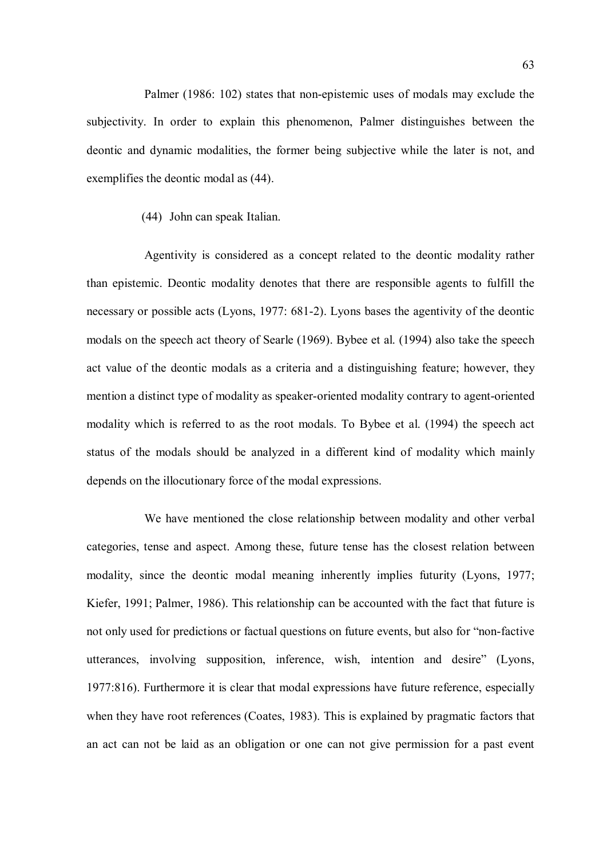Palmer (1986: 102) states that non-epistemic uses of modals may exclude the subjectivity. In order to explain this phenomenon, Palmer distinguishes between the deontic and dynamic modalities, the former being subjective while the later is not, and exemplifies the deontic modal as (44).

(44) John can speak Italian.

Agentivity is considered as a concept related to the deontic modality rather than epistemic. Deontic modality denotes that there are responsible agents to fulfill the necessary or possible acts (Lyons, 1977: 681-2). Lyons bases the agentivity of the deontic modals on the speech act theory of Searle (1969). Bybee et al. (1994) also take the speech act value of the deontic modals as a criteria and a distinguishing feature; however, they mention a distinct type of modality as speaker-oriented modality contrary to agent-oriented modality which is referred to as the root modals. To Bybee et al. (1994) the speech act status of the modals should be analyzed in a different kind of modality which mainly depends on the illocutionary force of the modal expressions.

We have mentioned the close relationship between modality and other verbal categories, tense and aspect. Among these, future tense has the closest relation between modality, since the deontic modal meaning inherently implies futurity (Lyons, 1977; Kiefer, 1991; Palmer, 1986). This relationship can be accounted with the fact that future is not only used for predictions or factual questions on future events, but also for "non-factive utterances, involving supposition, inference, wish, intention and desire" (Lyons, 1977:816). Furthermore it is clear that modal expressions have future reference, especially when they have root references (Coates, 1983). This is explained by pragmatic factors that an act can not be laid as an obligation or one can not give permission for a past event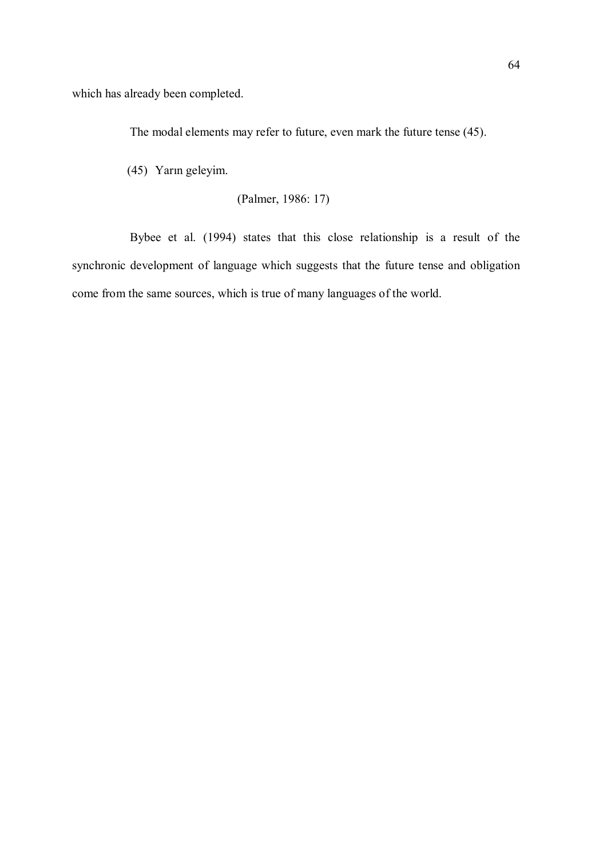which has already been completed.

The modal elements may refer to future, even mark the future tense (45).

(45) Yarın geleyim.

```
 (Palmer, 1986: 17)
```
Bybee et al. (1994) states that this close relationship is a result of the synchronic development of language which suggests that the future tense and obligation come from the same sources, which is true of many languages of the world.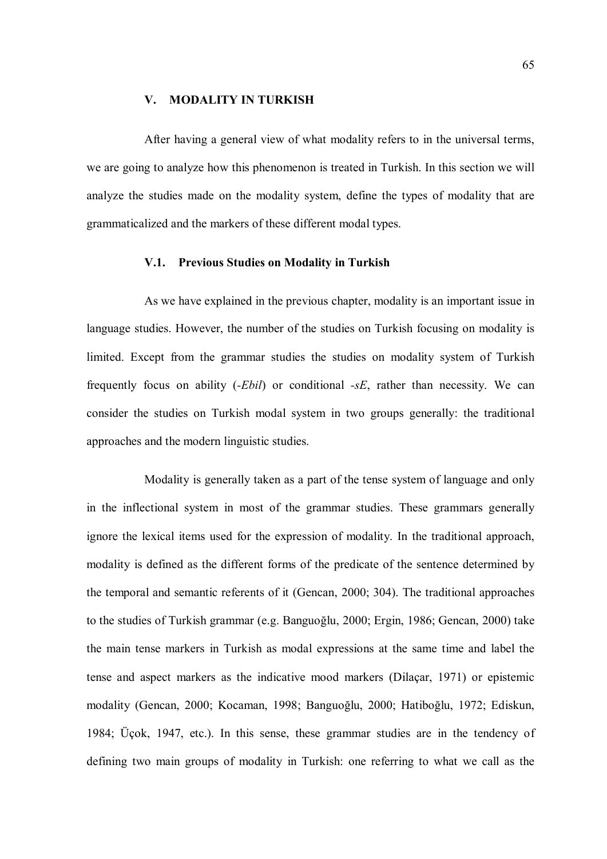#### V. MODALITY IN TURKISH

After having a general view of what modality refers to in the universal terms, we are going to analyze how this phenomenon is treated in Turkish. In this section we will analyze the studies made on the modality system, define the types of modality that are grammaticalized and the markers of these different modal types.

## V.1. Previous Studies on Modality in Turkish

As we have explained in the previous chapter, modality is an important issue in language studies. However, the number of the studies on Turkish focusing on modality is limited. Except from the grammar studies the studies on modality system of Turkish frequently focus on ability (-Ebil) or conditional -sE, rather than necessity. We can consider the studies on Turkish modal system in two groups generally: the traditional approaches and the modern linguistic studies.

Modality is generally taken as a part of the tense system of language and only in the inflectional system in most of the grammar studies. These grammars generally ignore the lexical items used for the expression of modality. In the traditional approach, modality is defined as the different forms of the predicate of the sentence determined by the temporal and semantic referents of it (Gencan, 2000; 304). The traditional approaches to the studies of Turkish grammar (e.g. Banguoğlu, 2000; Ergin, 1986; Gencan, 2000) take the main tense markers in Turkish as modal expressions at the same time and label the tense and aspect markers as the indicative mood markers (Dilaçar, 1971) or epistemic modality (Gencan, 2000; Kocaman, 1998; Banguoğlu, 2000; Hatiboğlu, 1972; Ediskun, 1984; Üçok, 1947, etc.). In this sense, these grammar studies are in the tendency of defining two main groups of modality in Turkish: one referring to what we call as the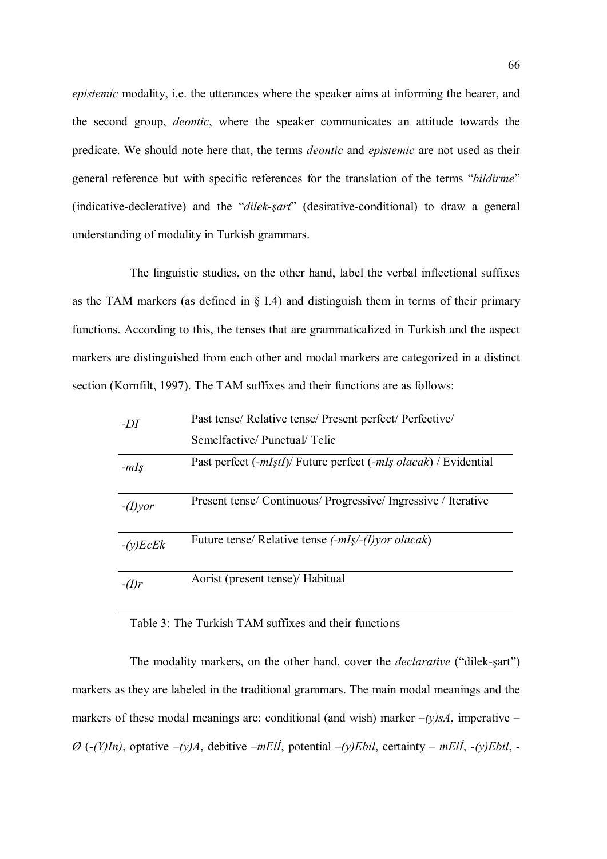epistemic modality, i.e. the utterances where the speaker aims at informing the hearer, and the second group, deontic, where the speaker communicates an attitude towards the predicate. We should note here that, the terms deontic and epistemic are not used as their general reference but with specific references for the translation of the terms "bildirme" (indicative-declerative) and the "dilek-sart" (desirative-conditional) to draw a general understanding of modality in Turkish grammars.

The linguistic studies, on the other hand, label the verbal inflectional suffixes as the TAM markers (as defined in § I.4) and distinguish them in terms of their primary functions. According to this, the tenses that are grammaticalized in Turkish and the aspect markers are distinguished from each other and modal markers are categorized in a distinct section (Kornfilt, 1997). The TAM suffixes and their functions are as follows:

| $-DI$      | Past tense/ Relative tense/ Present perfect/ Perfective/         |
|------------|------------------------------------------------------------------|
|            | Semelfactive/Punctual/Telic                                      |
| $-mIS$     | Past perfect (-mIştI)/ Future perfect (-mIş olacak) / Evidential |
| $-(I)$ yor | Present tense/ Continuous/ Progressive/ Ingressive / Iterative   |
| $-(y)EcEk$ | Future tense/ Relative tense (-mIş/-(I)yor olacak)               |
| $-(I)r$    | Aorist (present tense)/ Habitual                                 |

## Table 3: The Turkish TAM suffixes and their functions

The modality markers, on the other hand, cover the declarative ("dilek-şart") markers as they are labeled in the traditional grammars. The main modal meanings and the markers of these modal meanings are: conditional (and wish) marker  $-(y)sA$ , imperative –  $\varnothing$  (-(Y)In), optative  $-(y)A$ , debitive  $-mEll$ , potential  $-(y)Ebil$ , certainty – mEll, -(y)Ebil, -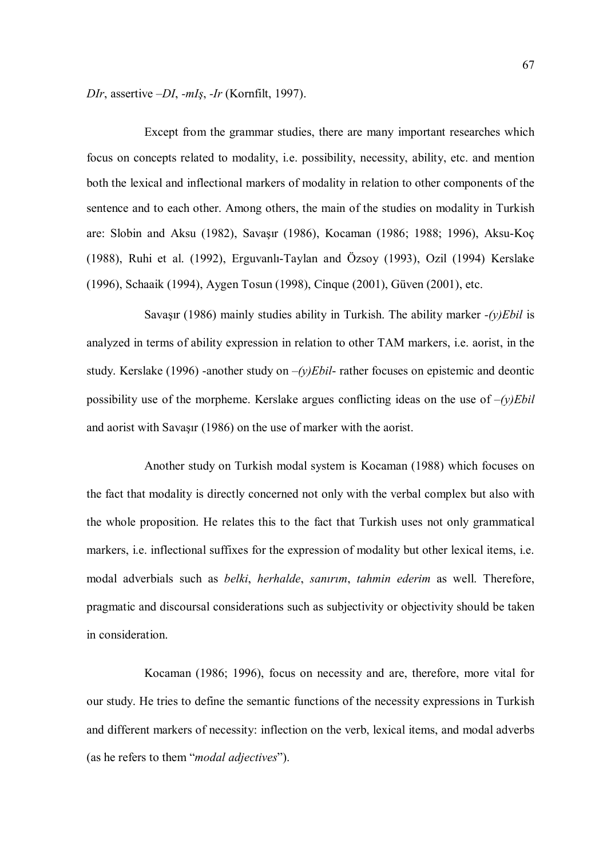DIr, assertive –DI, -mIş, -Ir (Kornfilt, 1997).

Except from the grammar studies, there are many important researches which focus on concepts related to modality, i.e. possibility, necessity, ability, etc. and mention both the lexical and inflectional markers of modality in relation to other components of the sentence and to each other. Among others, the main of the studies on modality in Turkish are: Slobin and Aksu (1982), Savaşır (1986), Kocaman (1986; 1988; 1996), Aksu-Koç (1988), Ruhi et al. (1992), Erguvanlı-Taylan and Özsoy (1993), Ozil (1994) Kerslake (1996), Schaaik (1994), Aygen Tosun (1998), Cinque (2001), Güven (2001), etc.

Savaşır (1986) mainly studies ability in Turkish. The ability marker  $-(y)Ebil$  is analyzed in terms of ability expression in relation to other TAM markers, i.e. aorist, in the study. Kerslake (1996) -another study on  $-(y)Ebil$ - rather focuses on epistemic and deontic possibility use of the morpheme. Kerslake argues conflicting ideas on the use of  $-(y)Ebil$ and aorist with Savaşır (1986) on the use of marker with the aorist.

Another study on Turkish modal system is Kocaman (1988) which focuses on the fact that modality is directly concerned not only with the verbal complex but also with the whole proposition. He relates this to the fact that Turkish uses not only grammatical markers, i.e. inflectional suffixes for the expression of modality but other lexical items, i.e. modal adverbials such as belki, herhalde, sanırım, tahmin ederim as well. Therefore, pragmatic and discoursal considerations such as subjectivity or objectivity should be taken in consideration.

Kocaman (1986; 1996), focus on necessity and are, therefore, more vital for our study. He tries to define the semantic functions of the necessity expressions in Turkish and different markers of necessity: inflection on the verb, lexical items, and modal adverbs (as he refers to them "modal adjectives").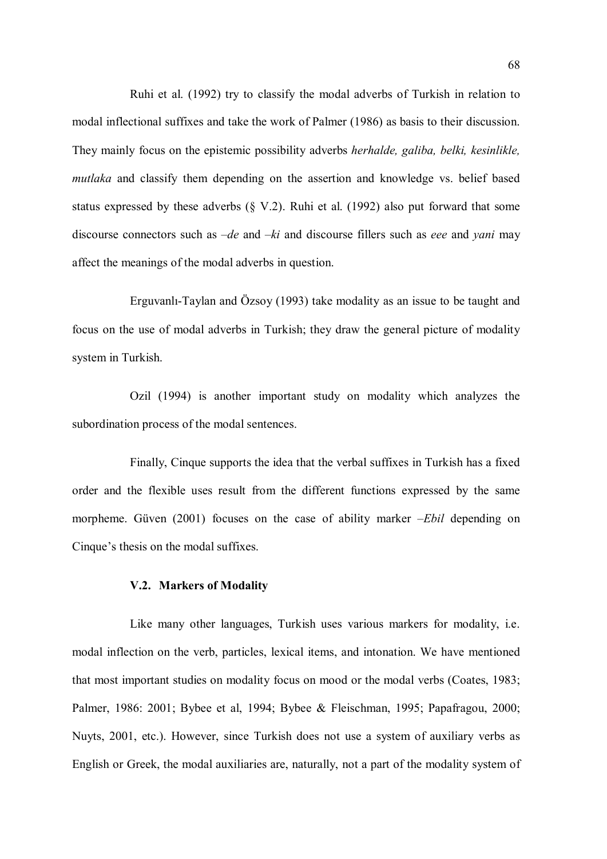Ruhi et al. (1992) try to classify the modal adverbs of Turkish in relation to modal inflectional suffixes and take the work of Palmer (1986) as basis to their discussion. They mainly focus on the epistemic possibility adverbs herhalde, galiba, belki, kesinlikle, mutlaka and classify them depending on the assertion and knowledge vs. belief based status expressed by these adverbs  $(\S V.2)$ . Ruhi et al. (1992) also put forward that some discourse connectors such as  $-de$  and  $-ki$  and discourse fillers such as *eee* and *vani* may affect the meanings of the modal adverbs in question.

Erguvanlı-Taylan and Özsoy (1993) take modality as an issue to be taught and focus on the use of modal adverbs in Turkish; they draw the general picture of modality system in Turkish.

Ozil (1994) is another important study on modality which analyzes the subordination process of the modal sentences.

Finally, Cinque supports the idea that the verbal suffixes in Turkish has a fixed order and the flexible uses result from the different functions expressed by the same morpheme. Güven (2001) focuses on the case of ability marker –*Ebil* depending on Cinque's thesis on the modal suffixes.

#### V.2. Markers of Modality

Like many other languages, Turkish uses various markers for modality, i.e. modal inflection on the verb, particles, lexical items, and intonation. We have mentioned that most important studies on modality focus on mood or the modal verbs (Coates, 1983; Palmer, 1986: 2001; Bybee et al, 1994; Bybee & Fleischman, 1995; Papafragou, 2000; Nuyts, 2001, etc.). However, since Turkish does not use a system of auxiliary verbs as English or Greek, the modal auxiliaries are, naturally, not a part of the modality system of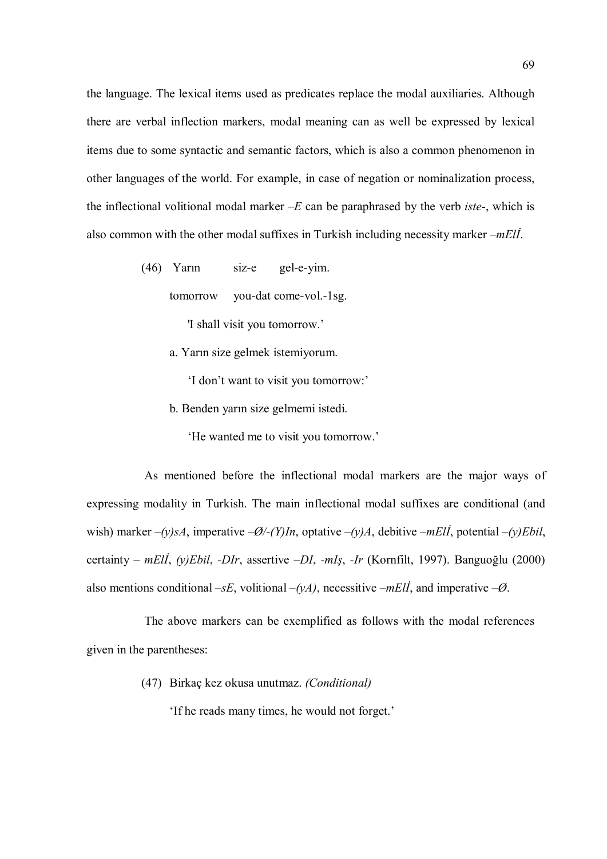the language. The lexical items used as predicates replace the modal auxiliaries. Although there are verbal inflection markers, modal meaning can as well be expressed by lexical items due to some syntactic and semantic factors, which is also a common phenomenon in other languages of the world. For example, in case of negation or nominalization process, the inflectional volitional modal marker  $-E$  can be paraphrased by the verb *iste*-, which is also common with the other modal suffixes in Turkish including necessity marker  $-mEI$ .

(46) Yarın siz-e gel-e-yim.

tomorrow you-dat come-vol.-1sg.

'I shall visit you tomorrow.'

a. Yarın size gelmek istemiyorum.

'I don't want to visit you tomorrow:'

b. Benden yarın size gelmemi istedi.

'He wanted me to visit you tomorrow.'

As mentioned before the inflectional modal markers are the major ways of expressing modality in Turkish. The main inflectional modal suffixes are conditional (and wish) marker  $-(y)sA$ , imperative  $-\emptyset$ /-(Y)In, optative  $-(y)A$ , debitive  $-mEll$ , potential  $-(y)Ebil$ , certainty – mEll, (y)Ebil, -DIr, assertive –DI, -mIş, -Ir (Kornfilt, 1997). Banguoğlu (2000) also mentions conditional –sE, volitional –(yA), necessitive –mEll, and imperative – $\emptyset$ .

The above markers can be exemplified as follows with the modal references given in the parentheses:

(47) Birkaç kez okusa unutmaz. (Conditional)

'If he reads many times, he would not forget.'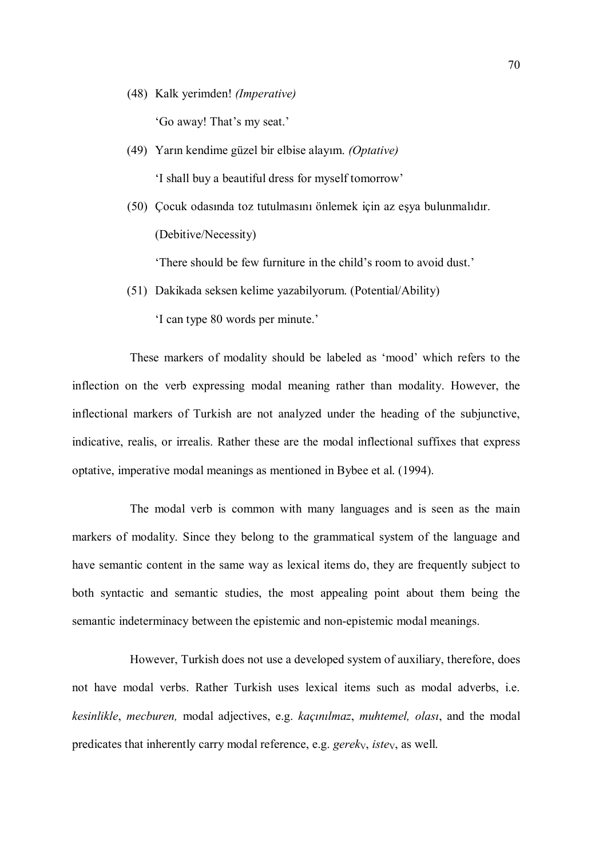(48) Kalk yerimden! (Imperative)

'Go away! That's my seat.'

- (49) Yarın kendime güzel bir elbise alayım. (Optative) 'I shall buy a beautiful dress for myself tomorrow'
- (50) Çocuk odasında toz tutulmasını önlemek için az eşya bulunmalıdır. (Debitive/Necessity)

'There should be few furniture in the child's room to avoid dust.'

(51) Dakikada seksen kelime yazabilyorum. (Potential/Ability)

'I can type 80 words per minute.'

These markers of modality should be labeled as 'mood' which refers to the inflection on the verb expressing modal meaning rather than modality. However, the inflectional markers of Turkish are not analyzed under the heading of the subjunctive, indicative, realis, or irrealis. Rather these are the modal inflectional suffixes that express optative, imperative modal meanings as mentioned in Bybee et al. (1994).

The modal verb is common with many languages and is seen as the main markers of modality. Since they belong to the grammatical system of the language and have semantic content in the same way as lexical items do, they are frequently subject to both syntactic and semantic studies, the most appealing point about them being the semantic indeterminacy between the epistemic and non-epistemic modal meanings.

However, Turkish does not use a developed system of auxiliary, therefore, does not have modal verbs. Rather Turkish uses lexical items such as modal adverbs, i.e. kesinlikle, mecburen, modal adjectives, e.g. kaçınılmaz, muhtemel, olası, and the modal predicates that inherently carry modal reference, e.g. gereky, istey, as well.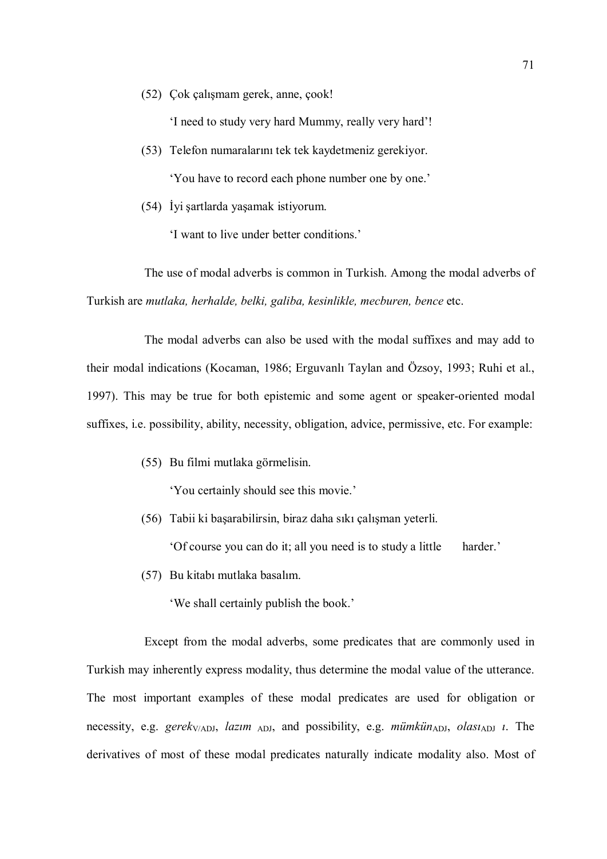(52) Çok çalışmam gerek, anne, çook!

'I need to study very hard Mummy, really very hard'!

- (53) Telefon numaralarını tek tek kaydetmeniz gerekiyor. 'You have to record each phone number one by one.'
- (54) İyi şartlarda yaşamak istiyorum.

'I want to live under better conditions.'

The use of modal adverbs is common in Turkish. Among the modal adverbs of Turkish are mutlaka, herhalde, belki, galiba, kesinlikle, mecburen, bence etc.

The modal adverbs can also be used with the modal suffixes and may add to their modal indications (Kocaman, 1986; Erguvanlı Taylan and Özsoy, 1993; Ruhi et al., 1997). This may be true for both epistemic and some agent or speaker-oriented modal suffixes, i.e. possibility, ability, necessity, obligation, advice, permissive, etc. For example:

(55) Bu filmi mutlaka görmelisin.

'You certainly should see this movie.'

(56) Tabii ki başarabilirsin, biraz daha sıkı çalışman yeterli.

'Of course you can do it; all you need is to study a little harder.'

(57) Bu kitabı mutlaka basalım.

'We shall certainly publish the book.'

Except from the modal adverbs, some predicates that are commonly used in Turkish may inherently express modality, thus determine the modal value of the utterance. The most important examples of these modal predicates are used for obligation or necessity, e.g. gerek $_{V/ADJ}$ , lazım <sub>ADJ</sub>, and possibility, e.g. mümkün<sub>ADJ</sub>, olası<sub>ADJ</sub> *i*. The derivatives of most of these modal predicates naturally indicate modality also. Most of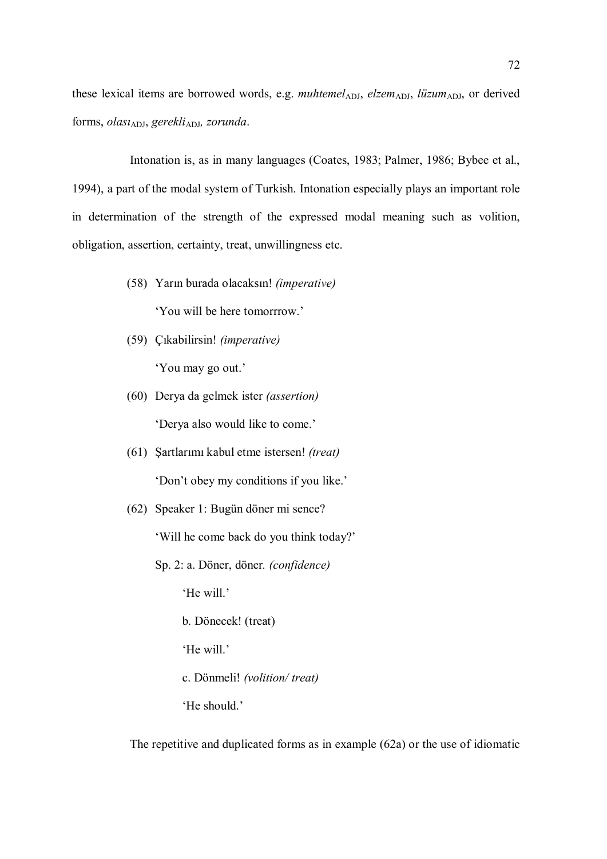these lexical items are borrowed words, e.g. muhtemel<sub>ADJ</sub>, elzem<sub>ADJ</sub>, lüzum<sub>ADJ</sub>, or derived forms, olas $u_{ADJ}$ , gerekli<sub>ADJ</sub>, zorunda.

Intonation is, as in many languages (Coates, 1983; Palmer, 1986; Bybee et al., 1994), a part of the modal system of Turkish. Intonation especially plays an important role in determination of the strength of the expressed modal meaning such as volition, obligation, assertion, certainty, treat, unwillingness etc.

- (58) Yarın burada olacaksın! (imperative) 'You will be here tomorrrow.'
- (59) Çıkabilirsin! (imperative) 'You may go out.'
- (60) Derya da gelmek ister (assertion) 'Derya also would like to come.'
- (61) Şartlarımı kabul etme istersen! (treat) 'Don't obey my conditions if you like.'
- (62) Speaker 1: Bugün döner mi sence?

'Will he come back do you think today?'

Sp. 2: a. Döner, döner. (confidence)

'He will.'

b. Dönecek! (treat)

'He will.'

c. Dönmeli! (volition/ treat)

'He should.'

The repetitive and duplicated forms as in example (62a) or the use of idiomatic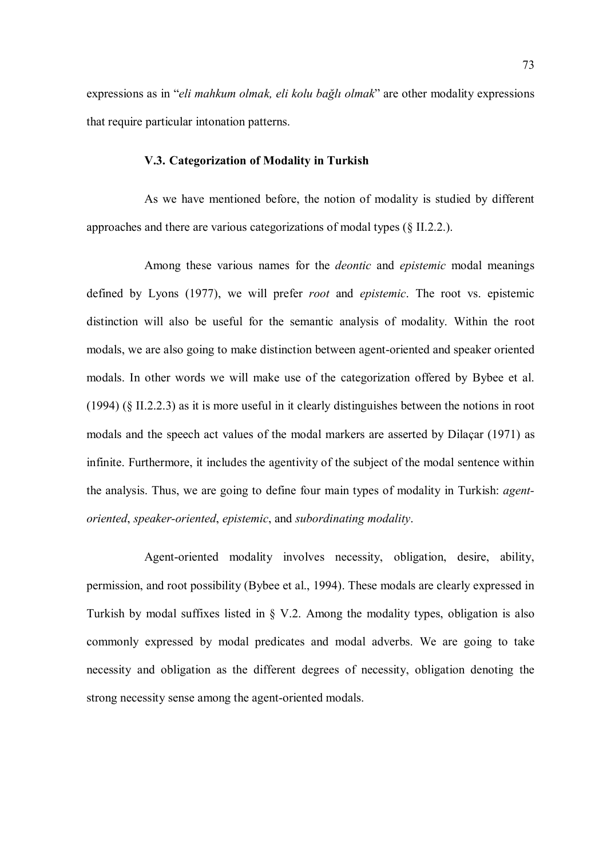expressions as in "eli mahkum olmak, eli kolu bağlı olmak" are other modality expressions that require particular intonation patterns.

### V.3. Categorization of Modality in Turkish

As we have mentioned before, the notion of modality is studied by different approaches and there are various categorizations of modal types (§ II.2.2.).

Among these various names for the deontic and epistemic modal meanings defined by Lyons (1977), we will prefer root and epistemic. The root vs. epistemic distinction will also be useful for the semantic analysis of modality. Within the root modals, we are also going to make distinction between agent-oriented and speaker oriented modals. In other words we will make use of the categorization offered by Bybee et al. (1994) (§ II.2.2.3) as it is more useful in it clearly distinguishes between the notions in root modals and the speech act values of the modal markers are asserted by Dilaçar (1971) as infinite. Furthermore, it includes the agentivity of the subject of the modal sentence within the analysis. Thus, we are going to define four main types of modality in Turkish: agentoriented, speaker-oriented, epistemic, and subordinating modality.

Agent-oriented modality involves necessity, obligation, desire, ability, permission, and root possibility (Bybee et al., 1994). These modals are clearly expressed in Turkish by modal suffixes listed in § V.2. Among the modality types, obligation is also commonly expressed by modal predicates and modal adverbs. We are going to take necessity and obligation as the different degrees of necessity, obligation denoting the strong necessity sense among the agent-oriented modals.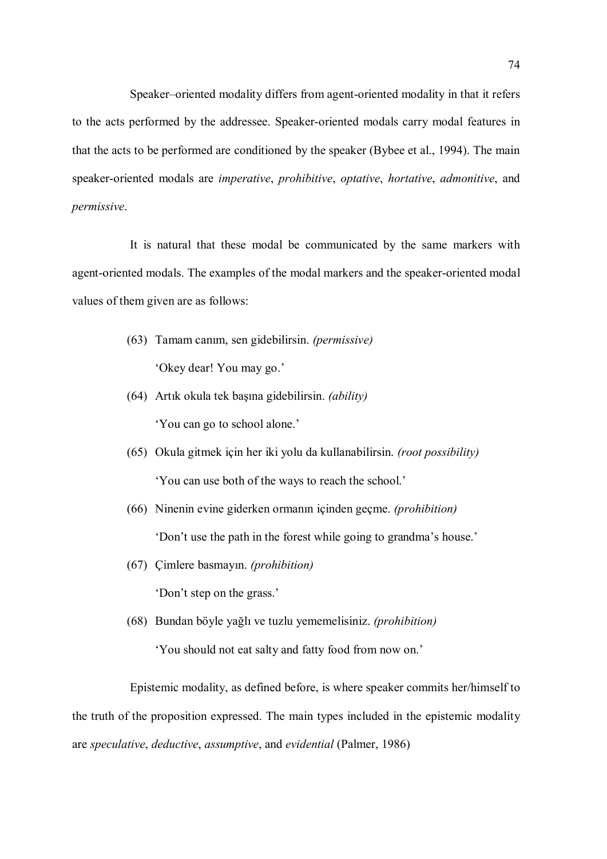Speaker–oriented modality differs from agent-oriented modality in that it refers to the acts performed by the addressee. Speaker-oriented modals carry modal features in that the acts to be performed are conditioned by the speaker (Bybee et al., 1994). The main speaker-oriented modals are imperative, prohibitive, optative, hortative, admonitive, and permissive.

It is natural that these modal be communicated by the same markers with agent-oriented modals. The examples of the modal markers and the speaker-oriented modal values of them given are as follows:

- (63) Tamam canım, sen gidebilirsin. (permissive) 'Okey dear! You may go.'
- (64) Artık okula tek başına gidebilirsin. (ability) 'You can go to school alone.'
- (65) Okula gitmek için her iki yolu da kullanabilirsin. (root possibility) 'You can use both of the ways to reach the school.'
- (66) Ninenin evine giderken ormanın içinden geçme. (prohibition) 'Don't use the path in the forest while going to grandma's house.'
- (67) Çimlere basmayın. (prohibition)

'Don't step on the grass.'

(68) Bundan böyle yağlı ve tuzlu yememelisiniz. (prohibition)

'You should not eat salty and fatty food from now on.'

Epistemic modality, as defined before, is where speaker commits her/himself to the truth of the proposition expressed. The main types included in the epistemic modality are speculative, deductive, assumptive, and evidential (Palmer, 1986)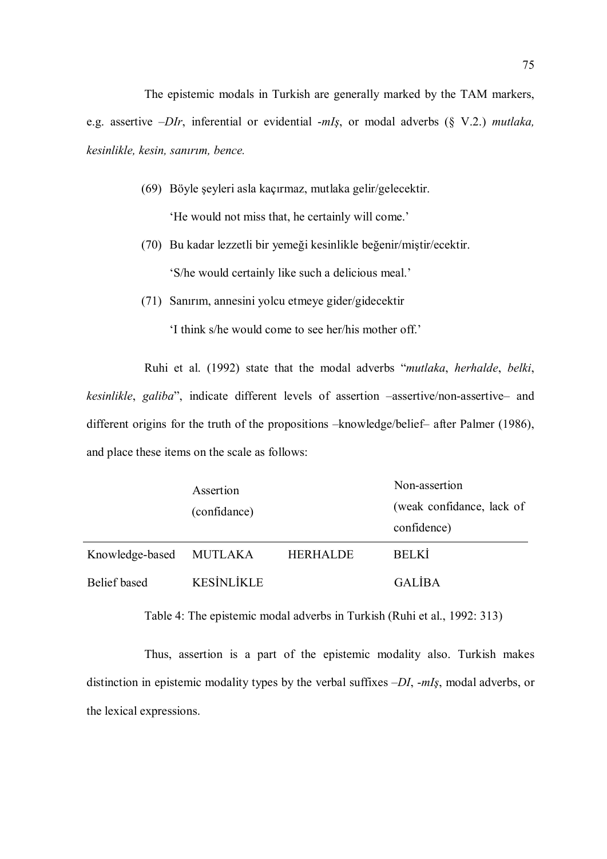The epistemic modals in Turkish are generally marked by the TAM markers, e.g. assertive  $-DIr$ , inferential or evidential  $-mIs$ , or modal adverbs (§ V.2.) mutlaka, kesinlikle, kesin, sanırım, bence.

- (69) Böyle şeyleri asla kaçırmaz, mutlaka gelir/gelecektir. 'He would not miss that, he certainly will come.'
- (70) Bu kadar lezzetli bir yemeği kesinlikle beğenir/miştir/ecektir. 'S/he would certainly like such a delicious meal.'
- (71) Sanırım, annesini yolcu etmeye gider/gidecektir

'I think s/he would come to see her/his mother off.'

Ruhi et al. (1992) state that the modal adverbs "mutlaka, herhalde, belki, kesinlikle, galiba", indicate different levels of assertion –assertive/non-assertive– and different origins for the truth of the propositions –knowledge/belief– after Palmer (1986), and place these items on the scale as follows:

|                         | Assertion<br>(confidance) |                 | Non-assertion<br>(weak confidance, lack of<br>confidence) |
|-------------------------|---------------------------|-----------------|-----------------------------------------------------------|
| Knowledge-based MUTLAKA |                           | <b>HERHALDE</b> | <b>BELKI</b>                                              |
| Belief based            | <b>KESİNLİKLE</b>         |                 | <b>GALIBA</b>                                             |

Table 4: The epistemic modal adverbs in Turkish (Ruhi et al., 1992: 313)

Thus, assertion is a part of the epistemic modality also. Turkish makes distinction in epistemic modality types by the verbal suffixes  $-DI$ , -mIş, modal adverbs, or the lexical expressions.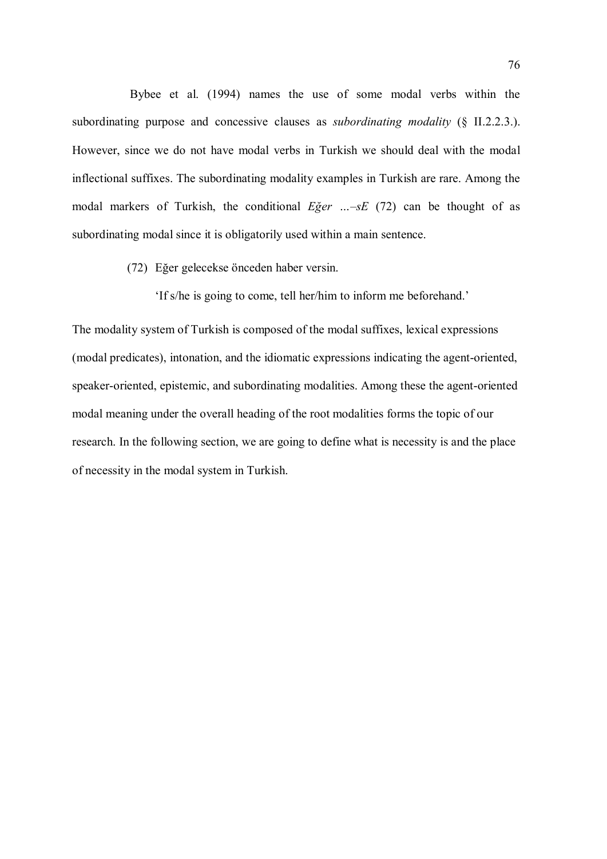Bybee et al. (1994) names the use of some modal verbs within the subordinating purpose and concessive clauses as *subordinating modality* (§ II.2.2.3.). However, since we do not have modal verbs in Turkish we should deal with the modal inflectional suffixes. The subordinating modality examples in Turkish are rare. Among the modal markers of Turkish, the conditional  $E\zeta e r$  ...  $-sE$  (72) can be thought of as subordinating modal since it is obligatorily used within a main sentence.

(72) Eğer gelecekse önceden haber versin.

'If s/he is going to come, tell her/him to inform me beforehand.'

The modality system of Turkish is composed of the modal suffixes, lexical expressions (modal predicates), intonation, and the idiomatic expressions indicating the agent-oriented, speaker-oriented, epistemic, and subordinating modalities. Among these the agent-oriented modal meaning under the overall heading of the root modalities forms the topic of our research. In the following section, we are going to define what is necessity is and the place of necessity in the modal system in Turkish.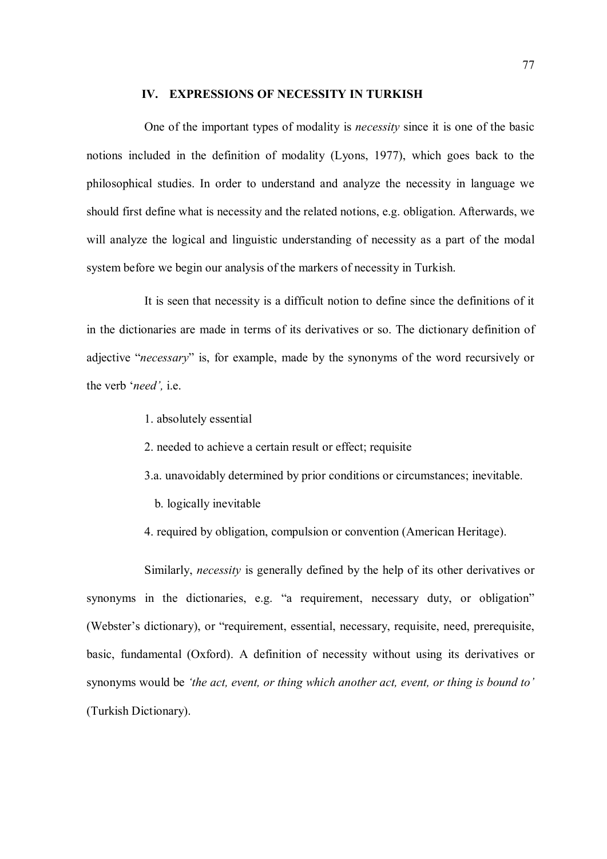#### IV. EXPRESSIONS OF NECESSITY IN TURKISH

One of the important types of modality is necessity since it is one of the basic notions included in the definition of modality (Lyons, 1977), which goes back to the philosophical studies. In order to understand and analyze the necessity in language we should first define what is necessity and the related notions, e.g. obligation. Afterwards, we will analyze the logical and linguistic understanding of necessity as a part of the modal system before we begin our analysis of the markers of necessity in Turkish.

It is seen that necessity is a difficult notion to define since the definitions of it in the dictionaries are made in terms of its derivatives or so. The dictionary definition of adjective "necessary" is, for example, made by the synonyms of the word recursively or the verb 'need', i.e.

- 1. absolutely essential
- 2. needed to achieve a certain result or effect; requisite
- 3.a. unavoidably determined by prior conditions or circumstances; inevitable.
	- b. logically inevitable
- 4. required by obligation, compulsion or convention (American Heritage).

Similarly, necessity is generally defined by the help of its other derivatives or synonyms in the dictionaries, e.g. "a requirement, necessary duty, or obligation" (Webster's dictionary), or "requirement, essential, necessary, requisite, need, prerequisite, basic, fundamental (Oxford). A definition of necessity without using its derivatives or synonyms would be 'the act, event, or thing which another act, event, or thing is bound to' (Turkish Dictionary).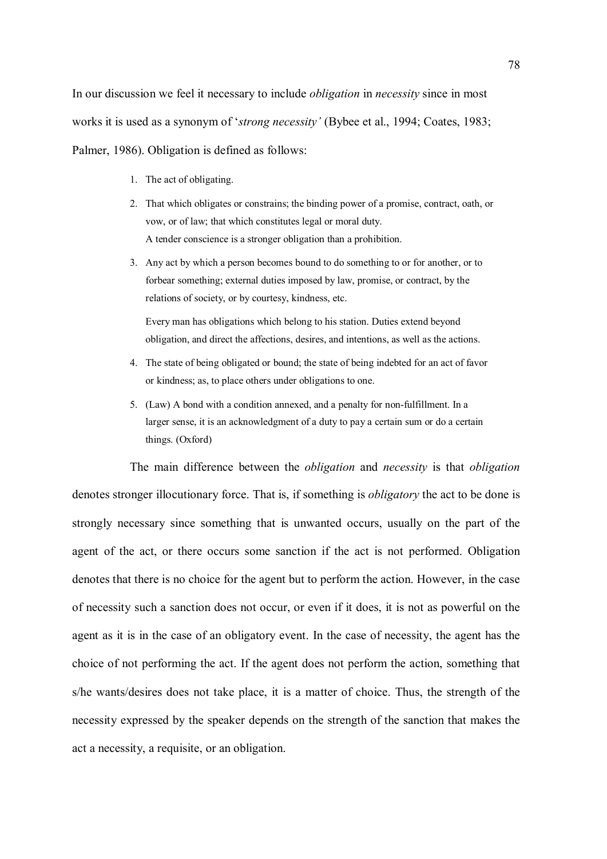In our discussion we feel it necessary to include *obligation* in *necessity* since in most works it is used as a synonym of 'strong necessity' (Bybee et al., 1994; Coates, 1983; Palmer, 1986). Obligation is defined as follows:

- 1. The act of obligating.
- 2. That which obligates or constrains; the binding power of a promise, contract, oath, or vow, or of law; that which constitutes legal or moral duty. A tender conscience is a stronger obligation than a prohibition.
- 3. Any act by which a person becomes bound to do something to or for another, or to forbear something; external duties imposed by law, promise, or contract, by the relations of society, or by courtesy, kindness, etc.

 Every man has obligations which belong to his station. Duties extend beyond obligation, and direct the affections, desires, and intentions, as well as the actions.

- 4. The state of being obligated or bound; the state of being indebted for an act of favor or kindness; as, to place others under obligations to one.
- 5. (Law) A bond with a condition annexed, and a penalty for non-fulfillment. In a larger sense, it is an acknowledgment of a duty to pay a certain sum or do a certain things. (Oxford)

The main difference between the *obligation* and *necessity* is that *obligation* denotes stronger illocutionary force. That is, if something is *obligatory* the act to be done is strongly necessary since something that is unwanted occurs, usually on the part of the agent of the act, or there occurs some sanction if the act is not performed. Obligation denotes that there is no choice for the agent but to perform the action. However, in the case of necessity such a sanction does not occur, or even if it does, it is not as powerful on the agent as it is in the case of an obligatory event. In the case of necessity, the agent has the choice of not performing the act. If the agent does not perform the action, something that s/he wants/desires does not take place, it is a matter of choice. Thus, the strength of the necessity expressed by the speaker depends on the strength of the sanction that makes the act a necessity, a requisite, or an obligation.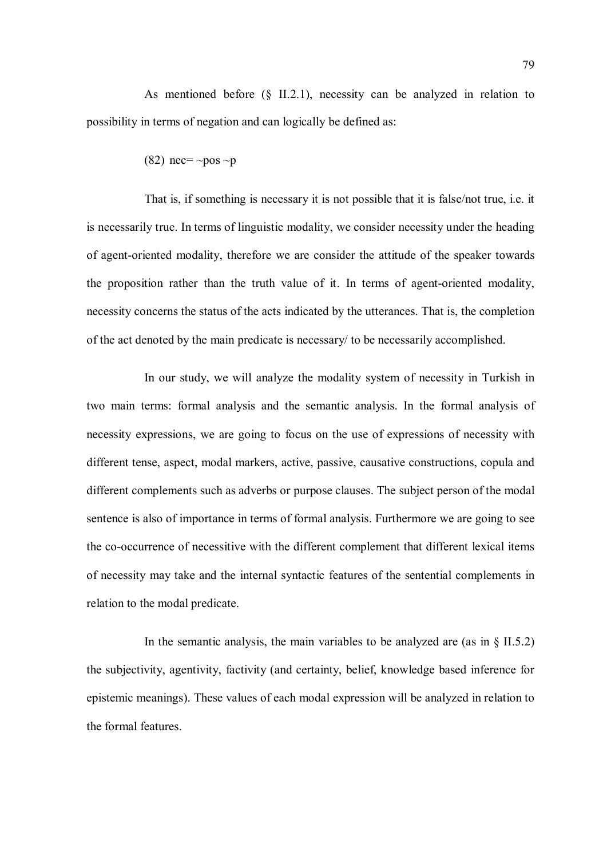As mentioned before (§ II.2.1), necessity can be analyzed in relation to possibility in terms of negation and can logically be defined as:

(82) nec= $\sim$ pos  $\sim$ p

That is, if something is necessary it is not possible that it is false/not true, i.e. it is necessarily true. In terms of linguistic modality, we consider necessity under the heading of agent-oriented modality, therefore we are consider the attitude of the speaker towards the proposition rather than the truth value of it. In terms of agent-oriented modality, necessity concerns the status of the acts indicated by the utterances. That is, the completion of the act denoted by the main predicate is necessary/ to be necessarily accomplished.

In our study, we will analyze the modality system of necessity in Turkish in two main terms: formal analysis and the semantic analysis. In the formal analysis of necessity expressions, we are going to focus on the use of expressions of necessity with different tense, aspect, modal markers, active, passive, causative constructions, copula and different complements such as adverbs or purpose clauses. The subject person of the modal sentence is also of importance in terms of formal analysis. Furthermore we are going to see the co-occurrence of necessitive with the different complement that different lexical items of necessity may take and the internal syntactic features of the sentential complements in relation to the modal predicate.

In the semantic analysis, the main variables to be analyzed are (as in  $\S$  II.5.2) the subjectivity, agentivity, factivity (and certainty, belief, knowledge based inference for epistemic meanings). These values of each modal expression will be analyzed in relation to the formal features.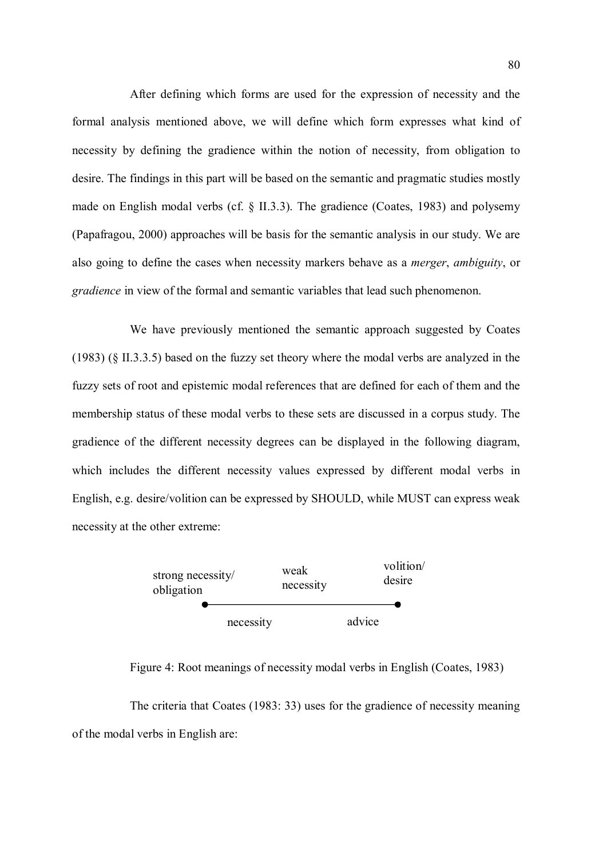After defining which forms are used for the expression of necessity and the formal analysis mentioned above, we will define which form expresses what kind of necessity by defining the gradience within the notion of necessity, from obligation to desire. The findings in this part will be based on the semantic and pragmatic studies mostly made on English modal verbs (cf. § II.3.3). The gradience (Coates, 1983) and polysemy (Papafragou, 2000) approaches will be basis for the semantic analysis in our study. We are also going to define the cases when necessity markers behave as a merger, ambiguity, or gradience in view of the formal and semantic variables that lead such phenomenon.

We have previously mentioned the semantic approach suggested by Coates (1983) (§ II.3.3.5) based on the fuzzy set theory where the modal verbs are analyzed in the fuzzy sets of root and epistemic modal references that are defined for each of them and the membership status of these modal verbs to these sets are discussed in a corpus study. The gradience of the different necessity degrees can be displayed in the following diagram, which includes the different necessity values expressed by different modal verbs in English, e.g. desire/volition can be expressed by SHOULD, while MUST can express weak necessity at the other extreme:



Figure 4: Root meanings of necessity modal verbs in English (Coates, 1983)

The criteria that Coates (1983: 33) uses for the gradience of necessity meaning of the modal verbs in English are: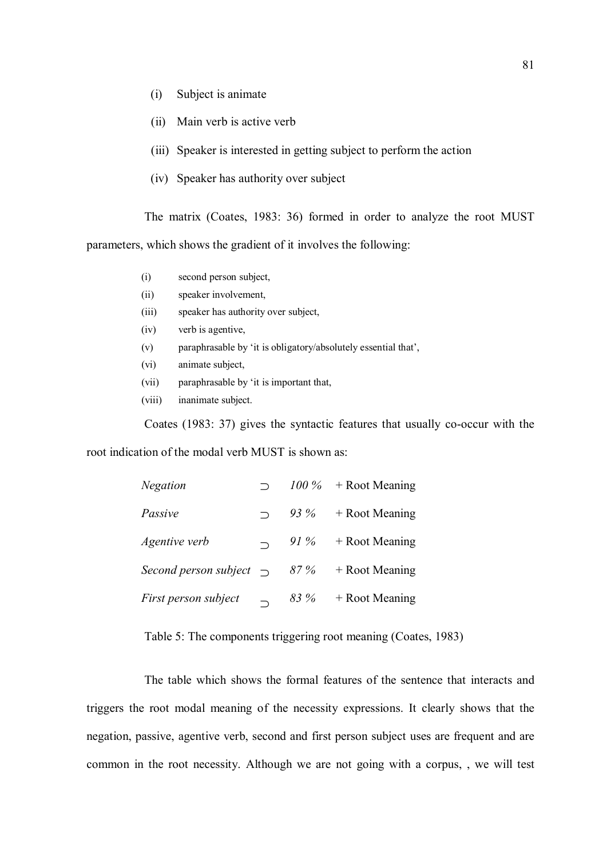- (i) Subject is animate
- (ii) Main verb is active verb
- (iii) Speaker is interested in getting subject to perform the action
- (iv) Speaker has authority over subject

The matrix (Coates, 1983: 36) formed in order to analyze the root MUST parameters, which shows the gradient of it involves the following:

- (i) second person subject,
- (ii) speaker involvement,
- (iii) speaker has authority over subject,
- (iv) verb is agentive,
- (v) paraphrasable by 'it is obligatory/absolutely essential that',
- (vi) animate subject,
- (vii) paraphrasable by 'it is important that,
- (viii) inanimate subject.

Coates (1983: 37) gives the syntactic features that usually co-occur with the

root indication of the modal verb MUST is shown as:

| Negation                                           |      | $100\%$ + Root Meaning |
|----------------------------------------------------|------|------------------------|
| Passive                                            |      | 93 % + Root Meaning    |
| Agentive verb                                      |      | 91 % + Root Meaning    |
| Second person subject $\bigcap$ 87% + Root Meaning |      |                        |
| First person subject                               | 83 % | + Root Meaning         |

Table 5: The components triggering root meaning (Coates, 1983)

The table which shows the formal features of the sentence that interacts and triggers the root modal meaning of the necessity expressions. It clearly shows that the negation, passive, agentive verb, second and first person subject uses are frequent and are common in the root necessity. Although we are not going with a corpus, , we will test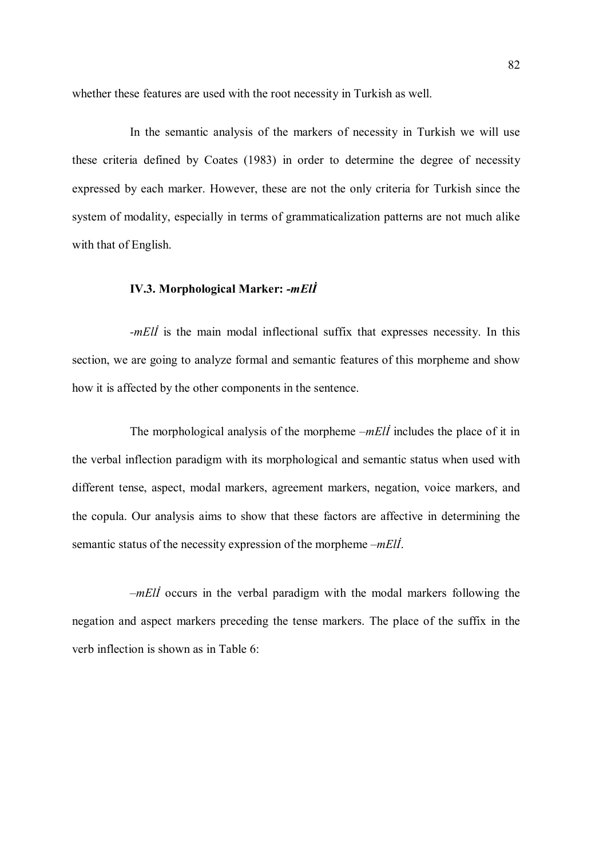whether these features are used with the root necessity in Turkish as well.

In the semantic analysis of the markers of necessity in Turkish we will use these criteria defined by Coates (1983) in order to determine the degree of necessity expressed by each marker. However, these are not the only criteria for Turkish since the system of modality, especially in terms of grammaticalization patterns are not much alike with that of English.

## IV.3. Morphological Marker: -mElİ

-mEll is the main modal inflectional suffix that expresses necessity. In this section, we are going to analyze formal and semantic features of this morpheme and show how it is affected by the other components in the sentence.

The morphological analysis of the morpheme  $-mE\ddot{\theta}$  includes the place of it in the verbal inflection paradigm with its morphological and semantic status when used with different tense, aspect, modal markers, agreement markers, negation, voice markers, and the copula. Our analysis aims to show that these factors are affective in determining the semantic status of the necessity expression of the morpheme –mEll.

 $-mE\ddot{\theta}$  occurs in the verbal paradigm with the modal markers following the negation and aspect markers preceding the tense markers. The place of the suffix in the verb inflection is shown as in Table 6: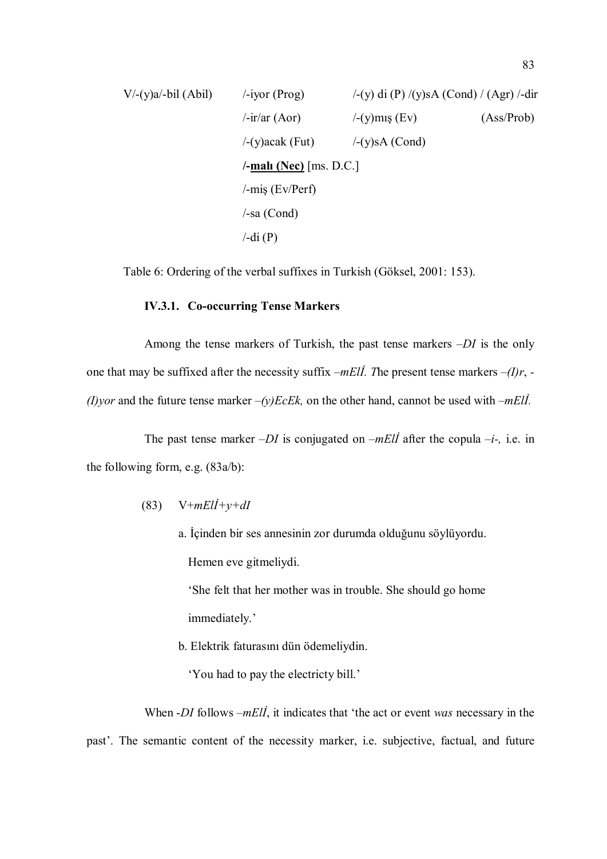V/-(y)a/-bil (Abil) /-iyor (Prog) /-(y) di (P) /(y)sA (Cond) / (Agr) /-dir /-ir/ar (Aor) /-(y)mış (Ev) (Ass/Prob) /-(y)acak (Fut) /-(y)sA (Cond) /-malı (Nec) [ms. D.C.] /-miş (Ev/Perf) /-sa (Cond) /-di (P)

Table 6: Ordering of the verbal suffixes in Turkish (Göksel, 2001: 153).

#### IV.3.1. Co-occurring Tense Markers

Among the tense markers of Turkish, the past tense markers  $-DI$  is the only one that may be suffixed after the necessity suffix  $-mEll$ . The present tense markers  $-(1)r$ , -(I)yor and the future tense marker  $-(y)EcEk$ , on the other hand, cannot be used with  $-mEli$ .

The past tense marker  $-DI$  is conjugated on  $-mEII$  after the copula  $-i$ -, i.e. in the following form, e.g. (83a/b):

- (83)  $V+mEll+j+dl$ 
	- a. İçinden bir ses annesinin zor durumda olduğunu söylüyordu. Hemen eve gitmeliydi.

 'She felt that her mother was in trouble. She should go home immediately.'

b. Elektrik faturasını dün ödemeliydin.

'You had to pay the electricty bill.'

When -DI follows –mEll, it indicates that 'the act or event was necessary in the past'. The semantic content of the necessity marker, i.e. subjective, factual, and future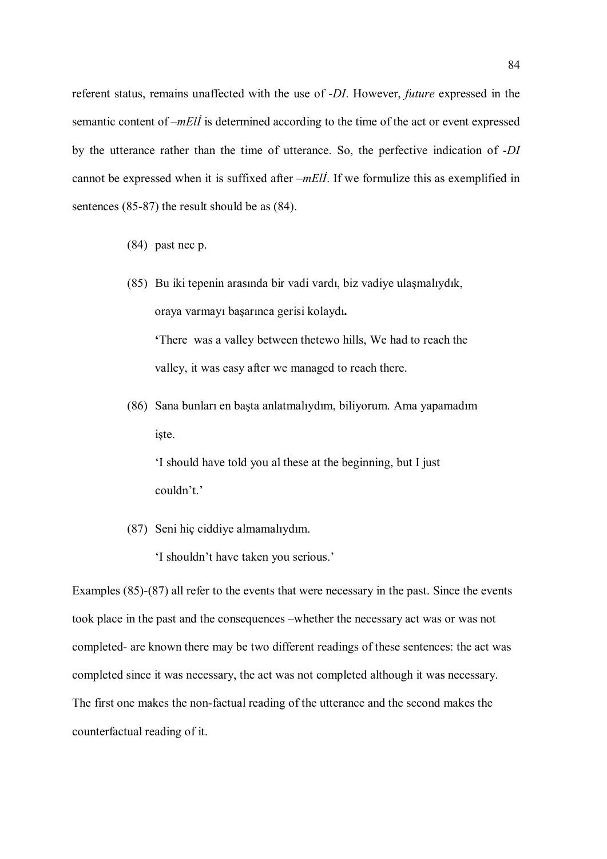referent status, remains unaffected with the use of -DI. However, future expressed in the semantic content of –*mEll* is determined according to the time of the act or event expressed by the utterance rather than the time of utterance. So, the perfective indication of -DI cannot be expressed when it is suffixed after –mElİ. If we formulize this as exemplified in sentences (85-87) the result should be as (84).

- (84) past nec p.
- (85) Bu iki tepenin arasında bir vadi vardı, biz vadiye ulaşmalıydık, oraya varmayı başarınca gerisi kolaydı.

'There was a valley between thetewo hills, We had to reach the valley, it was easy after we managed to reach there.

(86) Sana bunları en başta anlatmalıydım, biliyorum. Ama yapamadım işte.

 'I should have told you al these at the beginning, but I just couldn't.'

(87) Seni hiç ciddiye almamalıydım.

'I shouldn't have taken you serious.'

Examples (85)-(87) all refer to the events that were necessary in the past. Since the events took place in the past and the consequences –whether the necessary act was or was not completed- are known there may be two different readings of these sentences: the act was completed since it was necessary, the act was not completed although it was necessary. The first one makes the non-factual reading of the utterance and the second makes the counterfactual reading of it.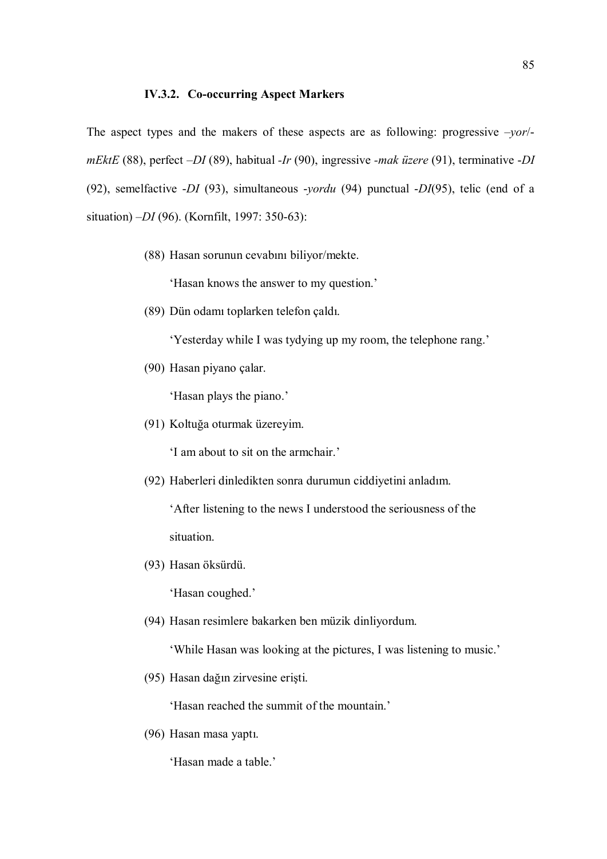#### IV.3.2. Co-occurring Aspect Markers

The aspect types and the makers of these aspects are as following: progressive  $-vor$ mEktE (88), perfect  $-DI(89)$ , habitual -Ir (90), ingressive -mak üzere (91), terminative -DI (92), semelfactive -DI (93), simultaneous -yordu (94) punctual -DI(95), telic (end of a situation) –DI (96). (Kornfilt, 1997: 350-63):

(88) Hasan sorunun cevabını biliyor/mekte.

'Hasan knows the answer to my question.'

(89) Dün odamı toplarken telefon çaldı.

'Yesterday while I was tydying up my room, the telephone rang.'

(90) Hasan piyano çalar.

'Hasan plays the piano.'

(91) Koltuğa oturmak üzereyim.

'I am about to sit on the armchair.'

(92) Haberleri dinledikten sonra durumun ciddiyetini anladım.

 'After listening to the news I understood the seriousness of the situation.

(93) Hasan öksürdü.

'Hasan coughed.'

(94) Hasan resimlere bakarken ben müzik dinliyordum.

'While Hasan was looking at the pictures, I was listening to music.'

(95) Hasan dağın zirvesine erişti.

'Hasan reached the summit of the mountain.'

(96) Hasan masa yaptı.

'Hasan made a table.'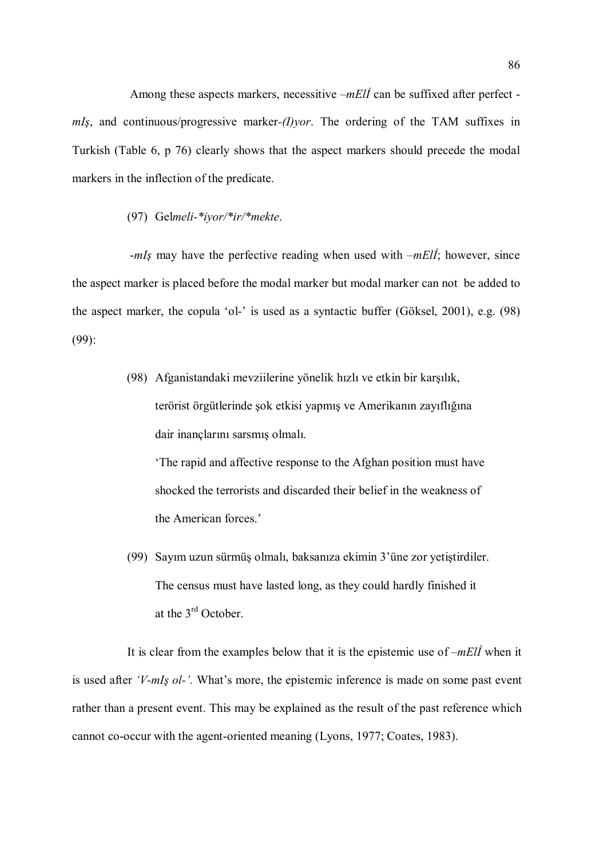Among these aspects markers, necessitive –mElİ can be suffixed after perfect  $mI<sub>S</sub>$ , and continuous/progressive marker-(*I*)*yor*. The ordering of the TAM suffixes in Turkish (Table 6, p 76) clearly shows that the aspect markers should precede the modal markers in the inflection of the predicate.

## (97) Gelmeli-\*iyor/\*ir/\*mekte.

 $-mI<sub>S</sub>$  may have the perfective reading when used with  $-mEII$ ; however, since the aspect marker is placed before the modal marker but modal marker can not be added to the aspect marker, the copula 'ol-' is used as a syntactic buffer (Göksel, 2001), e.g. (98) (99):

> (98) Afganistandaki mevziilerine yönelik hızlı ve etkin bir karşılık, terörist örgütlerinde şok etkisi yapmış ve Amerikanın zayıflığına dair inançlarını sarsmış olmalı.

 'The rapid and affective response to the Afghan position must have shocked the terrorists and discarded their belief in the weakness of the American forces.'

(99) Sayım uzun sürmüş olmalı, baksanıza ekimin 3'üne zor yetiştirdiler. The census must have lasted long, as they could hardly finished it at the 3rd October.

It is clear from the examples below that it is the epistemic use of  $-mEll$  when it is used after 'V-mIş ol-'. What's more, the epistemic inference is made on some past event rather than a present event. This may be explained as the result of the past reference which cannot co-occur with the agent-oriented meaning (Lyons, 1977; Coates, 1983).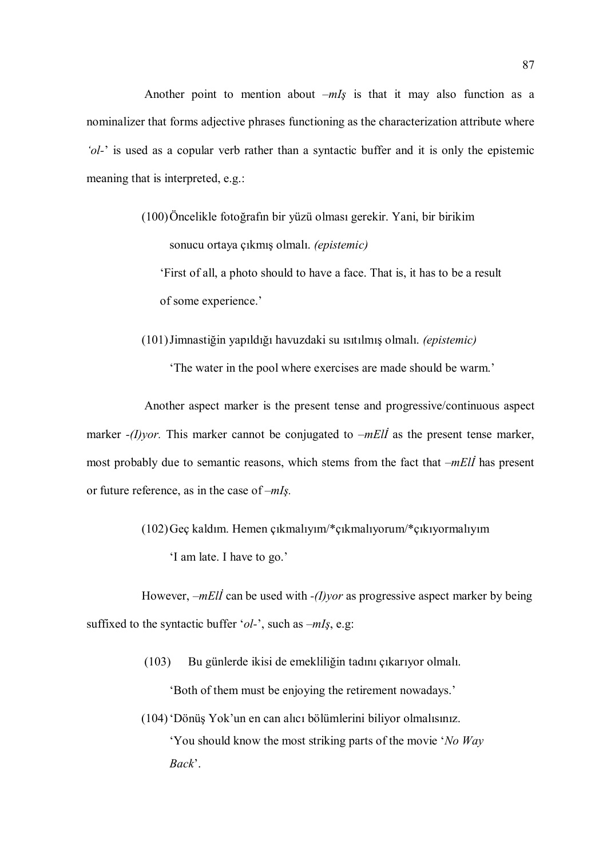Another point to mention about  $-mI<sub>S</sub>$  is that it may also function as a nominalizer that forms adjective phrases functioning as the characterization attribute where 'ol-' is used as a copular verb rather than a syntactic buffer and it is only the epistemic meaning that is interpreted, e.g.:

- (100)Öncelikle fotoğrafın bir yüzü olması gerekir. Yani, bir birikim sonucu ortaya çıkmış olmalı. (epistemic) 'First of all, a photo should to have a face. That is, it has to be a result of some experience.'
- (101)Jimnastiğin yapıldığı havuzdaki su ısıtılmış olmalı. (epistemic)

'The water in the pool where exercises are made should be warm.'

Another aspect marker is the present tense and progressive/continuous aspect marker  $-(I)$ *yor*. This marker cannot be conjugated to  $-mEll$  as the present tense marker, most probably due to semantic reasons, which stems from the fact that  $-mE/I$  has present or future reference, as in the case of  $-mI<sub>S</sub>$ .

(102)Geç kaldım. Hemen çıkmalıyım/\*çıkmalıyorum/\*çıkıyormalıyım

'I am late. I have to go.'

However,  $-mEll$  can be used with  $-(I)$ *yor* as progressive aspect marker by being suffixed to the syntactic buffer ' $ol$ -', such as  $-mI<sub>S</sub>$ , e.g.

- (103) Bu günlerde ikisi de emekliliğin tadını çıkarıyor olmalı. 'Both of them must be enjoying the retirement nowadays.'
- (104)'Dönüş Yok'un en can alıcı bölümlerini biliyor olmalısınız. 'You should know the most striking parts of the movie 'No Way Back'.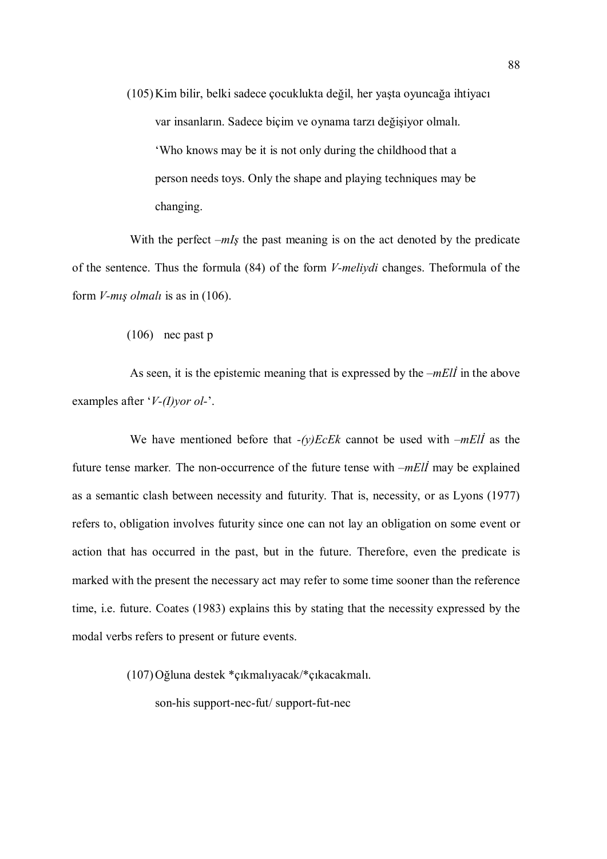(105)Kim bilir, belki sadece çocuklukta değil, her yaşta oyuncağa ihtiyacı var insanların. Sadece biçim ve oynama tarzı değişiyor olmalı. 'Who knows may be it is not only during the childhood that a person needs toys. Only the shape and playing techniques may be changing.

With the perfect  $-mI<sub>S</sub>$  the past meaning is on the act denoted by the predicate of the sentence. Thus the formula (84) of the form V-meliydi changes. Theformula of the form V-mış olmalı is as in (106).

(106) nec past p

As seen, it is the epistemic meaning that is expressed by the  $-mEll$  in the above examples after ' $V-(I)$ *yor ol*-'.

We have mentioned before that  $-(y)EcEk$  cannot be used with  $-mEli$  as the future tense marker. The non-occurrence of the future tense with  $-mE\ddot{I}$  may be explained as a semantic clash between necessity and futurity. That is, necessity, or as Lyons (1977) refers to, obligation involves futurity since one can not lay an obligation on some event or action that has occurred in the past, but in the future. Therefore, even the predicate is marked with the present the necessary act may refer to some time sooner than the reference time, i.e. future. Coates (1983) explains this by stating that the necessity expressed by the modal verbs refers to present or future events.

(107)Oğluna destek \*çıkmalıyacak/\*çıkacakmalı.

son-his support-nec-fut/ support-fut-nec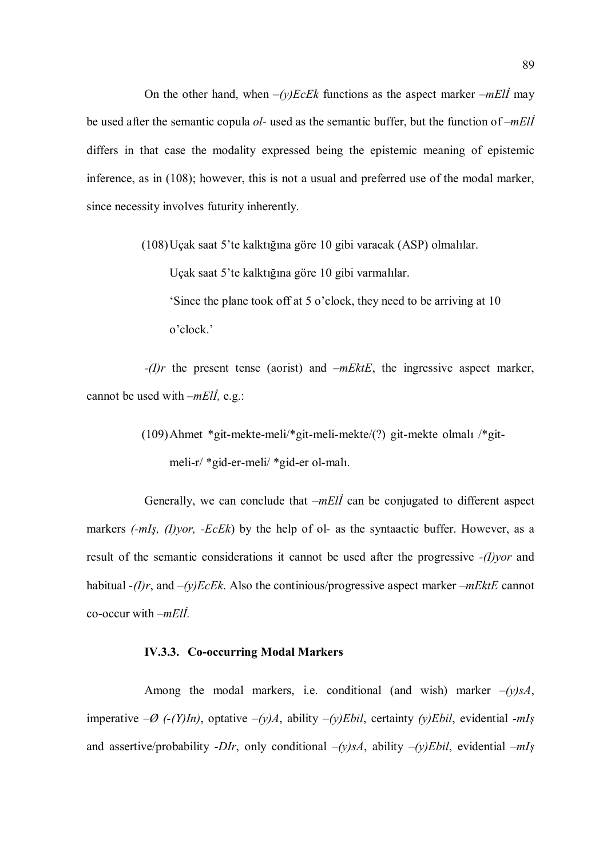On the other hand, when  $-(y)EcEk$  functions as the aspect marker  $-mE\ddot{\theta}$  may be used after the semantic copula  $ol$ -used as the semantic buffer, but the function of  $-mEll$ differs in that case the modality expressed being the epistemic meaning of epistemic inference, as in (108); however, this is not a usual and preferred use of the modal marker, since necessity involves futurity inherently.

(108)Uçak saat 5'te kalktığına göre 10 gibi varacak (ASP) olmalılar.

Uçak saat 5'te kalktığına göre 10 gibi varmalılar.

 'Since the plane took off at 5 o'clock, they need to be arriving at 10 o'clock.'

 $-(I)r$  the present tense (aorist) and  $-mEktE$ , the ingressive aspect marker, cannot be used with  $-mEll$ , e.g.:

> (109)Ahmet \*git-mekte-meli/\*git-meli-mekte/(?) git-mekte olmalı /\*git meli-r/ \*gid-er-meli/ \*gid-er ol-malı.

Generally, we can conclude that  $-mEll$  can be conjugated to different aspect markers  $(-mI<sub>S</sub>, (I)<sub>Y</sub>or, -EcEk)$  by the help of ol- as the syntaactic buffer. However, as a result of the semantic considerations it cannot be used after the progressive -(I)yor and habitual  $-(I)r$ , and  $-(v)EcEk$ . Also the continious/progressive aspect marker  $-mEktE$  cannot co-occur with  $-mEll$ .

### IV.3.3. Co-occurring Modal Markers

Among the modal markers, i.e. conditional (and wish) marker  $-(y)sA$ , imperative  $-\varnothing$  (-(Y)In), optative  $-(y)A$ , ability  $-(y)Ebil$ , certainty (y)Ebil, evidential -mIs and assertive/probability -DIr, only conditional  $-(y)sA$ , ability  $-(y)Ebil$ , evidential  $-mIs$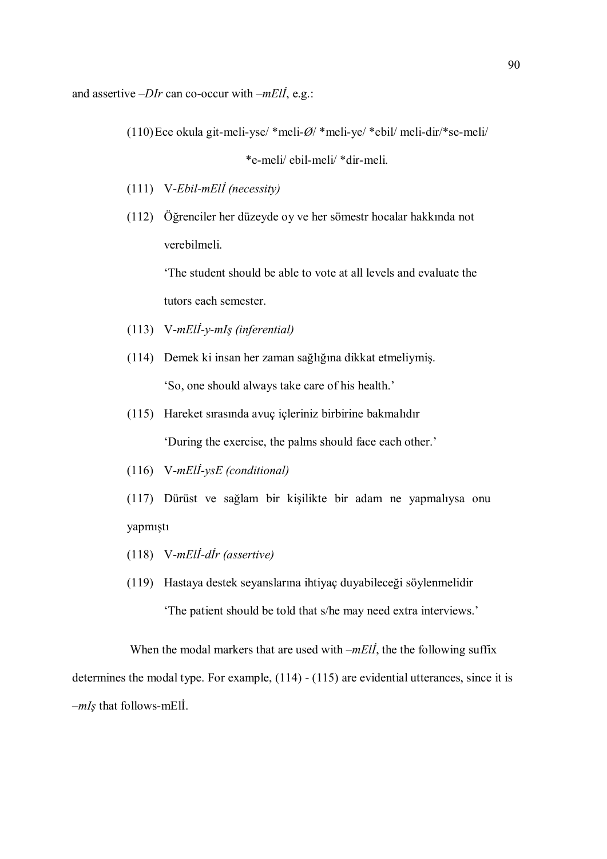and assertive  $-DIr$  can co-occur with  $-mEll$ , e.g.:

(110)Ece okula git-meli-yse/ \*meli- $\varnothing$ / \*meli-ye/ \*ebil/ meli-dir/\*se-meli/

\*e-meli/ ebil-meli/ \*dir-meli.

- (111) V-Ebil-mElİ (necessity)
- (112) Öğrenciler her düzeyde oy ve her sömestr hocalar hakkında not verebilmeli.

 'The student should be able to vote at all levels and evaluate the tutors each semester.

- (113) V-mElİ-y-mIş (inferential)
- (114) Demek ki insan her zaman sağlığına dikkat etmeliymiş. 'So, one should always take care of his health.'
- (115) Hareket sırasında avuç içleriniz birbirine bakmalıdır 'During the exercise, the palms should face each other.'
- (116) V-mElİ-ysE (conditional)
- (117) Dürüst ve sağlam bir kişilikte bir adam ne yapmalıysa onu yapmıştı
- (118) V-mElİ-dİr (assertive)
- (119) Hastaya destek seyanslarına ihtiyaç duyabileceği söylenmelidir 'The patient should be told that s/he may need extra interviews.'

When the modal markers that are used with  $-mE\ddot{i}$ , the the following suffix determines the modal type. For example, (114) - (115) are evidential utterances, since it is  $-mI<sub>s</sub>$  that follows-mEll.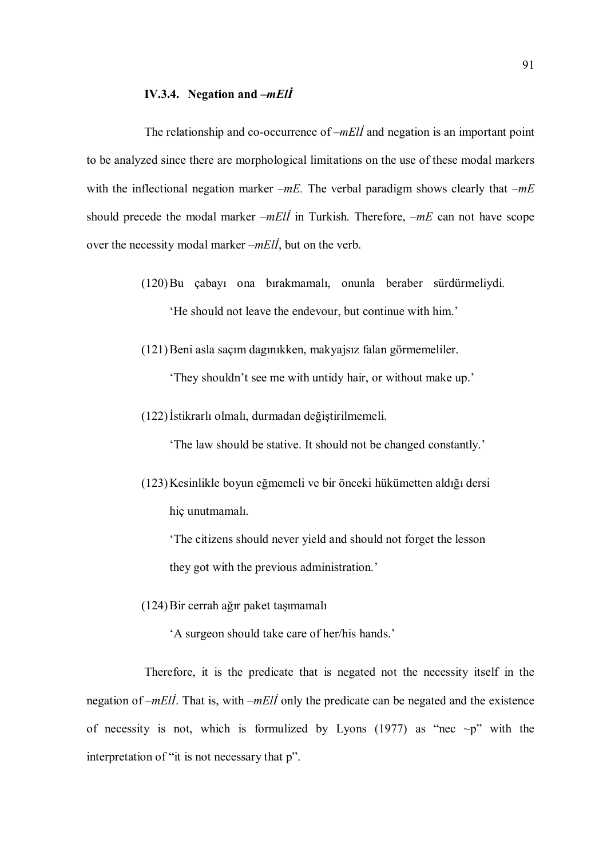#### IV.3.4. Negation and  $-mE\ddot{I}$

The relationship and co-occurrence of  $-mE\ddot{\theta}$  and negation is an important point to be analyzed since there are morphological limitations on the use of these modal markers with the inflectional negation marker  $-mE$ . The verbal paradigm shows clearly that  $-mE$ should precede the modal marker  $-mE\ddot{\theta}$  in Turkish. Therefore,  $-mE$  can not have scope over the necessity modal marker  $-mE\ddot{\theta}$ , but on the verb.

> (120)Bu çabayı ona bırakmamalı, onunla beraber sürdürmeliydi. 'He should not leave the endevour, but continue with him.'

(121)Beni asla saçım dagınıkken, makyajsız falan görmemeliler.

'They shouldn't see me with untidy hair, or without make up.'

(122)İstikrarlı olmalı, durmadan değiştirilmemeli.

'The law should be stative. It should not be changed constantly.'

(123)Kesinlikle boyun eğmemeli ve bir önceki hükümetten aldığı dersi hiç unutmamalı.

 'The citizens should never yield and should not forget the lesson they got with the previous administration.'

(124)Bir cerrah ağır paket taşımamalı

'A surgeon should take care of her/his hands.'

Therefore, it is the predicate that is negated not the necessity itself in the negation of  $-mE/I$ . That is, with  $-mEII$  only the predicate can be negated and the existence of necessity is not, which is formulized by Lyons (1977) as "nec  $\neg p$ " with the interpretation of "it is not necessary that p".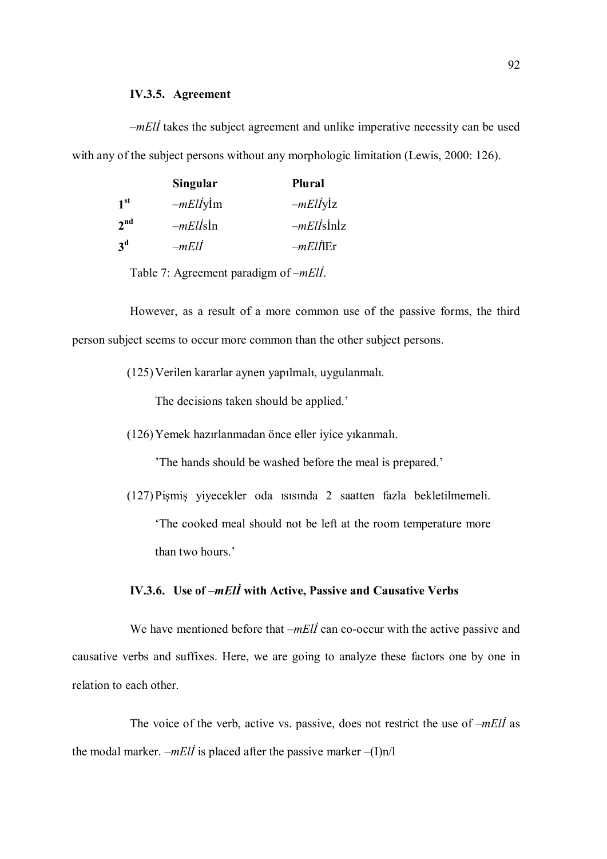#### IV.3.5. Agreement

 $-mE\ddot{\mu}$  takes the subject agreement and unlike imperative necessity can be used with any of the subject persons without any morphologic limitation (Lewis, 2000: 126).

|                 | <b>Singular</b>        | <b>Plural</b>  |
|-----------------|------------------------|----------------|
| 1 <sup>st</sup> | $-mEl\dot{I}y\dot{I}m$ | $-mElI$ ylz    |
| 2 <sup>nd</sup> | $-mEll\sin$            | $-mEll\sinh z$ |
| 3 <sup>d</sup>  | $-mEll$                | $-mEll$ ler    |

Table 7: Agreement paradigm of –mElİ.

However, as a result of a more common use of the passive forms, the third person subject seems to occur more common than the other subject persons.

(125)Verilen kararlar aynen yapılmalı, uygulanmalı.

The decisions taken should be applied.'

(126)Yemek hazırlanmadan önce eller iyice yıkanmalı.

'The hands should be washed before the meal is prepared.'

(127)Pişmiş yiyecekler oda ısısında 2 saatten fazla bekletilmemeli. 'The cooked meal should not be left at the room temperature more than two hours.'

# IV.3.6. Use of –mElİ with Active, Passive and Causative Verbs

We have mentioned before that  $-mEll$  can co-occur with the active passive and causative verbs and suffixes. Here, we are going to analyze these factors one by one in relation to each other.

The voice of the verb, active vs. passive, does not restrict the use of  $-mEli$  as the modal marker. –*mEll* is placed after the passive marker –(I)n/l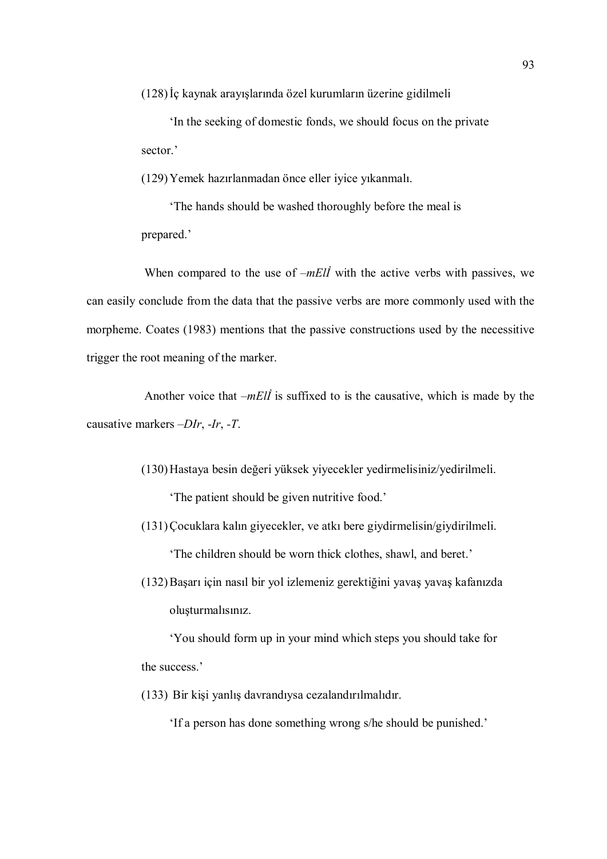(128)İç kaynak arayışlarında özel kurumların üzerine gidilmeli

 'In the seeking of domestic fonds, we should focus on the private sector<sup>'</sup>

(129)Yemek hazırlanmadan önce eller iyice yıkanmalı.

 'The hands should be washed thoroughly before the meal is prepared.'

When compared to the use of  $-mEll$  with the active verbs with passives, we can easily conclude from the data that the passive verbs are more commonly used with the morpheme. Coates (1983) mentions that the passive constructions used by the necessitive trigger the root meaning of the marker.

Another voice that  $-mEll$  is suffixed to is the causative, which is made by the causative markers –DIr, -Ir, -T.

(130)Hastaya besin değeri yüksek yiyecekler yedirmelisiniz/yedirilmeli.

'The patient should be given nutritive food.'

(131)Çocuklara kalın giyecekler, ve atkı bere giydirmelisin/giydirilmeli. 'The children should be worn thick clothes, shawl, and beret.'

(132)Başarı için nasıl bir yol izlemeniz gerektiğini yavaş yavaş kafanızda oluşturmalısınız.

 'You should form up in your mind which steps you should take for the success.'

(133) Bir kişi yanlış davrandıysa cezalandırılmalıdır.

'If a person has done something wrong s/he should be punished.'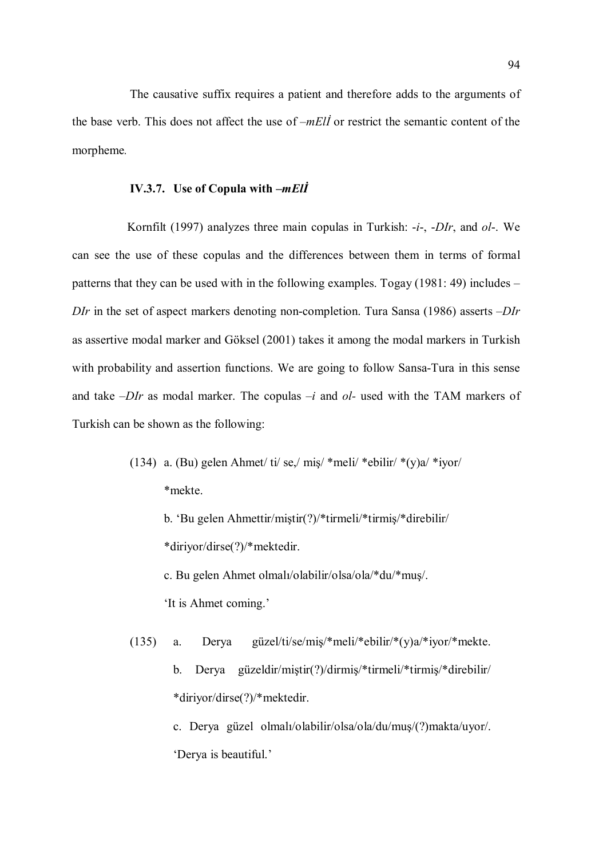The causative suffix requires a patient and therefore adds to the arguments of the base verb. This does not affect the use of  $-mEll$  or restrict the semantic content of the morpheme.

## IV.3.7. Use of Copula with –mElİ

Kornfilt (1997) analyzes three main copulas in Turkish: -*i*-, -*DIr*, and *ol*-. We can see the use of these copulas and the differences between them in terms of formal patterns that they can be used with in the following examples. Togay (1981: 49) includes –  $DIr$  in the set of aspect markers denoting non-completion. Tura Sansa (1986) asserts  $-DIr$ as assertive modal marker and Göksel (2001) takes it among the modal markers in Turkish with probability and assertion functions. We are going to follow Sansa-Tura in this sense and take  $-DIr$  as modal marker. The copulas  $-i$  and  $ol$ - used with the TAM markers of Turkish can be shown as the following:

> (134) a. (Bu) gelen Ahmet/ ti/ se,/ miş/ \*meli/ \*ebilir/ \*(y)a/ \*iyor/ \*mekte.

b. 'Bu gelen Ahmettir/miştir(?)/\*tirmeli/\*tirmiş/\*direbilir/

c. Bu gelen Ahmet olmalı/olabilir/olsa/ola/\*du/\*muş/.

'It is Ahmet coming.'

\*diriyor/dirse(?)/\*mektedir.

(135) a. Derya güzel/ti/se/miş/\*meli/\*ebilir/\*(y)a/\*iyor/\*mekte. b. Derya güzeldir/miştir(?)/dirmiş/\*tirmeli/\*tirmiş/\*direbilir/ \*diriyor/dirse(?)/\*mektedir.

 c. Derya güzel olmalı/olabilir/olsa/ola/du/muş/(?)makta/uyor/. 'Derya is beautiful.'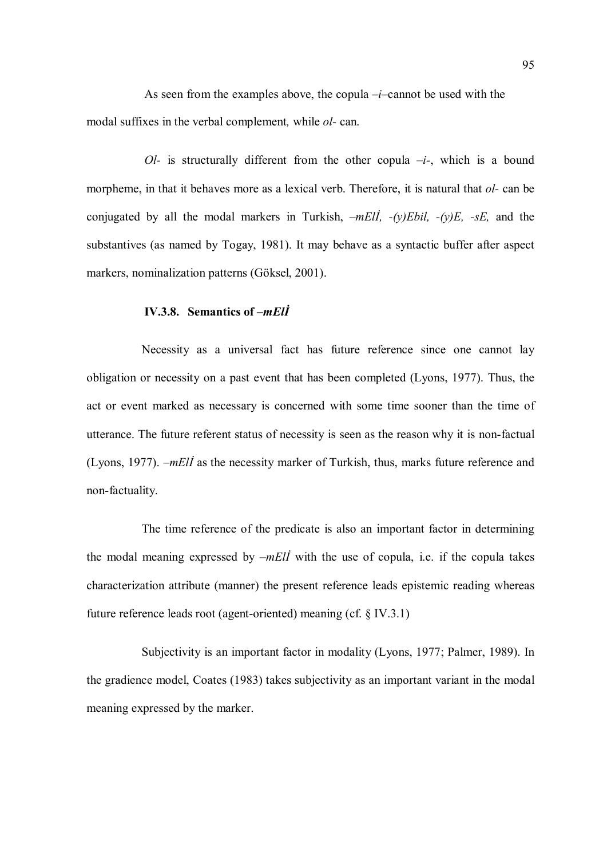As seen from the examples above, the copula  $-i$ –cannot be used with the modal suffixes in the verbal complement, while ol- can.

Ol- is structurally different from the other copula  $-i$ -, which is a bound morpheme, in that it behaves more as a lexical verb. Therefore, it is natural that *ol*- can be conjugated by all the modal markers in Turkish,  $-mEll$ ,  $-(v)Ebil$ ,  $-(v)E$ ,  $-sE$ , and the substantives (as named by Togay, 1981). It may behave as a syntactic buffer after aspect markers, nominalization patterns (Göksel, 2001).

## IV.3.8. Semantics of –mElİ

Necessity as a universal fact has future reference since one cannot lay obligation or necessity on a past event that has been completed (Lyons, 1977). Thus, the act or event marked as necessary is concerned with some time sooner than the time of utterance. The future referent status of necessity is seen as the reason why it is non-factual (Lyons, 1977). –mElİ as the necessity marker of Turkish, thus, marks future reference and non-factuality.

The time reference of the predicate is also an important factor in determining the modal meaning expressed by  $-mEll$  with the use of copula, i.e. if the copula takes characterization attribute (manner) the present reference leads epistemic reading whereas future reference leads root (agent-oriented) meaning (cf. § IV.3.1)

Subjectivity is an important factor in modality (Lyons, 1977; Palmer, 1989). In the gradience model, Coates (1983) takes subjectivity as an important variant in the modal meaning expressed by the marker.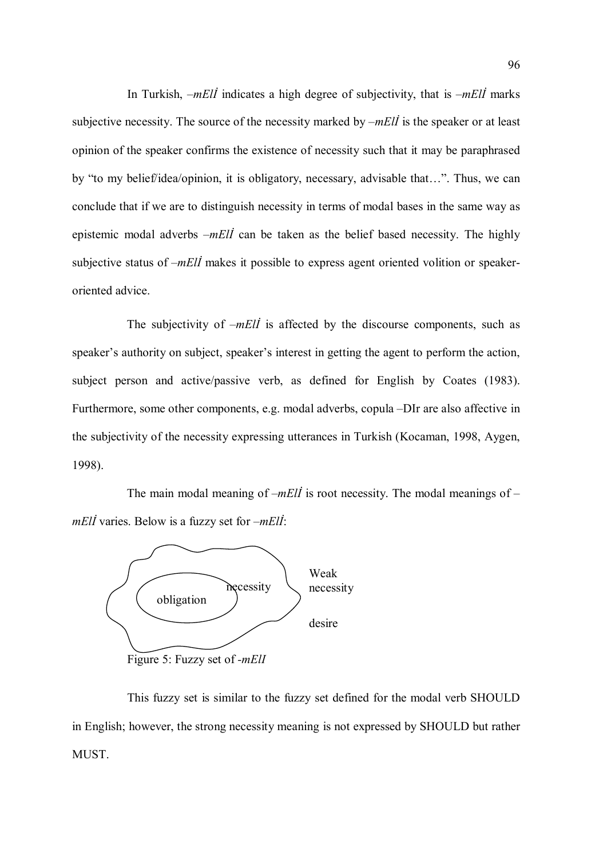In Turkish,  $-mE\ddot{\theta}$  indicates a high degree of subjectivity, that is  $-mE\ddot{\theta}$  marks subjective necessity. The source of the necessity marked by  $-mE\ddot{l}$  is the speaker or at least opinion of the speaker confirms the existence of necessity such that it may be paraphrased by "to my belief/idea/opinion, it is obligatory, necessary, advisable that…". Thus, we can conclude that if we are to distinguish necessity in terms of modal bases in the same way as epistemic modal adverbs  $-mEll$  can be taken as the belief based necessity. The highly subjective status of  $-mEll$  makes it possible to express agent oriented volition or speakeroriented advice.

The subjectivity of  $-mEll$  is affected by the discourse components, such as speaker's authority on subject, speaker's interest in getting the agent to perform the action, subject person and active/passive verb, as defined for English by Coates (1983). Furthermore, some other components, e.g. modal adverbs, copula –DIr are also affective in the subjectivity of the necessity expressing utterances in Turkish (Kocaman, 1998, Aygen, 1998).

The main modal meaning of  $-mEll$  is root necessity. The modal meanings of  $$  $mE\ddot{\theta}$  varies. Below is a fuzzy set for  $-mE\ddot{\theta}$ :



Figure 5: Fuzzy set of -*mEll* 

This fuzzy set is similar to the fuzzy set defined for the modal verb SHOULD in English; however, the strong necessity meaning is not expressed by SHOULD but rather MUST.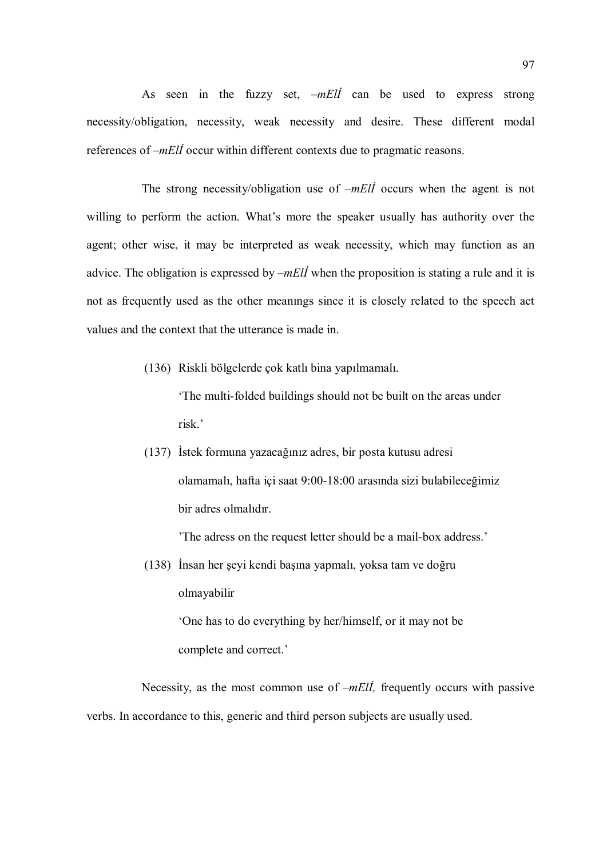As seen in the fuzzy set,  $-mE\vec{l}$  can be used to express strong necessity/obligation, necessity, weak necessity and desire. These different modal references of –*mElI* occur within different contexts due to pragmatic reasons.

The strong necessity/obligation use of  $-mE\ddot{\theta}$  occurs when the agent is not willing to perform the action. What's more the speaker usually has authority over the agent; other wise, it may be interpreted as weak necessity, which may function as an advice. The obligation is expressed by  $-mE/I$  when the proposition is stating a rule and it is not as frequently used as the other meanıngs since it is closely related to the speech act values and the context that the utterance is made in.

(136) Riskli bölgelerde çok katlı bina yapılmamalı.

 'The multi-folded buildings should not be built on the areas under risk.'

(137) İstek formuna yazacağınız adres, bir posta kutusu adresi olamamalı, hafta içi saat 9:00-18:00 arasında sizi bulabileceğimiz bir adres olmalıdır.

'The adress on the request letter should be a mail-box address.'

(138) İnsan her şeyi kendi başına yapmalı, yoksa tam ve doğru olmayabilir 'One has to do everything by her/himself, or it may not be complete and correct.'

Necessity, as the most common use of  $-mE\ddot{\theta}$ , frequently occurs with passive verbs. In accordance to this, generic and third person subjects are usually used.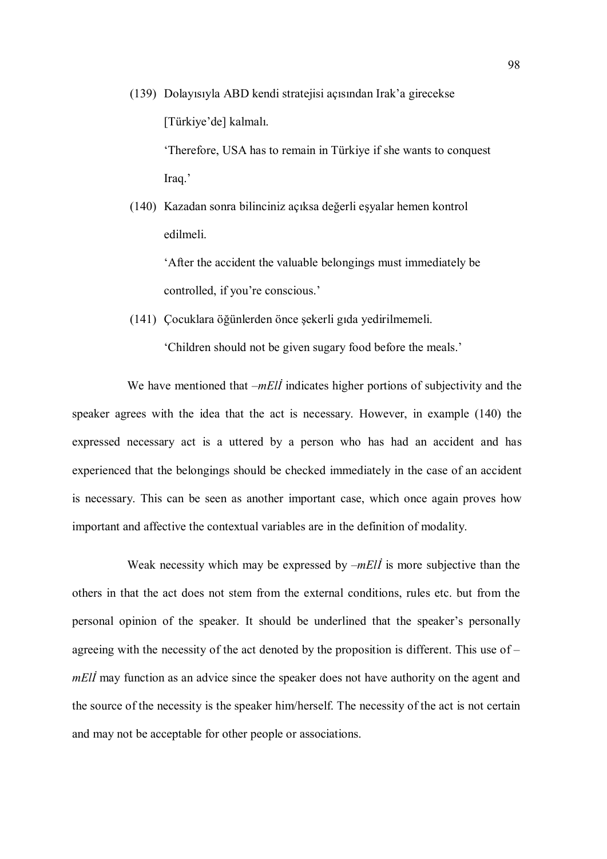(139) Dolayısıyla ABD kendi stratejisi açısından Irak'a girecekse [Türkiye'de] kalmalı.

> 'Therefore, USA has to remain in Türkiye if she wants to conquest Iraq.'

(140) Kazadan sonra bilinciniz açıksa değerli eşyalar hemen kontrol edilmeli.

> 'After the accident the valuable belongings must immediately be controlled, if you're conscious.'

(141) Çocuklara öğünlerden önce şekerli gıda yedirilmemeli.

'Children should not be given sugary food before the meals.'

We have mentioned that  $-mE\vec{l}$  indicates higher portions of subjectivity and the speaker agrees with the idea that the act is necessary. However, in example (140) the expressed necessary act is a uttered by a person who has had an accident and has experienced that the belongings should be checked immediately in the case of an accident is necessary. This can be seen as another important case, which once again proves how important and affective the contextual variables are in the definition of modality.

Weak necessity which may be expressed by  $-mE\ddot{\theta}$  is more subjective than the others in that the act does not stem from the external conditions, rules etc. but from the personal opinion of the speaker. It should be underlined that the speaker's personally agreeing with the necessity of the act denoted by the proposition is different. This use of – mEll may function as an advice since the speaker does not have authority on the agent and the source of the necessity is the speaker him/herself. The necessity of the act is not certain and may not be acceptable for other people or associations.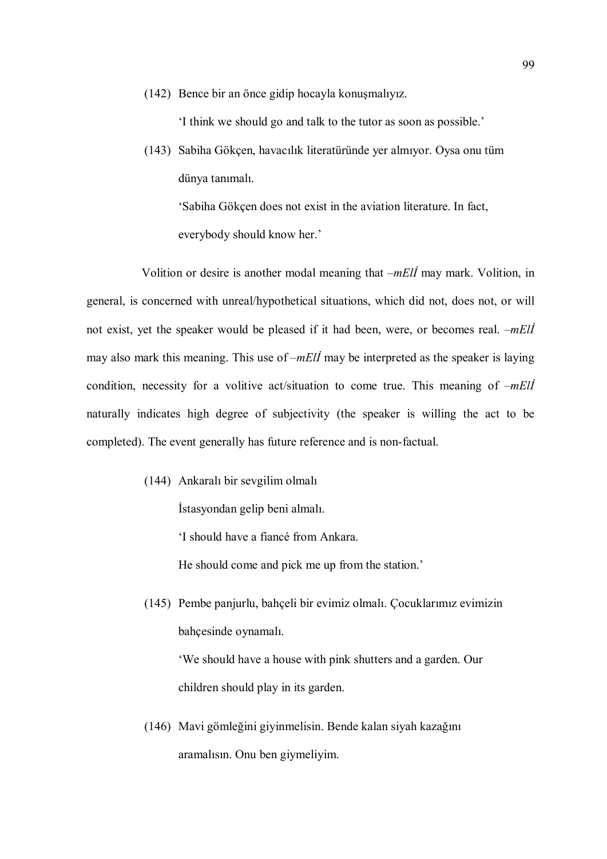(142) Bence bir an önce gidip hocayla konuşmalıyız.

'I think we should go and talk to the tutor as soon as possible.'

(143) Sabiha Gökçen, havacılık literatüründe yer almıyor. Oysa onu tüm dünya tanımalı.

 'Sabiha Gökçen does not exist in the aviation literature. In fact, everybody should know her.'

Volition or desire is another modal meaning that –mElİ may mark. Volition, in general, is concerned with unreal/hypothetical situations, which did not, does not, or will not exist, yet the speaker would be pleased if it had been, were, or becomes real. –*mEll* may also mark this meaning. This use of  $-mE\ddot{l}$  may be interpreted as the speaker is laying condition, necessity for a volitive act/situation to come true. This meaning of  $-mE\ddot{l}$ naturally indicates high degree of subjectivity (the speaker is willing the act to be completed). The event generally has future reference and is non-factual.

(144) Ankaralı bir sevgilim olmalı

İstasyondan gelip beni almalı.

'I should have a fiancé from Ankara.

He should come and pick me up from the station.'

(145) Pembe panjurlu, bahçeli bir evimiz olmalı. Çocuklarımız evimizin bahçesinde oynamalı.

 'We should have a house with pink shutters and a garden. Our children should play in its garden.

(146) Mavi gömleğini giyinmelisin. Bende kalan siyah kazağını aramalısın. Onu ben giymeliyim.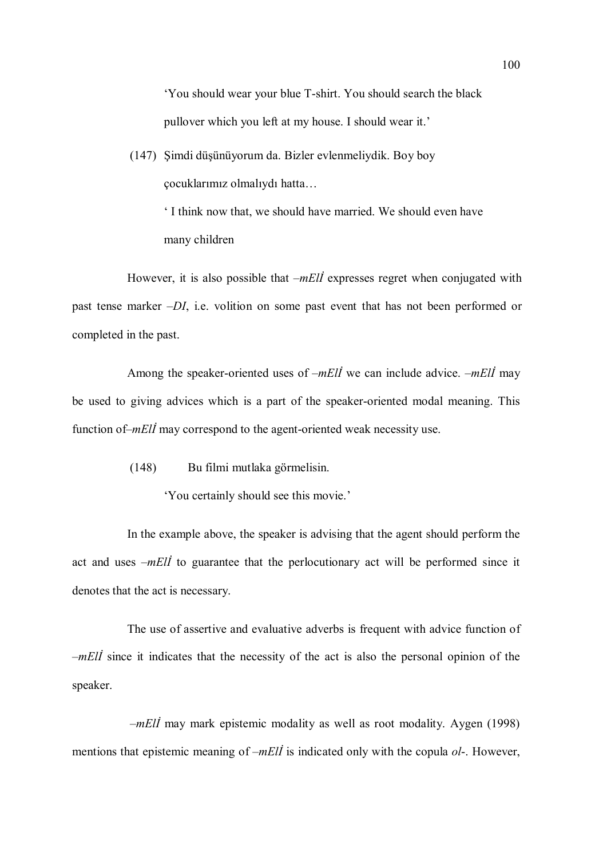'You should wear your blue T-shirt. You should search the black pullover which you left at my house. I should wear it.'

(147) Şimdi düşünüyorum da. Bizler evlenmeliydik. Boy boy çocuklarımız olmalıydı hatta…

> ' I think now that, we should have married. We should even have many children

However, it is also possible that  $-mEll$  expresses regret when conjugated with past tense marker –DI, i.e. volition on some past event that has not been performed or completed in the past.

Among the speaker-oriented uses of  $-mE\ddot{\theta}$  we can include advice.  $-mE\ddot{\theta}$  may be used to giving advices which is a part of the speaker-oriented modal meaning. This function of–*mElI* may correspond to the agent-oriented weak necessity use.

(148) Bu filmi mutlaka görmelisin.

'You certainly should see this movie.'

In the example above, the speaker is advising that the agent should perform the act and uses  $-mE\ddot{i}$  to guarantee that the perlocutionary act will be performed since it denotes that the act is necessary.

The use of assertive and evaluative adverbs is frequent with advice function of  $-mE\ddot{\theta}$  since it indicates that the necessity of the act is also the personal opinion of the speaker.

 $-mE\ddot{\mu}$  may mark epistemic modality as well as root modality. Aygen (1998) mentions that epistemic meaning of  $-mEll$  is indicated only with the copula  $ol$ -. However,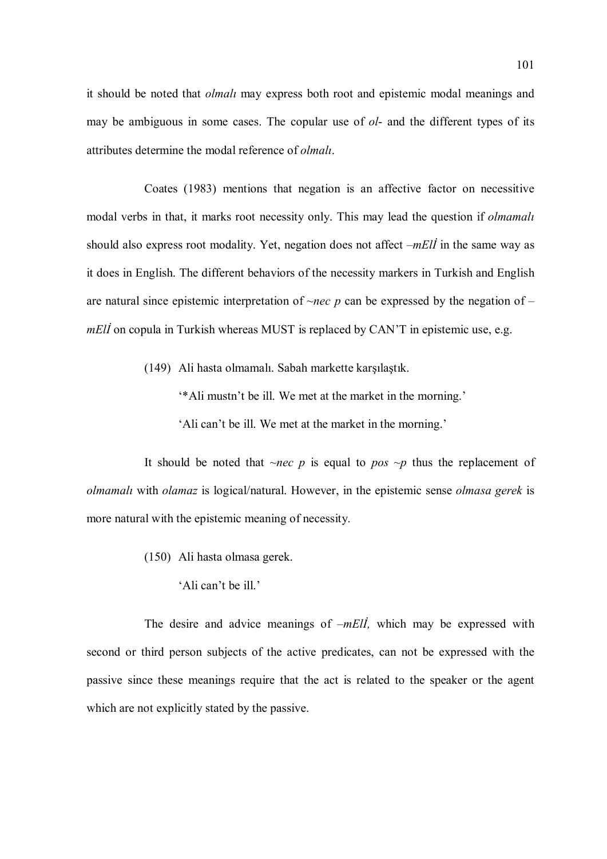it should be noted that olmalı may express both root and epistemic modal meanings and may be ambiguous in some cases. The copular use of *ol*- and the different types of its attributes determine the modal reference of *olmali*.

Coates (1983) mentions that negation is an affective factor on necessitive modal verbs in that, it marks root necessity only. This may lead the question if *olmamali* should also express root modality. Yet, negation does not affect  $-mE\ddot{\mu}$  in the same way as it does in English. The different behaviors of the necessity markers in Turkish and English are natural since epistemic interpretation of  $\sim$ nec p can be expressed by the negation of – mEll on copula in Turkish whereas MUST is replaced by CAN'T in epistemic use, e.g.

(149) Ali hasta olmamalı. Sabah markette karşılaştık.

 '\*Ali mustn't be ill. We met at the market in the morning.' 'Ali can't be ill. We met at the market in the morning.'

It should be noted that  $\sim$ nec p is equal to pos  $\sim$ p thus the replacement of olmamalı with olamaz is logical/natural. However, in the epistemic sense olmasa gerek is more natural with the epistemic meaning of necessity.

- (150) Ali hasta olmasa gerek.
	- 'Ali can't be ill.'

The desire and advice meanings of  $-mEll$ , which may be expressed with second or third person subjects of the active predicates, can not be expressed with the passive since these meanings require that the act is related to the speaker or the agent which are not explicitly stated by the passive.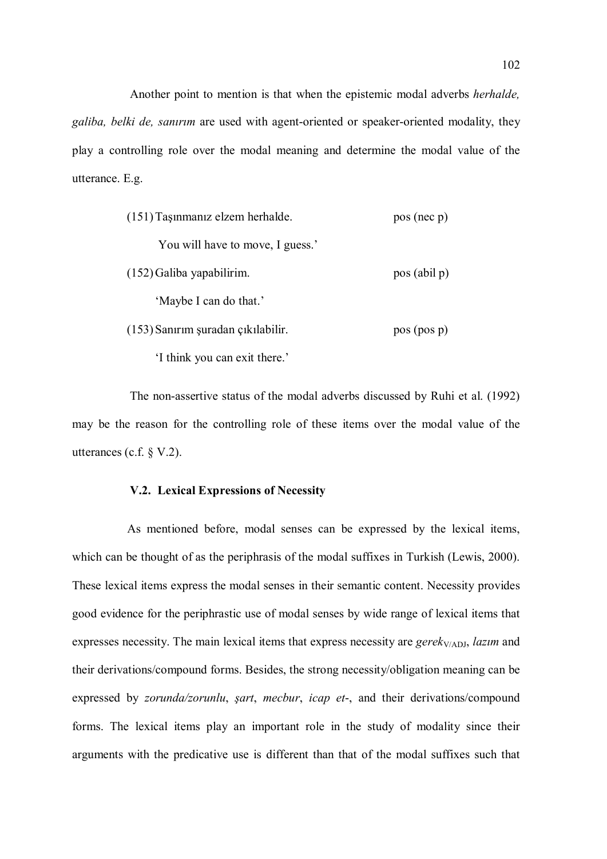Another point to mention is that when the epistemic modal adverbs herhalde, galiba, belki de, sanırım are used with agent-oriented or speaker-oriented modality, they play a controlling role over the modal meaning and determine the modal value of the utterance. E.g.

| (151) Taşınmanız elzem herhalde.   | pos (nec p)  |
|------------------------------------|--------------|
| You will have to move, I guess.'   |              |
| (152) Galiba yapabilirim.          | pos (abil p) |
| 'Maybe I can do that.'             |              |
| (153) Sanırım şuradan çıkılabilir. | pos (pos p)  |

'I think you can exit there.'

The non-assertive status of the modal adverbs discussed by Ruhi et al. (1992) may be the reason for the controlling role of these items over the modal value of the utterances (c.f. § V.2).

# V.2. Lexical Expressions of Necessity

As mentioned before, modal senses can be expressed by the lexical items, which can be thought of as the periphrasis of the modal suffixes in Turkish (Lewis, 2000). These lexical items express the modal senses in their semantic content. Necessity provides good evidence for the periphrastic use of modal senses by wide range of lexical items that expresses necessity. The main lexical items that express necessity are  $gerek<sub>V/ADJ</sub>$ , *lazim* and their derivations/compound forms. Besides, the strong necessity/obligation meaning can be expressed by *zorunda/zorunlu, sart, mecbur, icap et-*, and their derivations/compound forms. The lexical items play an important role in the study of modality since their arguments with the predicative use is different than that of the modal suffixes such that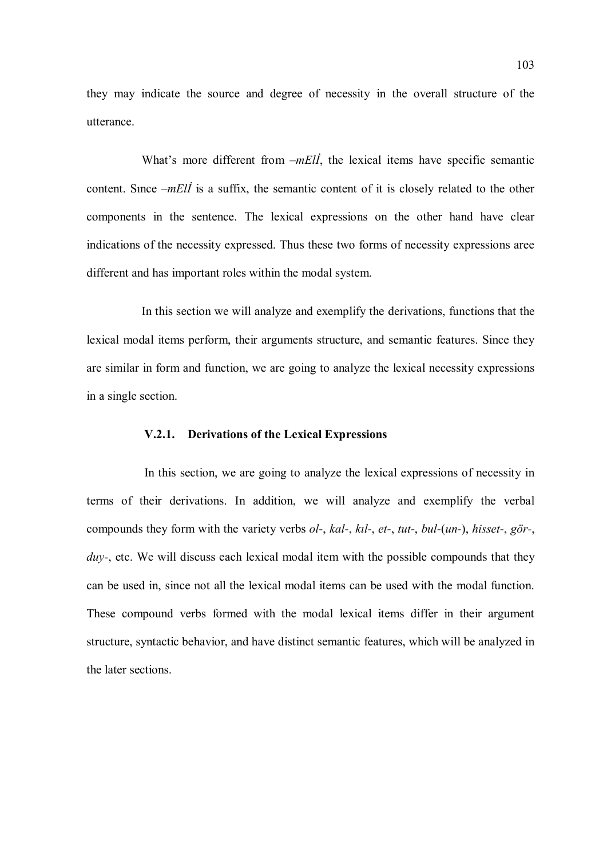they may indicate the source and degree of necessity in the overall structure of the utterance.

What's more different from  $-mE/I$ , the lexical items have specific semantic content. Since  $-mE\ddot{\theta}$  is a suffix, the semantic content of it is closely related to the other components in the sentence. The lexical expressions on the other hand have clear indications of the necessity expressed. Thus these two forms of necessity expressions aree different and has important roles within the modal system.

In this section we will analyze and exemplify the derivations, functions that the lexical modal items perform, their arguments structure, and semantic features. Since they are similar in form and function, we are going to analyze the lexical necessity expressions in a single section.

## V.2.1. Derivations of the Lexical Expressions

In this section, we are going to analyze the lexical expressions of necessity in terms of their derivations. In addition, we will analyze and exemplify the verbal compounds they form with the variety verbs ol-, kal-, kıl-, et-, tut-, bul-(un-), hisset-, gör-,  $duv$ -, etc. We will discuss each lexical modal item with the possible compounds that they can be used in, since not all the lexical modal items can be used with the modal function. These compound verbs formed with the modal lexical items differ in their argument structure, syntactic behavior, and have distinct semantic features, which will be analyzed in the later sections.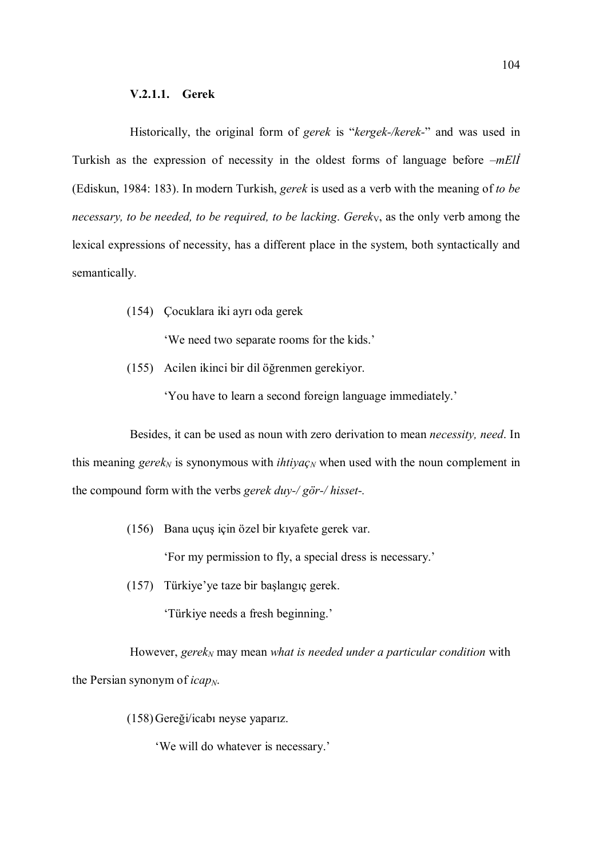Historically, the original form of gerek is "kergek-/kerek-" and was used in Turkish as the expression of necessity in the oldest forms of language before  $-mE\ddot{l}$ (Ediskun, 1984: 183). In modern Turkish, gerek is used as a verb with the meaning of to be necessary, to be needed, to be required, to be lacking. Gereky, as the only verb among the lexical expressions of necessity, has a different place in the system, both syntactically and semantically.

(154) Çocuklara iki ayrı oda gerek

'We need two separate rooms for the kids.'

(155) Acilen ikinci bir dil öğrenmen gerekiyor.

'You have to learn a second foreign language immediately.'

Besides, it can be used as noun with zero derivation to mean necessity, need. In this meaning gerek<sub>N</sub> is synonymous with *ihtiya*<sub>CN</sub> when used with the noun complement in the compound form with the verbs gerek duy-/ gör-/ hisset-.

(156) Bana uçuş için özel bir kıyafete gerek var.

'For my permission to fly, a special dress is necessary.'

(157) Türkiye'ye taze bir başlangıç gerek.

'Türkiye needs a fresh beginning.'

However, gere $k_N$  may mean what is needed under a particular condition with the Persian synonym of  $icap_N$ .

(158)Gereği/icabı neyse yaparız.

'We will do whatever is necessary.'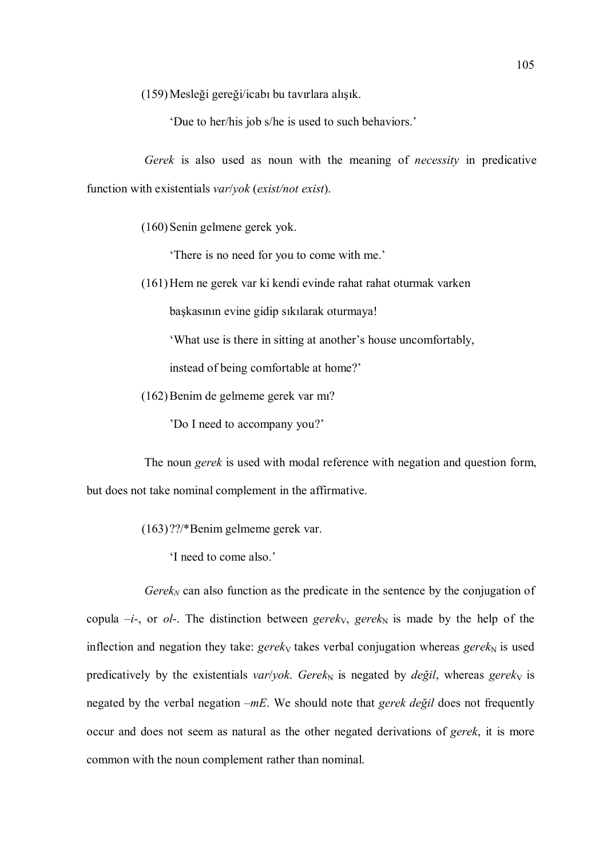(159)Mesleği gereği/icabı bu tavırlara alışık.

'Due to her/his job s/he is used to such behaviors.'

Gerek is also used as noun with the meaning of *necessity* in predicative function with existentials *var/yok* (*exist/not exist*).

(160)Senin gelmene gerek yok.

'There is no need for you to come with me.'

(161)Hem ne gerek var ki kendi evinde rahat rahat oturmak varken

başkasının evine gidip sıkılarak oturmaya!

'What use is there in sitting at another's house uncomfortably,

instead of being comfortable at home?'

(162)Benim de gelmeme gerek var mı?

'Do I need to accompany you?'

The noun gerek is used with modal reference with negation and question form, but does not take nominal complement in the affirmative.

- (163) ??/\*Benim gelmeme gerek var.
	- 'I need to come also.'

 $Gerek_N$  can also function as the predicate in the sentence by the conjugation of copula  $-i$ -, or *ol*-. The distinction between *gerek<sub>V</sub>*, *gerek<sub>N</sub>* is made by the help of the inflection and negation they take: gerek<sub>V</sub> takes verbal conjugation whereas gerek<sub>N</sub> is used predicatively by the existentials var/yok. Gerek<sub>N</sub> is negated by *değil*, whereas gerek<sub>V</sub> is negated by the verbal negation  $-mE$ . We should note that *gerek değil* does not frequently occur and does not seem as natural as the other negated derivations of gerek, it is more common with the noun complement rather than nominal.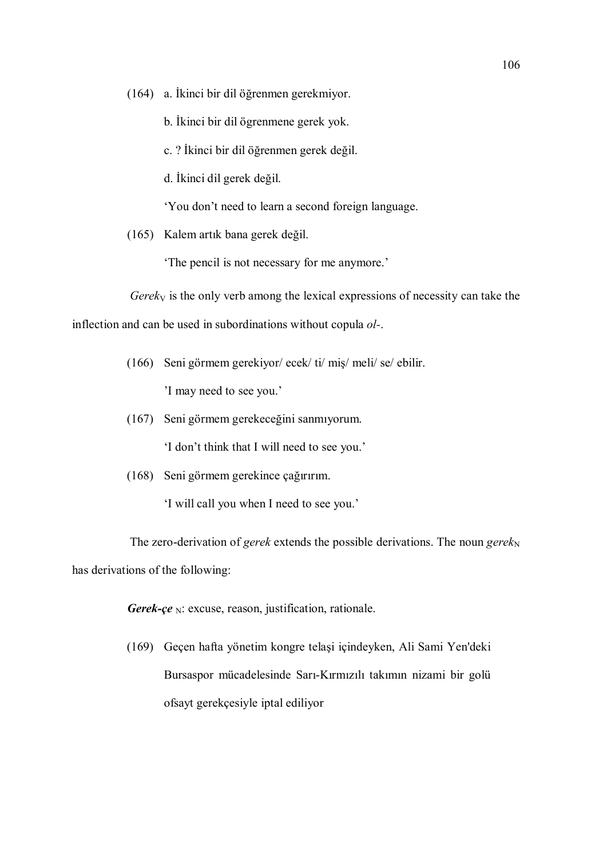(164) a. İkinci bir dil öğrenmen gerekmiyor.

b. İkinci bir dil ögrenmene gerek yok.

c. ? İkinci bir dil öğrenmen gerek değil.

d. İkinci dil gerek değil.

'You don't need to learn a second foreign language.

(165) Kalem artık bana gerek değil.

'The pencil is not necessary for me anymore.'

 $Gerek<sub>V</sub>$  is the only verb among the lexical expressions of necessity can take the

inflection and can be used in subordinations without copula ol-.

(166) Seni görmem gerekiyor/ ecek/ ti/ miş/ meli/ se/ ebilir.

'I may need to see you.'

(167) Seni görmem gerekeceğini sanmıyorum.

'I don't think that I will need to see you.'

(168) Seni görmem gerekince çağırırım.

'I will call you when I need to see you.'

The zero-derivation of *gerek* extends the possible derivations. The noun *gerek*<sub>N</sub> has derivations of the following:

Gerek-çe  $_N$ : excuse, reason, justification, rationale.

(169) Geçen hafta yönetim kongre telaşi içindeyken, Ali Sami Yen'deki Bursaspor mücadelesinde Sarı-Kırmızılı takımın nizami bir golü ofsayt gerekçesiyle iptal ediliyor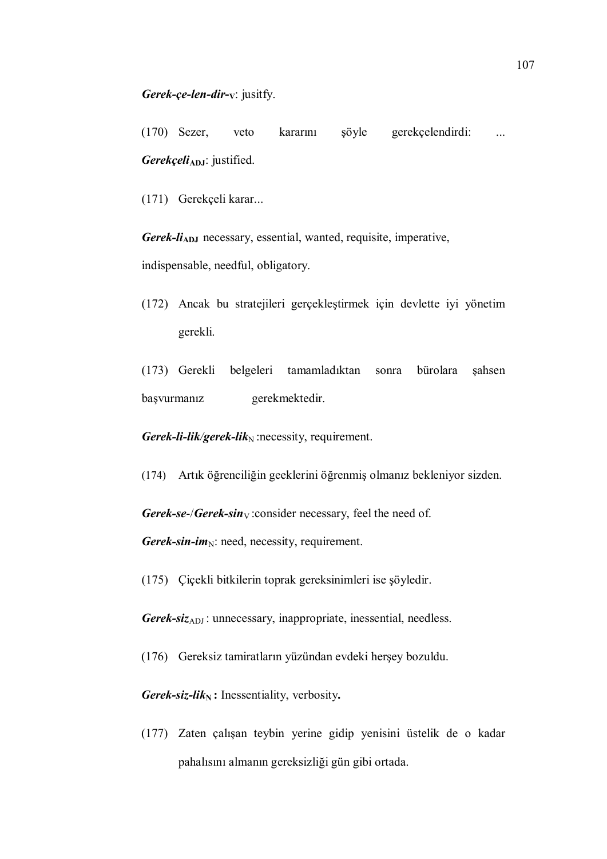(170) Sezer, veto kararını şöyle gerekçelendirdi: ...  $Gerekçeli_{ADJ}:$  justified.

(171) Gerekçeli karar...

Gerek-li<sub>ADJ</sub> necessary, essential, wanted, requisite, imperative, indispensable, needful, obligatory.

- (172) Ancak bu stratejileri gerçekleştirmek için devlette iyi yönetim gerekli.
- (173) Gerekli belgeleri tamamladıktan sonra bürolara şahsen başvurmanız gerekmektedir.

Gerek-li-lik/gerek-lik<sub>N</sub> :necessity, requirement.

(174) Artık öğrenciliğin geeklerini öğrenmiş olmanız bekleniyor sizden.

Gerek-se-/Gerek-sin $_V$ : consider necessary, feel the need of.

Gerek-sin-im<sub>N</sub>: need, necessity, requirement.

(175) Çiçekli bitkilerin toprak gereksinimleri ise şöyledir.

Gerek-siz<sub>ADJ</sub>: unnecessary, inappropriate, inessential, needless.

(176) Gereksiz tamiratların yüzündan evdeki herşey bozuldu.

Gerek-siz-li $k_N$ : Inessentiality, verbosity.

(177) Zaten çalışan teybin yerine gidip yenisini üstelik de o kadar pahalısını almanın gereksizliği gün gibi ortada.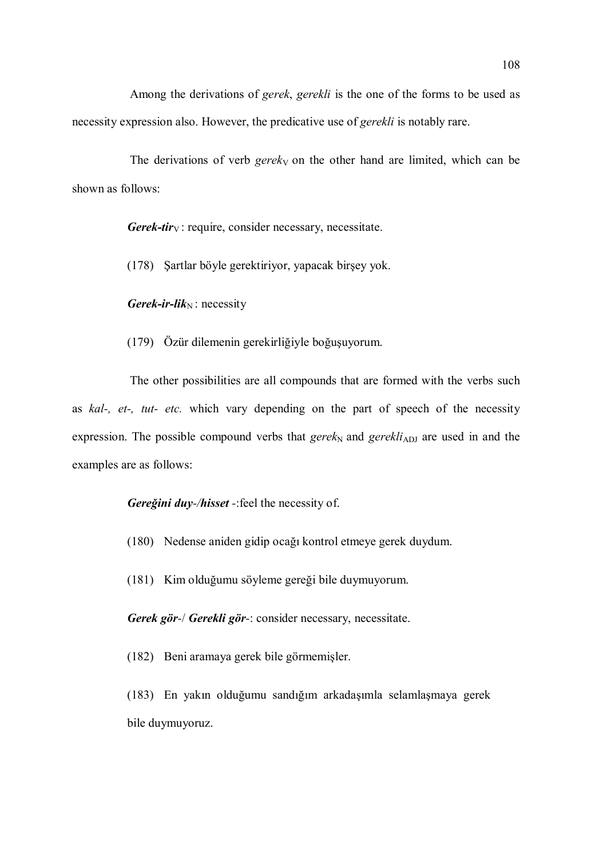Among the derivations of gerek, gerekli is the one of the forms to be used as necessity expression also. However, the predicative use of gerekli is notably rare.

The derivations of verb gereky on the other hand are limited, which can be shown as follows:

**Gerek-tir**<sub>V</sub>: require, consider necessary, necessitate.

(178) Şartlar böyle gerektiriyor, yapacak birşey yok.

Gerek-ir-lik $_N$ : necessity

(179) Özür dilemenin gerekirliğiyle boğuşuyorum.

The other possibilities are all compounds that are formed with the verbs such as kal-, et-, tut- etc. which vary depending on the part of speech of the necessity expression. The possible compound verbs that gerek<sub>N</sub> and gerekli<sub>ADJ</sub> are used in and the examples are as follows:

Gereğini duy-/hisset -: feel the necessity of.

- (180) Nedense aniden gidip ocağı kontrol etmeye gerek duydum.
- (181) Kim olduğumu söyleme gereği bile duymuyorum.

Gerek gör-/ Gerekli gör-: consider necessary, necessitate.

(182) Beni aramaya gerek bile görmemişler.

(183) En yakın olduğumu sandığım arkadaşımla selamlaşmaya gerek bile duymuyoruz.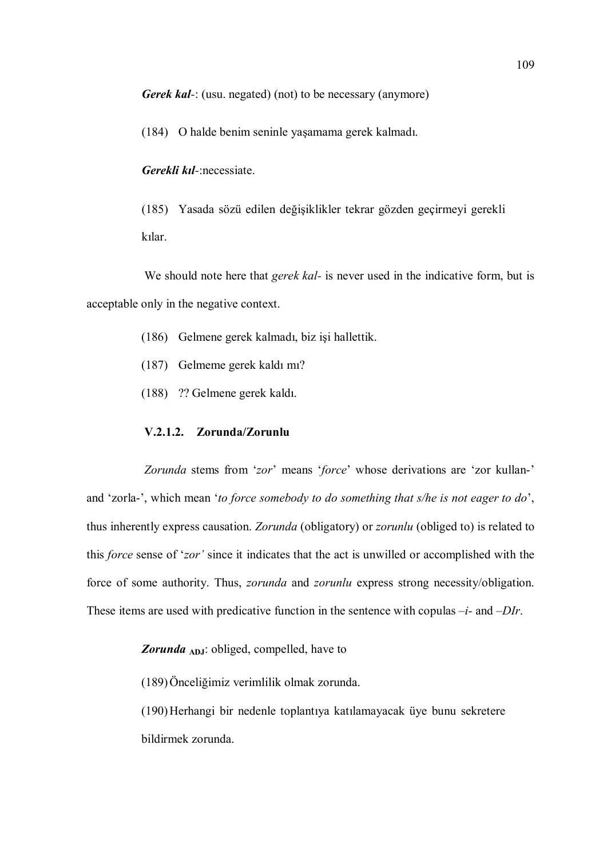Gerek kal-: (usu. negated) (not) to be necessary (anymore)

(184) O halde benim seninle yaşamama gerek kalmadı.

Gerekli kıl-:necessiate.

(185) Yasada sözü edilen değişiklikler tekrar gözden geçirmeyi gerekli kılar.

We should note here that *gerek kal*- is never used in the indicative form, but is acceptable only in the negative context.

- (186) Gelmene gerek kalmadı, biz işi hallettik.
- (187) Gelmeme gerek kaldı mı?
- (188) ?? Gelmene gerek kaldı.

# V.2.1.2. Zorunda/Zorunlu

Zorunda stems from 'zor' means 'force' whose derivations are 'zor kullan-' and 'zorla-', which mean 'to force somebody to do something that s/he is not eager to do', thus inherently express causation. Zorunda (obligatory) or zorunlu (obliged to) is related to this force sense of 'zor' since it indicates that the act is unwilled or accomplished with the force of some authority. Thus, *zorunda* and *zorunlu* express strong necessity/obligation. These items are used with predicative function in the sentence with copulas  $-i$ - and  $-DIr$ .

Zorunda ADJ: obliged, compelled, have to

(189)Önceliğimiz verimlilik olmak zorunda.

(190)Herhangi bir nedenle toplantıya katılamayacak üye bunu sekretere bildirmek zorunda.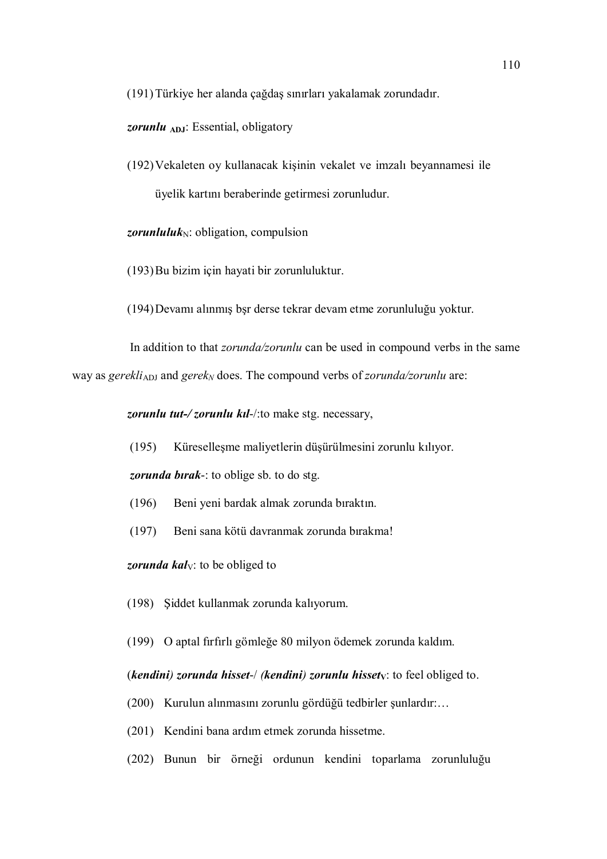(191)Türkiye her alanda çağdaş sınırları yakalamak zorundadır.

zorunlu ADJ: Essential, obligatory

(192)Vekaleten oy kullanacak kişinin vekalet ve imzalı beyannamesi ile üyelik kartını beraberinde getirmesi zorunludur.

*zorunluluk* $_N$ : obligation, compulsion

(193)Bu bizim için hayati bir zorunluluktur.

(194)Devamı alınmış bşr derse tekrar devam etme zorunluluğu yoktur.

In addition to that *zorunda/zorunlu* can be used in compound verbs in the same way as gerekli<sub>ADJ</sub> and gerek<sub>N</sub> does. The compound verbs of *zorunda/zorunlu* are:

zorunlu tut-/zorunlu kil-/: to make stg. necessary,

(195) Küreselleşme maliyetlerin düşürülmesini zorunlu kılıyor.

zorunda birak-: to oblige sb. to do stg.

- (196) Beni yeni bardak almak zorunda bıraktın.
- (197) Beni sana kötü davranmak zorunda bırakma!

zorunda kal $V<sub>V</sub>$ : to be obliged to

(198) Şiddet kullanmak zorunda kalıyorum.

(199) O aptal fırfırlı gömleğe 80 milyon ödemek zorunda kaldım.

# (kendini) zorunda hisset-/ (kendini) zorunlu hissety: to feel obliged to.

- (200) Kurulun alınmasını zorunlu gördüğü tedbirler şunlardır:…
- (201) Kendini bana ardım etmek zorunda hissetme.
- (202) Bunun bir örneği ordunun kendini toparlama zorunluluğu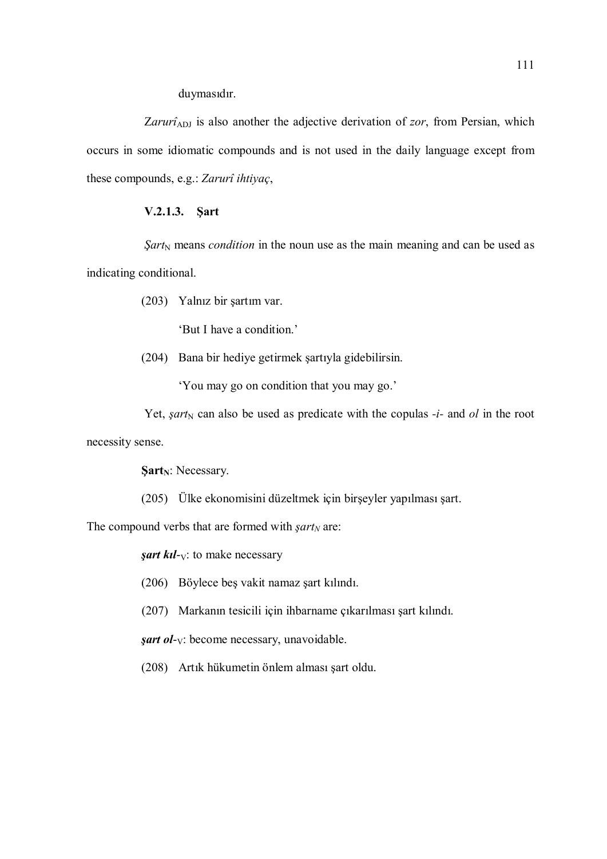duymasıdır.

Zarurî<sub>ADJ</sub> is also another the adjective derivation of zor, from Persian, which occurs in some idiomatic compounds and is not used in the daily language except from these compounds, e.g.: Zarurî ihtiyaç,

# V.2.1.3. Şart

 $Sart_N$  means *condition* in the noun use as the main meaning and can be used as indicating conditional.

(203) Yalnız bir şartım var.

'But I have a condition.'

(204) Bana bir hediye getirmek şartıyla gidebilirsin.

'You may go on condition that you may go.'

Yet, *şart*<sub>N</sub> can also be used as predicate with the copulas  $-i$ - and ol in the root

necessity sense.

 $Sart_N$ : Necessary.

(205) Ülke ekonomisini düzeltmek için birşeyler yapılması şart.

The compound verbs that are formed with  $\text{sqrt}$  are:

*sart kil-* $V$ : to make necessary

(206) Böylece beş vakit namaz şart kılındı.

(207) Markanın tesicili için ihbarname çıkarılması şart kılındı.

 $\text{sqrt}$  ol- $\vee$ : become necessary, unavoidable.

(208) Artık hükumetin önlem alması şart oldu.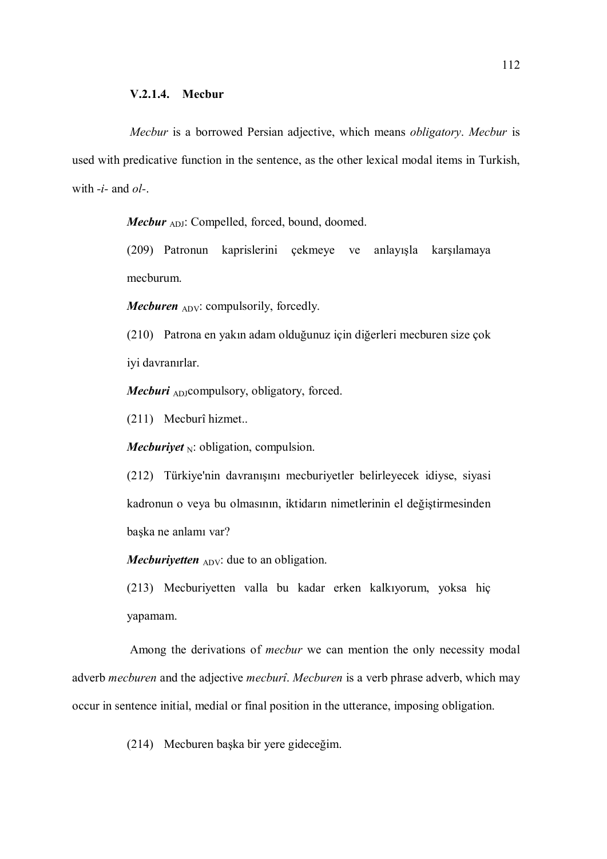Mecbur is a borrowed Persian adjective, which means obligatory. Mecbur is used with predicative function in the sentence, as the other lexical modal items in Turkish, with  $-i$ - and  $ol$ -.

**Mecbur**  $_{ADJ}$ : Compelled, forced, bound, doomed.

(209) Patronun kaprislerini çekmeye ve anlayışla karşılamaya mecburum.

*Mecburen*  $_{\text{ADV}}$ : compulsorily, forcedly.

(210) Patrona en yakın adam olduğunuz için diğerleri mecburen size çok iyi davranırlar.

**Mecburi**  $_{AD}$ compulsory, obligatory, forced.

(211) Mecburî hizmet..

*Mecburiyet*  $_N$ : obligation, compulsion.

(212) Türkiye'nin davranışını mecburiyetler belirleyecek idiyse, siyasi kadronun o veya bu olmasının, iktidarın nimetlerinin el değiştirmesinden başka ne anlamı var?

Mecburiyetten  $_{\text{ADV}}$ : due to an obligation.

(213) Mecburiyetten valla bu kadar erken kalkıyorum, yoksa hiç yapamam.

Among the derivations of mecbur we can mention the only necessity modal adverb *mecburen* and the adjective *mecburî*. Mecburen is a verb phrase adverb, which may occur in sentence initial, medial or final position in the utterance, imposing obligation.

(214) Mecburen başka bir yere gideceğim.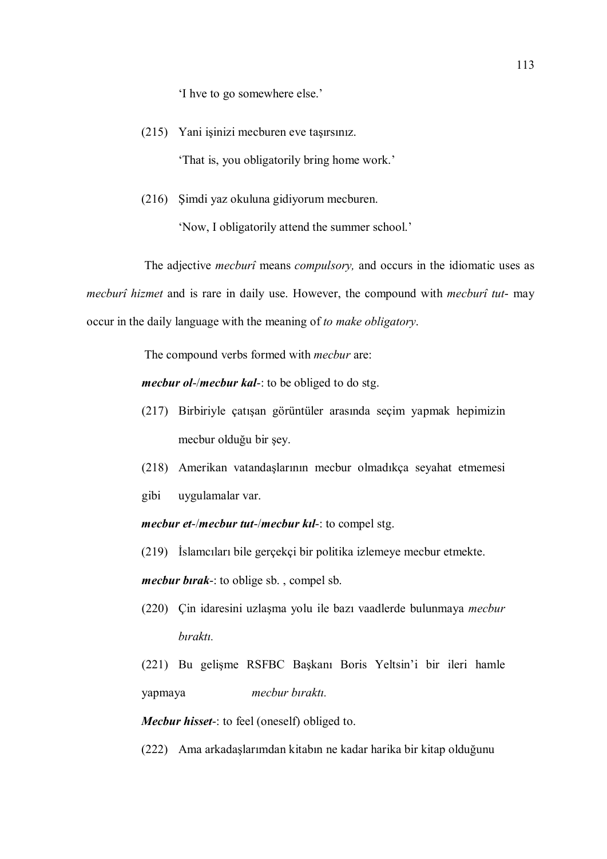'I hve to go somewhere else.'

- (215) Yani işinizi mecburen eve taşırsınız. 'That is, you obligatorily bring home work.'
- (216) Şimdi yaz okuluna gidiyorum mecburen.

'Now, I obligatorily attend the summer school.'

The adjective *mecburî* means *compulsory*, and occurs in the idiomatic uses as mecburî hizmet and is rare in daily use. However, the compound with mecburî tut- may occur in the daily language with the meaning of to make obligatory.

The compound verbs formed with mecbur are:

*mecbur ol-/mecbur kal-*: to be obliged to do stg.

- (217) Birbiriyle çatışan görüntüler arasında seçim yapmak hepimizin mecbur olduğu bir şey.
- (218) Amerikan vatandaşlarının mecbur olmadıkça seyahat etmemesi
- gibi uygulamalar var.

mecbur et-/mecbur tut-/mecbur kıl-: to compel stg.

(219) İslamcıları bile gerçekçi bir politika izlemeye mecbur etmekte.

mecbur birak-: to oblige sb., compel sb.

(220) Çin idaresini uzlaşma yolu ile bazı vaadlerde bulunmaya mecbur bıraktı.

(221) Bu gelişme RSFBC Başkanı Boris Yeltsin'i bir ileri hamle yapmaya mecbur bıraktı.

Mecbur hisset-: to feel (oneself) obliged to.

(222) Ama arkadaşlarımdan kitabın ne kadar harika bir kitap olduğunu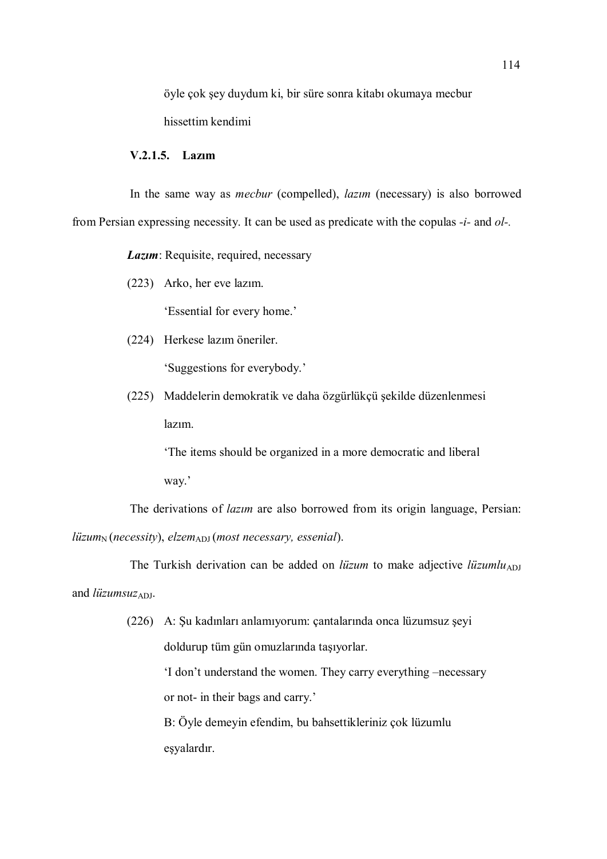öyle çok şey duydum ki, bir süre sonra kitabı okumaya mecbur hissettim kendimi

# V.2.1.5. Lazım

In the same way as mecbur (compelled), lazım (necessary) is also borrowed from Persian expressing necessity. It can be used as predicate with the copulas -i- and ol-.

Lazum: Requisite, required, necessary

(223) Arko, her eve lazım.

'Essential for every home.'

(224) Herkese lazım öneriler.

'Suggestions for everybody.'

(225) Maddelerin demokratik ve daha özgürlükçü şekilde düzenlenmesi lazım.

> 'The items should be organized in a more democratic and liberal way.'

The derivations of lazım are also borrowed from its origin language, Persian:  $liizum_N (necessity), elzem<sub>ADJ</sub> (most necessary, essential).$ 

The Turkish derivation can be added on *lüzum* to make adjective *lüzumlu*<sub>ADJ</sub> and  $liizumsuz_{ADJ}$ .

> (226) A: Şu kadınları anlamıyorum: çantalarında onca lüzumsuz şeyi doldurup tüm gün omuzlarında taşıyorlar.

> > 'I don't understand the women. They carry everything –necessary or not- in their bags and carry.'

 B: Öyle demeyin efendim, bu bahsettikleriniz çok lüzumlu eşyalardır.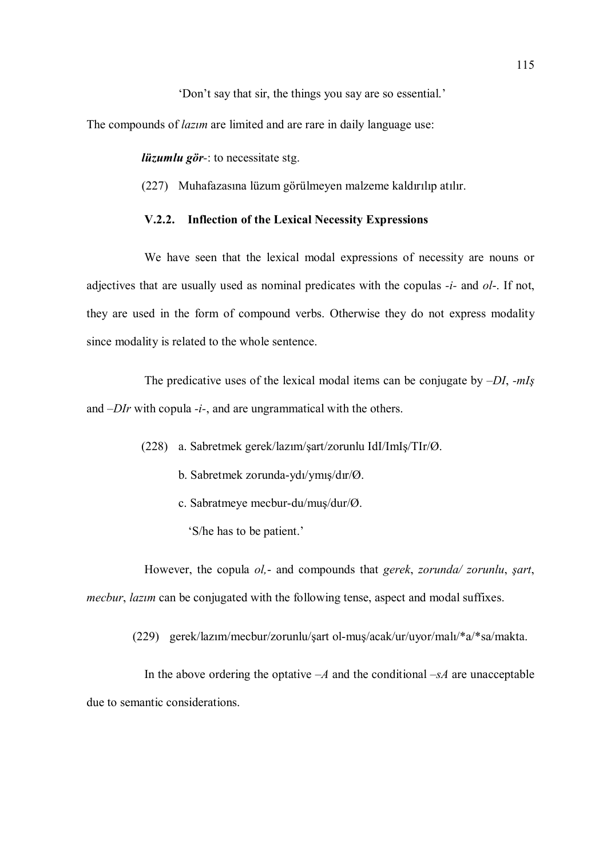'Don't say that sir, the things you say are so essential.'

The compounds of *lazim* are limited and are rare in daily language use:

lüzumlu gör-: to necessitate stg.

(227) Muhafazasına lüzum görülmeyen malzeme kaldırılıp atılır.

# V.2.2. Inflection of the Lexical Necessity Expressions

We have seen that the lexical modal expressions of necessity are nouns or adjectives that are usually used as nominal predicates with the copulas  $-i$ - and  $ol$ -. If not, they are used in the form of compound verbs. Otherwise they do not express modality since modality is related to the whole sentence.

The predicative uses of the lexical modal items can be conjugate by  $-DI$ ,  $-mI<sub>S</sub>$ and  $-DIr$  with copula  $-i$ -, and are ungrammatical with the others.

- (228) a. Sabretmek gerek/lazım/şart/zorunlu IdI/ImIş/TIr/Ø.
	- b. Sabretmek zorunda-ydı/ymış/dır/Ø.
	- c. Sabratmeye mecbur-du/muş/dur/Ø.
		- 'S/he has to be patient.'

However, the copula ol,- and compounds that gerek, zorunda/ zorunlu, şart, mecbur, *lazim* can be conjugated with the following tense, aspect and modal suffixes.

(229) gerek/lazım/mecbur/zorunlu/şart ol-muş/acak/ur/uyor/malı/\*a/\*sa/makta.

In the above ordering the optative  $-A$  and the conditional  $-S\overline{A}$  are unacceptable due to semantic considerations.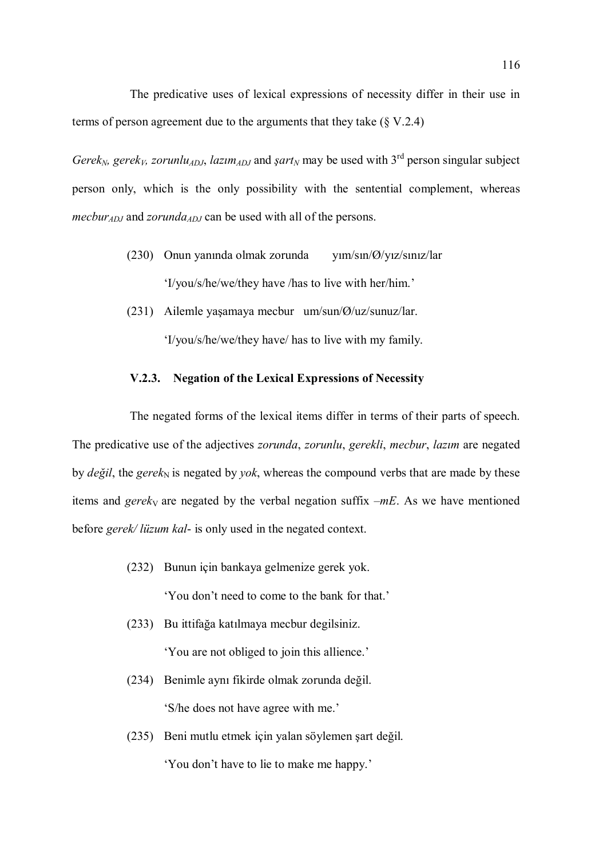The predicative uses of lexical expressions of necessity differ in their use in terms of person agreement due to the arguments that they take (§ V.2.4)

Gerek<sub>N</sub>, gerek<sub>V</sub>, zorunlu<sub>ADJ</sub>, lazım<sub>ADJ</sub> and şart<sub>N</sub> may be used with 3<sup>rd</sup> person singular subject person only, which is the only possibility with the sentential complement, whereas *mecbur<sub>ADJ</sub>* and *zorunda<sub>ADJ</sub>* can be used with all of the persons.

- (230) Onun yanında olmak zorunda yım/sın/Ø/yız/sınız/lar 'I/you/s/he/we/they have /has to live with her/him.'
- (231) Ailemle yaşamaya mecbur um/sun/Ø/uz/sunuz/lar.

'I/you/s/he/we/they have/ has to live with my family.

## V.2.3. Negation of the Lexical Expressions of Necessity

The negated forms of the lexical items differ in terms of their parts of speech. The predicative use of the adjectives *zorunda, zorunlu, gerekli, mecbur, lazim* are negated by *değil*, the *gerek*<sub>N</sub> is negated by *yok*, whereas the compound verbs that are made by these items and gereky are negated by the verbal negation suffix  $-mE$ . As we have mentioned before *gerek*/*lüzum kal*- is only used in the negated context.

(232) Bunun için bankaya gelmenize gerek yok.

'You don't need to come to the bank for that.'

- (233) Bu ittifağa katılmaya mecbur degilsiniz. 'You are not obliged to join this allience.'
- (234) Benimle aynı fikirde olmak zorunda değil. 'S/he does not have agree with me.'
- (235) Beni mutlu etmek için yalan söylemen şart değil. 'You don't have to lie to make me happy.'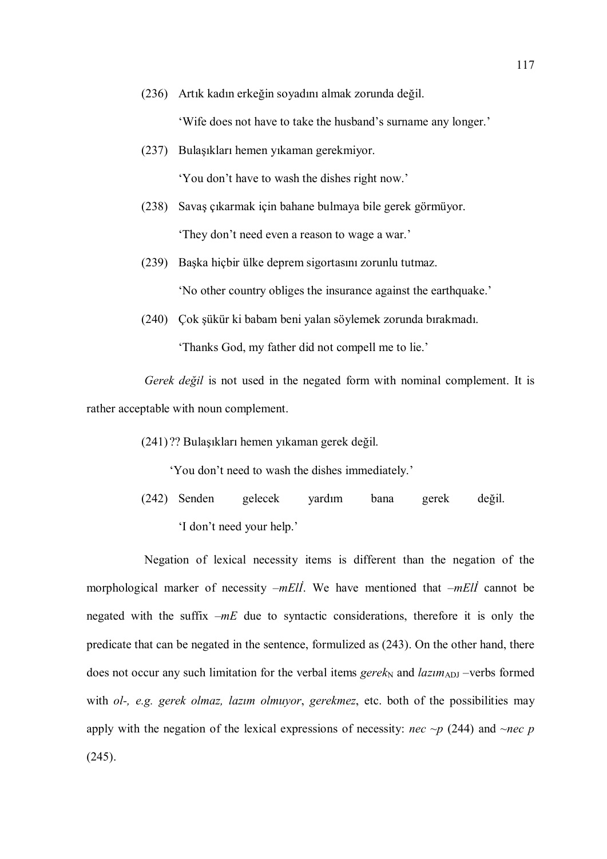(236) Artık kadın erkeğin soyadını almak zorunda değil.

'Wife does not have to take the husband's surname any longer.'

- (237) Bulaşıkları hemen yıkaman gerekmiyor. 'You don't have to wash the dishes right now.'
- (238) Savaş çıkarmak için bahane bulmaya bile gerek görmüyor. 'They don't need even a reason to wage a war.'
- (239) Başka hiçbir ülke deprem sigortasını zorunlu tutmaz. 'No other country obliges the insurance against the earthquake.'
- (240) Çok şükür ki babam beni yalan söylemek zorunda bırakmadı. 'Thanks God, my father did not compell me to lie.'

Gerek değil is not used in the negated form with nominal complement. It is rather acceptable with noun complement.

(241) ?? Bulaşıkları hemen yıkaman gerek değil.

'You don't need to wash the dishes immediately.'

(242) Senden gelecek yardım bana gerek değil. 'I don't need your help.'

Negation of lexical necessity items is different than the negation of the morphological marker of necessity  $-mE\ddot{l}$ . We have mentioned that  $-mE\ddot{l}$  cannot be negated with the suffix  $-mE$  due to syntactic considerations, therefore it is only the predicate that can be negated in the sentence, formulized as (243). On the other hand, there does not occur any such limitation for the verbal items gere $k_N$  and  $lazim_{ADJ}$  –verbs formed with ol-, e.g. gerek olmaz, lazım olmuyor, gerekmez, etc. both of the possibilities may apply with the negation of the lexical expressions of necessity: *nec ~p* (244) and *~nec p* (245).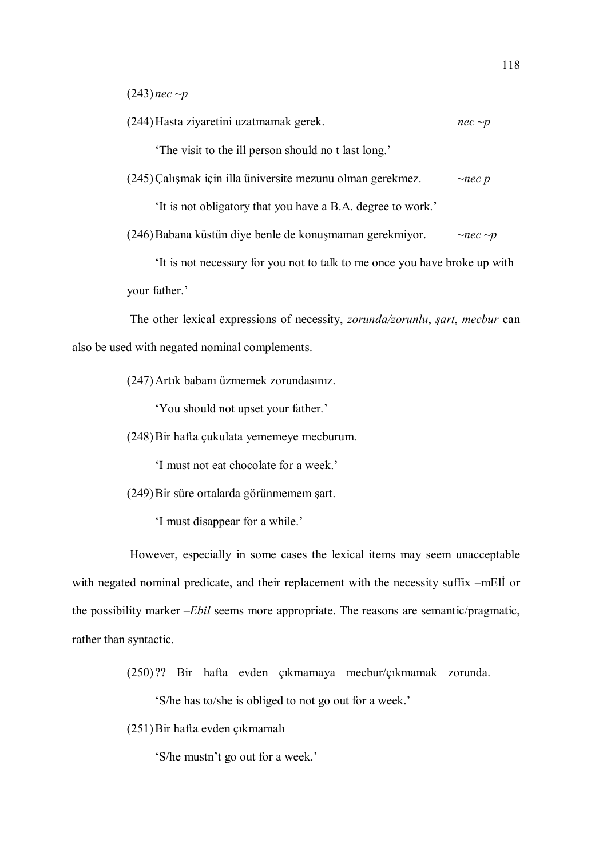$(243)$  nec  $\neg p$ 

(244) Hasta ziyaretini uzatmamak gerek.  $nec \sim p$ 

'The visit to the ill person should no t last long.'

 $(245)$ Çalışmak için illa üniversite mezunu olman gerekmez.  $\sim$ nec p

'It is not obligatory that you have a B.A. degree to work.'

(246) Babana küstün diye benle de konuşmaman gerekmiyor.  $\sim$ nec ~p

 'It is not necessary for you not to talk to me once you have broke up with your father.'

The other lexical expressions of necessity, zorunda/zorunlu, şart, mecbur can also be used with negated nominal complements.

(247)Artık babanı üzmemek zorundasınız.

'You should not upset your father.'

(248)Bir hafta çukulata yememeye mecburum.

'I must not eat chocolate for a week.'

(249)Bir süre ortalarda görünmemem şart.

'I must disappear for a while.'

However, especially in some cases the lexical items may seem unacceptable with negated nominal predicate, and their replacement with the necessity suffix –mElİ or the possibility marker –Ebil seems more appropriate. The reasons are semantic/pragmatic, rather than syntactic.

(250) ?? Bir hafta evden çıkmamaya mecbur/çıkmamak zorunda.

'S/he has to/she is obliged to not go out for a week.'

(251)Bir hafta evden çıkmamalı

'S/he mustn't go out for a week.'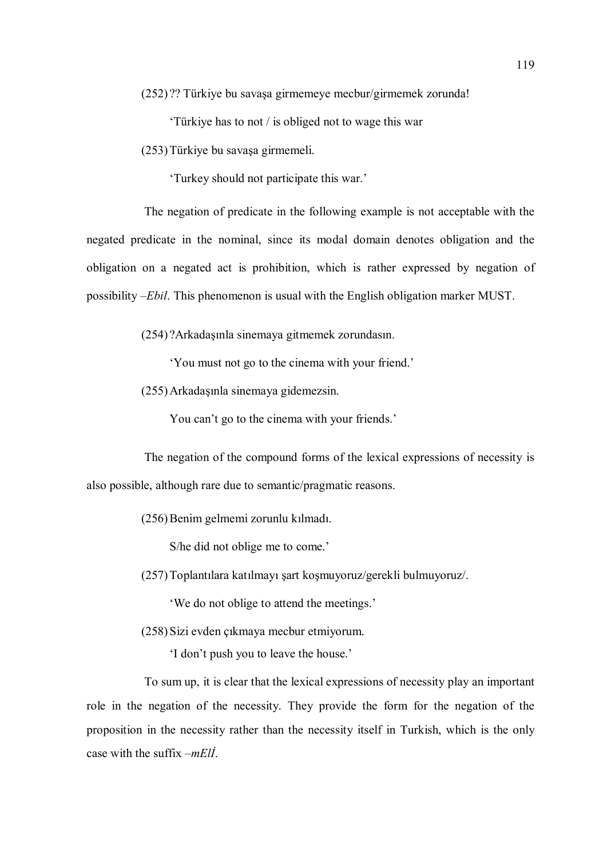(252) ?? Türkiye bu savaşa girmemeye mecbur/girmemek zorunda!

'Türkiye has to not / is obliged not to wage this war

(253)Türkiye bu savaşa girmemeli.

'Turkey should not participate this war.'

The negation of predicate in the following example is not acceptable with the negated predicate in the nominal, since its modal domain denotes obligation and the obligation on a negated act is prohibition, which is rather expressed by negation of possibility –Ebil. This phenomenon is usual with the English obligation marker MUST.

(254) ?Arkadaşınla sinemaya gitmemek zorundasın.

'You must not go to the cinema with your friend.'

(255)Arkadaşınla sinemaya gidemezsin.

You can't go to the cinema with your friends.'

The negation of the compound forms of the lexical expressions of necessity is also possible, although rare due to semantic/pragmatic reasons.

(256)Benim gelmemi zorunlu kılmadı.

S/he did not oblige me to come.'

(257)Toplantılara katılmayı şart koşmuyoruz/gerekli bulmuyoruz/.

'We do not oblige to attend the meetings.'

(258)Sizi evden çıkmaya mecbur etmiyorum.

'I don't push you to leave the house.'

To sum up, it is clear that the lexical expressions of necessity play an important role in the negation of the necessity. They provide the form for the negation of the proposition in the necessity rather than the necessity itself in Turkish, which is the only case with the suffix  $-mEll$ .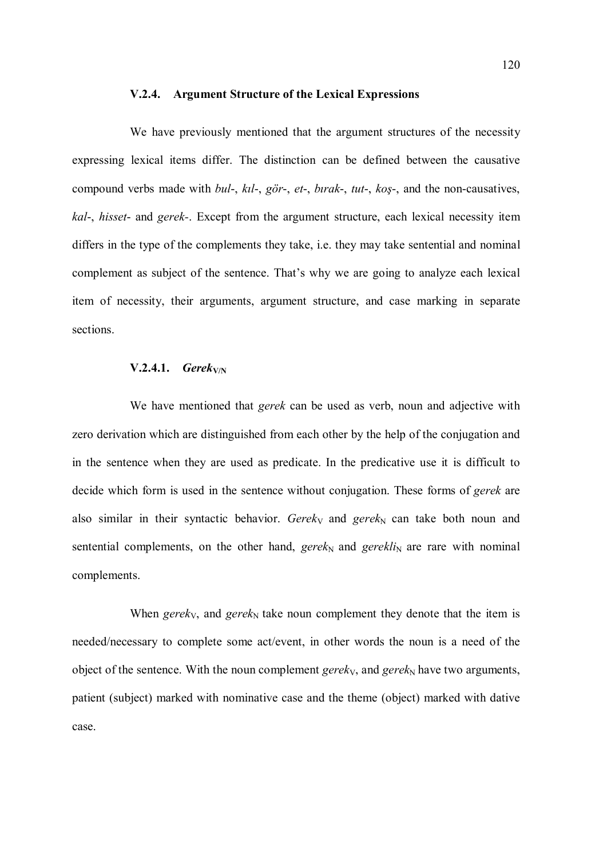#### V.2.4. Argument Structure of the Lexical Expressions

We have previously mentioned that the argument structures of the necessity expressing lexical items differ. The distinction can be defined between the causative compound verbs made with bul-, kıl-, gör-, et-, bırak-, tut-, koş-, and the non-causatives, kal-, hisset- and gerek-. Except from the argument structure, each lexical necessity item differs in the type of the complements they take, i.e. they may take sentential and nominal complement as subject of the sentence. That's why we are going to analyze each lexical item of necessity, their arguments, argument structure, and case marking in separate sections.

# $V.2.4.1.$  Gerek<sub>V/N</sub>

We have mentioned that *gerek* can be used as verb, noun and adjective with zero derivation which are distinguished from each other by the help of the conjugation and in the sentence when they are used as predicate. In the predicative use it is difficult to decide which form is used in the sentence without conjugation. These forms of *gerek* are also similar in their syntactic behavior. Gerek<sub>y</sub> and gerek<sub>N</sub> can take both noun and sentential complements, on the other hand, gerek<sub>N</sub> and gerekli<sub>N</sub> are rare with nominal complements.

When gerek<sub>V</sub>, and gerek<sub>N</sub> take noun complement they denote that the item is needed/necessary to complete some act/event, in other words the noun is a need of the object of the sentence. With the noun complement gerek<sub>V</sub>, and gerek<sub>N</sub> have two arguments, patient (subject) marked with nominative case and the theme (object) marked with dative case.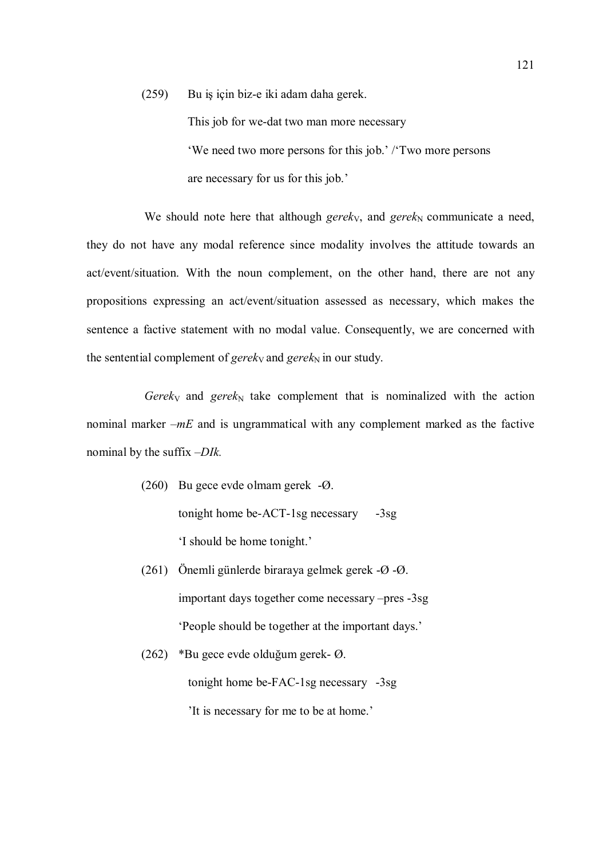(259) Bu iş için biz-e iki adam daha gerek. This job for we-dat two man more necessary 'We need two more persons for this job.' /'Two more persons are necessary for us for this job.'

We should note here that although gerek<sub>V</sub>, and gerek<sub>N</sub> communicate a need, they do not have any modal reference since modality involves the attitude towards an act/event/situation. With the noun complement, on the other hand, there are not any propositions expressing an act/event/situation assessed as necessary, which makes the sentence a factive statement with no modal value. Consequently, we are concerned with the sentential complement of gerek<sub>V</sub> and gerek<sub>N</sub> in our study.

Gerek<sub>V</sub> and gerek<sub>N</sub> take complement that is nominalized with the action nominal marker  $-mE$  and is ungrammatical with any complement marked as the factive nominal by the suffix –DIk.

- (260) Bu gece evde olmam gerek -Ø. tonight home be-ACT-1sg necessary -3sg 'I should be home tonight.'
- (261) Önemli günlerde biraraya gelmek gerek -Ø -Ø. important days together come necessary –pres -3sg 'People should be together at the important days.'
- (262) \*Bu gece evde olduğum gerek- Ø. tonight home be-FAC-1sg necessary -3sg 'It is necessary for me to be at home.'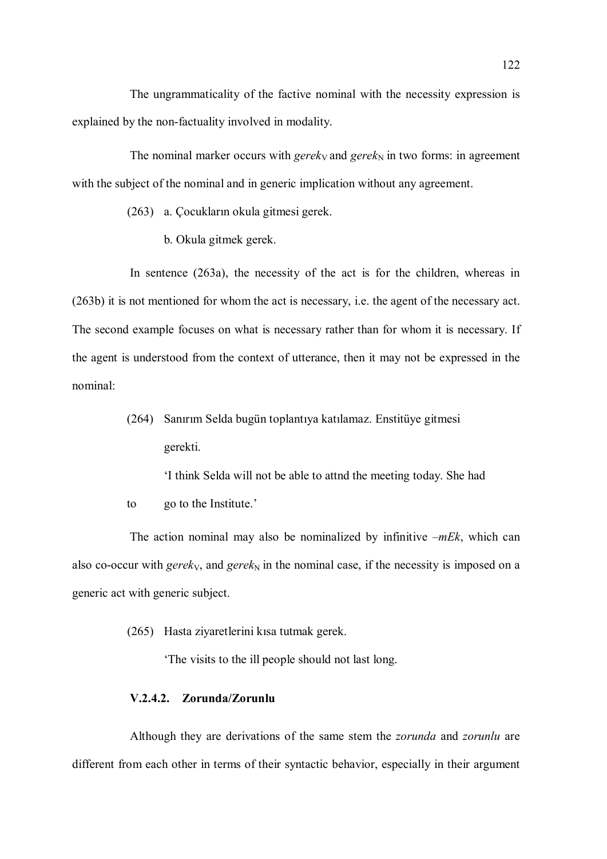The ungrammaticality of the factive nominal with the necessity expression is explained by the non-factuality involved in modality.

The nominal marker occurs with gerek<sub>V</sub> and gerek<sub>N</sub> in two forms: in agreement with the subject of the nominal and in generic implication without any agreement.

(263) a. Çocukların okula gitmesi gerek.

b. Okula gitmek gerek.

In sentence (263a), the necessity of the act is for the children, whereas in (263b) it is not mentioned for whom the act is necessary, i.e. the agent of the necessary act. The second example focuses on what is necessary rather than for whom it is necessary. If the agent is understood from the context of utterance, then it may not be expressed in the nominal:

> (264) Sanırım Selda bugün toplantıya katılamaz. Enstitüye gitmesi gerekti.

> > 'I think Selda will not be able to attnd the meeting today. She had

to go to the Institute.'

The action nominal may also be nominalized by infinitive  $-mEk$ , which can also co-occur with gerek<sub>V</sub>, and gerek<sub>N</sub> in the nominal case, if the necessity is imposed on a generic act with generic subject.

(265) Hasta ziyaretlerini kısa tutmak gerek.

'The visits to the ill people should not last long.

# V.2.4.2. Zorunda/Zorunlu

Although they are derivations of the same stem the *zorunda* and *zorunlu* are different from each other in terms of their syntactic behavior, especially in their argument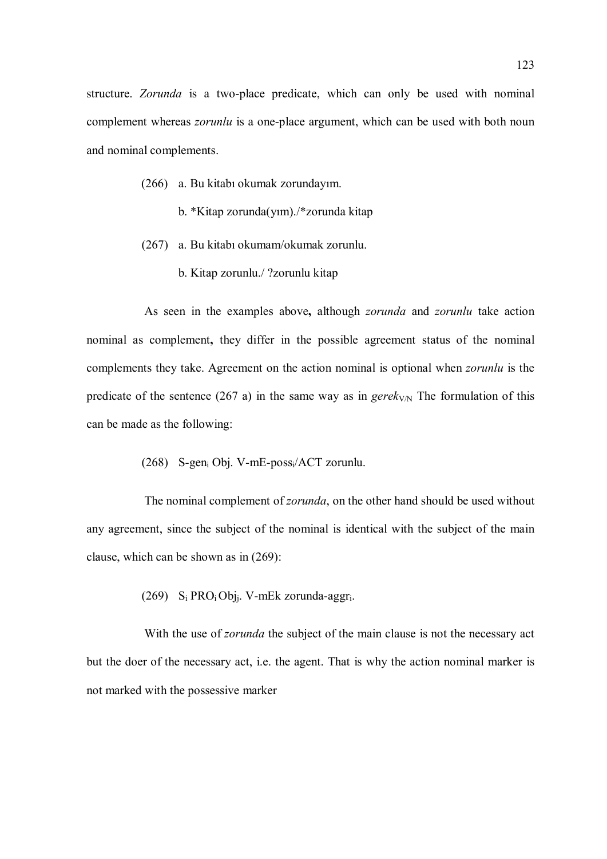structure. Zorunda is a two-place predicate, which can only be used with nominal complement whereas *zorunlu* is a one-place argument, which can be used with both noun and nominal complements.

- (266) a. Bu kitabı okumak zorundayım.
	- b. \*Kitap zorunda(yım)./\*zorunda kitap
- (267) a. Bu kitabı okumam/okumak zorunlu.
	- b. Kitap zorunlu./ ?zorunlu kitap

As seen in the examples above, although zorunda and zorunlu take action nominal as complement, they differ in the possible agreement status of the nominal complements they take. Agreement on the action nominal is optional when zorunlu is the predicate of the sentence (267 a) in the same way as in gerek<sub>V/N</sub> The formulation of this can be made as the following:

(268) S-geni Obj. V-mE-possi/ACT zorunlu.

The nominal complement of *zorunda*, on the other hand should be used without any agreement, since the subject of the nominal is identical with the subject of the main clause, which can be shown as in (269):

(269)  $S_i$  PRO<sub>i</sub> Obj<sub>j</sub>. V-mEk zorunda-aggr<sub>i</sub>.

With the use of *zorunda* the subject of the main clause is not the necessary act but the doer of the necessary act, i.e. the agent. That is why the action nominal marker is not marked with the possessive marker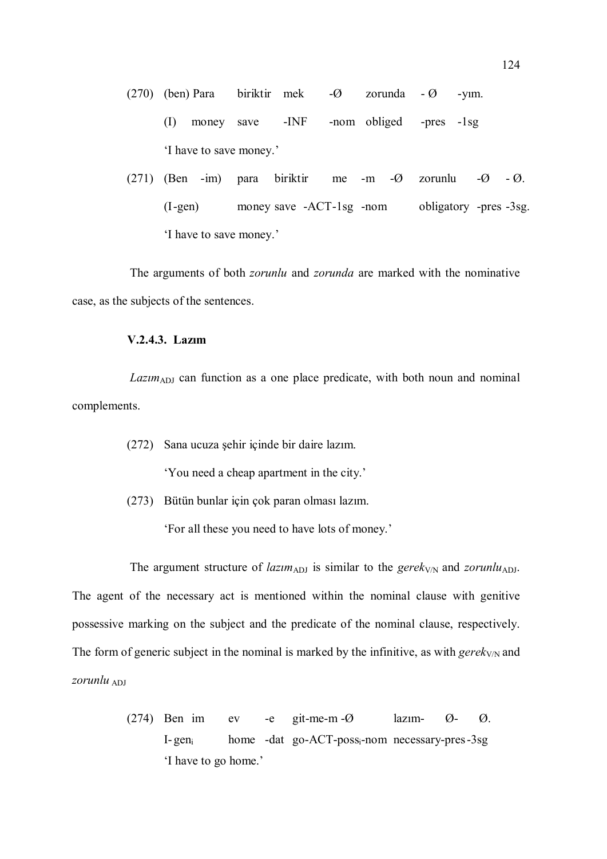(270) (ben) Para biriktir mek -Ø zorunda - Ø -yım. (I) money save -INF -nom obliged -pres -1sg 'I have to save money.'

(271) (Ben -im) para biriktir me -m -Ø zorunlu -Ø - Ø. (I -gen) money save -ACT -1sg -nom obligatory -pres -3sg. 'I have to save money.'

The arguments of both *zorunlu* and *zorunda* are marked with the nominative case, as the subjects of the sentences.

# V.2.4.3. Lazım

 $Lazim_{ADJ}$  can function as a one place predicate, with both noun and nominal complements.

(272) Sana ucuza şehir içinde bir daire lazım.

'You need a cheap apartment in the city.'

(273) Bütün bunlar için çok paran olması lazım.

'For all these you need to have lots of money.'

The argument structure of *lazim*<sub>ADJ</sub> is similar to the *gerek<sub>V/N</sub>* and *zorunlu<sub>ADJ</sub>*. The agent of the necessary act is mentioned within the nominal clause with genitive possessive marking on the subject and the predicate of the nominal clause, respectively. The form of generic subject in the nominal is marked by the infinitive, as with  $gerek_{V/N}$  and zorunlu  $_{ADI}$ 

> (274) Ben im ev -e git-me-m -Ø lazım- Ø- Ø. I-gen<sub>i</sub> home -dat go-ACT-poss<sub>i</sub>-nom necessary-pres -3sg 'I have to go home.'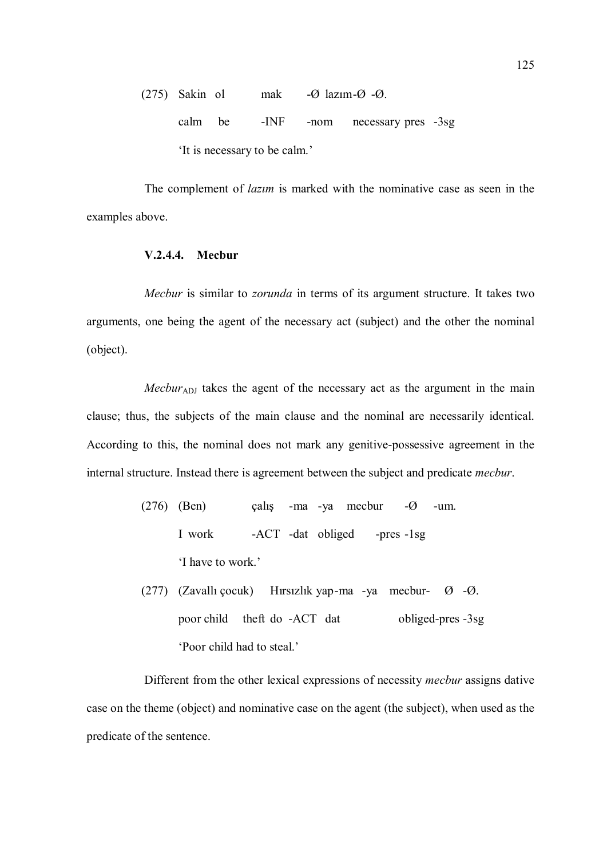(275) Sakin ol mak -Ø lazım -Ø -Ø. calm be -INF -nom necessary pres -3sg 'It is necessary to be calm.'

The complement of *lazim* is marked with the nominative case as seen in the examples above.

#### V.2.4.4. Mecbur

Mecbur is similar to zorunda in terms of its argument structure. It takes two arguments, one being the agent of the necessary act (subject) and the other the nominal (object).

 $Mecbur<sub>ADJ</sub>$  takes the agent of the necessary act as the argument in the main clause; thus, the subjects of the main clause and the nominal are necessarily identical. According to this, the nominal does not mark any genitive-possessive agreement in the internal structure. Instead there is agreement between the subject and predicate mecbur.

- (276) (Ben) çalış -ma -ya mecbur -Ø -um. I work -ACT -dat obliged -pres -1sg 'I have to work.'
- (277) (Zavallı çocuk) Hırsızlık yap-ma -ya mecbur-  $\emptyset$  - $\emptyset$ . poor child theft do -ACT dat obliged-pres -3sg 'Poor child had to steal.'

Different from the other lexical expressions of necessity mecbur assigns dative case on the theme (object) and nominative case on the agent (the subject), when used as the predicate of the sentence.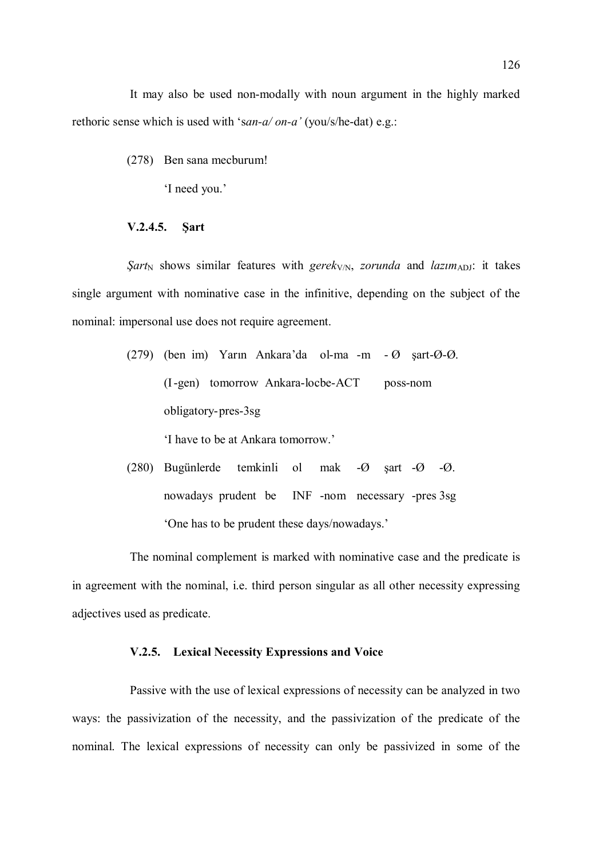It may also be used non-modally with noun argument in the highly marked rethoric sense which is used with 'san-a/ on-a' (you/s/he-dat) e.g.:

(278) Ben sana mecburum!

'I need you.'

### V.2.4.5. Şart

Sart<sub>N</sub> shows similar features with gerek<sub>V/N</sub>, zorunda and lazim<sub>ADJ</sub>: it takes single argument with nominative case in the infinitive, depending on the subject of the nominal: impersonal use does not require agreement.

> (279) (ben im) Yarın Ankara'da ol-ma -m - Ø şart-Ø-Ø. (I -gen) tomorrow Ankara-locbe-ACT poss-nom obligatory- pres-3sg

> > 'I have to be at Ankara tomorrow.'

(280) Bugünlerde temkinli ol mak -Ø şart -Ø -Ø. nowadays prudent be INF -nom necessary -pres 3sg 'One has to be prudent these days/nowadays.'

The nominal complement is marked with nominative case and the predicate is in agreement with the nominal, i.e. third person singular as all other necessity expressing adjectives used as predicate.

# V.2.5. Lexical Necessity Expressions and Voice

Passive with the use of lexical expressions of necessity can be analyzed in two ways: the passivization of the necessity, and the passivization of the predicate of the nominal. The lexical expressions of necessity can only be passivized in some of the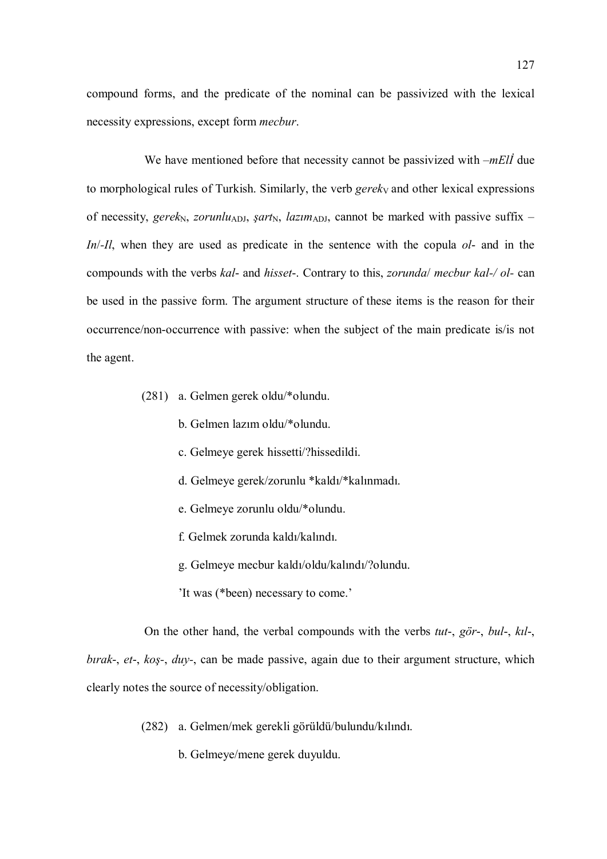compound forms, and the predicate of the nominal can be passivized with the lexical necessity expressions, except form mecbur.

We have mentioned before that necessity cannot be passivized with  $-mE\ddot{\theta}$  due to morphological rules of Turkish. Similarly, the verb  $gerek<sub>V</sub>$  and other lexical expressions of necessity, gerek<sub>N</sub>, zorunlu<sub>ADJ</sub>, *şart<sub>N</sub>*, *lazım*<sub>ADJ</sub>, cannot be marked with passive suffix – In/-Il, when they are used as predicate in the sentence with the copula ol- and in the compounds with the verbs kal- and hisset-. Contrary to this, zorunda/ mecbur kal-/ ol- can be used in the passive form. The argument structure of these items is the reason for their occurrence/non-occurrence with passive: when the subject of the main predicate is/is not the agent.

- (281) a. Gelmen gerek oldu/\*olundu.
	- b. Gelmen lazım oldu/\*olundu.
	- c. Gelmeye gerek hissetti/?hissedildi.
	- d. Gelmeye gerek/zorunlu \*kaldı/\*kalınmadı.
	- e. Gelmeye zorunlu oldu/\*olundu.
	- f. Gelmek zorunda kaldı/kalındı.
	- g. Gelmeye mecbur kaldı/oldu/kalındı/?olundu.
	- 'It was (\*been) necessary to come.'

On the other hand, the verbal compounds with the verbs tut-, gör-, bul-, kıl-, bırak-, et-, koş-, duy-, can be made passive, again due to their argument structure, which clearly notes the source of necessity/obligation.

- (282) a. Gelmen/mek gerekli görüldü/bulundu/kılındı.
	- b. Gelmeye/mene gerek duyuldu.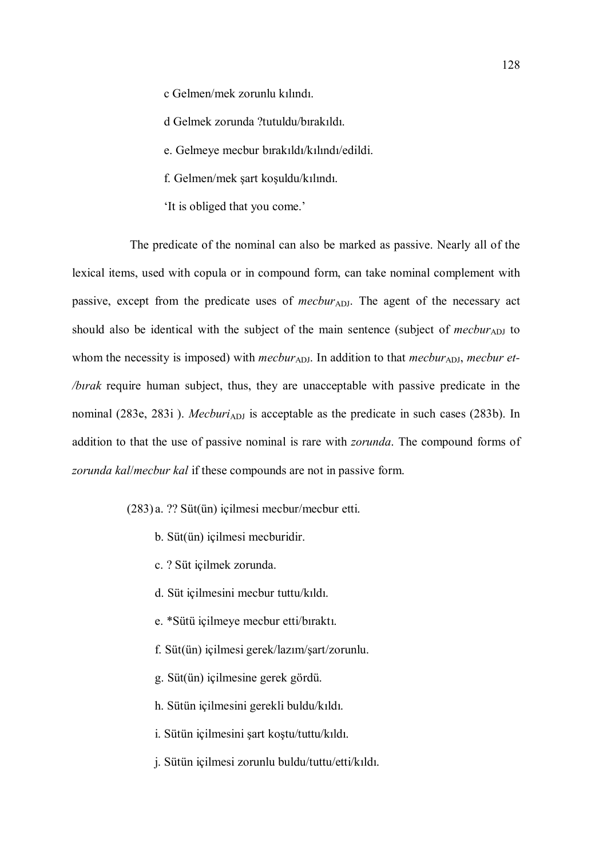c Gelmen/mek zorunlu kılındı.

d Gelmek zorunda ?tutuldu/bırakıldı.

e. Gelmeye mecbur bırakıldı/kılındı/edildi.

f. Gelmen/mek şart koşuldu/kılındı.

'It is obliged that you come.'

The predicate of the nominal can also be marked as passive. Nearly all of the lexical items, used with copula or in compound form, can take nominal complement with passive, except from the predicate uses of  $mecbur_{ADJ}$ . The agent of the necessary act should also be identical with the subject of the main sentence (subject of  $mecbur_{ADJ}$  to whom the necessity is imposed) with mecbur<sub>ADJ</sub>. In addition to that mecbur<sub>ADJ</sub>, mecbur et-/bırak require human subject, thus, they are unacceptable with passive predicate in the nominal (283e, 283i). *Mecburi*<sub>ADJ</sub> is acceptable as the predicate in such cases (283b). In addition to that the use of passive nominal is rare with *zorunda*. The compound forms of zorunda kal/mecbur kal if these compounds are not in passive form.

(283) a. ?? Süt(ün) içilmesi mecbur/mecbur etti.

- b. Süt(ün) içilmesi mecburidir.
- c. ? Süt içilmek zorunda.
- d. Süt içilmesini mecbur tuttu/kıldı.
- e. \*Sütü içilmeye mecbur etti/bıraktı.
- f. Süt(ün) içilmesi gerek/lazım/şart/zorunlu.
- g. Süt(ün) içilmesine gerek gördü.
- h. Sütün içilmesini gerekli buldu/kıldı.
- i. Sütün içilmesini şart koştu/tuttu/kıldı.
- j. Sütün içilmesi zorunlu buldu/tuttu/etti/kıldı.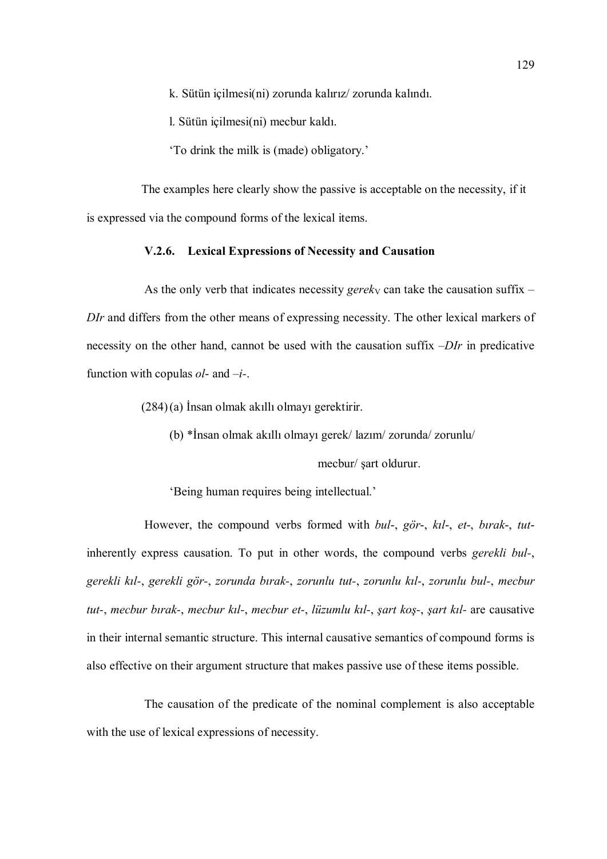k. Sütün içilmesi(ni) zorunda kalırız/ zorunda kalındı.

l. Sütün içilmesi(ni) mecbur kaldı.

'To drink the milk is (made) obligatory.'

The examples here clearly show the passive is acceptable on the necessity, if it is expressed via the compound forms of the lexical items.

### V.2.6. Lexical Expressions of Necessity and Causation

As the only verb that indicates necessity *gerek*<sub>V</sub> can take the causation suffix – DIr and differs from the other means of expressing necessity. The other lexical markers of necessity on the other hand, cannot be used with the causation suffix –DIr in predicative function with copulas  $ol$ - and  $-i$ -.

(284)(a) İnsan olmak akıllı olmayı gerektirir.

(b) \*İnsan olmak akıllı olmayı gerek/ lazım/ zorunda/ zorunlu/

mecbur/ şart oldurur.

'Being human requires being intellectual.'

However, the compound verbs formed with bul-, gör-, kil-, et-, birak-, tutinherently express causation. To put in other words, the compound verbs gerekli bul-, gerekli kıl-, gerekli gör-, zorunda bırak-, zorunlu tut-, zorunlu kıl-, zorunlu bul-, mecbur tut-, mecbur bırak-, mecbur kıl-, mecbur et-, lüzumlu kıl-, şart koş-, şart kıl- are causative in their internal semantic structure. This internal causative semantics of compound forms is also effective on their argument structure that makes passive use of these items possible.

The causation of the predicate of the nominal complement is also acceptable with the use of lexical expressions of necessity.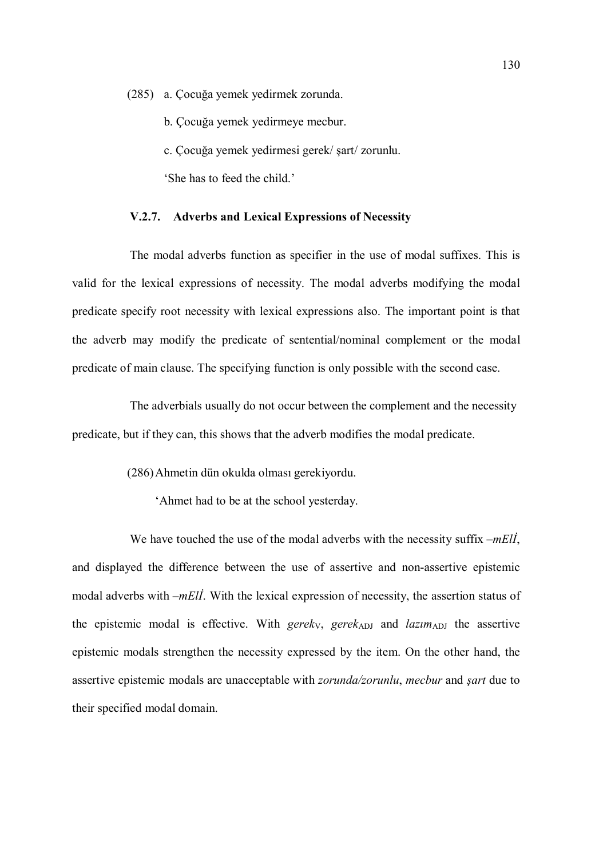(285) a. Çocuğa yemek yedirmek zorunda.

- b. Çocuğa yemek yedirmeye mecbur.
- c. Çocuğa yemek yedirmesi gerek/ şart/ zorunlu.

'She has to feed the child.'

### V.2.7. Adverbs and Lexical Expressions of Necessity

The modal adverbs function as specifier in the use of modal suffixes. This is valid for the lexical expressions of necessity. The modal adverbs modifying the modal predicate specify root necessity with lexical expressions also. The important point is that the adverb may modify the predicate of sentential/nominal complement or the modal predicate of main clause. The specifying function is only possible with the second case.

The adverbials usually do not occur between the complement and the necessity predicate, but if they can, this shows that the adverb modifies the modal predicate.

(286)Ahmetin dün okulda olması gerekiyordu.

'Ahmet had to be at the school yesterday.

We have touched the use of the modal adverbs with the necessity suffix  $-mEli$ , and displayed the difference between the use of assertive and non-assertive epistemic modal adverbs with  $-mE/I$ . With the lexical expression of necessity, the assertion status of the epistemic modal is effective. With gerek<sub>V</sub>, gerek<sub>ADJ</sub> and lazim<sub>ADJ</sub> the assertive epistemic modals strengthen the necessity expressed by the item. On the other hand, the assertive epistemic modals are unacceptable with zorunda/zorunlu, mecbur and şart due to their specified modal domain.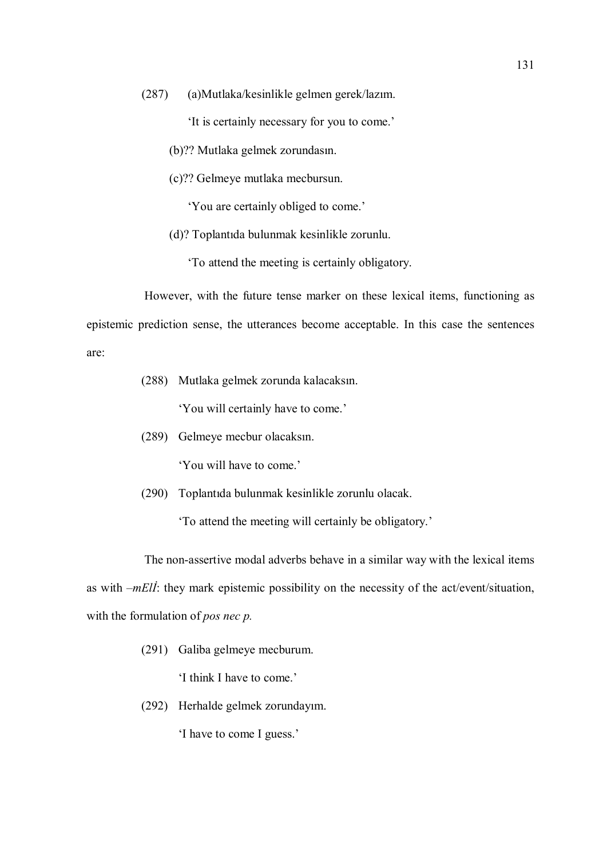(287) (a)Mutlaka/kesinlikle gelmen gerek/lazım.

'It is certainly necessary for you to come.'

- (b)?? Mutlaka gelmek zorundasın.
- (c)?? Gelmeye mutlaka mecbursun.

'You are certainly obliged to come.'

(d)? Toplantıda bulunmak kesinlikle zorunlu.

'To attend the meeting is certainly obligatory.

However, with the future tense marker on these lexical items, functioning as epistemic prediction sense, the utterances become acceptable. In this case the sentences are:

(288) Mutlaka gelmek zorunda kalacaksın.

'You will certainly have to come.'

(289) Gelmeye mecbur olacaksın.

'You will have to come.'

(290) Toplantıda bulunmak kesinlikle zorunlu olacak.

'To attend the meeting will certainly be obligatory.'

The non-assertive modal adverbs behave in a similar way with the lexical items as with  $-mEll$ : they mark epistemic possibility on the necessity of the act/event/situation, with the formulation of *pos nec p*.

(291) Galiba gelmeye mecburum.

'I think I have to come.'

(292) Herhalde gelmek zorundayım.

'I have to come I guess.'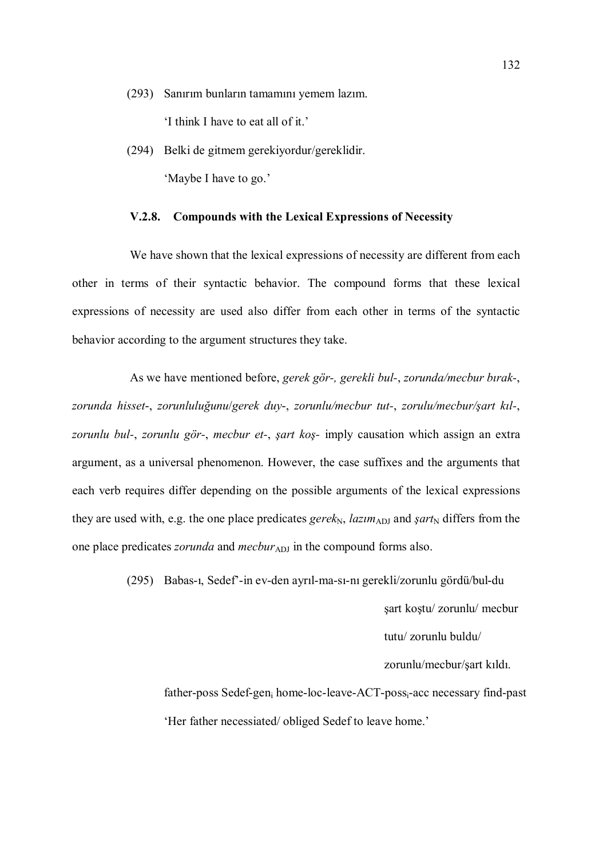(293) Sanırım bunların tamamını yemem lazım.

'I think I have to eat all of it.'

(294) Belki de gitmem gerekiyordur/gereklidir. 'Maybe I have to go.'

### V.2.8. Compounds with the Lexical Expressions of Necessity

We have shown that the lexical expressions of necessity are different from each other in terms of their syntactic behavior. The compound forms that these lexical expressions of necessity are used also differ from each other in terms of the syntactic behavior according to the argument structures they take.

As we have mentioned before, gerek gör-, gerekli bul-, zorunda/mecbur bırak-, zorunda hisset-, zorunluluğunu/gerek duy-, zorunlu/mecbur tut-, zorulu/mecbur/şart kıl-, zorunlu bul-, zorunlu gör-, mecbur et-, şart koş- imply causation which assign an extra argument, as a universal phenomenon. However, the case suffixes and the arguments that each verb requires differ depending on the possible arguments of the lexical expressions they are used with, e.g. the one place predicates gerek<sub>N</sub>, lazim<sub>ADJ</sub> and sart<sub>N</sub> differs from the one place predicates *zorunda* and *mecbur*<sub>ADJ</sub> in the compound forms also.

(295) Babas-ı, Sedef'-in ev-den ayrıl-ma-sı-nı gerekli/zorunlu gördü/bul-du

şart koştu/ zorunlu/ mecbur

tutu/ zorunlu buldu/

zorunlu/mecbur/şart kıldı.

father-poss Sedef-gen<sub>i</sub> home-loc-leave-ACT-poss<sub>i</sub>-acc necessary find-past 'Her father necessiated/ obliged Sedef to leave home.'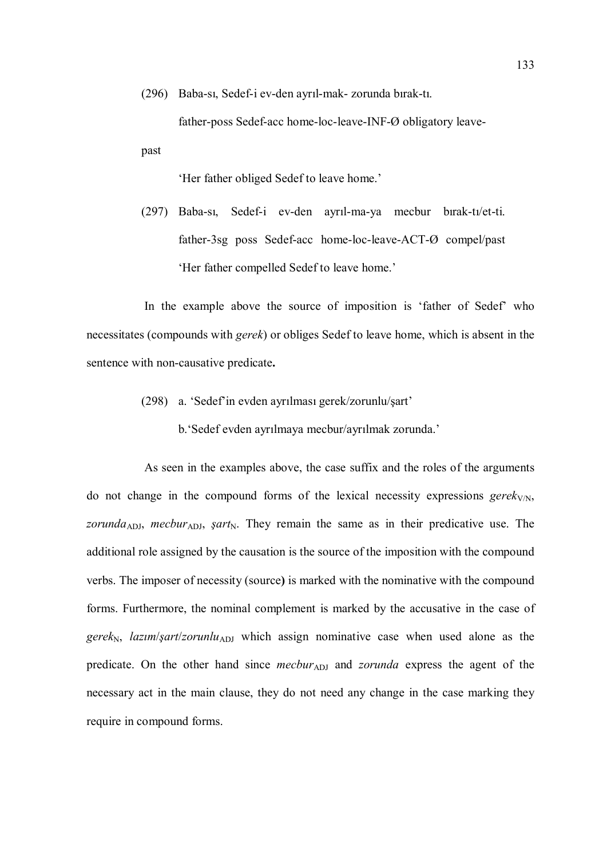(296) Baba-sı, Sedef-i ev-den ayrıl-mak- zorunda bırak-tı.

father-poss Sedef-acc home-loc-leave-INF-Ø obligatory leave-

'Her father obliged Sedef to leave home.'

past

(297) Baba-sı, Sedef-i ev-den ayrıl-ma-ya mecbur bırak-tı/et-ti. father-3sg poss Sedef-acc home-loc-leave-ACT-Ø compel/past 'Her father compelled Sedef to leave home.'

In the example above the source of imposition is 'father of Sedef' who necessitates (compounds with gerek) or obliges Sedef to leave home, which is absent in the sentence with non-causative predicate.

- (298) a. 'Sedef'in evden ayrılması gerek/zorunlu/şart'
	- b.'Sedef evden ayrılmaya mecbur/ayrılmak zorunda.'

As seen in the examples above, the case suffix and the roles of the arguments do not change in the compound forms of the lexical necessity expressions  $gerek_{V/N}$ , zorunda<sub>ADJ</sub>, mecbur<sub>ADJ</sub>, sart<sub>N</sub>. They remain the same as in their predicative use. The additional role assigned by the causation is the source of the imposition with the compound verbs. The imposer of necessity (source) is marked with the nominative with the compound forms. Furthermore, the nominal complement is marked by the accusative in the case of gerek<sub>N</sub>, lazim/sart/zorunlu<sub>ADJ</sub> which assign nominative case when used alone as the predicate. On the other hand since *mecbur*ADJ and *zorunda* express the agent of the necessary act in the main clause, they do not need any change in the case marking they require in compound forms.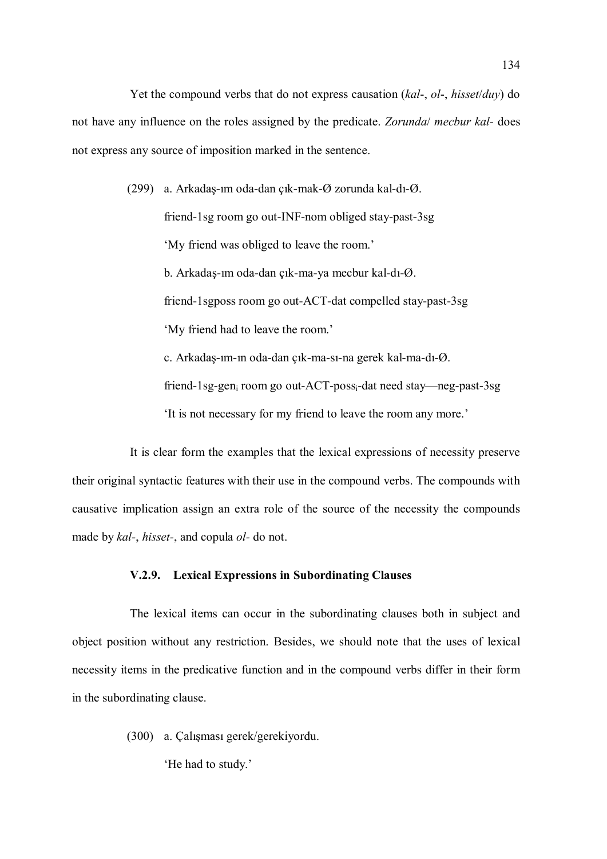Yet the compound verbs that do not express causation (kal-, ol-, hisset/duy) do not have any influence on the roles assigned by the predicate. Zorunda/ mecbur kal- does not express any source of imposition marked in the sentence.

(299) a. Arkadaş-ım oda-dan çık-mak-Ø zorunda kal-dı-Ø.

friend-1sg room go out-INF-nom obliged stay-past-3sg 'My friend was obliged to leave the room.' b. Arkadaş-ım oda-dan çık-ma-ya mecbur kal-dı-Ø. friend-1sgposs room go out-ACT-dat compelled stay-past-3sg 'My friend had to leave the room.' c. Arkadaş-ım-ın oda-dan çık-ma-sı-na gerek kal-ma-dı-Ø. friend-1sg-gen<sub>i</sub> room go out-ACT-poss<sub>i</sub>-dat need stay—neg-past-3sg

'It is not necessary for my friend to leave the room any more.'

It is clear form the examples that the lexical expressions of necessity preserve their original syntactic features with their use in the compound verbs. The compounds with causative implication assign an extra role of the source of the necessity the compounds made by kal-, hisset-, and copula ol- do not.

### V.2.9. Lexical Expressions in Subordinating Clauses

The lexical items can occur in the subordinating clauses both in subject and object position without any restriction. Besides, we should note that the uses of lexical necessity items in the predicative function and in the compound verbs differ in their form in the subordinating clause.

(300) a. Çalışması gerek/gerekiyordu.

'He had to study.'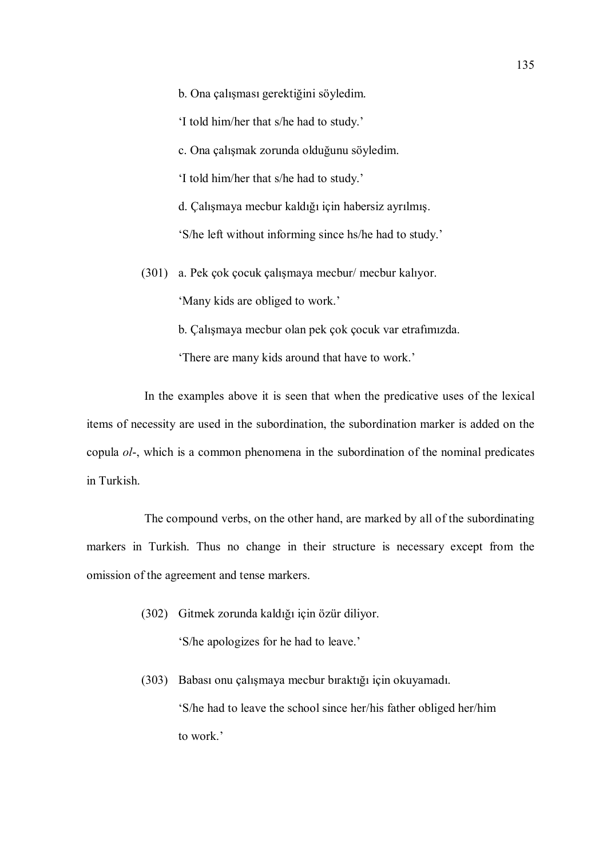b. Ona çalışması gerektiğini söyledim.

'I told him/her that s/he had to study.'

c. Ona çalışmak zorunda olduğunu söyledim.

'I told him/her that s/he had to study.'

d. Çalışmaya mecbur kaldığı için habersiz ayrılmış.

'S/he left without informing since hs/he had to study.'

(301) a. Pek çok çocuk çalışmaya mecbur/ mecbur kalıyor.

'Many kids are obliged to work.'

b. Çalışmaya mecbur olan pek çok çocuk var etrafımızda.

'There are many kids around that have to work.'

In the examples above it is seen that when the predicative uses of the lexical items of necessity are used in the subordination, the subordination marker is added on the copula ol-, which is a common phenomena in the subordination of the nominal predicates in Turkish.

The compound verbs, on the other hand, are marked by all of the subordinating markers in Turkish. Thus no change in their structure is necessary except from the omission of the agreement and tense markers.

- (302) Gitmek zorunda kaldığı için özür diliyor. 'S/he apologizes for he had to leave.'
- (303) Babası onu çalışmaya mecbur bıraktığı için okuyamadı. 'S/he had to leave the school since her/his father obliged her/him to work.'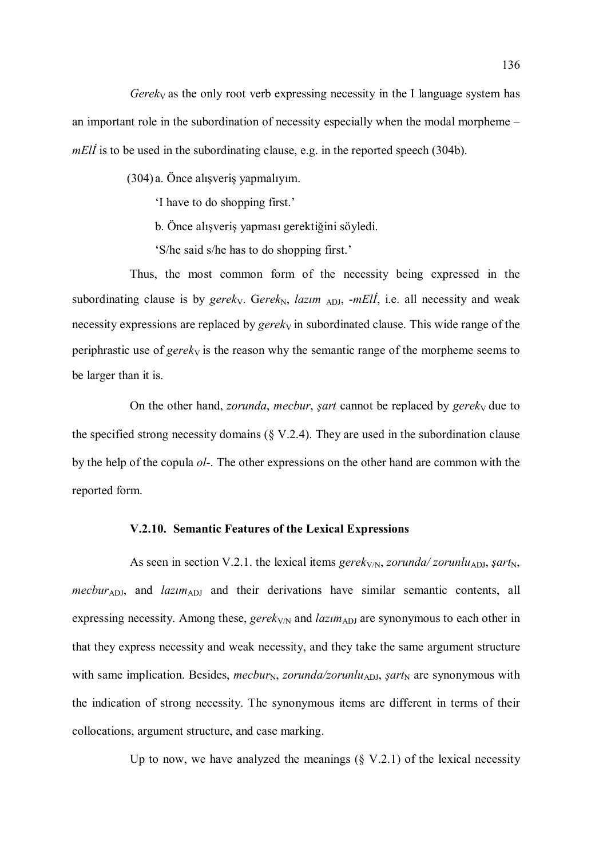Gerek<sub>V</sub> as the only root verb expressing necessity in the I language system has an important role in the subordination of necessity especially when the modal morpheme – mEll is to be used in the subordinating clause, e.g. in the reported speech (304b).

(304) a. Önce alışveriş yapmalıyım.

'I have to do shopping first.'

b. Önce alışveriş yapması gerektiğini söyledi.

'S/he said s/he has to do shopping first.'

Thus, the most common form of the necessity being expressed in the subordinating clause is by gereky. Gerek<sub>N</sub>, lazim <sub>ADJ</sub>, -mEll, i.e. all necessity and weak necessity expressions are replaced by  $gerek<sub>V</sub>$  in subordinated clause. This wide range of the periphrastic use of *gerek* $\sqrt{V}$  is the reason why the semantic range of the morpheme seems to be larger than it is.

On the other hand, *zorunda*, *mecbur*, *şart* cannot be replaced by *gerek* $\sqrt{ }$  due to the specified strong necessity domains  $(\S V.2.4)$ . They are used in the subordination clause by the help of the copula ol-. The other expressions on the other hand are common with the reported form.

#### V.2.10. Semantic Features of the Lexical Expressions

As seen in section V.2.1. the lexical items gerek<sub>V/N</sub>, zorunda/ zorunlu<sub>ADJ</sub>, *şart*<sub>N</sub>,  $mecbur<sub>ADI</sub>$ , and  $lazim<sub>ADI</sub>$  and their derivations have similar semantic contents, all expressing necessity. Among these, gerek<sub>V/N</sub> and *lazim*<sub>ADJ</sub> are synonymous to each other in that they express necessity and weak necessity, and they take the same argument structure with same implication. Besides, *mecbur<sub>N</sub>*, *zorunda/zorunlu<sub>ADJ</sub>*, *şart*<sub>N</sub> are synonymous with the indication of strong necessity. The synonymous items are different in terms of their collocations, argument structure, and case marking.

Up to now, we have analyzed the meanings  $(\S V.2.1)$  of the lexical necessity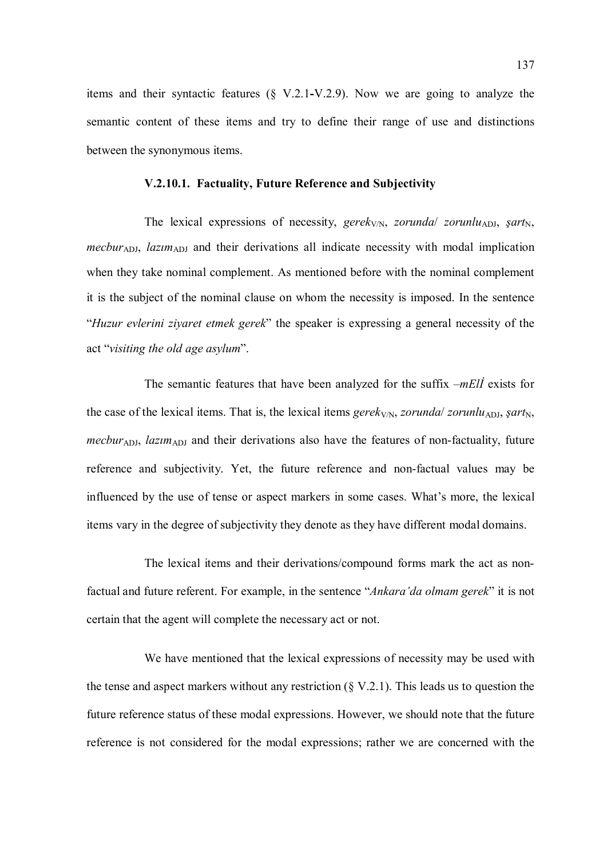items and their syntactic features (§ V.2.1-V.2.9). Now we are going to analyze the semantic content of these items and try to define their range of use and distinctions between the synonymous items.

### V.2.10.1. Factuality, Future Reference and Subjectivity

The lexical expressions of necessity, gerek<sub>V/N</sub>, zorunda/ zorunlu<sub>ADJ</sub>, *şart*<sub>N</sub>,  $mecbur<sub>ADJ</sub>$ , lazim<sub>ADJ</sub> and their derivations all indicate necessity with modal implication when they take nominal complement. As mentioned before with the nominal complement it is the subject of the nominal clause on whom the necessity is imposed. In the sentence "Huzur evlerini ziyaret etmek gerek" the speaker is expressing a general necessity of the act "visiting the old age asylum".

The semantic features that have been analyzed for the suffix  $-mE/I$  exists for the case of the lexical items. That is, the lexical items gerek<sub>V/N</sub>, zorunda/ zorunlu<sub>ADJ</sub>, *şart*<sub>N</sub>, mecbur<sub>ADJ</sub>, lazim<sub>ADJ</sub> and their derivations also have the features of non-factuality, future reference and subjectivity. Yet, the future reference and non-factual values may be influenced by the use of tense or aspect markers in some cases. What's more, the lexical items vary in the degree of subjectivity they denote as they have different modal domains.

The lexical items and their derivations/compound forms mark the act as nonfactual and future referent. For example, in the sentence "Ankara'da olmam gerek" it is not certain that the agent will complete the necessary act or not.

We have mentioned that the lexical expressions of necessity may be used with the tense and aspect markers without any restriction  $(\S V.2.1)$ . This leads us to question the future reference status of these modal expressions. However, we should note that the future reference is not considered for the modal expressions; rather we are concerned with the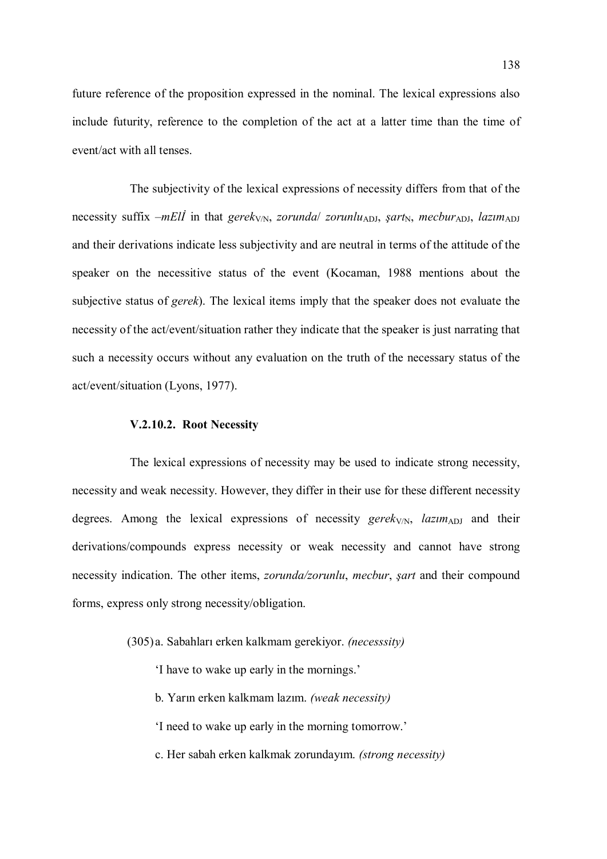future reference of the proposition expressed in the nominal. The lexical expressions also include futurity, reference to the completion of the act at a latter time than the time of event/act with all tenses.

The subjectivity of the lexical expressions of necessity differs from that of the necessity suffix –mEll in that gerek<sub>V/N</sub>, zorunda/ zorunlu<sub>ADJ</sub>, şart<sub>N</sub>, mecbur<sub>ADJ</sub>, lazım<sub>ADJ</sub> and their derivations indicate less subjectivity and are neutral in terms of the attitude of the speaker on the necessitive status of the event (Kocaman, 1988 mentions about the subjective status of *gerek*). The lexical items imply that the speaker does not evaluate the necessity of the act/event/situation rather they indicate that the speaker is just narrating that such a necessity occurs without any evaluation on the truth of the necessary status of the act/event/situation (Lyons, 1977).

### V.2.10.2. Root Necessity

The lexical expressions of necessity may be used to indicate strong necessity, necessity and weak necessity. However, they differ in their use for these different necessity degrees. Among the lexical expressions of necessity gerek<sub>V/N</sub>, lazim<sub>ADJ</sub> and their derivations/compounds express necessity or weak necessity and cannot have strong necessity indication. The other items, *zorunda/zorunlu, mecbur, sart* and their compound forms, express only strong necessity/obligation.

- (305) a. Sabahları erken kalkmam gerekiyor. (necesssity)
	- 'I have to wake up early in the mornings.'
	- b. Yarın erken kalkmam lazım. (weak necessity)
	- 'I need to wake up early in the morning tomorrow.'
	- c. Her sabah erken kalkmak zorundayım. (strong necessity)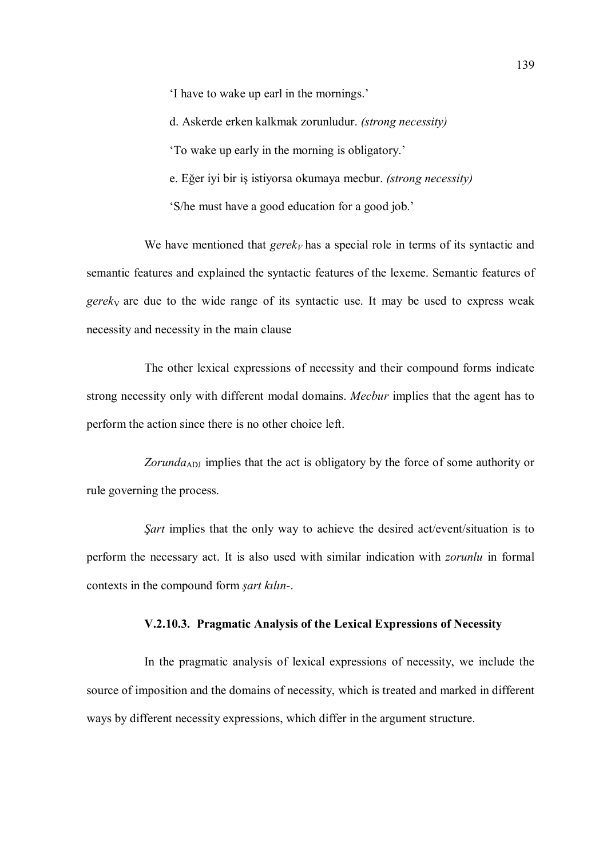'I have to wake up earl in the mornings.'

d. Askerde erken kalkmak zorunludur. (strong necessity)

'To wake up early in the morning is obligatory.'

e. Eğer iyi bir iş istiyorsa okumaya mecbur. (strong necessity)

'S/he must have a good education for a good job.'

We have mentioned that  $gerek<sub>V</sub>$  has a special role in terms of its syntactic and semantic features and explained the syntactic features of the lexeme. Semantic features of  $gerek<sub>V</sub>$  are due to the wide range of its syntactic use. It may be used to express weak necessity and necessity in the main clause

The other lexical expressions of necessity and their compound forms indicate strong necessity only with different modal domains. Mecbur implies that the agent has to perform the action since there is no other choice left.

Zorunda<sub>ADJ</sub> implies that the act is obligatory by the force of some authority or rule governing the process.

Sart implies that the only way to achieve the desired act/event/situation is to perform the necessary act. It is also used with similar indication with zorunlu in formal contexts in the compound form şart kılın-.

### V.2.10.3. Pragmatic Analysis of the Lexical Expressions of Necessity

In the pragmatic analysis of lexical expressions of necessity, we include the source of imposition and the domains of necessity, which is treated and marked in different ways by different necessity expressions, which differ in the argument structure.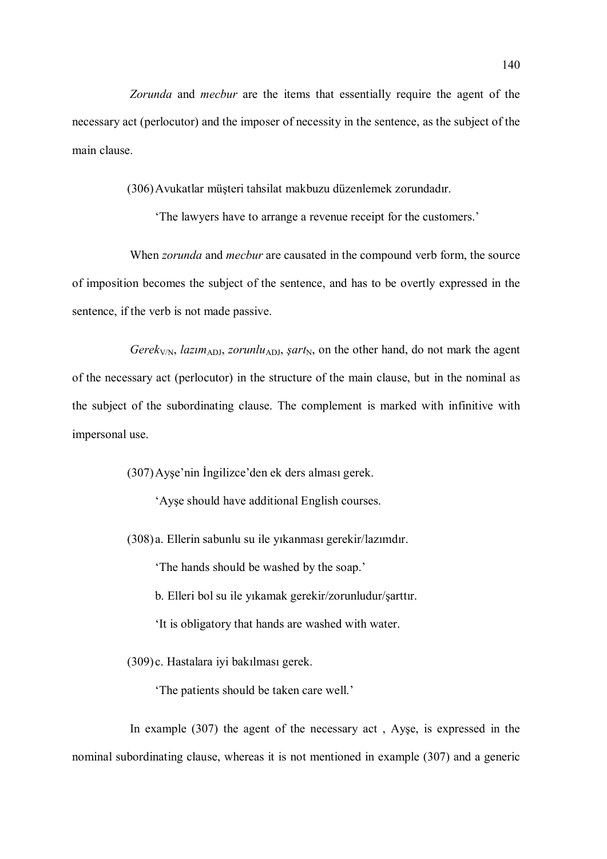Zorunda and mecbur are the items that essentially require the agent of the necessary act (perlocutor) and the imposer of necessity in the sentence, as the subject of the main clause.

(306)Avukatlar müşteri tahsilat makbuzu düzenlemek zorundadır.

'The lawyers have to arrange a revenue receipt for the customers.'

When *zorunda* and *mecbur* are causated in the compound verb form, the source of imposition becomes the subject of the sentence, and has to be overtly expressed in the sentence, if the verb is not made passive.

Gerek<sub>V/N</sub>, lazim<sub>ADJ</sub>, zorunlu<sub>ADJ</sub>, şart<sub>N</sub>, on the other hand, do not mark the agent of the necessary act (perlocutor) in the structure of the main clause, but in the nominal as the subject of the subordinating clause. The complement is marked with infinitive with impersonal use.

(307)Ayşe'nin İngilizce'den ek ders alması gerek.

'Ayşe should have additional English courses.

(308) a. Ellerin sabunlu su ile yıkanması gerekir/lazımdır.

'The hands should be washed by the soap.'

b. Elleri bol su ile yıkamak gerekir/zorunludur/şarttır.

'It is obligatory that hands are washed with water.

(309) c. Hastalara iyi bakılması gerek.

'The patients should be taken care well.'

In example (307) the agent of the necessary act , Ayşe, is expressed in the nominal subordinating clause, whereas it is not mentioned in example (307) and a generic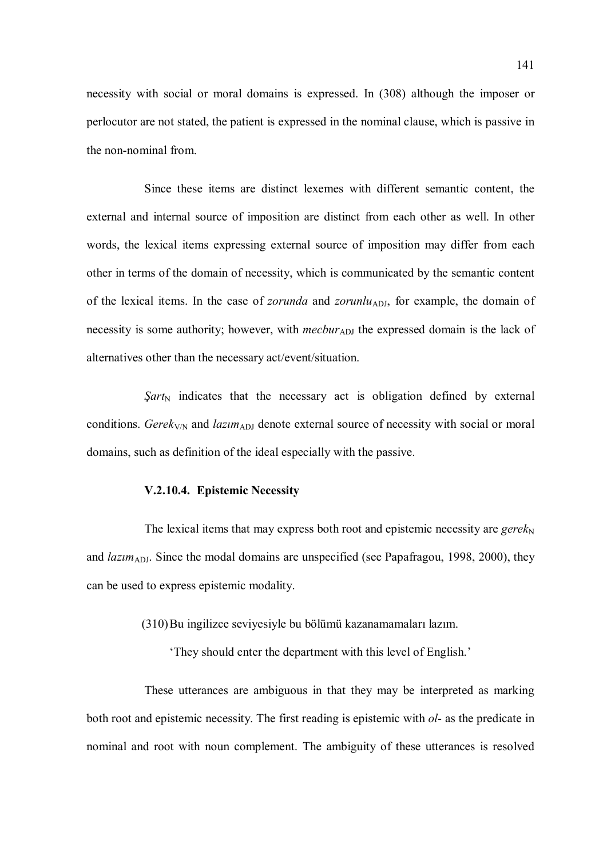necessity with social or moral domains is expressed. In (308) although the imposer or perlocutor are not stated, the patient is expressed in the nominal clause, which is passive in the non-nominal from.

Since these items are distinct lexemes with different semantic content, the external and internal source of imposition are distinct from each other as well. In other words, the lexical items expressing external source of imposition may differ from each other in terms of the domain of necessity, which is communicated by the semantic content of the lexical items. In the case of *zorunda* and *zorunlu*<sub>ADJ</sub>, for example, the domain of necessity is some authority; however, with *mecbur*<sub>ADJ</sub> the expressed domain is the lack of alternatives other than the necessary act/event/situation.

 $Sart_N$  indicates that the necessary act is obligation defined by external conditions. Gerek<sub>V/N</sub> and *lazim*<sub>ADJ</sub> denote external source of necessity with social or moral domains, such as definition of the ideal especially with the passive.

## V.2.10.4. Epistemic Necessity

The lexical items that may express both root and epistemic necessity are  $gerek<sub>N</sub>$ and  $lazim_{ADJ}$ . Since the modal domains are unspecified (see Papafragou, 1998, 2000), they can be used to express epistemic modality.

(310)Bu ingilizce seviyesiyle bu bölümü kazanamamaları lazım.

'They should enter the department with this level of English.'

These utterances are ambiguous in that they may be interpreted as marking both root and epistemic necessity. The first reading is epistemic with *ol*- as the predicate in nominal and root with noun complement. The ambiguity of these utterances is resolved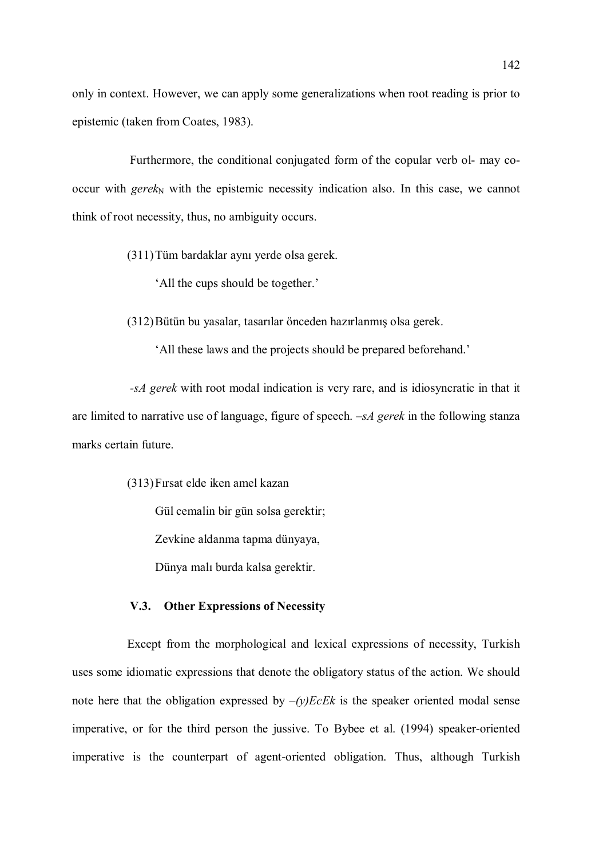only in context. However, we can apply some generalizations when root reading is prior to epistemic (taken from Coates, 1983).

Furthermore, the conditional conjugated form of the copular verb ol- may cooccur with gere $k_N$  with the epistemic necessity indication also. In this case, we cannot think of root necessity, thus, no ambiguity occurs.

- (311)Tüm bardaklar aynı yerde olsa gerek.
	- 'All the cups should be together.'

(312)Bütün bu yasalar, tasarılar önceden hazırlanmış olsa gerek.

'All these laws and the projects should be prepared beforehand.'

-sA gerek with root modal indication is very rare, and is idiosyncratic in that it are limited to narrative use of language, figure of speech.  $-SA$  gerek in the following stanza marks certain future.

(313)Fırsat elde iken amel kazan

Gül cemalin bir gün solsa gerektir;

Zevkine aldanma tapma dünyaya,

Dünya malı burda kalsa gerektir.

### V.3. Other Expressions of Necessity

Except from the morphological and lexical expressions of necessity, Turkish uses some idiomatic expressions that denote the obligatory status of the action. We should note here that the obligation expressed by  $-(y)EcEk$  is the speaker oriented modal sense imperative, or for the third person the jussive. To Bybee et al. (1994) speaker-oriented imperative is the counterpart of agent-oriented obligation. Thus, although Turkish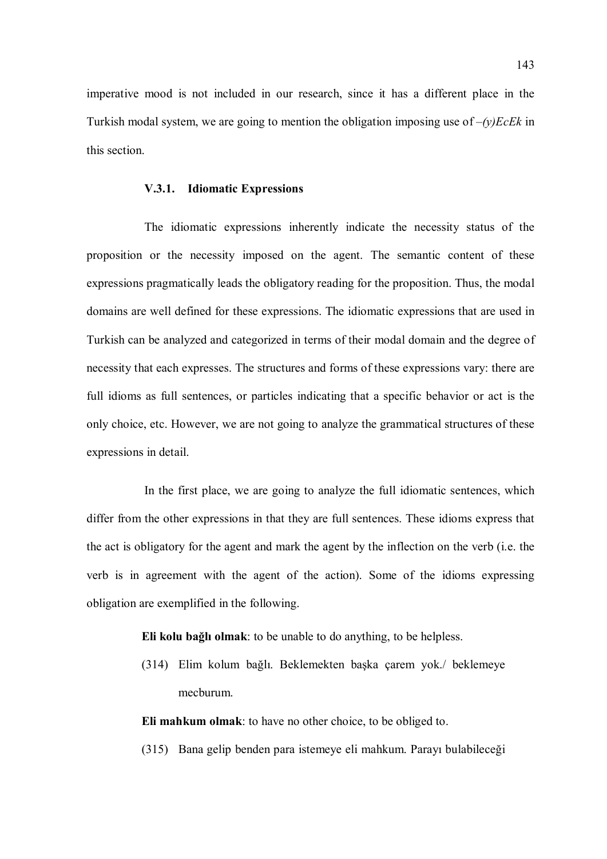imperative mood is not included in our research, since it has a different place in the Turkish modal system, we are going to mention the obligation imposing use of  $-(y)EcEk$  in this section.

### V.3.1. Idiomatic Expressions

The idiomatic expressions inherently indicate the necessity status of the proposition or the necessity imposed on the agent. The semantic content of these expressions pragmatically leads the obligatory reading for the proposition. Thus, the modal domains are well defined for these expressions. The idiomatic expressions that are used in Turkish can be analyzed and categorized in terms of their modal domain and the degree of necessity that each expresses. The structures and forms of these expressions vary: there are full idioms as full sentences, or particles indicating that a specific behavior or act is the only choice, etc. However, we are not going to analyze the grammatical structures of these expressions in detail.

In the first place, we are going to analyze the full idiomatic sentences, which differ from the other expressions in that they are full sentences. These idioms express that the act is obligatory for the agent and mark the agent by the inflection on the verb (i.e. the verb is in agreement with the agent of the action). Some of the idioms expressing obligation are exemplified in the following.

Eli kolu bağlı olmak: to be unable to do anything, to be helpless.

(314) Elim kolum bağlı. Beklemekten başka çarem yok./ beklemeye mecburum.

Eli mahkum olmak: to have no other choice, to be obliged to.

(315) Bana gelip benden para istemeye eli mahkum. Parayı bulabileceği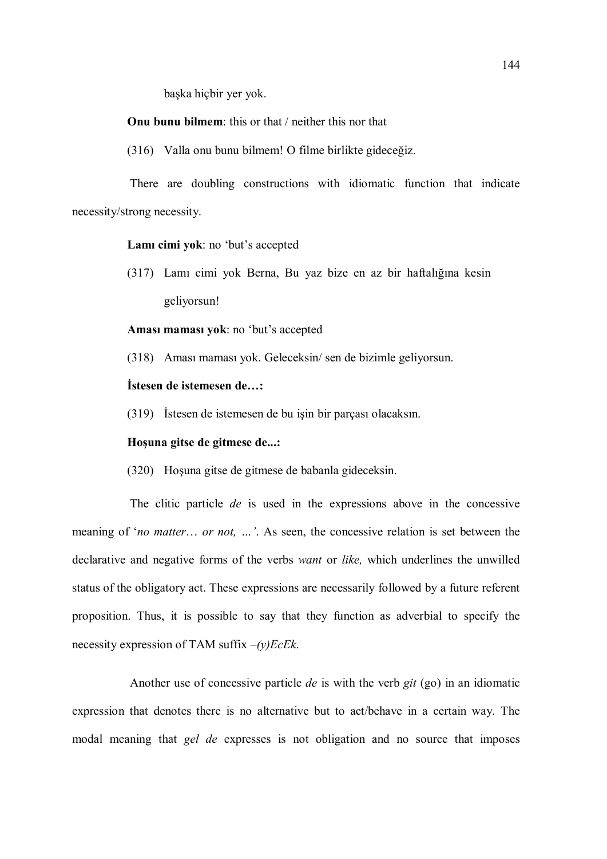başka hiçbir yer yok.

Onu bunu bilmem: this or that / neither this nor that

(316) Valla onu bunu bilmem! O filme birlikte gideceğiz.

There are doubling constructions with idiomatic function that indicate necessity/strong necessity.

Lamı cimi yok: no 'but's accepted

(317) Lamı cimi yok Berna, Bu yaz bize en az bir haftalığına kesin geliyorsun!

Aması maması yok: no 'but's accepted

(318) Aması maması yok. Geleceksin/ sen de bizimle geliyorsun.

## İstesen de istemesen de…:

(319) İstesen de istemesen de bu işin bir parçası olacaksın.

# Hoşuna gitse de gitmese de...:

(320) Hoşuna gitse de gitmese de babanla gideceksin.

The clitic particle de is used in the expressions above in the concessive meaning of 'no matter... or not, ...'. As seen, the concessive relation is set between the declarative and negative forms of the verbs want or like, which underlines the unwilled status of the obligatory act. These expressions are necessarily followed by a future referent proposition. Thus, it is possible to say that they function as adverbial to specify the necessity expression of TAM suffix  $-(y)EcEk$ .

Another use of concessive particle *de* is with the verb git (go) in an idiomatic expression that denotes there is no alternative but to act/behave in a certain way. The modal meaning that *gel de* expresses is not obligation and no source that imposes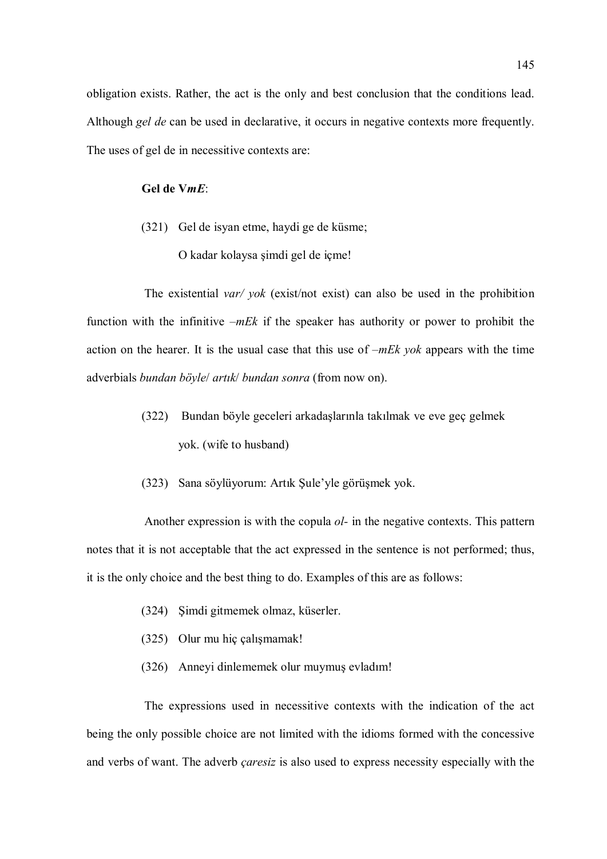obligation exists. Rather, the act is the only and best conclusion that the conditions lead. Although gel de can be used in declarative, it occurs in negative contexts more frequently. The uses of gel de in necessitive contexts are:

## Gel de VmE:

(321) Gel de isyan etme, haydi ge de küsme; O kadar kolaysa şimdi gel de içme!

The existential *var*/*yok* (exist/not exist) can also be used in the prohibition function with the infinitive  $-mE k$  if the speaker has authority or power to prohibit the action on the hearer. It is the usual case that this use of  $-mE<sub>k</sub>$  yok appears with the time adverbials bundan böyle/ artık/ bundan sonra (from now on).

- (322) Bundan böyle geceleri arkadaşlarınla takılmak ve eve geç gelmek yok. (wife to husband)
- (323) Sana söylüyorum: Artık Şule'yle görüşmek yok.

Another expression is with the copula *ol*- in the negative contexts. This pattern notes that it is not acceptable that the act expressed in the sentence is not performed; thus, it is the only choice and the best thing to do. Examples of this are as follows:

- (324) Şimdi gitmemek olmaz, küserler.
- (325) Olur mu hiç çalışmamak!
- (326) Anneyi dinlememek olur muymuş evladım!

The expressions used in necessitive contexts with the indication of the act being the only possible choice are not limited with the idioms formed with the concessive and verbs of want. The adverb *caresiz* is also used to express necessity especially with the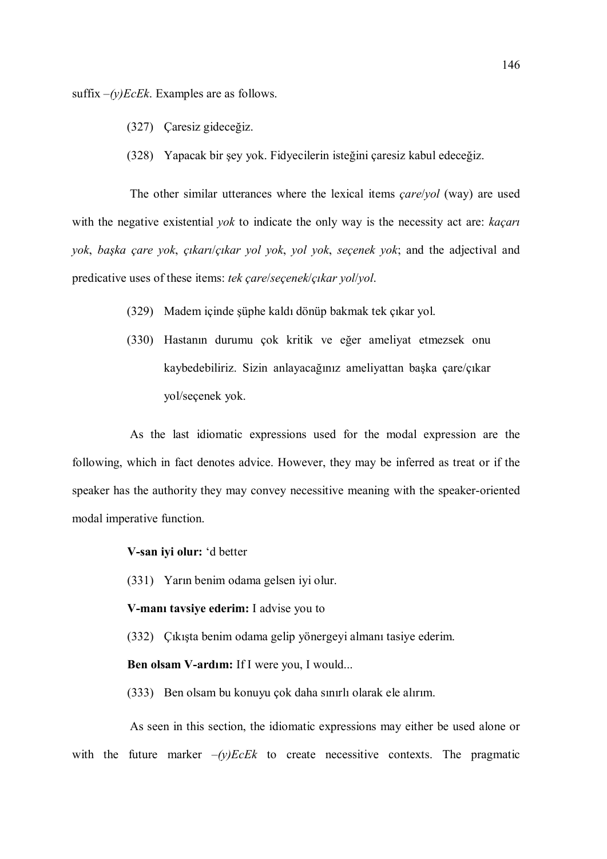suffix  $-(y)EcEk$ . Examples are as follows.

- (327) Çaresiz gideceğiz.
- (328) Yapacak bir şey yok. Fidyecilerin isteğini çaresiz kabul edeceğiz.

The other similar utterances where the lexical items *care/yol* (way) are used with the negative existential *yok* to indicate the only way is the necessity act are: *kaçari* yok, başka çare yok, çıkarı/çıkar yol yok, yol yok, seçenek yok; and the adjectival and predicative uses of these items: tek çare/seçenek/çıkar yol/yol.

- (329) Madem içinde şüphe kaldı dönüp bakmak tek çıkar yol.
- (330) Hastanın durumu çok kritik ve eğer ameliyat etmezsek onu kaybedebiliriz. Sizin anlayacağınız ameliyattan başka çare/çıkar yol/seçenek yok.

As the last idiomatic expressions used for the modal expression are the following, which in fact denotes advice. However, they may be inferred as treat or if the speaker has the authority they may convey necessitive meaning with the speaker-oriented modal imperative function.

V-san iyi olur: 'd better

(331) Yarın benim odama gelsen iyi olur.

## V-manı tavsiye ederim: I advise you to

(332) Çıkışta benim odama gelip yönergeyi almanı tasiye ederim.

Ben olsam V-ardım: If I were you, I would...

(333) Ben olsam bu konuyu çok daha sınırlı olarak ele alırım.

As seen in this section, the idiomatic expressions may either be used alone or with the future marker  $-(y)EcEk$  to create necessitive contexts. The pragmatic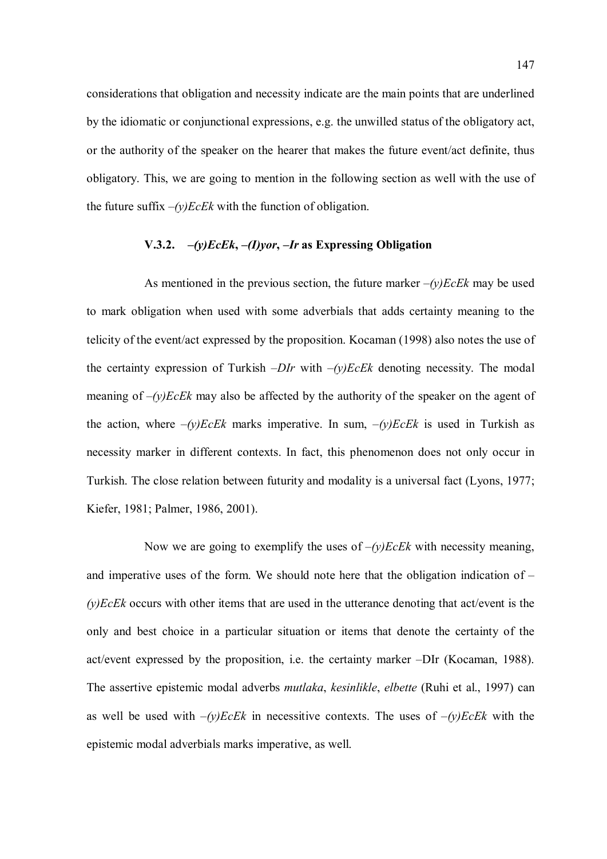considerations that obligation and necessity indicate are the main points that are underlined by the idiomatic or conjunctional expressions, e.g. the unwilled status of the obligatory act, or the authority of the speaker on the hearer that makes the future event/act definite, thus obligatory. This, we are going to mention in the following section as well with the use of the future suffix  $-(y)EcEk$  with the function of obligation.

## V.3.2.  $-(y)EcEk$ ,  $-(I) yor$ ,  $-Ir$  as Expressing Obligation

As mentioned in the previous section, the future marker  $-(y)EcEk$  may be used to mark obligation when used with some adverbials that adds certainty meaning to the telicity of the event/act expressed by the proposition. Kocaman (1998) also notes the use of the certainty expression of Turkish  $-DIr$  with  $-(y)EcEk$  denoting necessity. The modal meaning of  $-(y)EcEk$  may also be affected by the authority of the speaker on the agent of the action, where  $-(y)EcEk$  marks imperative. In sum,  $-(y)EcEk$  is used in Turkish as necessity marker in different contexts. In fact, this phenomenon does not only occur in Turkish. The close relation between futurity and modality is a universal fact (Lyons, 1977; Kiefer, 1981; Palmer, 1986, 2001).

Now we are going to exemplify the uses of  $-(y)EcEk$  with necessity meaning, and imperative uses of the form. We should note here that the obligation indication of –  $(y)EcEk$  occurs with other items that are used in the utterance denoting that act/event is the only and best choice in a particular situation or items that denote the certainty of the act/event expressed by the proposition, i.e. the certainty marker –DIr (Kocaman, 1988). The assertive epistemic modal adverbs *mutlaka*, *kesinlikle*, *elbette* (Ruhi et al., 1997) can as well be used with  $-(y)EcEk$  in necessitive contexts. The uses of  $-(y)EcEk$  with the epistemic modal adverbials marks imperative, as well.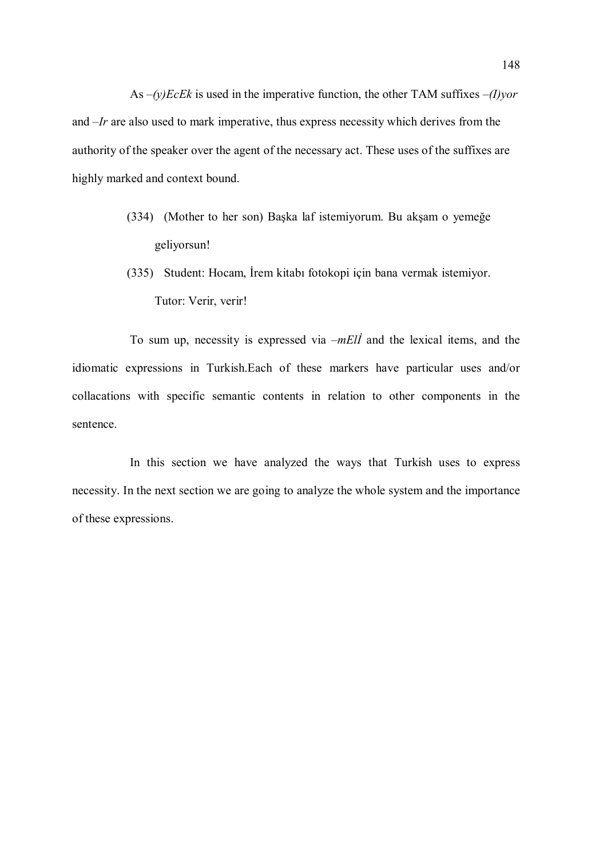As  $-(y)EcEk$  is used in the imperative function, the other TAM suffixes  $-(I)$ *yor* and –Ir are also used to mark imperative, thus express necessity which derives from the authority of the speaker over the agent of the necessary act. These uses of the suffixes are highly marked and context bound.

- (334) (Mother to her son) Başka laf istemiyorum. Bu akşam o yemeğe geliyorsun!
- (335) Student: Hocam, İrem kitabı fotokopi için bana vermak istemiyor. Tutor: Verir, verir!

To sum up, necessity is expressed via  $-mE\ddot{l}$  and the lexical items, and the idiomatic expressions in Turkish.Each of these markers have particular uses and/or collacations with specific semantic contents in relation to other components in the sentence.

In this section we have analyzed the ways that Turkish uses to express necessity. In the next section we are going to analyze the whole system and the importance of these expressions.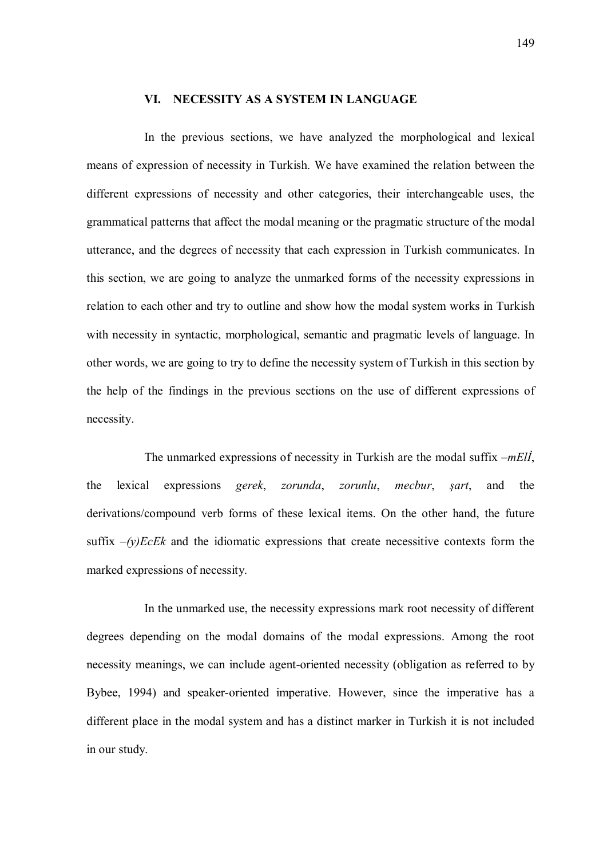## VI. NECESSITY AS A SYSTEM IN LANGUAGE

In the previous sections, we have analyzed the morphological and lexical means of expression of necessity in Turkish. We have examined the relation between the different expressions of necessity and other categories, their interchangeable uses, the grammatical patterns that affect the modal meaning or the pragmatic structure of the modal utterance, and the degrees of necessity that each expression in Turkish communicates. In this section, we are going to analyze the unmarked forms of the necessity expressions in relation to each other and try to outline and show how the modal system works in Turkish with necessity in syntactic, morphological, semantic and pragmatic levels of language. In other words, we are going to try to define the necessity system of Turkish in this section by the help of the findings in the previous sections on the use of different expressions of necessity.

The unmarked expressions of necessity in Turkish are the modal suffix  $-mEli$ , the lexical expressions gerek, zorunda, zorunlu, mecbur, şart, and the derivations/compound verb forms of these lexical items. On the other hand, the future suffix  $-(y)EcEk$  and the idiomatic expressions that create necessitive contexts form the marked expressions of necessity.

In the unmarked use, the necessity expressions mark root necessity of different degrees depending on the modal domains of the modal expressions. Among the root necessity meanings, we can include agent-oriented necessity (obligation as referred to by Bybee, 1994) and speaker-oriented imperative. However, since the imperative has a different place in the modal system and has a distinct marker in Turkish it is not included in our study.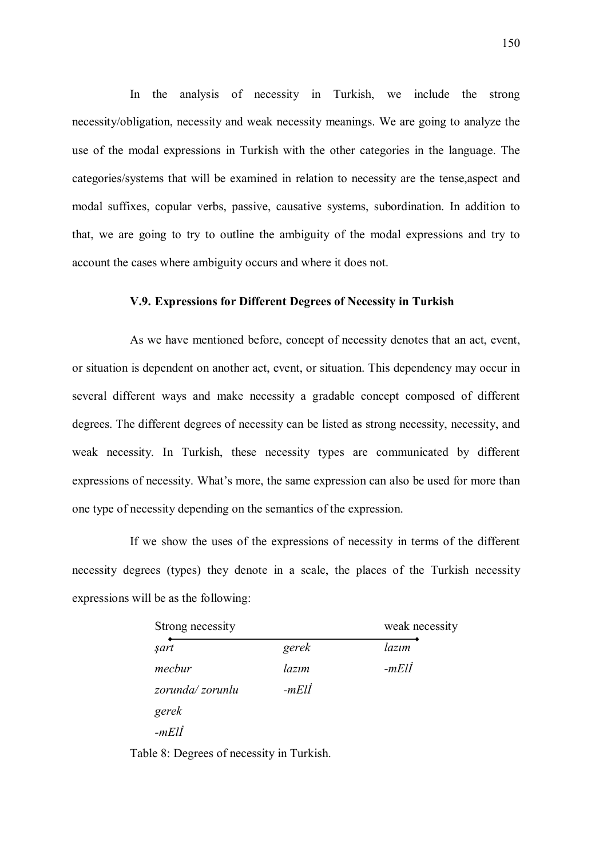In the analysis of necessity in Turkish, we include the strong necessity/obligation, necessity and weak necessity meanings. We are going to analyze the use of the modal expressions in Turkish with the other categories in the language. The categories/systems that will be examined in relation to necessity are the tense,aspect and modal suffixes, copular verbs, passive, causative systems, subordination. In addition to that, we are going to try to outline the ambiguity of the modal expressions and try to account the cases where ambiguity occurs and where it does not.

### V.9. Expressions for Different Degrees of Necessity in Turkish

As we have mentioned before, concept of necessity denotes that an act, event, or situation is dependent on another act, event, or situation. This dependency may occur in several different ways and make necessity a gradable concept composed of different degrees. The different degrees of necessity can be listed as strong necessity, necessity, and weak necessity. In Turkish, these necessity types are communicated by different expressions of necessity. What's more, the same expression can also be used for more than one type of necessity depending on the semantics of the expression.

If we show the uses of the expressions of necessity in terms of the different necessity degrees (types) they denote in a scale, the places of the Turkish necessity expressions will be as the following:

| Strong necessity | weak necessity |         |  |
|------------------|----------------|---------|--|
| şart             | gerek          | lazım   |  |
| mecbur           | lazım          | $-mEll$ |  |
| zorunda/zorunlu  | -mElİ          |         |  |
| gerek            |                |         |  |
| $-mEll$          |                |         |  |

Table 8: Degrees of necessity in Turkish.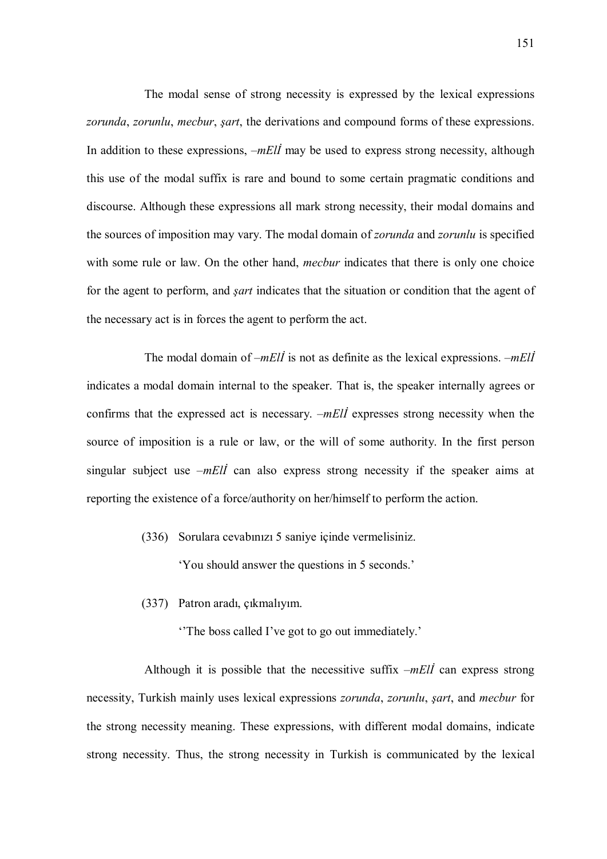The modal sense of strong necessity is expressed by the lexical expressions zorunda, zorunlu, mecbur, sart, the derivations and compound forms of these expressions. In addition to these expressions,  $-mE\ddot{\theta}$  may be used to express strong necessity, although this use of the modal suffix is rare and bound to some certain pragmatic conditions and discourse. Although these expressions all mark strong necessity, their modal domains and the sources of imposition may vary. The modal domain of *zorunda* and *zorunlu* is specified with some rule or law. On the other hand, *mecbur* indicates that there is only one choice for the agent to perform, and *sart* indicates that the situation or condition that the agent of the necessary act is in forces the agent to perform the act.

The modal domain of  $-mE\vec{l}$  is not as definite as the lexical expressions.  $-mE\vec{l}$ indicates a modal domain internal to the speaker. That is, the speaker internally agrees or confirms that the expressed act is necessary. –*mEll* expresses strong necessity when the source of imposition is a rule or law, or the will of some authority. In the first person singular subject use  $-mE\ddot{\theta}$  can also express strong necessity if the speaker aims at reporting the existence of a force/authority on her/himself to perform the action.

(336) Sorulara cevabınızı 5 saniye içinde vermelisiniz.

'You should answer the questions in 5 seconds.'

(337) Patron aradı, çıkmalıyım.

''The boss called I've got to go out immediately.'

Although it is possible that the necessitive suffix  $-mE\ddot{\theta}$  can express strong necessity, Turkish mainly uses lexical expressions zorunda, zorunlu, şart, and mecbur for the strong necessity meaning. These expressions, with different modal domains, indicate strong necessity. Thus, the strong necessity in Turkish is communicated by the lexical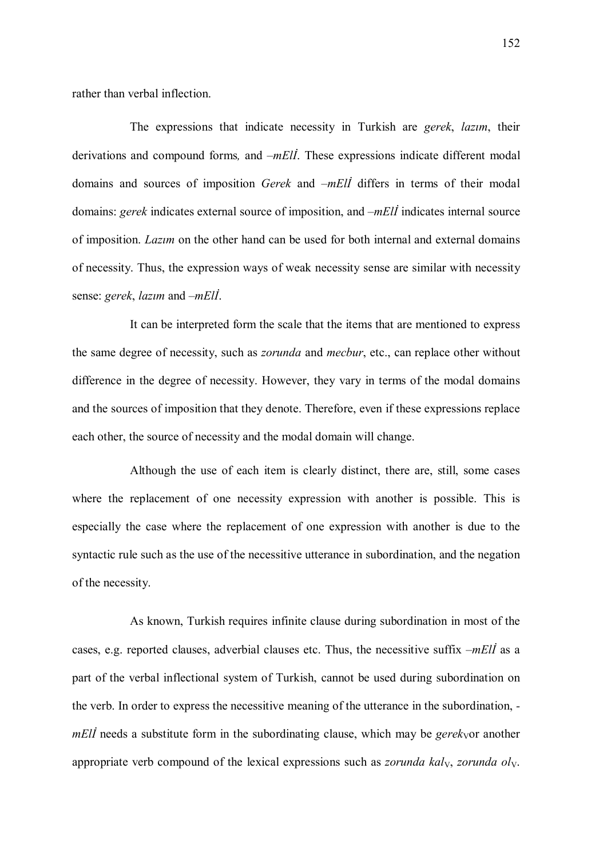rather than verbal inflection.

The expressions that indicate necessity in Turkish are *gerek*, *lazim*, their derivations and compound forms, and  $-mE\ddot{\theta}$ . These expressions indicate different modal domains and sources of imposition *Gerek* and –*mEll* differs in terms of their modal domains: gerek indicates external source of imposition, and  $-mE/I$  indicates internal source of imposition. Lazım on the other hand can be used for both internal and external domains of necessity. Thus, the expression ways of weak necessity sense are similar with necessity sense: gerek, lazım and –mElİ.

It can be interpreted form the scale that the items that are mentioned to express the same degree of necessity, such as zorunda and mecbur, etc., can replace other without difference in the degree of necessity. However, they vary in terms of the modal domains and the sources of imposition that they denote. Therefore, even if these expressions replace each other, the source of necessity and the modal domain will change.

Although the use of each item is clearly distinct, there are, still, some cases where the replacement of one necessity expression with another is possible. This is especially the case where the replacement of one expression with another is due to the syntactic rule such as the use of the necessitive utterance in subordination, and the negation of the necessity.

As known, Turkish requires infinite clause during subordination in most of the cases, e.g. reported clauses, adverbial clauses etc. Thus, the necessitive suffix  $-mE\ddot{\theta}$  as a part of the verbal inflectional system of Turkish, cannot be used during subordination on the verb. In order to express the necessitive meaning of the utterance in the subordination,  $mE\ddot{\theta}$  needs a substitute form in the subordinating clause, which may be gerek<sub>V</sub>or another appropriate verb compound of the lexical expressions such as *zorunda kal<sub>V</sub>*, *zorunda oly*.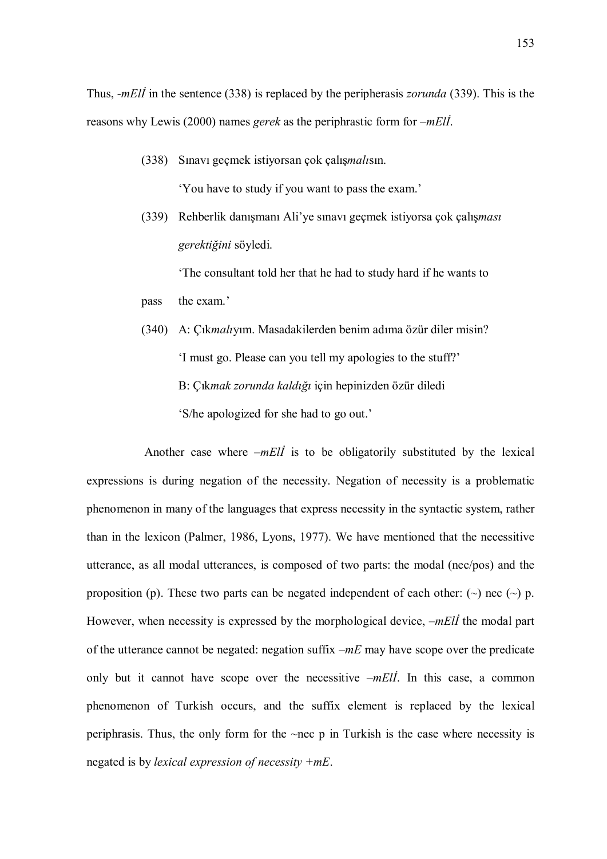Thus, *-mEll* in the sentence (338) is replaced by the peripherasis *zorunda* (339). This is the reasons why Lewis (2000) names *gerek* as the periphrastic form for –*mEll*.

- (338) Sınavı geçmek istiyorsan çok çalışmalısın. 'You have to study if you want to pass the exam.'
- (339) Rehberlik danışmanı Ali'ye sınavı geçmek istiyorsa çok çalışması gerektiğini söyledi.

'The consultant told her that he had to study hard if he wants to

pass the exam.'

(340) A: Çıkmalıyım. Masadakilerden benim adıma özür diler misin? 'I must go. Please can you tell my apologies to the stuff?' B: Çıkmak zorunda kaldığı için hepinizden özür diledi 'S/he apologized for she had to go out.'

Another case where  $-mE\vec{l}$  is to be obligatorily substituted by the lexical expressions is during negation of the necessity. Negation of necessity is a problematic phenomenon in many of the languages that express necessity in the syntactic system, rather than in the lexicon (Palmer, 1986, Lyons, 1977). We have mentioned that the necessitive utterance, as all modal utterances, is composed of two parts: the modal (nec/pos) and the proposition (p). These two parts can be negated independent of each other:  $(\sim)$  nec  $(\sim)$  p. However, when necessity is expressed by the morphological device,  $-mE\ddot{\theta}$  the modal part of the utterance cannot be negated: negation suffix  $-mE$  may have scope over the predicate only but it cannot have scope over the necessitive  $-mE\ddot{\theta}$ . In this case, a common phenomenon of Turkish occurs, and the suffix element is replaced by the lexical periphrasis. Thus, the only form for the ~nec p in Turkish is the case where necessity is negated is by lexical expression of necessity +mE.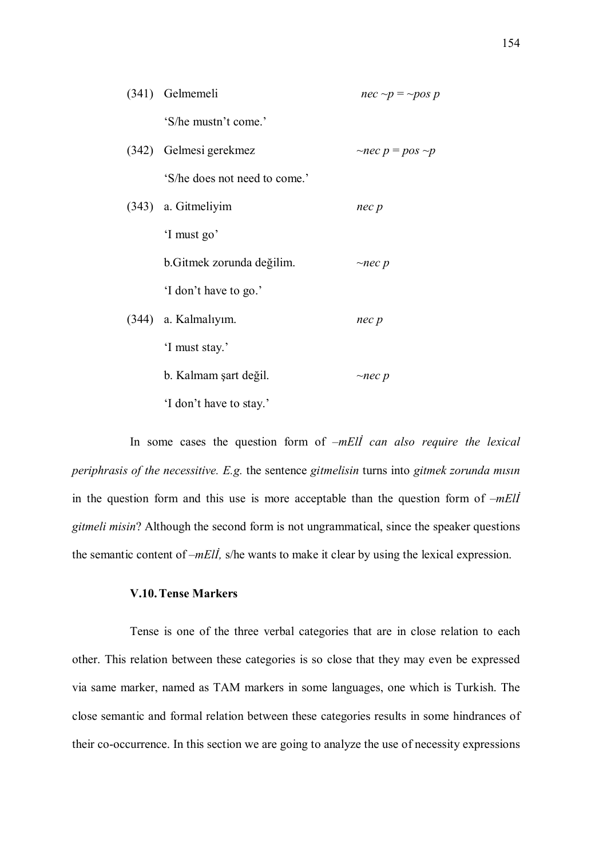| (341) Gelmemeli               | $nec \sim p = \sim pos p$   |
|-------------------------------|-----------------------------|
| 'S/he mustn't come.'          |                             |
| (342) Gelmesi gerekmez        | $\sim$ nec p = pos $\sim$ p |
| 'S/he does not need to come.' |                             |
| (343) a. Gitmeliyim           | nec p                       |
| 'I must go'                   |                             |
| b. Gitmek zorunda değilim.    | $\sim$ nec p                |
| 'I don't have to go.'         |                             |
| $(344)$ a. Kalmaliyim.        | nec p                       |
| 'I must stay.'                |                             |
| b. Kalmam şart değil.         | $\sim$ nec p                |
| 'I don't have to stay.'       |                             |

In some cases the question form of  $-mE\ddot{\theta}$  can also require the lexical periphrasis of the necessitive. E.g. the sentence gitmelisin turns into gitmek zorunda mısın in the question form and this use is more acceptable than the question form of  $-mEll$ gitmeli misin? Although the second form is not ungrammatical, since the speaker questions the semantic content of  $-mEll$ , s/he wants to make it clear by using the lexical expression.

## V.10.Tense Markers

Tense is one of the three verbal categories that are in close relation to each other. This relation between these categories is so close that they may even be expressed via same marker, named as TAM markers in some languages, one which is Turkish. The close semantic and formal relation between these categories results in some hindrances of their co-occurrence. In this section we are going to analyze the use of necessity expressions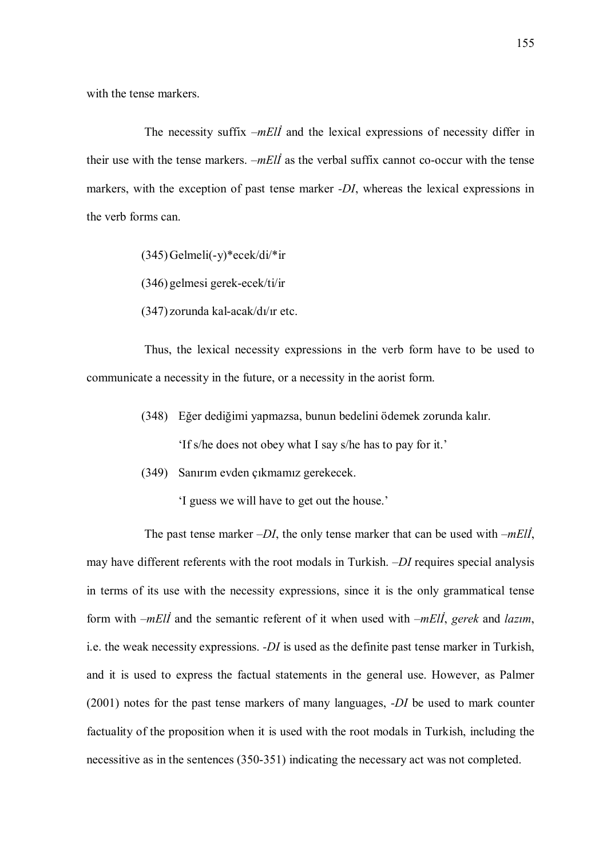with the tense markers.

The necessity suffix  $-mE\ddot{\theta}$  and the lexical expressions of necessity differ in their use with the tense markers.  $-mEll$  as the verbal suffix cannot co-occur with the tense markers, with the exception of past tense marker -DI, whereas the lexical expressions in the verb forms can.

 $(345)$ Gelmeli $(-y)$ \*ecek/di/\*ir

(346) gelmesi gerek-ecek/ti/ir

(347) zorunda kal-acak/dı/ır etc.

Thus, the lexical necessity expressions in the verb form have to be used to communicate a necessity in the future, or a necessity in the aorist form.

(348) Eğer dediğimi yapmazsa, bunun bedelini ödemek zorunda kalır.

'If s/he does not obey what I say s/he has to pay for it.'

(349) Sanırım evden çıkmamız gerekecek.

'I guess we will have to get out the house.'

The past tense marker  $-DI$ , the only tense marker that can be used with  $-mEII$ , may have different referents with the root modals in Turkish. –DI requires special analysis in terms of its use with the necessity expressions, since it is the only grammatical tense form with  $-mE\ddot{\theta}$  and the semantic referent of it when used with  $-mE\ddot{\theta}$ , gerek and lazim, i.e. the weak necessity expressions.  $-DI$  is used as the definite past tense marker in Turkish, and it is used to express the factual statements in the general use. However, as Palmer (2001) notes for the past tense markers of many languages, -DI be used to mark counter factuality of the proposition when it is used with the root modals in Turkish, including the necessitive as in the sentences (350-351) indicating the necessary act was not completed.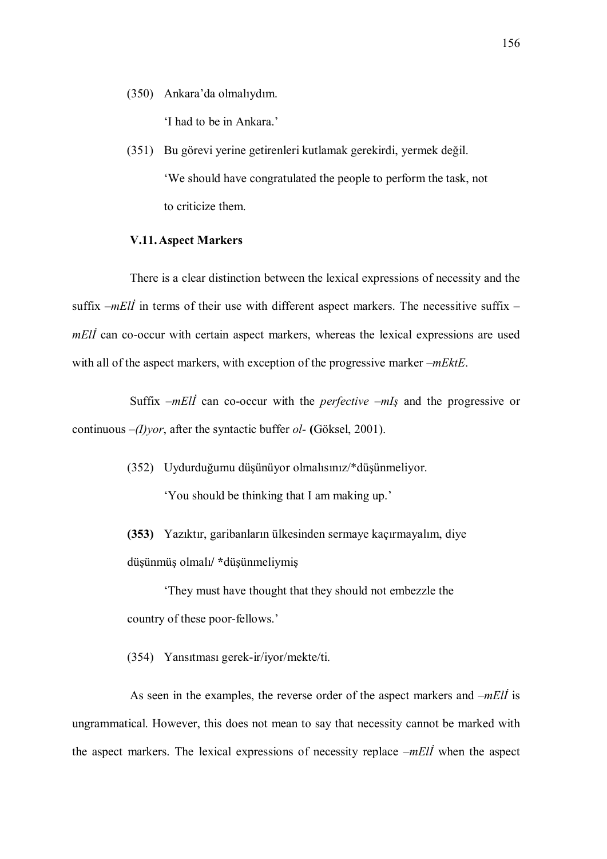(350) Ankara'da olmalıydım.

'I had to be in Ankara.'

(351) Bu görevi yerine getirenleri kutlamak gerekirdi, yermek değil. 'We should have congratulated the people to perform the task, not to criticize them.

### V.11.Aspect Markers

There is a clear distinction between the lexical expressions of necessity and the suffix  $-mEll$  in terms of their use with different aspect markers. The necessitive suffix – mEll can co-occur with certain aspect markers, whereas the lexical expressions are used with all of the aspect markers, with exception of the progressive marker –mEktE.

Suffix  $-mE\ddot{\theta}$  can co-occur with the *perfective –mIs* and the progressive or continuous  $-(I)$ *yor*, after the syntactic buffer *ol*- (Göksel, 2001).

> (352) Uydurduğumu düşünüyor olmalısınız/\*düşünmeliyor. 'You should be thinking that I am making up.'

(353) Yazıktır, garibanların ülkesinden sermaye kaçırmayalım, diye düşünmüş olmalı/ \*düşünmeliymiş

'They must have thought that they should not embezzle the country of these poor-fellows.'

(354) Yansıtması gerek-ir/iyor/mekte/ti.

As seen in the examples, the reverse order of the aspect markers and  $-mE\ddot{l}$  is ungrammatical. However, this does not mean to say that necessity cannot be marked with the aspect markers. The lexical expressions of necessity replace  $-mE\ddot{\theta}$  when the aspect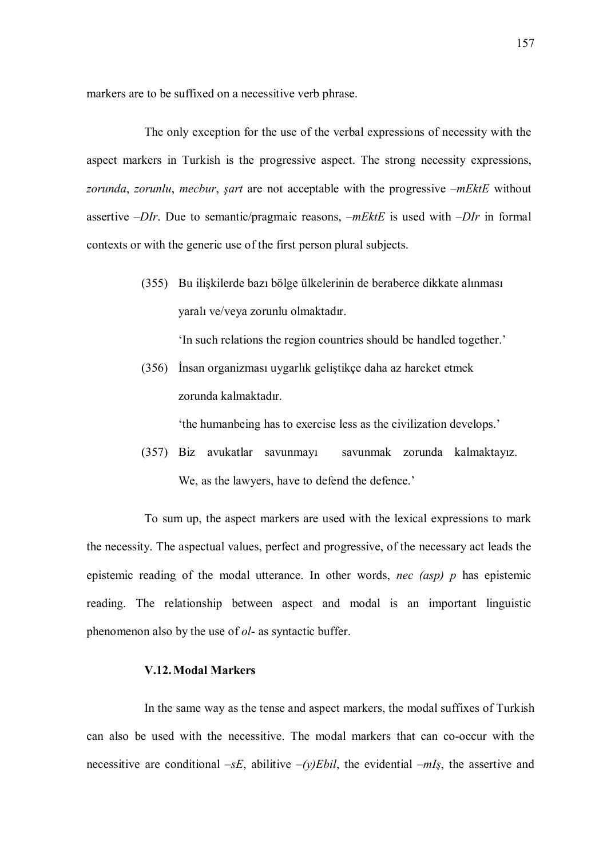markers are to be suffixed on a necessitive verb phrase.

The only exception for the use of the verbal expressions of necessity with the aspect markers in Turkish is the progressive aspect. The strong necessity expressions, zorunda, zorunlu, mecbur, sart are not acceptable with the progressive  $-mEktE$  without assertive  $-DIr$ . Due to semantic/pragmaic reasons,  $-mEktE$  is used with  $-DIr$  in formal contexts or with the generic use of the first person plural subjects.

> (355) Bu ilişkilerde bazı bölge ülkelerinin de beraberce dikkate alınması yaralı ve/veya zorunlu olmaktadır.

> > 'In such relations the region countries should be handled together.'

(356) İnsan organizması uygarlık geliştikçe daha az hareket etmek zorunda kalmaktadır.

'the humanbeing has to exercise less as the civilization develops.'

(357) Biz avukatlar savunmayı savunmak zorunda kalmaktayız. We, as the lawyers, have to defend the defence.'

To sum up, the aspect markers are used with the lexical expressions to mark the necessity. The aspectual values, perfect and progressive, of the necessary act leads the epistemic reading of the modal utterance. In other words, *nec (asp)*  $p$  has epistemic reading. The relationship between aspect and modal is an important linguistic phenomenon also by the use of ol- as syntactic buffer.

### V.12.Modal Markers

In the same way as the tense and aspect markers, the modal suffixes of Turkish can also be used with the necessitive. The modal markers that can co-occur with the necessitive are conditional  $-SE$ , abilitive  $-(y)Ebil$ , the evidential  $-mIs$ , the assertive and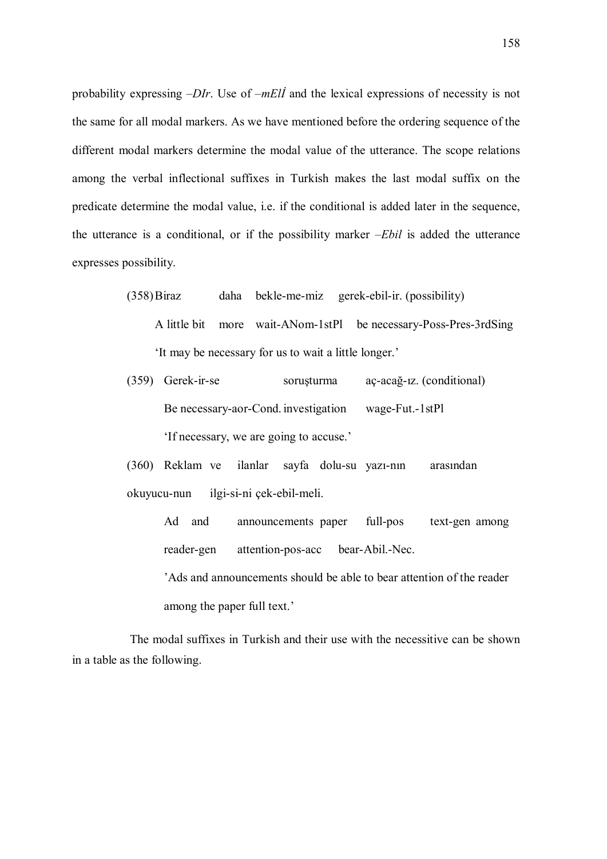probability expressing –DIr. Use of –mElİ and the lexical expressions of necessity is not the same for all modal markers. As we have mentioned before the ordering sequence of the different modal markers determine the modal value of the utterance. The scope relations among the verbal inflectional suffixes in Turkish makes the last modal suffix on the predicate determine the modal value, i.e. if the conditional is added later in the sequence, the utterance is a conditional, or if the possibility marker  $-Ebil$  is added the utterance expresses possibility.

- (358)Biraz daha bekle-me-miz gerek-ebil-ir. (possibility) A little bit more wait-ANom-1stPl be necessary-Poss-Pres-3rdSing 'It may be necessary for us to wait a little longer.'
- (359) Gerek-ir-se soruşturma aç-acağ-ız. (conditional) Be necessary-aor-Cond. investigation wage-Fut.-1stPl 'If necessary, we are going to accuse.'

(360) Reklam ve ilanlar sayfa dolu-su yazı-nın arasından okuyucu-nun ilgi-si-ni çek-ebil-meli.

Ad and announcements paper full-pos text-gen among reader-gen attention-pos-acc bear-Abil.-Nec.

 'Ads and announcements should be able to bear attention of the reader among the paper full text.'

The modal suffixes in Turkish and their use with the necessitive can be shown in a table as the following.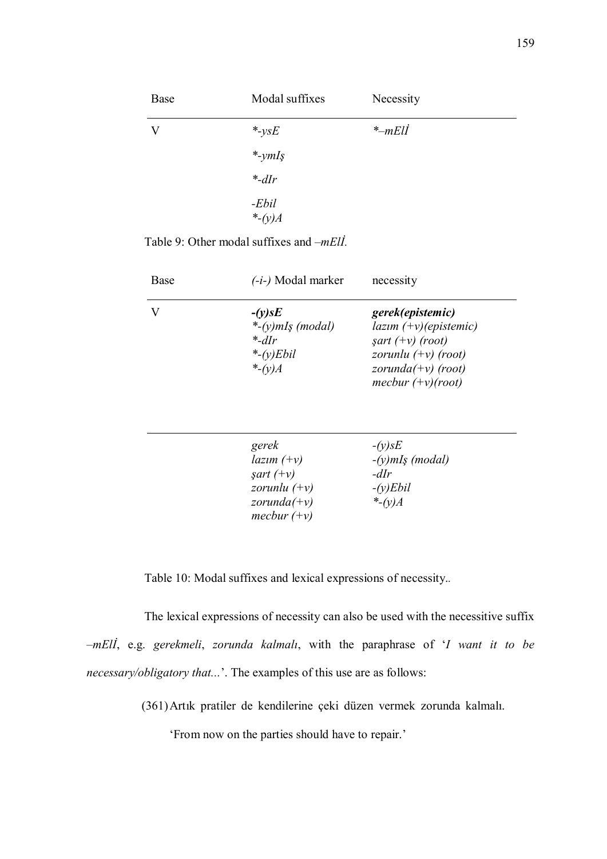| Modal suffixes | Necessity         |
|----------------|-------------------|
| $*$ -ysE       | $*-mEll$          |
| $*$ -ymIş      |                   |
| $*$ -dIr       |                   |
| -Ebil          |                   |
|                | *- $(y)$ <i>A</i> |

Table 9: Other modal suffixes and –mElİ.

| Base | (-i-) Modal marker                                                                | necessity                                                                                                                                          |  |  |
|------|-----------------------------------------------------------------------------------|----------------------------------------------------------------------------------------------------------------------------------------------------|--|--|
|      | $-(y)$ s $E$<br>*- $(y)$ mIş (modal)<br>$*_{-dIr}$<br>*- $(y)$ Ebil<br>*- $(v)$ A | gerek(epistemic)<br>$lazım (+v)(epistemic)$<br>$\text{sqrt } (+v)$ (root)<br>zorunlu $(+v)$ (root)<br>zorunda $(+v)$ (root)<br>mecbur $(+v)(root)$ |  |  |

| gerek              | $-(y)$ s $E$       |
|--------------------|--------------------|
| $lazim (+v)$       | $-(y)$ mIş (modal) |
| $\int \sqrt{f(x)}$ | $-dIr$             |
| zorunlu $(+v)$     | $-(y)Ebil$         |
| zorunda $(+v)$     | *- $(v)$ A         |
| mecbur $(+v)$      |                    |

Table 10: Modal suffixes and lexical expressions of necessity..

The lexical expressions of necessity can also be used with the necessitive suffix –mElİ, e.g. gerekmeli, zorunda kalmalı, with the paraphrase of 'I want it to be necessary/obligatory that...'. The examples of this use are as follows:

(361)Artık pratiler de kendilerine çeki düzen vermek zorunda kalmalı.

'From now on the parties should have to repair.'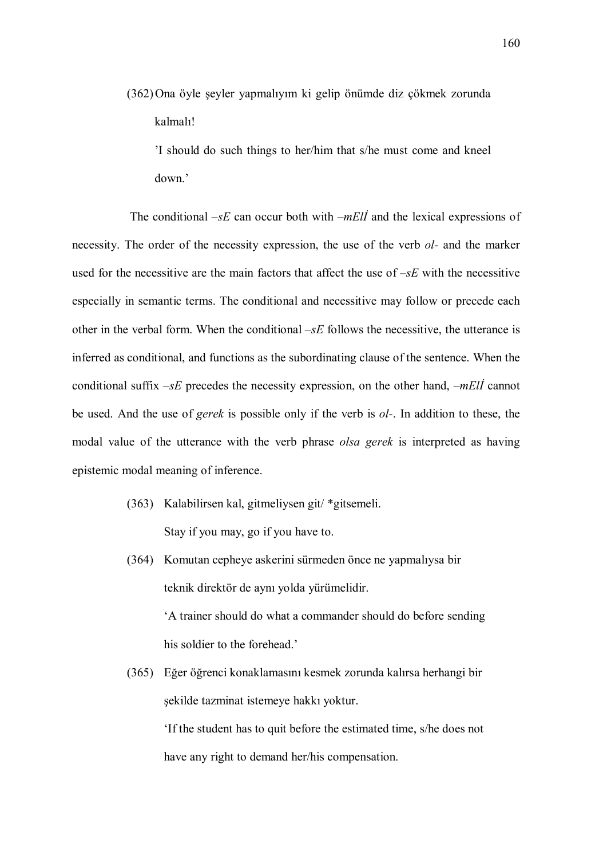(362)Ona öyle şeyler yapmalıyım ki gelip önümde diz çökmek zorunda kalmalı!

'I should do such things to her/him that s/he must come and kneel down.'

The conditional  $-sE$  can occur both with  $-mE/I$  and the lexical expressions of necessity. The order of the necessity expression, the use of the verb *ol*- and the marker used for the necessitive are the main factors that affect the use of  $-sE$  with the necessitive especially in semantic terms. The conditional and necessitive may follow or precede each other in the verbal form. When the conditional  $-sE$  follows the necessitive, the utterance is inferred as conditional, and functions as the subordinating clause of the sentence. When the conditional suffix  $-sE$  precedes the necessity expression, on the other hand,  $-mE\ddot{\theta}$  cannot be used. And the use of gerek is possible only if the verb is ol-. In addition to these, the modal value of the utterance with the verb phrase olsa gerek is interpreted as having epistemic modal meaning of inference.

- (363) Kalabilirsen kal, gitmeliysen git/ \*gitsemeli. Stay if you may, go if you have to.
- (364) Komutan cepheye askerini sürmeden önce ne yapmalıysa bir teknik direktör de aynı yolda yürümelidir. 'A trainer should do what a commander should do before sending his soldier to the forehead.'
- (365) Eğer öğrenci konaklamasını kesmek zorunda kalırsa herhangi bir şekilde tazminat istemeye hakkı yoktur.

 'If the student has to quit before the estimated time, s/he does not have any right to demand her/his compensation.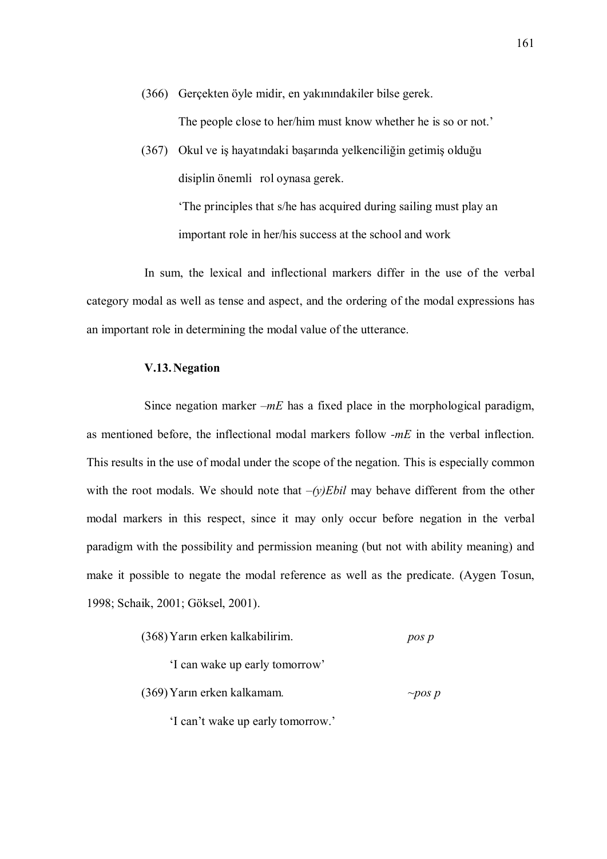(366) Gerçekten öyle midir, en yakınındakiler bilse gerek.

The people close to her/him must know whether he is so or not.'

(367) Okul ve iş hayatındaki başarında yelkenciliğin getimiş olduğu disiplin önemli rol oynasa gerek.

> 'The principles that s/he has acquired during sailing must play an important role in her/his success at the school and work

In sum, the lexical and inflectional markers differ in the use of the verbal category modal as well as tense and aspect, and the ordering of the modal expressions has an important role in determining the modal value of the utterance.

## V.13.Negation

Since negation marker  $-mE$  has a fixed place in the morphological paradigm, as mentioned before, the inflectional modal markers follow -mE in the verbal inflection. This results in the use of modal under the scope of the negation. This is especially common with the root modals. We should note that  $-(y)Ebil$  may behave different from the other modal markers in this respect, since it may only occur before negation in the verbal paradigm with the possibility and permission meaning (but not with ability meaning) and make it possible to negate the modal reference as well as the predicate. (Aygen Tosun, 1998; Schaik, 2001; Göksel, 2001).

| (368) Yarın erken kalkabilirim. | pos p |
|---------------------------------|-------|
|---------------------------------|-------|

'I can wake up early tomorrow'

(369) Yarın erken kalkamam.  $\sim$ pos p

'I can't wake up early tomorrow.'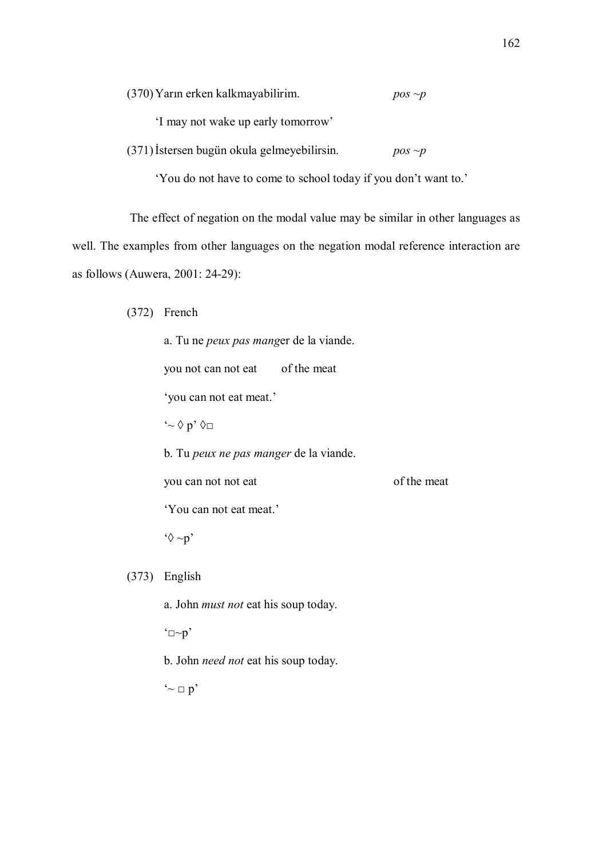(370) Yarın erken kalkmayabilirim. pos  $\sim p$ 

'I may not wake up early tomorrow'

 $(371)$ İstersen bugün okula gelmeyebilirsin. pos ~p

'You do not have to come to school today if you don't want to.'

The effect of negation on the modal value may be similar in other languages as well. The examples from other languages on the negation modal reference interaction are as follows (Auwera, 2001: 24-29):

(372) French

 a. Tu ne peux pas manger de la viande. you not can not eat of the meat 'you can not eat meat.'  $\sim \Diamond p \degree \Diamond \Box$  b. Tu peux ne pas manger de la viande. you can not not eat of the meat 'You can not eat meat.'  $\degree{\Diamond} \sim p$ 

(373) English

a. John must not eat his soup today.

 $\Delta$  $\neg$  $\neg$  $p'$ 

b. John need not eat his soup today.

 $\sim$   $p'$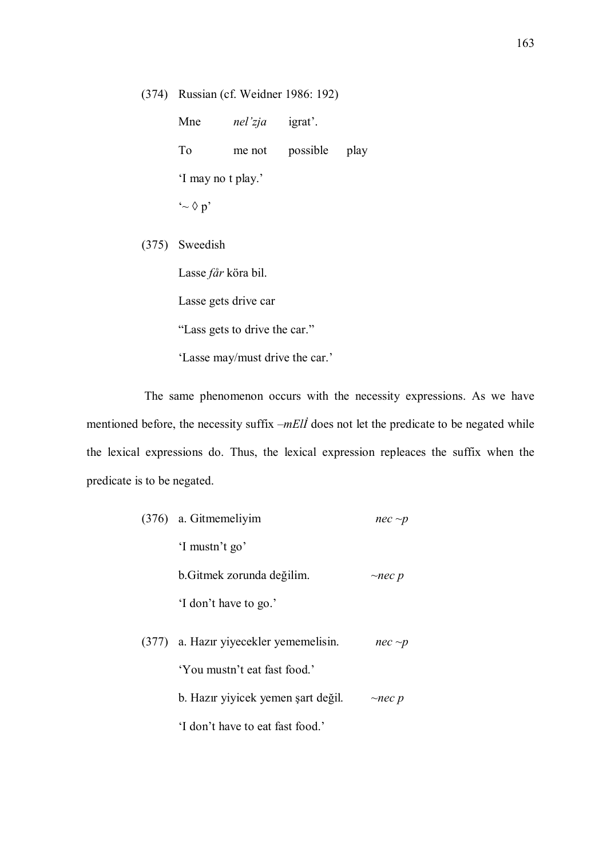(374) Russian (cf. Weidner 1986: 192)

Mne *nel'zja* igrat'. To me not possible play 'I may no t play.'  $\sim \Diamond p'$ 

(375) Sweedish

Lasse får köra bil.

Lasse gets drive car

"Lass gets to drive the car."

'Lasse may/must drive the car.'

The same phenomenon occurs with the necessity expressions. As we have mentioned before, the necessity suffix  $-mE/I$  does not let the predicate to be negated while the lexical expressions do. Thus, the lexical expression repleaces the suffix when the predicate is to be negated.

| (376) a. Gitmemeliyim                  | $nec \sim p$ |
|----------------------------------------|--------------|
| 'I mustn't go'                         |              |
| b. Gitmek zorunda değilim.             | $\neg$ nec p |
| 'I don't have to go.'                  |              |
| (377) a. Hazir yiyecekler yememelisin. | $nec \sim p$ |
| 'You mustn't eat fast food.'           |              |
| b. Hazir yiyicek yemen şart değil.     | $\sim$ nec p |
| I don't have to eat fast food '        |              |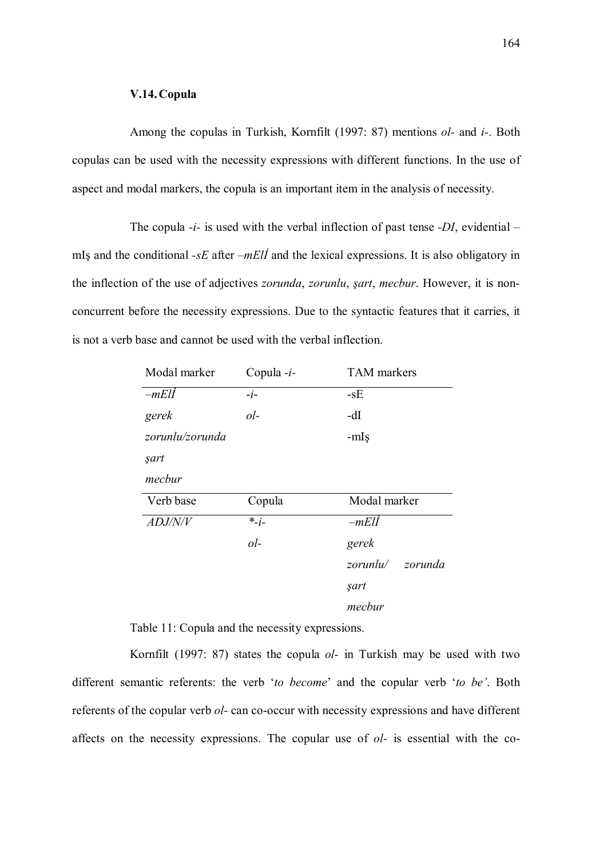### V.14.Copula

Among the copulas in Turkish, Kornfilt (1997: 87) mentions *ol*- and *i*-. Both copulas can be used with the necessity expressions with different functions. In the use of aspect and modal markers, the copula is an important item in the analysis of necessity.

The copula  $-i$ - is used with the verbal inflection of past tense  $-DI$ , evidential – mIş and the conditional  $- sE$  after  $-mE\ddot{\theta}$  and the lexical expressions. It is also obligatory in the inflection of the use of adjectives zorunda, zorunlu, şart, mecbur. However, it is nonconcurrent before the necessity expressions. Due to the syntactic features that it carries, it is not a verb base and cannot be used with the verbal inflection.

| Modal marker    | Copula -i- | <b>TAM</b> markers |
|-----------------|------------|--------------------|
| $-mEll$         | $-i-$      | $-sE$              |
| gerek           | $ol-$      | -dI                |
| zorunlu/zorunda |            | -mIş               |
| şart            |            |                    |
| mecbur          |            |                    |
| Verb base       | Copula     | Modal marker       |
| ADJ/N/V         | $*_{-i-}$  | $-mEll$            |
|                 | $ol-$      | gerek              |
|                 |            | zorunlu/ zorunda   |
|                 |            | şart               |
|                 |            | mecbur             |

Table 11: Copula and the necessity expressions.

Kornfilt (1997: 87) states the copula  $ol$ - in Turkish may be used with two different semantic referents: the verb 'to become' and the copular verb 'to be'. Both referents of the copular verb ol- can co-occur with necessity expressions and have different affects on the necessity expressions. The copular use of ol- is essential with the co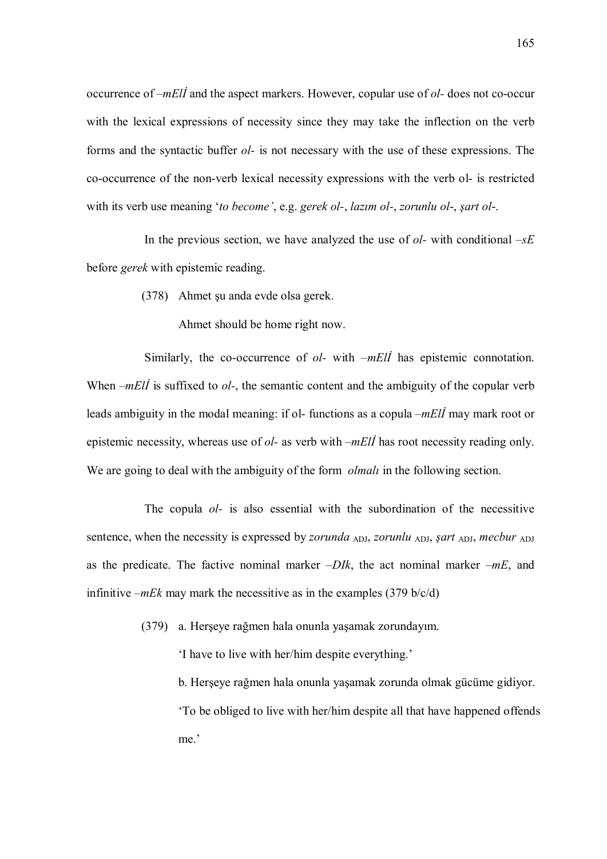occurrence of  $-mE\ddot{\theta}$  and the aspect markers. However, copular use of  $ol$ -does not co-occur with the lexical expressions of necessity since they may take the inflection on the verb forms and the syntactic buffer ol- is not necessary with the use of these expressions. The co-occurrence of the non-verb lexical necessity expressions with the verb ol- is restricted with its verb use meaning 'to become', e.g. gerek ol-, lazim ol-, zorunlu ol-, şart ol-.

In the previous section, we have analyzed the use of  $ol$ - with conditional  $\neg$ E before gerek with epistemic reading.

(378) Ahmet şu anda evde olsa gerek.

Ahmet should be home right now.

Similarly, the co-occurrence of  $ol$ - with  $-mE\ddot{l}$  has epistemic connotation. When  $-mEll$  is suffixed to  $ol$ -, the semantic content and the ambiguity of the copular verb leads ambiguity in the modal meaning: if ol-functions as a copula  $-mE\ddot{\theta}$  may mark root or epistemic necessity, whereas use of  $ol$ - as verb with  $-mEll$  has root necessity reading only. We are going to deal with the ambiguity of the form *olmali* in the following section.

The copula *ol*- is also essential with the subordination of the necessitive sentence, when the necessity is expressed by *zorunda*  $_{ADJ}$ , *zorunlu*  $_{ADJ}$ , *sart*  $_{ADJ}$ , *mecbur*  $_{ADJ}$ as the predicate. The factive nominal marker  $-DIk$ , the act nominal marker  $-mE$ , and infinitive  $-mEk$  may mark the necessitive as in the examples (379 b/c/d)

(379) a. Herşeye rağmen hala onunla yaşamak zorundayım.

'I have to live with her/him despite everything.'

 b. Herşeye rağmen hala onunla yaşamak zorunda olmak gücüme gidiyor. 'To be obliged to live with her/him despite all that have happened offends me.'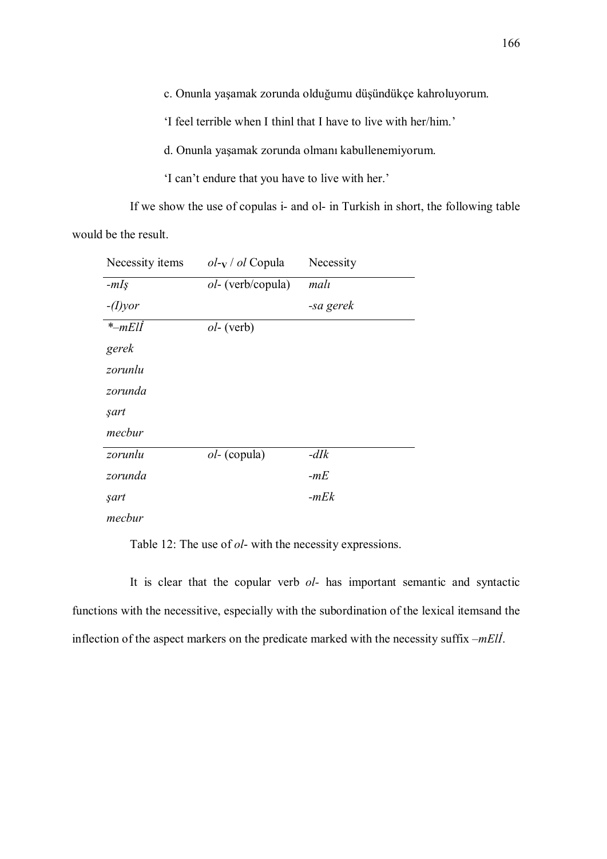c. Onunla yaşamak zorunda olduğumu düşündükçe kahroluyorum.

'I feel terrible when I thinl that I have to live with her/him.'

d. Onunla yaşamak zorunda olmanı kabullenemiyorum.

'I can't endure that you have to live with her.'

If we show the use of copulas i- and ol- in Turkish in short, the following table

would be the result.

| Necessity items   | $ol$ -y / $ol$ Copula     | Necessity |
|-------------------|---------------------------|-----------|
| $-mIS$            | <i>ol</i> - (verb/copula) | malı      |
| $-(I)$ <i>yor</i> |                           | -sa gerek |
| $*-mEll$          | $ol$ - (verb)             |           |
| gerek             |                           |           |
| zorunlu           |                           |           |
| zorunda           |                           |           |
| şart              |                           |           |
| mecbur            |                           |           |
| zorunlu           | $ol$ - (copula)           | $-dIk$    |
| zorunda           |                           | $-mE$     |
| şart              |                           | $-mEk$    |
| mecbur            |                           |           |

Table 12: The use of ol- with the necessity expressions.

It is clear that the copular verb  $ol$ - has important semantic and syntactic functions with the necessitive, especially with the subordination of the lexical itemsand the inflection of the aspect markers on the predicate marked with the necessity suffix –mElİ.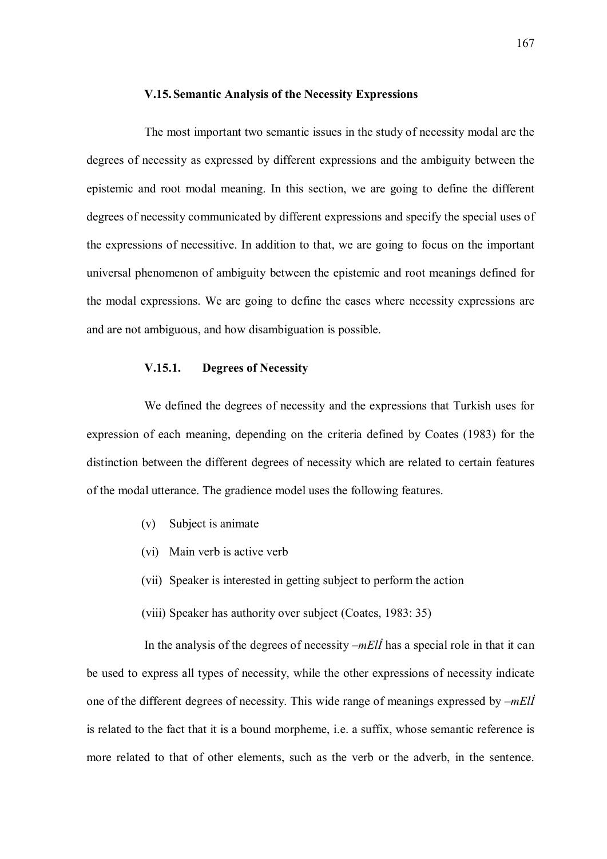### V.15.Semantic Analysis of the Necessity Expressions

The most important two semantic issues in the study of necessity modal are the degrees of necessity as expressed by different expressions and the ambiguity between the epistemic and root modal meaning. In this section, we are going to define the different degrees of necessity communicated by different expressions and specify the special uses of the expressions of necessitive. In addition to that, we are going to focus on the important universal phenomenon of ambiguity between the epistemic and root meanings defined for the modal expressions. We are going to define the cases where necessity expressions are and are not ambiguous, and how disambiguation is possible.

## V.15.1. Degrees of Necessity

We defined the degrees of necessity and the expressions that Turkish uses for expression of each meaning, depending on the criteria defined by Coates (1983) for the distinction between the different degrees of necessity which are related to certain features of the modal utterance. The gradience model uses the following features.

- (v) Subject is animate
- (vi) Main verb is active verb
- (vii) Speaker is interested in getting subject to perform the action
- (viii) Speaker has authority over subject (Coates, 1983: 35)

In the analysis of the degrees of necessity  $-mE\ddot{\theta}$  has a special role in that it can be used to express all types of necessity, while the other expressions of necessity indicate one of the different degrees of necessity. This wide range of meanings expressed by  $-mEll$ is related to the fact that it is a bound morpheme, i.e. a suffix, whose semantic reference is more related to that of other elements, such as the verb or the adverb, in the sentence.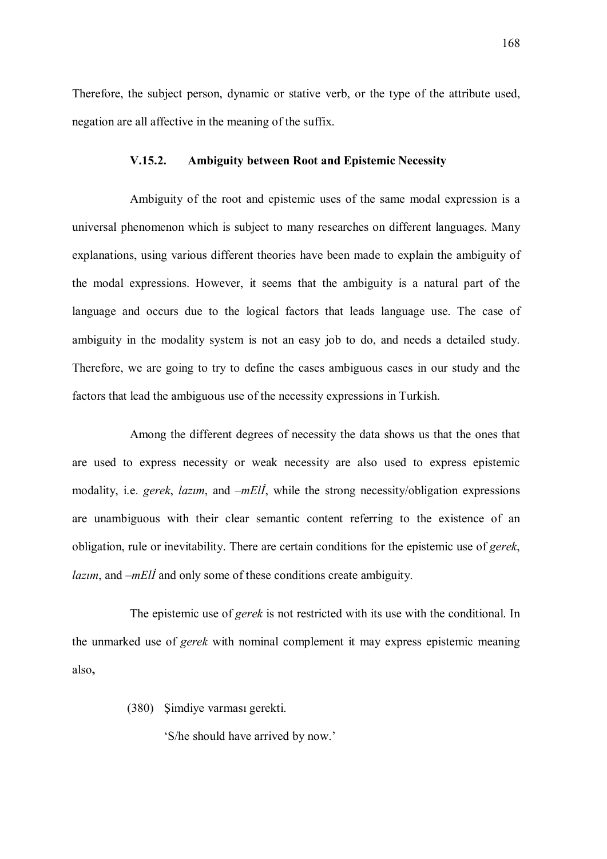Therefore, the subject person, dynamic or stative verb, or the type of the attribute used, negation are all affective in the meaning of the suffix.

#### V.15.2. Ambiguity between Root and Epistemic Necessity

Ambiguity of the root and epistemic uses of the same modal expression is a universal phenomenon which is subject to many researches on different languages. Many explanations, using various different theories have been made to explain the ambiguity of the modal expressions. However, it seems that the ambiguity is a natural part of the language and occurs due to the logical factors that leads language use. The case of ambiguity in the modality system is not an easy job to do, and needs a detailed study. Therefore, we are going to try to define the cases ambiguous cases in our study and the factors that lead the ambiguous use of the necessity expressions in Turkish.

Among the different degrees of necessity the data shows us that the ones that are used to express necessity or weak necessity are also used to express epistemic modality, i.e. *gerek*, *lazim*, and  $-mE\ddot{\theta}$ , while the strong necessity/obligation expressions are unambiguous with their clear semantic content referring to the existence of an obligation, rule or inevitability. There are certain conditions for the epistemic use of gerek,  $lazim$ , and  $-mEli$  and only some of these conditions create ambiguity.

The epistemic use of *gerek* is not restricted with its use with the conditional. In the unmarked use of gerek with nominal complement it may express epistemic meaning also,

(380) Şimdiye varması gerekti.

'S/he should have arrived by now.'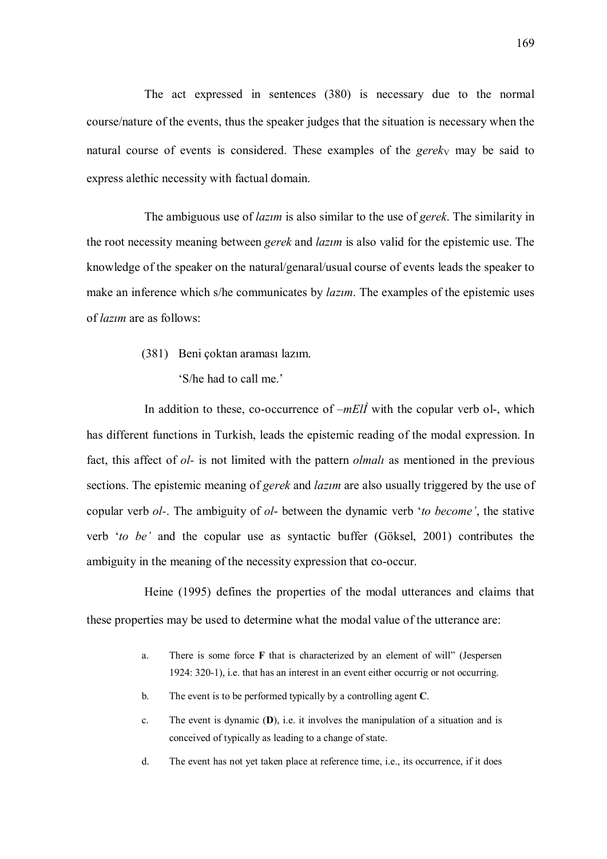The act expressed in sentences (380) is necessary due to the normal course/nature of the events, thus the speaker judges that the situation is necessary when the natural course of events is considered. These examples of the gerek<sub>V</sub> may be said to express alethic necessity with factual domain.

The ambiguous use of *lazim* is also similar to the use of *gerek*. The similarity in the root necessity meaning between *gerek* and *lazim* is also valid for the epistemic use. The knowledge of the speaker on the natural/genaral/usual course of events leads the speaker to make an inference which s/he communicates by *lazim*. The examples of the epistemic uses of lazım are as follows:

> (381) Beni çoktan araması lazım. 'S/he had to call me.'

In addition to these, co-occurrence of  $-mE\ddot{\theta}$  with the copular verb ol-, which has different functions in Turkish, leads the epistemic reading of the modal expression. In fact, this affect of *ol*- is not limited with the pattern *olmali* as mentioned in the previous sections. The epistemic meaning of *gerek* and *lazim* are also usually triggered by the use of copular verb *ol*-. The ambiguity of *ol*- between the dynamic verb 'to become', the stative verb 'to be' and the copular use as syntactic buffer (Göksel, 2001) contributes the ambiguity in the meaning of the necessity expression that co-occur.

Heine (1995) defines the properties of the modal utterances and claims that these properties may be used to determine what the modal value of the utterance are:

- a. There is some force F that is characterized by an element of will" (Jespersen 1924: 320-1), i.e. that has an interest in an event either occurrig or not occurring.
- b. The event is to be performed typically by a controlling agent C.
- c. The event is dynamic (D), i.e. it involves the manipulation of a situation and is conceived of typically as leading to a change of state.
- d. The event has not yet taken place at reference time, i.e., its occurrence, if it does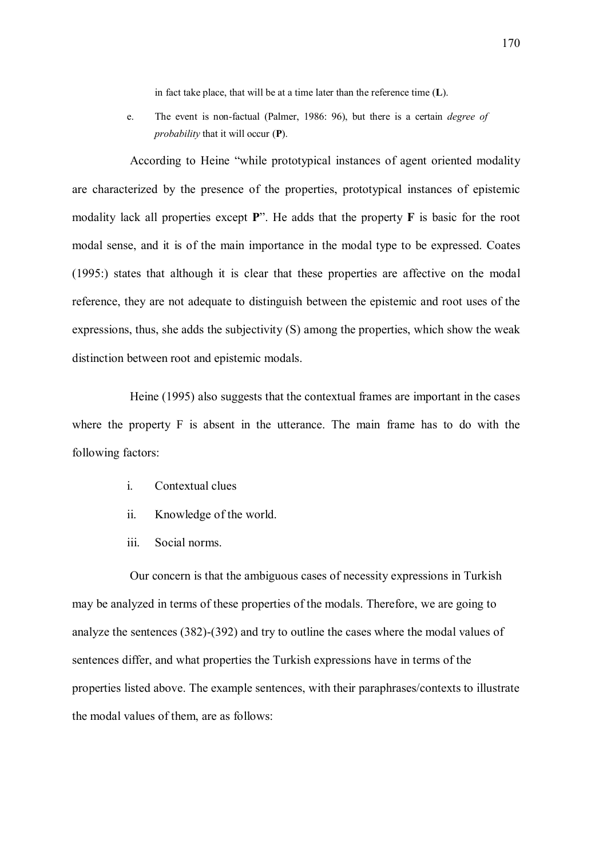in fact take place, that will be at a time later than the reference time (L).

e. The event is non-factual (Palmer, 1986: 96), but there is a certain degree of probability that it will occur (P).

According to Heine "while prototypical instances of agent oriented modality are characterized by the presence of the properties, prototypical instances of epistemic modality lack all properties except  $P$ ". He adds that the property  $F$  is basic for the root modal sense, and it is of the main importance in the modal type to be expressed. Coates (1995:) states that although it is clear that these properties are affective on the modal reference, they are not adequate to distinguish between the epistemic and root uses of the expressions, thus, she adds the subjectivity (S) among the properties, which show the weak distinction between root and epistemic modals.

Heine (1995) also suggests that the contextual frames are important in the cases where the property F is absent in the utterance. The main frame has to do with the following factors:

- i. Contextual clues
- ii. Knowledge of the world.
- iii. Social norms.

Our concern is that the ambiguous cases of necessity expressions in Turkish may be analyzed in terms of these properties of the modals. Therefore, we are going to analyze the sentences (382)-(392) and try to outline the cases where the modal values of sentences differ, and what properties the Turkish expressions have in terms of the properties listed above. The example sentences, with their paraphrases/contexts to illustrate the modal values of them, are as follows: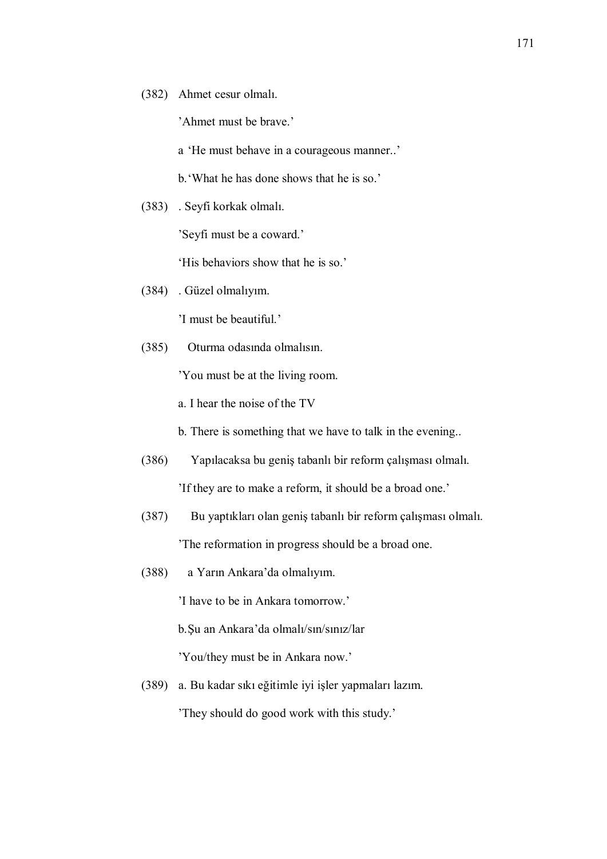(382) Ahmet cesur olmalı.

'Ahmet must be brave.'

a 'He must behave in a courageous manner..'

b. 'What he has done shows that he is so.'

(383) . Seyfi korkak olmalı.

'Seyfi must be a coward.'

'His behaviors show that he is so.'

(384) . Güzel olmalıyım.

'I must be beautiful.'

(385) Oturma odasında olmalısın.

'You must be at the living room.

a. I hear the noise of the TV

b. There is something that we have to talk in the evening..

- (386) Yapılacaksa bu geniş tabanlı bir reform çalışması olmalı. 'If they are to make a reform, it should be a broad one.'
- (387) Bu yaptıkları olan geniş tabanlı bir reform çalışması olmalı. 'The reformation in progress should be a broad one.
- (388) a Yarın Ankara'da olmalıyım.

'I have to be in Ankara tomorrow.'

b. Şu an Ankara'da olmalı/sın/sınız/lar

'You/they must be in Ankara now.'

(389) a. Bu kadar sıkı eğitimle iyi işler yapmaları lazım.

'They should do good work with this study.'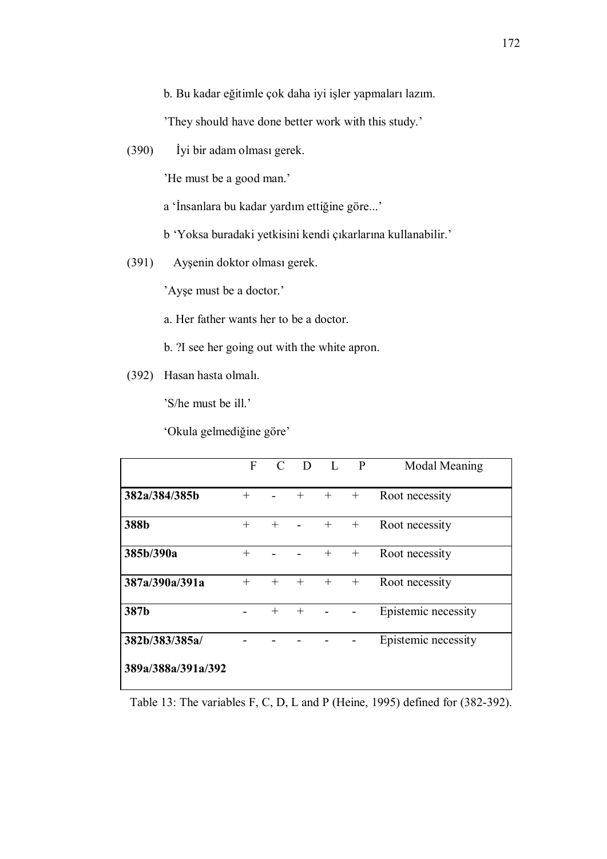b. Bu kadar eğitimle çok daha iyi işler yapmaları lazım.

'They should have done better work with this study.'

(390) İyi bir adam olması gerek.

'He must be a good man.'

a 'İnsanlara bu kadar yardım ettiğine göre...'

b 'Yoksa buradaki yetkisini kendi çıkarlarına kullanabilir.'

(391) Ayşenin doktor olması gerek.

'Ayşe must be a doctor.'

a. Her father wants her to be a doctor.

- b. ?I see her going out with the white apron.
- (392) Hasan hasta olmalı.

'S/he must be ill.'

'Okula gelmediğine göre'

|                    | F      | $\mathcal{L}$ | D      |        | $\mathbf{P}$ | Modal Meaning       |
|--------------------|--------|---------------|--------|--------|--------------|---------------------|
| 382a/384/385b      | $^{+}$ |               | $^{+}$ | $^{+}$ | $^{+}$       | Root necessity      |
| 388b               | $^{+}$ | $^{+}$        |        | $^{+}$ | $^{+}$       | Root necessity      |
| 385b/390a          | $^{+}$ |               |        | $^{+}$ | $^{+}$       | Root necessity      |
| 387a/390a/391a     | $^{+}$ | $+$           | $^{+}$ | $^{+}$ | $^{+}$       | Root necessity      |
| 387b               |        | $^{+}$        | $^{+}$ |        |              | Epistemic necessity |
| 382b/383/385a/     |        |               |        |        |              | Epistemic necessity |
| 389a/388a/391a/392 |        |               |        |        |              |                     |

Table 13: The variables F, C, D, L and P (Heine, 1995) defined for (382-392).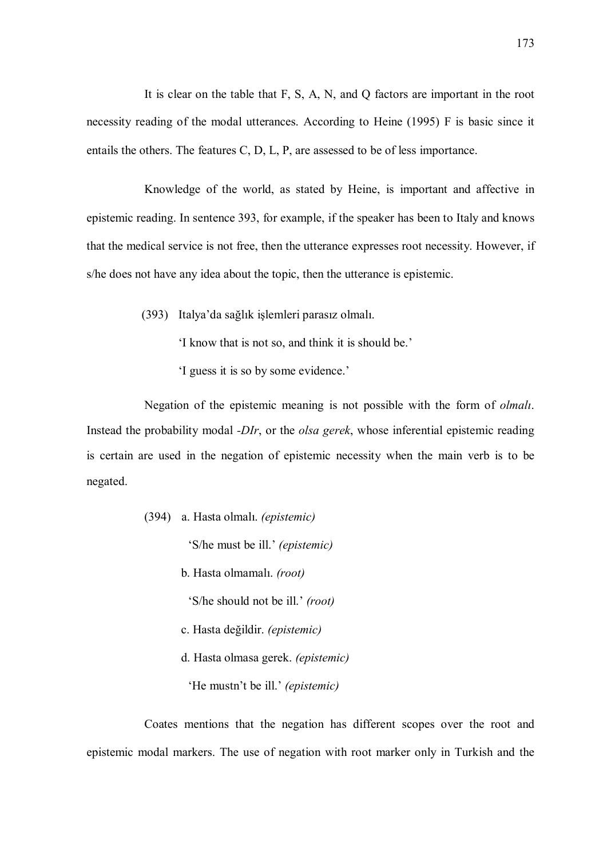It is clear on the table that F, S, A, N, and Q factors are important in the root necessity reading of the modal utterances. According to Heine (1995) F is basic since it entails the others. The features C, D, L, P, are assessed to be of less importance.

Knowledge of the world, as stated by Heine, is important and affective in epistemic reading. In sentence 393, for example, if the speaker has been to Italy and knows that the medical service is not free, then the utterance expresses root necessity. However, if s/he does not have any idea about the topic, then the utterance is epistemic.

(393) Italya'da sağlık işlemleri parasız olmalı.

'I know that is not so, and think it is should be.'

'I guess it is so by some evidence.'

Negation of the epistemic meaning is not possible with the form of olmalı. Instead the probability modal -DIr, or the *olsa gerek*, whose inferential epistemic reading is certain are used in the negation of epistemic necessity when the main verb is to be negated.

(394) a. Hasta olmalı. (epistemic)

'S/he must be ill.' (epistemic)

b. Hasta olmamalı. (root)

'S/he should not be ill.' (root)

- c. Hasta değildir. (epistemic)
- d. Hasta olmasa gerek. (epistemic)
	- 'He mustn't be ill.' (epistemic)

Coates mentions that the negation has different scopes over the root and epistemic modal markers. The use of negation with root marker only in Turkish and the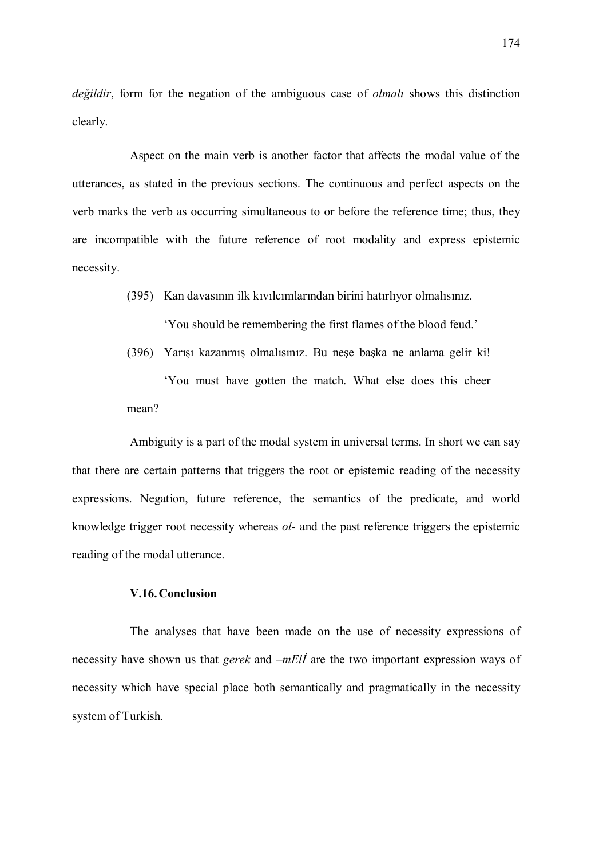değildir, form for the negation of the ambiguous case of *olmali* shows this distinction clearly.

Aspect on the main verb is another factor that affects the modal value of the utterances, as stated in the previous sections. The continuous and perfect aspects on the verb marks the verb as occurring simultaneous to or before the reference time; thus, they are incompatible with the future reference of root modality and express epistemic necessity.

(395) Kan davasının ilk kıvılcımlarından birini hatırlıyor olmalısınız.

'You should be remembering the first flames of the blood feud.'

(396) Yarışı kazanmış olmalısınız. Bu neşe başka ne anlama gelir ki! 'You must have gotten the match. What else does this cheer mean?

Ambiguity is a part of the modal system in universal terms. In short we can say that there are certain patterns that triggers the root or epistemic reading of the necessity expressions. Negation, future reference, the semantics of the predicate, and world knowledge trigger root necessity whereas ol- and the past reference triggers the epistemic reading of the modal utterance.

## V.16.Conclusion

The analyses that have been made on the use of necessity expressions of necessity have shown us that *gerek* and –*mElI* are the two important expression ways of necessity which have special place both semantically and pragmatically in the necessity system of Turkish.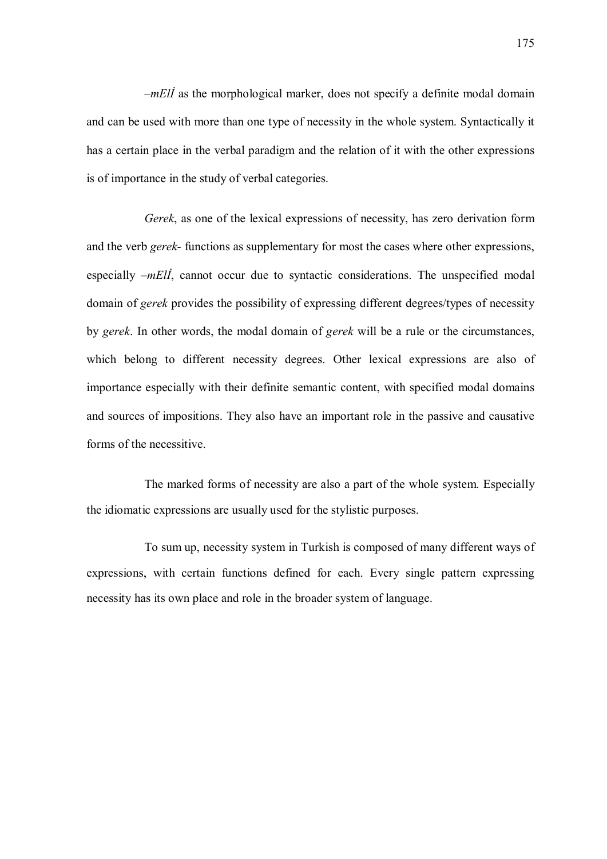$-mE\ddot{\theta}$  as the morphological marker, does not specify a definite modal domain and can be used with more than one type of necessity in the whole system. Syntactically it has a certain place in the verbal paradigm and the relation of it with the other expressions is of importance in the study of verbal categories.

Gerek, as one of the lexical expressions of necessity, has zero derivation form and the verb *gerek*- functions as supplementary for most the cases where other expressions, especially  $-mE/I$ , cannot occur due to syntactic considerations. The unspecified modal domain of gerek provides the possibility of expressing different degrees/types of necessity by gerek. In other words, the modal domain of gerek will be a rule or the circumstances, which belong to different necessity degrees. Other lexical expressions are also of importance especially with their definite semantic content, with specified modal domains and sources of impositions. They also have an important role in the passive and causative forms of the necessitive.

The marked forms of necessity are also a part of the whole system. Especially the idiomatic expressions are usually used for the stylistic purposes.

To sum up, necessity system in Turkish is composed of many different ways of expressions, with certain functions defined for each. Every single pattern expressing necessity has its own place and role in the broader system of language.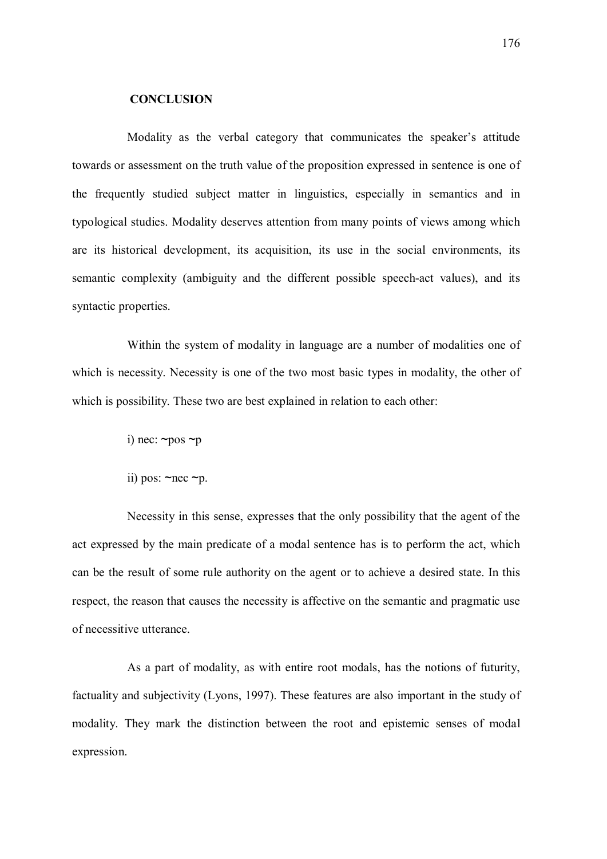## **CONCLUSION**

Modality as the verbal category that communicates the speaker's attitude towards or assessment on the truth value of the proposition expressed in sentence is one of the frequently studied subject matter in linguistics, especially in semantics and in typological studies. Modality deserves attention from many points of views among which are its historical development, its acquisition, its use in the social environments, its semantic complexity (ambiguity and the different possible speech-act values), and its syntactic properties.

Within the system of modality in language are a number of modalities one of which is necessity. Necessity is one of the two most basic types in modality, the other of which is possibility. These two are best explained in relation to each other:

- i) nec:  $\neg pos \neg p$
- ii) pos:  $\sim$ nec  $\neg$ p.

Necessity in this sense, expresses that the only possibility that the agent of the act expressed by the main predicate of a modal sentence has is to perform the act, which can be the result of some rule authority on the agent or to achieve a desired state. In this respect, the reason that causes the necessity is affective on the semantic and pragmatic use of necessitive utterance.

As a part of modality, as with entire root modals, has the notions of futurity, factuality and subjectivity (Lyons, 1997). These features are also important in the study of modality. They mark the distinction between the root and epistemic senses of modal expression.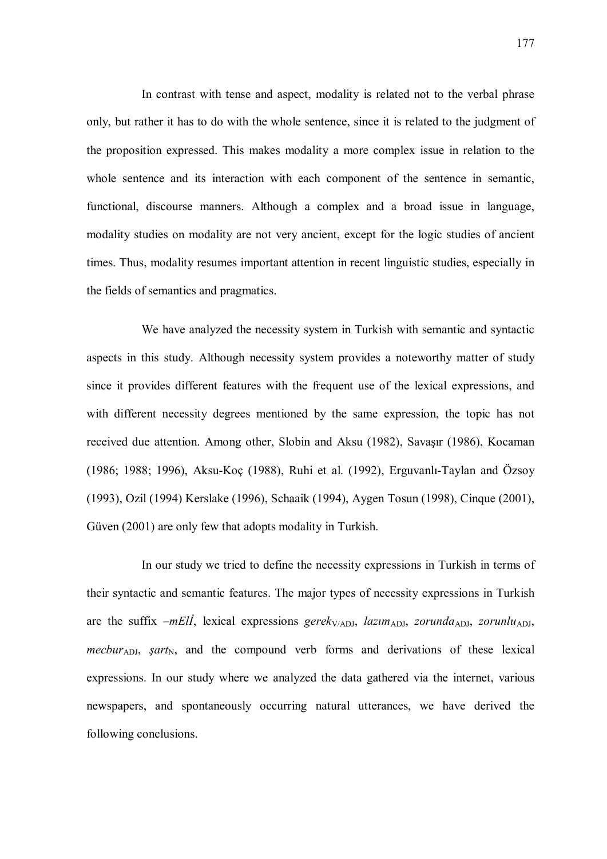In contrast with tense and aspect, modality is related not to the verbal phrase only, but rather it has to do with the whole sentence, since it is related to the judgment of the proposition expressed. This makes modality a more complex issue in relation to the whole sentence and its interaction with each component of the sentence in semantic, functional, discourse manners. Although a complex and a broad issue in language, modality studies on modality are not very ancient, except for the logic studies of ancient times. Thus, modality resumes important attention in recent linguistic studies, especially in the fields of semantics and pragmatics.

We have analyzed the necessity system in Turkish with semantic and syntactic aspects in this study. Although necessity system provides a noteworthy matter of study since it provides different features with the frequent use of the lexical expressions, and with different necessity degrees mentioned by the same expression, the topic has not received due attention. Among other, Slobin and Aksu (1982), Savaşır (1986), Kocaman (1986; 1988; 1996), Aksu-Koç (1988), Ruhi et al. (1992), Erguvanlı-Taylan and Özsoy (1993), Ozil (1994) Kerslake (1996), Schaaik (1994), Aygen Tosun (1998), Cinque (2001), Güven (2001) are only few that adopts modality in Turkish.

In our study we tried to define the necessity expressions in Turkish in terms of their syntactic and semantic features. The major types of necessity expressions in Turkish are the suffix –mEll, lexical expressions gerek<sub>V/ADJ</sub>, lazim<sub>ADJ</sub>, zorunda<sub>ADJ</sub>, zorunlu<sub>ADJ</sub>, mecbur<sub>ADJ</sub>, *sart*<sub>N</sub>, and the compound verb forms and derivations of these lexical expressions. In our study where we analyzed the data gathered via the internet, various newspapers, and spontaneously occurring natural utterances, we have derived the following conclusions.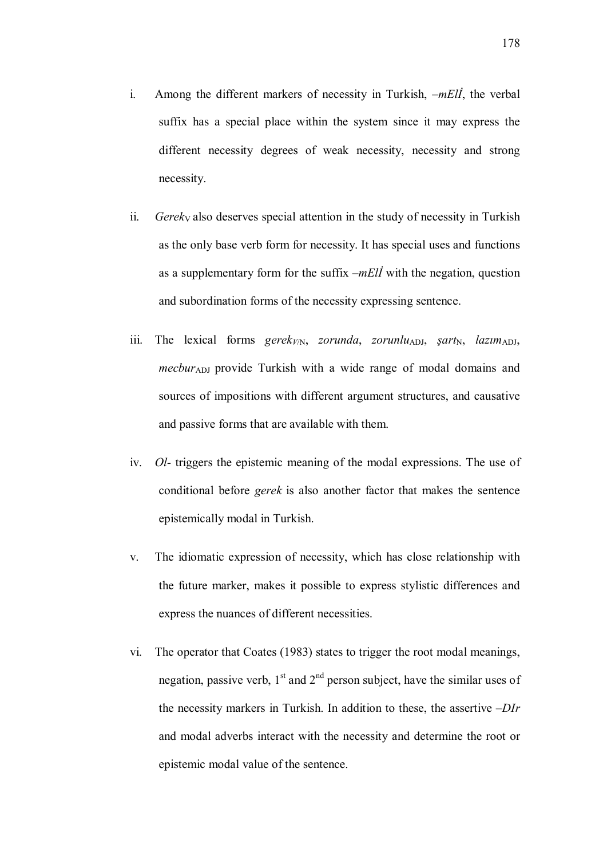- i. Among the different markers of necessity in Turkish,  $-mE/I$ , the verbal suffix has a special place within the system since it may express the different necessity degrees of weak necessity, necessity and strong necessity.
- ii. Gerek<sub>V</sub> also deserves special attention in the study of necessity in Turkish as the only base verb form for necessity. It has special uses and functions as a supplementary form for the suffix  $-mEll$  with the negation, question and subordination forms of the necessity expressing sentence.
- iii. The lexical forms gerek<sub>V/N</sub>, zorunda, zorunlu<sub>ADJ</sub>, şart<sub>N</sub>, lazım<sub>ADJ</sub>, *mecbur*<sub>ADJ</sub> provide Turkish with a wide range of modal domains and sources of impositions with different argument structures, and causative and passive forms that are available with them.
- iv. Ol- triggers the epistemic meaning of the modal expressions. The use of conditional before gerek is also another factor that makes the sentence epistemically modal in Turkish.
- v. The idiomatic expression of necessity, which has close relationship with the future marker, makes it possible to express stylistic differences and express the nuances of different necessities.
- vi. The operator that Coates (1983) states to trigger the root modal meanings, negation, passive verb,  $1<sup>st</sup>$  and  $2<sup>nd</sup>$  person subject, have the similar uses of the necessity markers in Turkish. In addition to these, the assertive  $-DIr$ and modal adverbs interact with the necessity and determine the root or epistemic modal value of the sentence.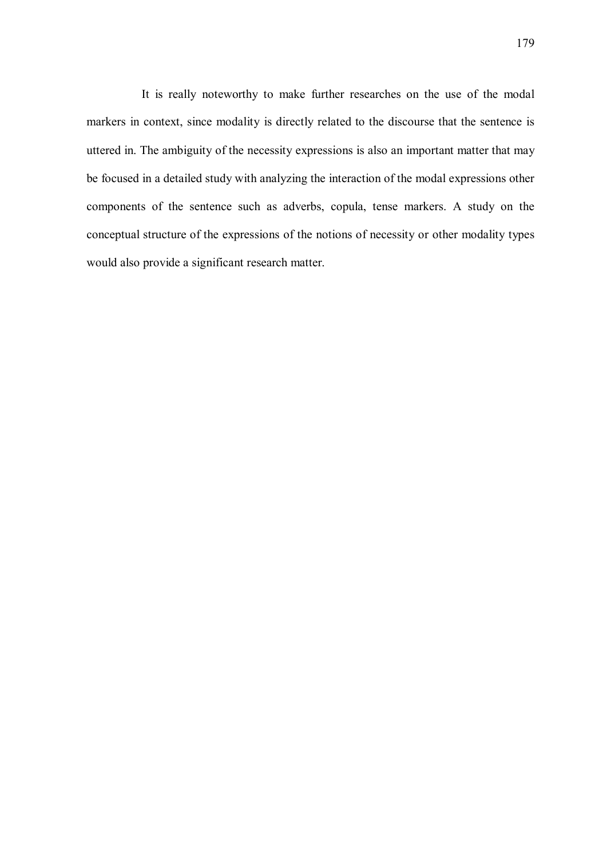It is really noteworthy to make further researches on the use of the modal markers in context, since modality is directly related to the discourse that the sentence is uttered in. The ambiguity of the necessity expressions is also an important matter that may be focused in a detailed study with analyzing the interaction of the modal expressions other components of the sentence such as adverbs, copula, tense markers. A study on the conceptual structure of the expressions of the notions of necessity or other modality types would also provide a significant research matter.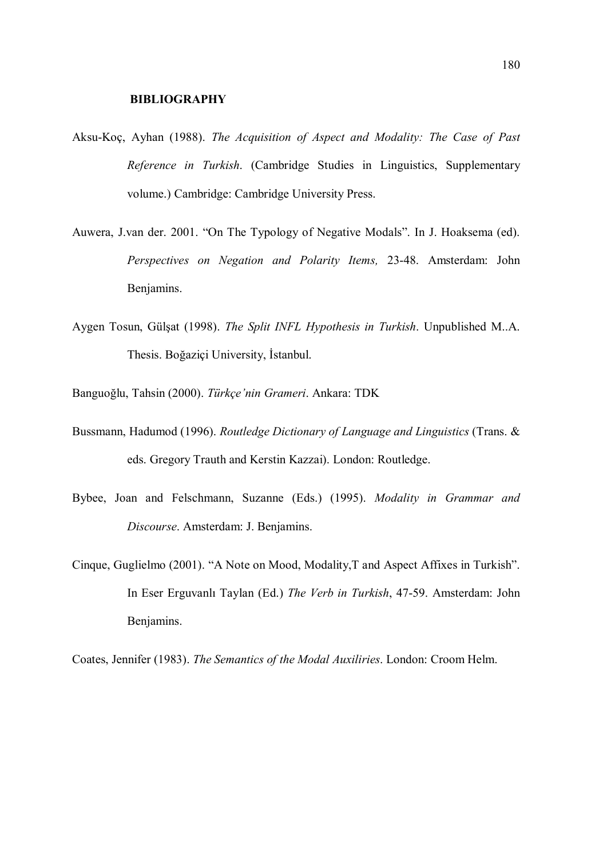## BIBLIOGRAPHY

- Aksu-Koç, Ayhan (1988). The Acquisition of Aspect and Modality: The Case of Past Reference in Turkish. (Cambridge Studies in Linguistics, Supplementary volume.) Cambridge: Cambridge University Press.
- Auwera, J.van der. 2001. "On The Typology of Negative Modals". In J. Hoaksema (ed). Perspectives on Negation and Polarity Items, 23-48. Amsterdam: John Benjamins.
- Aygen Tosun, Gülşat (1998). The Split INFL Hypothesis in Turkish. Unpublished M..A. Thesis. Boğaziçi University, İstanbul.
- Banguoğlu, Tahsin (2000). Türkçe'nin Grameri. Ankara: TDK
- Bussmann, Hadumod (1996). Routledge Dictionary of Language and Linguistics (Trans. & eds. Gregory Trauth and Kerstin Kazzai). London: Routledge.
- Bybee, Joan and Felschmann, Suzanne (Eds.) (1995). Modality in Grammar and Discourse. Amsterdam: J. Benjamins.
- Cinque, Guglielmo (2001). "A Note on Mood, Modality,T and Aspect Affixes in Turkish". In Eser Erguvanlı Taylan (Ed.) The Verb in Turkish, 47-59. Amsterdam: John Benjamins.

Coates, Jennifer (1983). The Semantics of the Modal Auxiliries. London: Croom Helm.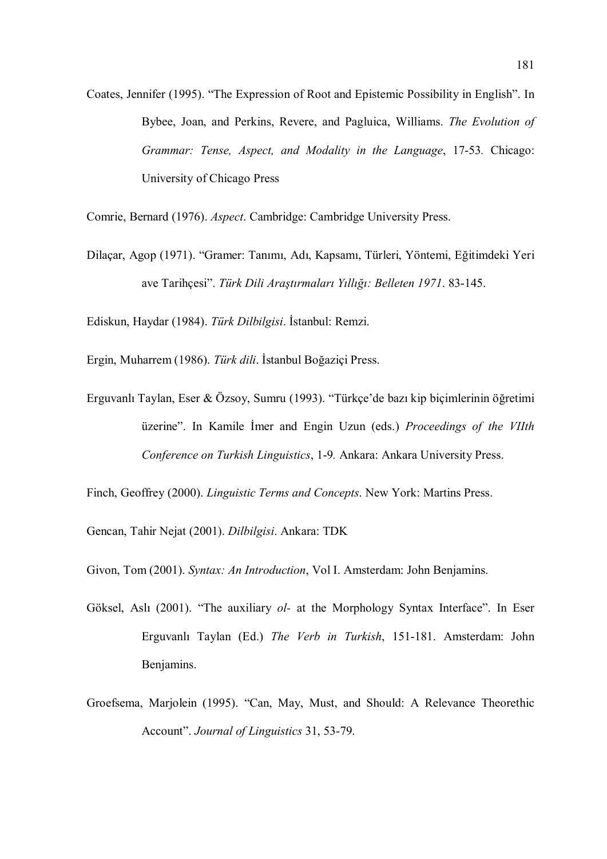Coates, Jennifer (1995). "The Expression of Root and Epistemic Possibility in English". In Bybee, Joan, and Perkins, Revere, and Pagluica, Williams. The Evolution of Grammar: Tense, Aspect, and Modality in the Language, 17-53. Chicago: University of Chicago Press

Comrie, Bernard (1976). Aspect. Cambridge: Cambridge University Press.

Dilaçar, Agop (1971). "Gramer: Tanımı, Adı, Kapsamı, Türleri, Yöntemi, Eğitimdeki Yeri ave Tarihçesi". Türk Dili Araştırmaları Yıllığı: Belleten 1971. 83-145.

Ediskun, Haydar (1984). Türk Dilbilgisi. İstanbul: Remzi.

Ergin, Muharrem (1986). Türk dili. İstanbul Boğaziçi Press.

Erguvanlı Taylan, Eser & Özsoy, Sumru (1993). "Türkçe'de bazı kip biçimlerinin öğretimi üzerine". In Kamile İmer and Engin Uzun (eds.) Proceedings of the VIIth Conference on Turkish Linguistics, 1-9. Ankara: Ankara University Press.

Finch, Geoffrey (2000). Linguistic Terms and Concepts. New York: Martins Press.

Gencan, Tahir Nejat (2001). Dilbilgisi. Ankara: TDK

Givon, Tom (2001). Syntax: An Introduction, Vol I. Amsterdam: John Benjamins.

- Göksel, Aslı (2001). "The auxiliary *ol* at the Morphology Syntax Interface". In Eser Erguvanlı Taylan (Ed.) The Verb in Turkish, 151-181. Amsterdam: John Benjamins.
- Groefsema, Marjolein (1995). "Can, May, Must, and Should: A Relevance Theorethic Account". Journal of Linguistics 31, 53-79.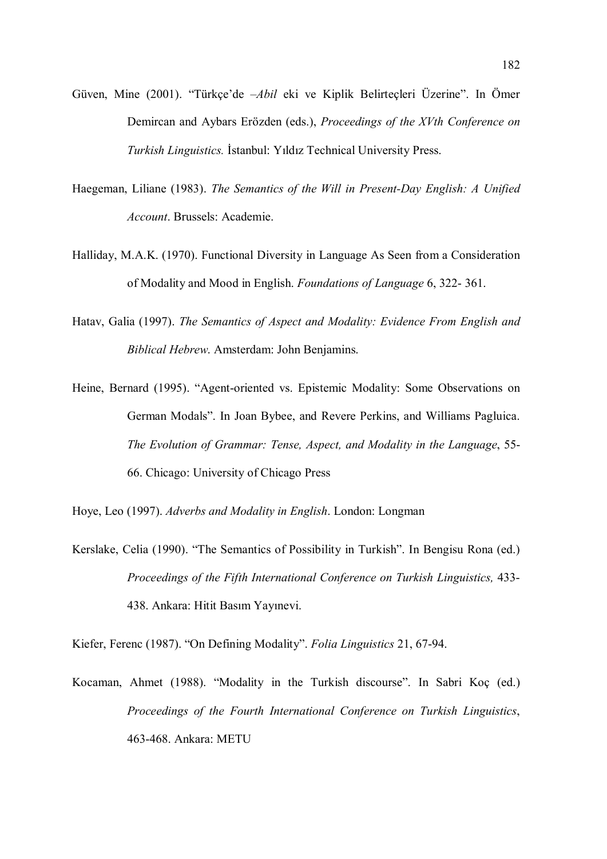- Güven, Mine (2001). "Türkçe'de –Abil eki ve Kiplik Belirteçleri Üzerine". In Ömer Demircan and Aybars Erözden (eds.), Proceedings of the XVth Conference on Turkish Linguistics. İstanbul: Yıldız Technical University Press.
- Haegeman, Liliane (1983). The Semantics of the Will in Present-Day English: A Unified Account. Brussels: Academie.
- Halliday, M.A.K. (1970). Functional Diversity in Language As Seen from a Consideration of Modality and Mood in English. Foundations of Language 6, 322- 361.
- Hatav, Galia (1997). The Semantics of Aspect and Modality: Evidence From English and Biblical Hebrew. Amsterdam: John Benjamins.
- Heine, Bernard (1995). "Agent-oriented vs. Epistemic Modality: Some Observations on German Modals". In Joan Bybee, and Revere Perkins, and Williams Pagluica. The Evolution of Grammar: Tense, Aspect, and Modality in the Language, 55- 66. Chicago: University of Chicago Press

Hoye, Leo (1997). Adverbs and Modality in English. London: Longman

Kerslake, Celia (1990). "The Semantics of Possibility in Turkish". In Bengisu Rona (ed.) Proceedings of the Fifth International Conference on Turkish Linguistics, 433- 438. Ankara: Hitit Basım Yayınevi.

Kiefer, Ferenc (1987). "On Defining Modality". Folia Linguistics 21, 67-94.

Kocaman, Ahmet (1988). "Modality in the Turkish discourse". In Sabri Koç (ed.) Proceedings of the Fourth International Conference on Turkish Linguistics, 463-468. Ankara: METU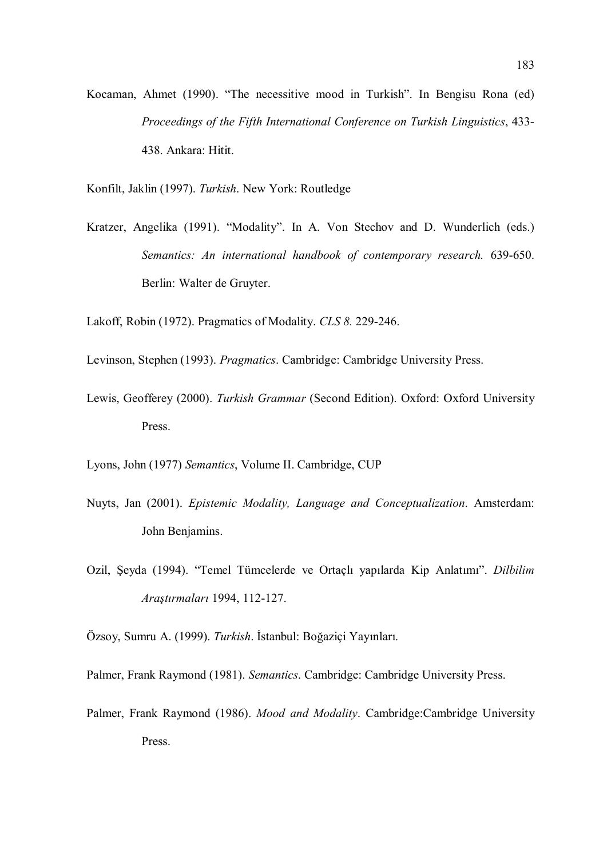- Kocaman, Ahmet (1990). "The necessitive mood in Turkish". In Bengisu Rona (ed) Proceedings of the Fifth International Conference on Turkish Linguistics, 433- 438. Ankara: Hitit.
- Konfilt, Jaklin (1997). Turkish. New York: Routledge
- Kratzer, Angelika (1991). "Modality". In A. Von Stechov and D. Wunderlich (eds.) Semantics: An international handbook of contemporary research. 639-650. Berlin: Walter de Gruyter.

Lakoff, Robin (1972). Pragmatics of Modality. CLS 8. 229-246.

- Levinson, Stephen (1993). Pragmatics. Cambridge: Cambridge University Press.
- Lewis, Geofferey (2000). Turkish Grammar (Second Edition). Oxford: Oxford University Press.
- Lyons, John (1977) Semantics, Volume II. Cambridge, CUP
- Nuyts, Jan (2001). Epistemic Modality, Language and Conceptualization. Amsterdam: John Benjamins.
- Ozil, Şeyda (1994). "Temel Tümcelerde ve Ortaçlı yapılarda Kip Anlatımı". Dilbilim Araştırmaları 1994, 112-127.
- Özsoy, Sumru A. (1999). Turkish. İstanbul: Boğaziçi Yayınları.
- Palmer, Frank Raymond (1981). Semantics. Cambridge: Cambridge University Press.
- Palmer, Frank Raymond (1986). Mood and Modality. Cambridge:Cambridge University Press.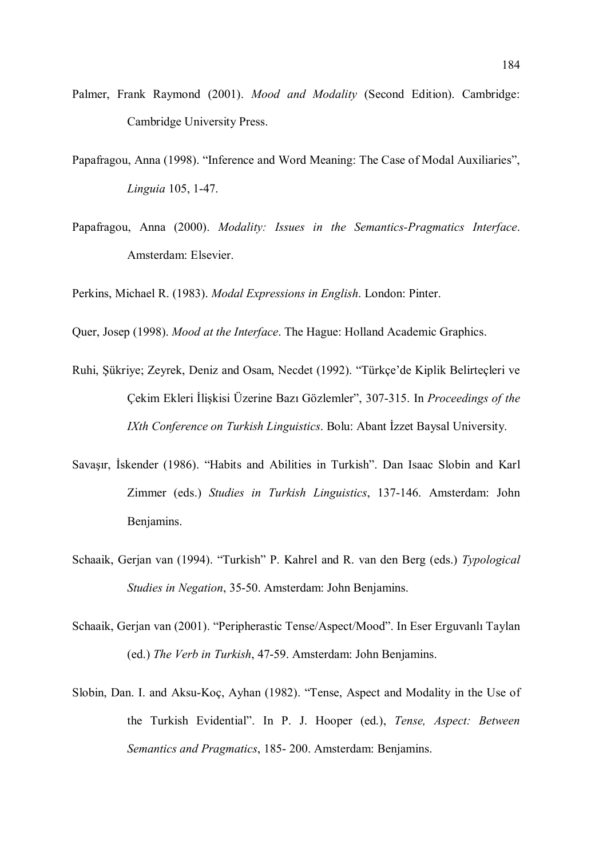- Palmer, Frank Raymond (2001). Mood and Modality (Second Edition). Cambridge: Cambridge University Press.
- Papafragou, Anna (1998). "Inference and Word Meaning: The Case of Modal Auxiliaries", Linguia 105, 1-47.
- Papafragou, Anna (2000). Modality: Issues in the Semantics-Pragmatics Interface. Amsterdam: Elsevier.

Perkins, Michael R. (1983). Modal Expressions in English. London: Pinter.

Quer, Josep (1998). Mood at the Interface. The Hague: Holland Academic Graphics.

- Ruhi, Şükriye; Zeyrek, Deniz and Osam, Necdet (1992). "Türkçe'de Kiplik Belirteçleri ve Çekim Ekleri İlişkisi Üzerine Bazı Gözlemler", 307-315. In Proceedings of the IXth Conference on Turkish Linguistics. Bolu: Abant İzzet Baysal University.
- Savaşır, İskender (1986). "Habits and Abilities in Turkish". Dan Isaac Slobin and Karl Zimmer (eds.) Studies in Turkish Linguistics, 137-146. Amsterdam: John Benjamins.
- Schaaik, Gerjan van (1994). "Turkish" P. Kahrel and R. van den Berg (eds.) Typological Studies in Negation, 35-50. Amsterdam: John Benjamins.
- Schaaik, Gerjan van (2001). "Peripherastic Tense/Aspect/Mood". In Eser Erguvanlı Taylan (ed.) The Verb in Turkish, 47-59. Amsterdam: John Benjamins.
- Slobin, Dan. I. and Aksu-Koç, Ayhan (1982). "Tense, Aspect and Modality in the Use of the Turkish Evidential". In P. J. Hooper (ed.), Tense, Aspect: Between Semantics and Pragmatics, 185- 200. Amsterdam: Benjamins.